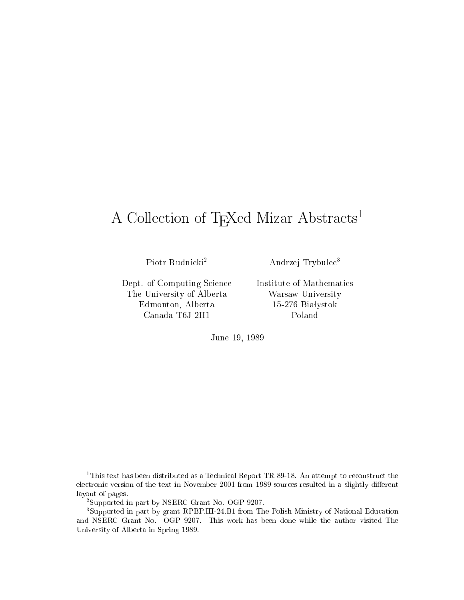# A Collection of TEXed Mizar Abstracts<sup>1</sup>

Piotr Rudnicki<sup>2</sup>

Andrzej Trybule <sup>3</sup>

Dept. of Computing Science The University of Alberta Edmonton, Alberta Canada T6J 2H1

Institute of Mathemati
s Warsaw University 15-276 Białystok Poland

June 19, 1989

 $\cdot$  This text has been distributed as a Technical Report TR 89-18. An attempt to reconstruct the electronic version of the text in November 2001 from 1989 sources resulted in a slightly different layout of pages.

<sup>2</sup> Supported in part by NSERC Grant No. OGP 9207.

<sup>3</sup> Supported in part by grant RPBP.III-24.B1 from The Polish Ministry of National Edu
ation and NSERC Grant No. OGP 9207. This work has been done while the author visited The University of Alberta in Spring 1989.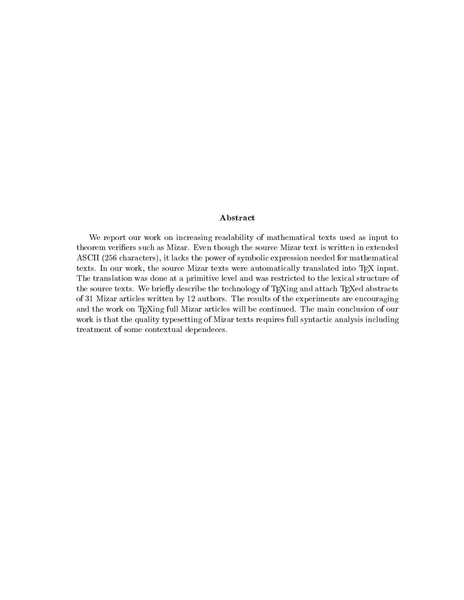### Abstract

We report our work on increasing readability of mathematical texts used as input to theorem verifiers such as Mizar. Even though the source Mizar text is written in extended ASCII (256 characters), it lacks the power of symbolic expression needed for mathematical texts. In our work, the source Mizar texts were automatically translated into TEX input. The translation was done at a primitive level and was restricted to the lexical structure of the source texts. We briefly describe the technology of T<sub>E</sub>Xing and attach T<sub>E</sub>Xed abstracts of 31 Mizar arti
les written by 12 authors. The results of the experiments are en
ouraging and the work on T<sub>E</sub>Xing full Mizar articles will be continued. The main conclusion of our work is that the quality typesetting of Mizar texts requires full syntactic analysis including treatment of some ontextual depende
es.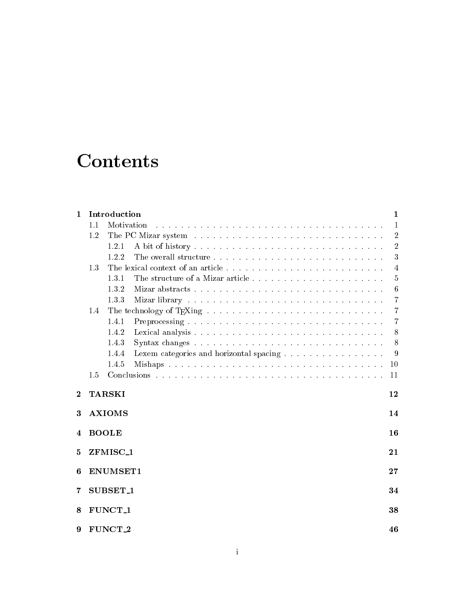# **Contents**

| $\mathbf{1}$   |                           | Introduction                                     | $\mathbf{1}$     |  |  |  |  |
|----------------|---------------------------|--------------------------------------------------|------------------|--|--|--|--|
|                | Motivation<br>1.1         |                                                  |                  |  |  |  |  |
|                | 1.2                       |                                                  | $\overline{2}$   |  |  |  |  |
|                |                           | 1.2.1                                            | $\overline{2}$   |  |  |  |  |
|                |                           | 1.2.2                                            | 3                |  |  |  |  |
|                | 1.3                       | $\overline{4}$                                   |                  |  |  |  |  |
|                |                           | The structure of a Mizar article<br>1.3.1        | $\bf 5$          |  |  |  |  |
|                |                           | 1.3.2                                            | $\boldsymbol{6}$ |  |  |  |  |
|                |                           | 1.3.3                                            | 7                |  |  |  |  |
|                | 1.4                       |                                                  | $\overline{7}$   |  |  |  |  |
|                |                           | 1.4.1                                            | $\overline{7}$   |  |  |  |  |
|                |                           | 1.4.2                                            | 8                |  |  |  |  |
|                |                           | 1.4.3                                            | 8                |  |  |  |  |
|                |                           | 1.4.4<br>Lexem categories and horizontal spacing | 9                |  |  |  |  |
|                |                           | 1.4.5                                            | 10               |  |  |  |  |
|                | 1.5                       |                                                  | 11               |  |  |  |  |
| $\overline{2}$ |                           | <b>TARSKI</b><br>12                              |                  |  |  |  |  |
| 3              | <b>AXIOMS</b><br>14       |                                                  |                  |  |  |  |  |
| 4              | <b>BOOLE</b>              |                                                  |                  |  |  |  |  |
| 5              | ZFMISC <sub>1</sub><br>21 |                                                  |                  |  |  |  |  |
| 6              | ENUMSET1<br>27            |                                                  |                  |  |  |  |  |
| 7              | SUBSET <sub>1</sub>       |                                                  |                  |  |  |  |  |
| 8              | FUNCT <sub>-1</sub>       |                                                  |                  |  |  |  |  |
| 9              | FUNCT <sub>2</sub>        |                                                  |                  |  |  |  |  |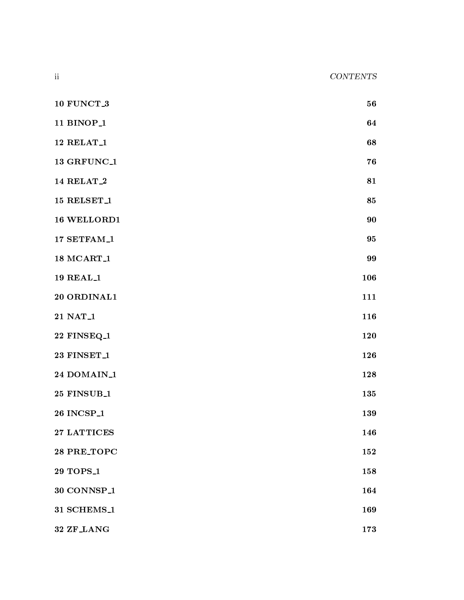10 FUNCT\_3 56 11 BINOP<sub>-1</sub> 64  $12 \text{ RELAT}_1$  68  $13 \text{ GRFUNC}_1$  76 14 RELAT\_2 81 15 RELSET<sub>-1</sub> 85 16 WELLORD1 90 17 SETFAM<sub>-1</sub> 95 18 MCART\_1 99 19 REAL\_1 106 20 ORDINAL1 111 21 NAT<sub>-1</sub> 116 22 FINSEQ<sub>-1</sub> 120 23 FINSET\_1 126 24 DOMAIN\_1 128 25 FINSUB<sub>-1</sub> 135 26 Inc. 26 Inc. 26 Inc. 26 Inc. 26 Inc. 26 Inc. 26 Inc. 26 Inc. 26 Inc. 26 Inc. 26 Inc. 26 Inc. 26 Inc. 26 Inc. 27 LATTICES 146 28 PRE\_TOPC 152

29 TOPS\_1 158 30 CONNSP<sub>-1</sub> 164 31 SCHEMS 1 169 SCHEMS 1 169 SCHEMS 1 169 SCHEMS 1 169 SCHEMS 1 169 SCHEMS 1 169 SCHEMS 1 169 SCHEMS 1 169 SCH 32 ZF LANG 173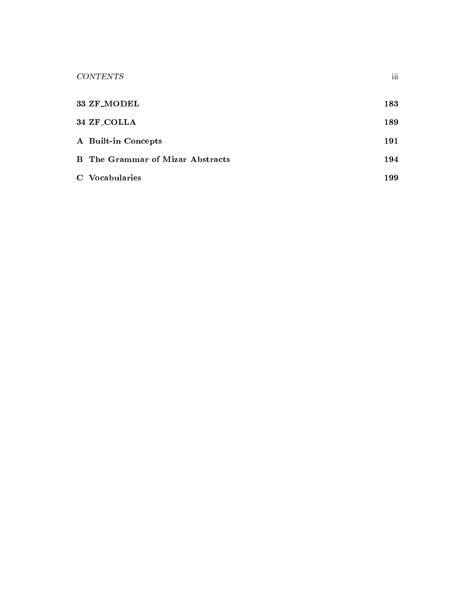| <b>CONTENTS</b>                         | iii |
|-----------------------------------------|-----|
| 33 ZF_MODEL                             | 183 |
| 34 ZF_COLLA                             | 189 |
| A Built-in Concepts                     | 191 |
| <b>B</b> The Grammar of Mizar Abstracts | 194 |
| C Vocabularies                          | 199 |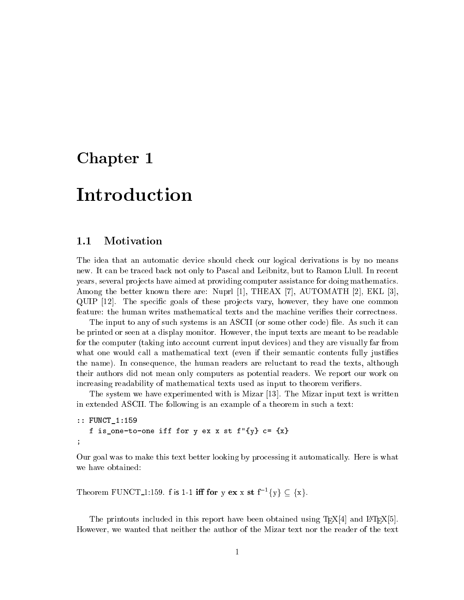## Chapter 1

# **Introduction**

### 1.1 Motivation

The idea that an automatic device should check our logical derivations is by no means new. It an be tra
ed ba
k not only to Pas
al and Leibnitz, but to Ramon Llull. In re
ent years, several projects have aimed at providing computer assistance for doing mathematics. Among the better known there are: Nuprl [1], THEAX [7], AUTOMATH [2], EKL [3].  $\text{QUIP}$  [12]. The specific goals of these projects vary, however, they have one common feature: the human writes mathematical texts and the machine verifies their correctness.

The input to any of such systems is an ASCII (or some other code) file. As such it can be printed or seen at a display monitor. However, the input texts are meant to be readable for the computer (taking into account current input devices) and they are visually far from what one would call a mathematical text (even if their semantic contents fully justifies the name). In onsequen
e, the human readers are relu
tant to read the texts, although their authors did not mean only omputers as potential readers. We report our work on increasing readability of mathematical texts used as input to theorem verifiers.

The system we have experimented with is Mizar  $[13]$ . The Mizar input text is written in extended ASCII. The following is an example of a theorem in such a text:

```
:: FUNCT_1:159
   f is_one-to-one iff for y ex x st f''\{y\} c= \{x\};
```
Our goal was to make this text better looking by pro
essing it automati
ally. Here is what we have obtained:

Theorem FUNCT<sub>1</sub>:159. f is 1-1 iff for y ex x st  $f^{-1}{y} \subset {x}$ .

The printouts included in this report have been obtained using  $T_{\text{F}}X[4]$  and  $\text{LFT}_{\text{F}}X[5]$ . However, we wanted that neither the author of the Mizar text nor the reader of the text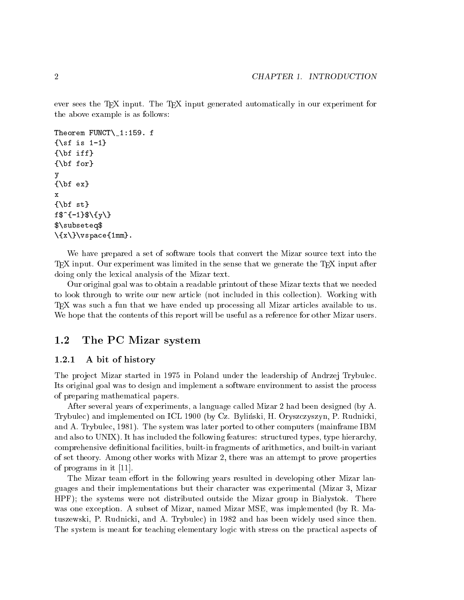ever sees the TEX input. The TEX input generated automatically in our experiment for the above example is as follows:

```
Theorem FUNCT\_1:159. f
\{\sceil s \mid 1-1\}\{\b{bf} \text{ iff }\}\{\hat{b}f for\}y
\{\b{b}f e x\}\mathbf{x}\{\hbox{bf st}\}f$^{-1}$\{y\}
$\subseteq$
\{\{x\}\}\vspace\{1mm\}.
```
We have prepared a set of software tools that convert the Mizar source text into the  $T_F X$  input. Our experiment was limited in the sense that we generate the  $T_F X$  input after doing only the lexical analysis of the Mizar text.

Our original goal was to obtain a readable printout of these Mizar texts that we needed to look through to write our new article (not included in this collection). Working with TEX was su
h a fun that we have ended up pro
essing all Mizar arti
les available to us. We hope that the contents of this report will be useful as a reference for other Mizar users.

#### $1.2\,$ The PC Mizar system

#### $1.2.1$ A bit of history

The project Mizar started in 1975 in Poland under the leadership of Andrzej Trybulec. Its original goal was to design and implement a software environment to assist the pro
ess of preparing mathemati
al papers.

After several years of experiments, a language alled Mizar 2 had been designed (by A. Trybule
) and implemented on ICL 1900 (by Cz. Bylinski, H. Orysz
zyszyn, P. Rudni
ki, and A. Trybulec, 1981). The system was later ported to other computers (mainframe IBM and also to UNIX). It has included the following features: structured types, type hierarchy. comprehensive definitional facilities, built-in fragments of arithmetics, and built-in variant of set theory. Among other works with Mizar 2, there was an attempt to prove properties of programs in it  $[11]$ .

The Mizar team effort in the following years resulted in developing other Mizar languages and their implementations but their hara
ter was experimental (Mizar 3, Mizar HPF); the systems were not distributed outside the Mizar group in Białystok. There was one ex
eption. A subset of Mizar, named Mizar MSE, was implemented (by R. Matuszewski, P. Rudni
ki, and A. Trybule
) in 1982 and has been widely used sin
e then. The system is meant for teaching elementary logic with stress on the practical aspects of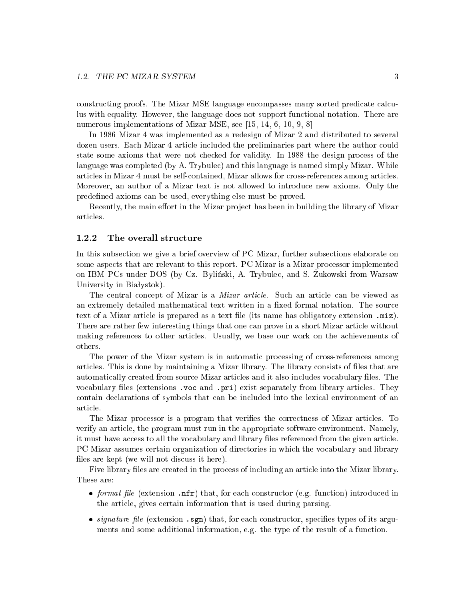constructing proofs. The Mizar MSE language encompasses many sorted predicate calculus with equality. However, the language does not support fun
tional notation. There are numerous implementations of Mizar MSE, see  $[15, 14, 6, 10, 9, 8]$ 

In 1986 Mizar 4 was implemented as a redesign of Mizar 2 and distributed to several dozen users. Each Mizar 4 article included the preliminaries part where the author could state some axioms that were not checked for validity. In 1988 the design process of the language was ompleted (by A. Trybule
) and this language is named simply Mizar. While arti
les in Mizar 4 must be selfontained, Mizar allows for ross-referen
es among arti
les. Moreover, an author of a Mizar text is not allowed to introdu
e new axioms. Only the predefined axioms can be used, everything else must be proved.

Recently, the main effort in the Mizar project has been in building the library of Mizar arti
les.

### 1.2.2 The overall structure

In this subse
tion we give a brief overview of PC Mizar, further subse
tions elaborate on some aspects that are relevant to this report. PC Mizar is a Mizar processor implemented on IBM I OS under DOS (by Oz. Bylinski, A. Trybulet, and S. Zukowski from Warsaw University in Białystok).

The central concept of Mizar is a *Mizar article*. Such an article can be viewed as an extremely detailed mathematical text written in a fixed formal notation. The source text of a Mizar arti
le is prepared as a text le (its name has obligatory extension .miz). There are rather few interesting things that one an prove in a short Mizar arti
le without making referen
es to other arti
les. Usually, we base our work on the a
hievements of others.

The power of the Mizar system is in automatic processing of cross-references among articles. This is done by maintaining a Mizar library. The library consists of files that are automati
ally reated from sour
e Mizar arti
les and it also in
ludes vo
abulary les. The vocabulary files (extensions .voc and .pri) exist separately from library articles. They ontain de
larations of symbols that an be in
luded into the lexi
al environment of an arti
le.

The Mizar processor is a program that verifies the correctness of Mizar articles. To verify an arti
le, the program must run in the appropriate software environment. Namely, it must have access to all the vocabulary and library files referenced from the given article. PC Mizar assumes certain organization of directories in which the vocabulary and library files are kept (we will not discuss it here).

Five library files are created in the process of including an article into the Mizar library. These are:

- format le (extension .nfr) that, for ea
h onstru
tor (e.g. fun
tion) introdu
ed in the arti
le, gives ertain information that is used during parsing.
- signature in the construction .section . see that the species that is problem . I have the construction of the ments and some additional information, e.g. the type of the result of a function.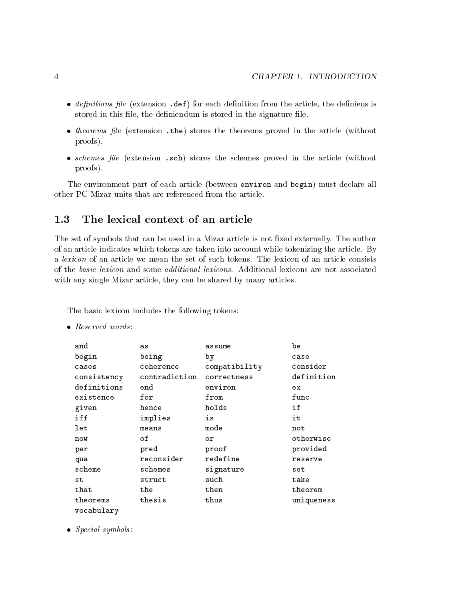- de de le (extension de la contraction de la contraction de la contraction de la contraction de la contraction d stored in this file, the definiendum is stored in the signature file.
- theorems le (extension .the) stores the theorems proved in the arti
le (without proofs).
- recovered the function in the stores that without the store in the store function  $\mathcal{L}_\mathcal{A}$ proofs).

The environment part of each article (between environ and begin) must declare all other PC Mizar units that are referen
ed from the arti
le.

#### The lexical context of an article 1.3

The set of symbols that can be used in a Mizar article is not fixed externally. The author of an article indicates which tokens are taken into account while tokenizing the article. By a *lexicon* of an article we mean the set of such tokens. The lexicon of an article consists of the *basic lexicon* and some *additional lexicons*. Additional lexicons are not associated with any single Mizar article, they can be shared by many articles.

The basic lexicon includes the following tokens:

| and         | as            | assume        | be         |  |  |  |
|-------------|---------------|---------------|------------|--|--|--|
| begin       | being         | by            | case       |  |  |  |
| cases       | coherence     | compatibility | consider   |  |  |  |
| consistency | contradiction | correctness   | definition |  |  |  |
| definitions | end           | environ       | e x        |  |  |  |
| existence   | for           | from          | func       |  |  |  |
| given       | hence         | holds         | if         |  |  |  |
| iff         | implies       | is            | it         |  |  |  |
| let         | means         | mode          | not        |  |  |  |
| now         | оf            | οr            | otherwise  |  |  |  |
| per         | pred          | proof         | provided   |  |  |  |
| qua         | reconsider    | redefine      | reserve    |  |  |  |
| scheme      | schemes       | signature     | set        |  |  |  |
| st          | struct        | such          | take       |  |  |  |
| that        | the           | then          | theorem    |  |  |  |
| theorems    | thesis        | thus          | uniqueness |  |  |  |
| vocabularv  |               |               |            |  |  |  |

Spe
ial symbols :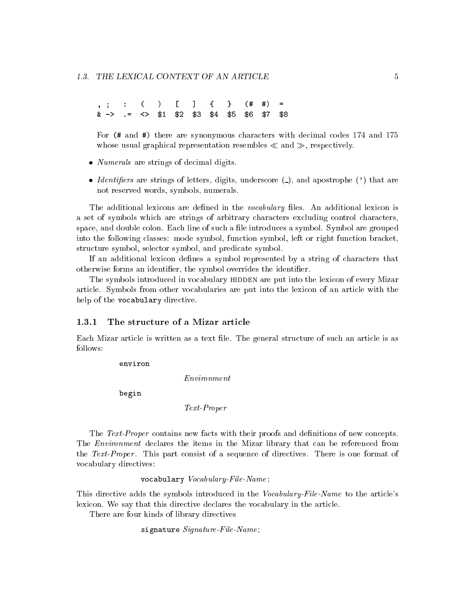$=$ , ; : ( ) [ ℄ { } (# #) =  $$1$  $$3$  $k \rightarrow$  $\leftrightarrow$ & -> .= <> \$1 \$2 \$3 \$4 \$5 \$6 \$7 \$8

For (# and #) there are synonymous characters with decimal codes 174 and 175 whose usual graphical representation resembles  $\ll$  and  $\gg$ , respectively.

- Numerals are strings of de
imal digits.
- *Identifiers* are strings of letters, digits, underscore  $(\_)$ , and apostrophe  $(\')$  that are not reserved words, symbols, numerals.

The additional lexicons are defined in the *vocabulary* files. An additional lexicon is a set of symbols which are strings of arbitrary characters excluding control characters, space, and double colon. Each line of such a file introduces a symbol. Symbol are grouped into the following lasses: mode symbol, fun
tion symbol, left or right fun
tion bra
ket, structure symbol, selector symbol, and predicate symbol.

If an additional lexicon defines a symbol represented by a string of characters that otherwise forms an identier, the symbol overrides the identier.

The symbols introduced in vocabulary HIDDEN are put into the lexicon of every Mizar arti
le. Symbols from other vo
abularies are put into the lexi
on of an arti
le with the help of the vocabulary directive.

#### $1.3.1$ The structure of a Mizar article

Each Mizar article is written as a text file. The general structure of such an article is as

environ

Environment

begin

Text-Proper

The Text-Proper contains new facts with their proofs and definitions of new concepts. The *Environment* declares the items in the Mizar library that can be referenced from the Text-Proper. This part consist of a sequence of directives. There is one format of vo
abulary dire
tives:

vocabulary Vocabulary-File-Name;

This directive adds the symbols introduced in the *Vocabulary-File-Name* to the article's lexicon. We say that this directive declares the vocabulary in the article.

There are four kinds of library directives

signature Signature-File-Name;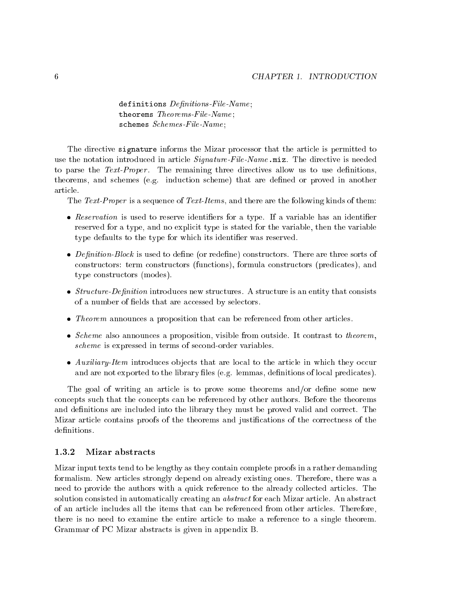definitions  $Definitions$ -File-Name; theorems Theorems-File-Name; schemes Schemes-File-Name;

The directive signature informs the Mizar processor that the article is permitted to use the notation introduced in article *Signature-File-Name* miz. The directive is needed to parse the Text-Proper. The remaining three directives allow us to use definitions, theorems, and s
hemes (e.g. indu
tion s
heme) that are dened or proved in another arti
le.

The Text-Proper is a sequence of Text-Items, and there are the following kinds of them:

- Reservation is used to reserve identiers for a type. If a variable has an identier reserved for a type, and no explicit type is stated for the variable, then the variable type defaults to the type for which its identifier was reserved.
- on is used to denote the construction of the construction of the sorts of the sorts of the sorts of the sorts o constructors: term constructors (functions), formula constructors (predicates), and type onstru
tors (modes).
- s ture-out a structure introduced matrix a structure is an entity that the structure is an entity that the structure of a number of fields that are accessed by selectors.
- Theorem announ
es a proposition that an be referen
ed from other arti
les.
- S
heme also announ
es a proposition, visible from outside. It ontrast to theorem, scheme is expressed in terms of second-order variables.
- auxiliary-Item introduced that are local to the article in which is the article in which is the article in which is the article in the article in the article in the article in the article in the article in the article in t and are not exported to the library files (e.g. lemmas, definitions of local predicates).

The goal of writing an article is to prove some theorems and/or define some new on
epts su
h that the on
epts an be referen
ed by other authors. Before the theorems and definitions are included into the library they must be proved valid and correct. The Mizar article contains proofs of the theorems and justifications of the correctness of the

### 1.3.2 Mizar abstracts

Mizar input texts tend to be lengthy as they ontain omplete proofs in a rather demanding formalism. New arti
les strongly depend on already existing ones. Therefore, there was a need to provide the authors with a quick reference to the already collected articles. The solution consisted in automatically creating an *abstract* for each Mizar article. An abstract of an arti
le in
ludes all the items that an be referen
ed from other arti
les. Therefore, there is no need to examine the entire article to make a reference to a single theorem. Grammar of PC Mizar abstracts is given in appendix B.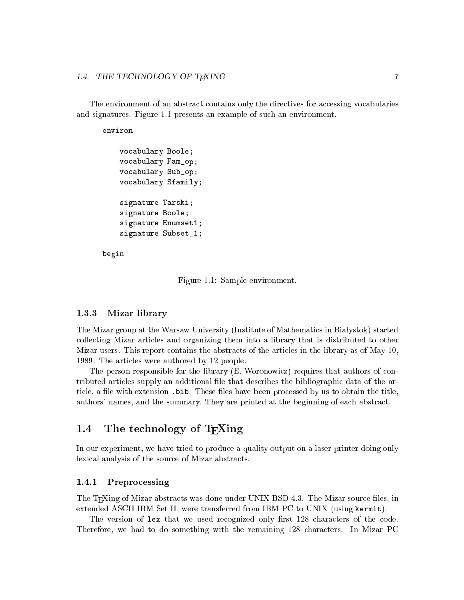The environment of an abstract contains only the directives for accessing vocabularies and signatures. Figure 1.1 presents an example of su
h an environment.

environ

```
vo
abulary Boole;
vo
abulary Fam_op;
vo
abulary Sub_op;
vo
abulary Sfamily;
signature Tarski;
signature Boole;
signature Enumset1;
signature Subset_1;
```
begin

Figure 1.1: Sample environment.

### 1.3.3 Mizar library

The Mizar group at the Warsaw University (Institute of Mathematics in Białystok) started collecting Mizar articles and organizing them into a library that is distributed to other Mizar users. This report contains the abstracts of the articles in the library as of May 10, 1989. The arti
les were authored by 12 people.

The person responsible for the library (E. Woronowicz) requires that authors of contributed arti
les supply an additional le that des
ribes the bibliographi data of the article, a file with extension . bib. These files have been processed by us to obtain the title, authors' names, and the summary. They are printed at the beginning of ea
h abstra
t.

#### The technology of T<sub>E</sub>Xing 1.4

In our experiment, we have tried to produ
e a quality output on a laser printer doing only lexical analysis of the source of Mizar abstracts.

#### 1.4.1 Preprocessing

The T<sub>E</sub>Xing of Mizar abstracts was done under UNIX BSD 4.3. The Mizar source files, in extended ASCII IBM Set II, were transferred from IBM PC to UNIX (using kermit).

The version of lex that we used recognized only first 128 characters of the code. Therefore, we had to do something with the remaining 128 characters. In Mizar PC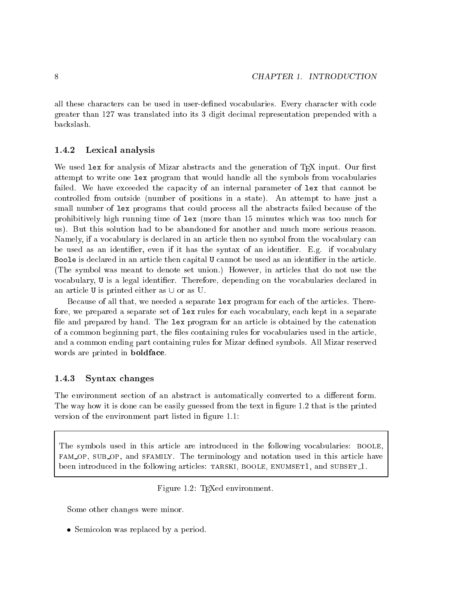all these hara
ters an be used in user-dened vo
abularies. Every hara
ter with ode greater than 127 was translated into its 3 digit de
imal representation prepended with a ba
kslash.

### 1.4.2 Lexi
al analysis

We used  $\texttt{lex}$  for analysis of Mizar abstracts and the generation of T<sub>E</sub>X input. Our first attempt to write one lex program that would handle all the symbols from vo
abularies failed. We have exceeded the capacity of an internal parameter of lex that cannot be ontrolled from outside (number of positions in a state). An attempt to have just a small number of lex programs that could process all the abstracts failed because of the prohibitively high running time of lex (more than 15 minutes which was too much for us). But this solution had to be abandoned for another and mu
h more serious reason. Namely, if a vocabulary is declared in an article then no symbol from the vocabulary can be used as an identifier, even if it has the syntax of an identifier. E.g. if vocabulary Boole is declared in an article then capital U cannot be used as an identifier in the article. (The symbol was meant to denote set union.) However, in arti
les that do not use the vocabulary, U is a legal identifier. Therefore, depending on the vocabularies declared in an article U is printed either as  $\cup$  or as U.

Because of all that, we needed a separate lex program for each of the articles. Therefore, we prepared a separate set of lex rules for each vocabulary, each kept in a separate file and prepared by hand. The lex program for an article is obtained by the catenation of a common beginning part, the files containing rules for vocabularies used in the article. and a ommon ending part ontaining rules for Mizar dened symbols. All Mizar reserved words are printed in **boldface**.

### 1.4.3 Syntax hanges

The environment section of an abstract is automatically converted to a different form. The way how it is done can be easily guessed from the text in figure 1.2 that is the printed version of the environment part listed in figure 1.1:

The symbols used in this article are introduced in the following vocabularies: BOOLE, fam op, sub op, and sfamily. The terminology and notation used in this arti
le have been introduced in the following articles: TARSKI, BOOLE, ENUMSET1, and SUBSET<sub>1</sub>.

Figure 1.2: T<sub>E</sub>Xed environment.

Some other hanges were minor.

Semi
olon was repla
ed by a period.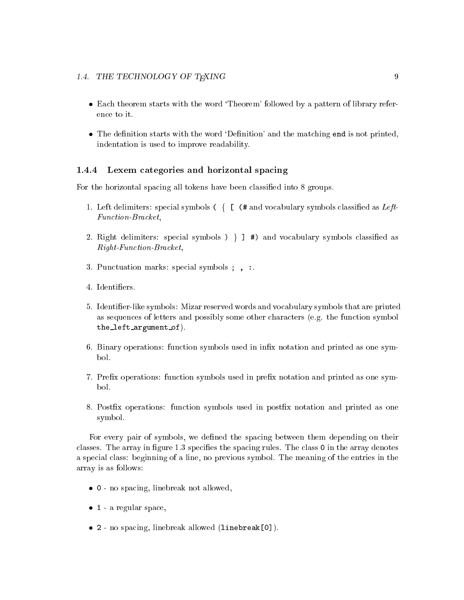### 1.4. THE TECHNOLOGY OF T<sub>E</sub>XING 9

- Each theorem starts with the word 'Theorem' followed by a pattern of library reference to it.
- The definition starts with the word 'Definition' and the matching end is not printed, indentation is used to improve readability.

#### 1.4.4 Lexem categories and horizontal spacing

For the horizontal spacing all tokens have been classified into 8 groups.

- 1. Left delimiters: special symbols  $( \n\{ \n\{\n\}$  (# and vocabulary symbols classified as Left-Function-Bracket,
- 2. Right delimiters: special symbols  $) \}$   $\exists$  #) and vocabulary symbols classified as Right-Fun
tion-Bra
ket,
- 3. Pun
tuation marks: spe
ial symbols ; , :.
- 4. Identiers.
- 5. Identier-like symbols: Mizar reserved words and vo
abulary symbols that are printed as sequen
es of letters and possibly some other hara
ters (e.g. the fun
tion symbol the left argument of).
- 6. Binary operations: fun
tion symbols used in inx notation and printed as one symbol.
- 7. Prex operations: fun
tion symbols used in prex notation and printed as one symbol.
- 8. Postx operations: fun
tion symbols used in postx notation and printed as one symbol.

For every pair of symbols, we defined the spacing between them depending on their classes. The array in figure 1.3 specifies the spacing rules. The class 0 in the array denotes a spe
ial lass: beginning of a line, no previous symbol. The meaning of the entries in the array is as follows:

- 0 no spa
ing, linebreak not allowed,
- e, a regular space
- 2 no spa
ing, linebreak allowed (linebreak[0℄).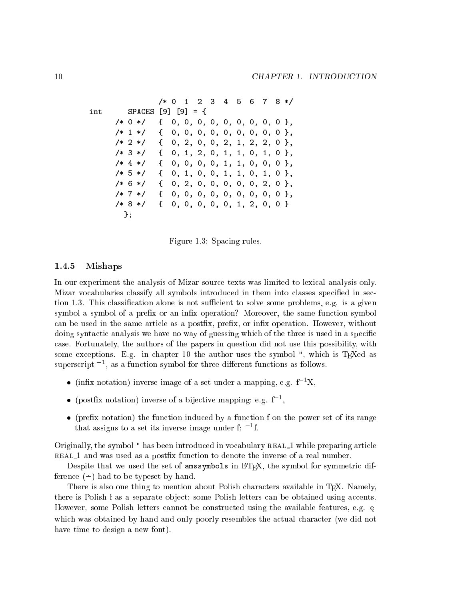$/* 0 1 2 3 4 5 6$  $8 */$  $7\phantom{.}$  $int$  SPACES [9] [9] = {  $/* 0 */$  { 0, 0, 0, 0, 0, 0, 0, 0},  $/* 1 */$  { 0, 0, 0, 0, 0, 0, 0, 0, 0 },  $/* 2 */$  { 0, 2, 0, 0, 2, 1, 2, 2, 0 },  $/* 3*/$  { 0, 1, 2, 0, 1, 1, 0, 1, 0 },  $/* 4*/$  { 0, 0, 0, 0, 1, 1, 0, 0, 0 }, /\* 5 \*/ { 0, 1, 0, 0, 1, 1, 0, 1, 0 }, /\* 6 \*/ { 0, 2, 0, 0, 0, 0, 0, 2, 0 },  $/* 7*/$  { 0, 0, 0, 0, 0, 0, 0, 0, 0 }, /\* 8 \*/ { 0, 0, 0, 0, 0, 1, 2, 0, 0 } };

Figure 1.3: Spacing rules.

### 1.4.5 Mishaps

In our experiment the analysis of Mizar sour
e texts was limited to lexi
al analysis only. Mizar vocabularies classify all symbols introduced in them into classes specified in section 1.3. This classification alone is not sufficient to solve some problems, e.g. is a given symbol a symbol of a prefix or an infix operation? Moreover, the same function symbol can be used in the same article as a postfix, prefix, or infix operation. However, without doing syntactic analysis we have no way of guessing which of the three is used in a specific ase. Fortunately, the authors of the papers in question did not use this possibility, with some exceptions. E.g. in chapter 10 the author uses the symbol ", which is T<sub>E</sub>Xed as superscript  $^{-1}$ , as a function symbol for three different functions as follows.

- (infix notation) inverse image of a set under a mapping, e.g.  $f^{-1}X$ ,
- (postfix notation) inverse of a bijective mapping: e.g.  $f^{-1}$ ,
- the function induced in the function  $\alpha$  function in the function  $\alpha$  function for  $\alpha$  function  $\alpha$ that assigns to a set its inverse image under f:  $^{-1}$ f.

Originally, the symbol " has been introduced in vocabulary REAL\_1 while preparing article real <sup>1</sup> and was used as a postx fun
tion to denote the inverse of a real number.

Despite that we used the set of amssymbols in IATEX, the symbol for symmetric difference  $(-)$  had to be typeset by hand.

There is also one thing to mention about Polish characters available in TEX. Namely, there is Polish  $\frac{1}{1}$  as a separate object; some Polish letters can be obtained using accents. However, some Polish letters cannot be constructed using the available features, e.g. e. was on the and only the and only possessed the and and one and only the and only the and the and the set of have time to design a new font).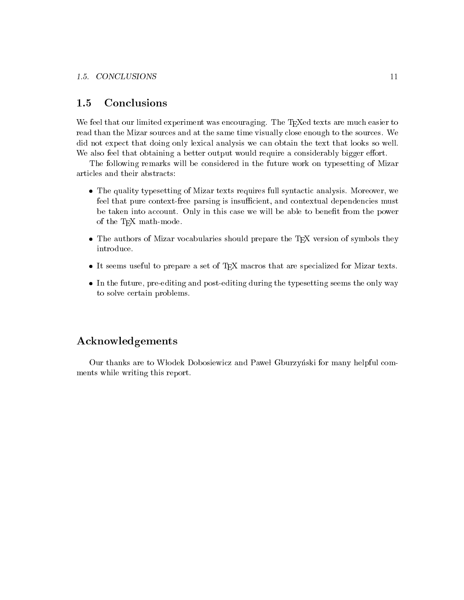### 1.5 Con
lusions

We feel that our limited experiment was encouraging. The T<sub>EX</sub>ed texts are much easier to read than the Mizar sources and at the same time visually close enough to the sources. We did not expe
t that doing only lexi
al analysis we an obtain the text that looks so well. We also feel that obtaining a better output would require a considerably bigger effort.

The following remarks will be onsidered in the future work on typesetting of Mizar arti
les and their abstra
ts:

- The quality typesetting of Mizar texts requires full synta
ti analysis. Moreover, we feel that pure context-free parsing is insufficient, and contextual dependencies must be taken into account. Only in this case we will be able to benefit from the power of the TEX math-mode.
- The authors of Mizar volume the Mizar volume that  $\mathbf{r}$  is the TEX version of  $\mathcal{P}_\mathbf{y}$  and the  $\mathcal{P}_\mathbf{y}$ introdu
e.
- It seems useful to prepare a set of TEX ma
ros that are spe
ialized for Mizar texts.
- In the future, pre-editing and post-editing during the typesetting seems the only way to solve ertain problems.

### A
knowledgements

Our thanks are to Włodek Dobosiewicz and Paweł Gburzyński for many helpful comments while writing this report.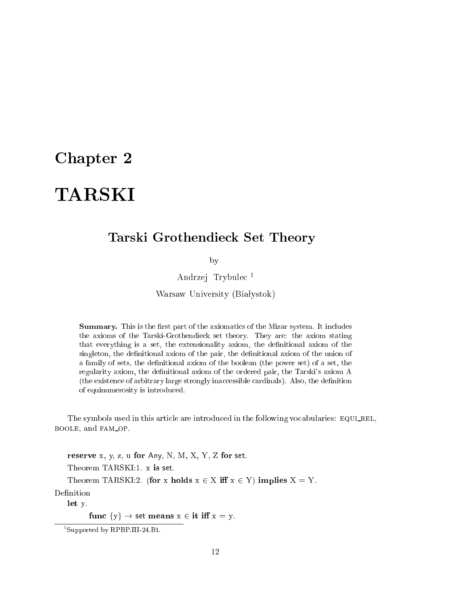## Chapter 2

## Tarski Grothendie
k Set Theory

by

Andrzej Trybule <sup>1</sup>

Warsaw University (Białystok)

Summary. This is the first part of the axiomatics of the Mizar system. It includes the axioms of the Tarski-Grothendie
k set theory. They are: the axiom stating that everything is a set, the extensionality axiom, the denitional axiom of the singleton, the definitional axiom of the pair, the definitional axiom of the union of a family of sets, the definitional axiom of the boolean (the power set) of a set, the regularity axiom, the definitional axiom of the ordered pair, the Tarski's axiom A (the existen
e of arbitrary large strongly ina

essible ardinals). Also, the denition of equinumerosity is introdu
ed.

The symbols used in this article are introduced in the following vocabularies: EQULREL, boole, and fam op.

reserve x, y, z, u for Any, N, M, X, Y, Z for set.

Theorem TARSKI:1. x is set.

Theorem TARSKI:2. (for x holds  $x \in X$  iff  $x \in Y$ ) implies  $X = Y$ .

Definition

let y.

func  $\{y\} \rightarrow \text{set means } x \in \text{it iff } x = y.$ 

<sup>1</sup> Supported by RPBP.III-24.B1.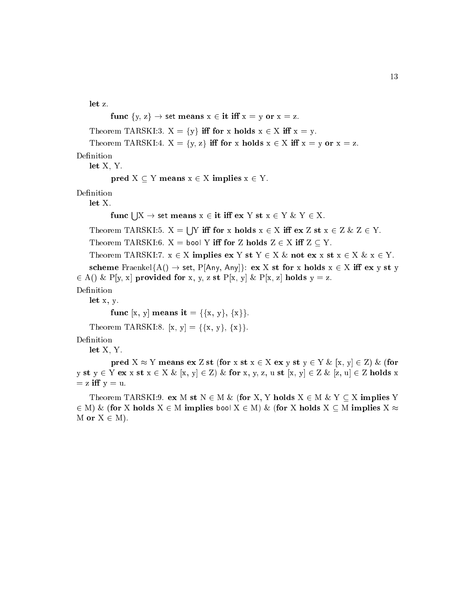let z.

```
func \{y, z\} \rightarrow set means x \in \text{it iff } x = y \text{ or } x = z.
    Theorem TARSKI:3. X = \{y\} iff for x holds x \in X iff x = y.
    Theorem TARSKI:4. X = \{y, z\} iff for x holds x \in X iff x = y or x = z.
    let X, Y.
           pred X \subseteq Y means x \in X implies x \in Y.
Definition
    let X.
           {\bf func}\mid |{\rm X} \rightarrow {\sf set}\; {\bf means}\; {\rm x} \in {\bf it}\; {\bf iff}\; {\bf ex}\; {\rm Y}\; {\bf st}\; {\rm x} \in {\rm Y}\; \&\; {\rm Y} \in {\rm X}.s a
                                       Y i for x holds x 2 X i ex Z st x 2 Z & Z 2 Y.
    Theorem TARSKI:6. X = bool Y iff for Z holds Z \in X iff Z \subseteq Y.
    Theorem TARSKI:7. x \in X implies ex Y st Y \in X & not ex x st x \in X & x \in Y.
    scheme Fraenkel{A() \rightarrow set, P[Any, Any]}: ex X st for x holds x \in X iff ex y st y
2 A() & P[y, x℄ provided for x, y, z st P[x, y℄ & P[x, z℄ holds y = z.
Definition
    let x, y.
           func [x, y] means it = {{x, y}, {x}}.
    Theorem TARSKI:8. [x, y] = {\{x, y\}, \{x\} }.
```
Definition

let X, Y.

pred  $X \approx Y$  means ex Z st (for x st  $x \in X$  ex y st  $y \in Y$  &  $[x, y] \in Z$ ) & (for y st y  $\in$  Y ex x st  $x \in X \& [x, y] \in Z$ )  $\&$  for x, y, z, u st  $[x, y] \in Z \& [z, u] \in Z$  holds x  $= z$  iff  $y = u$ .

Theorem TARSKI:9. ex M st  $N \in M \&$  (for X, Y holds  $X \in M \& Y \subset X$  implies Y 2 M) & (for X holds X <sup>2</sup> M implies bool X <sup>2</sup> M) & (for X holds X M implies X M or  $X \in M$ ).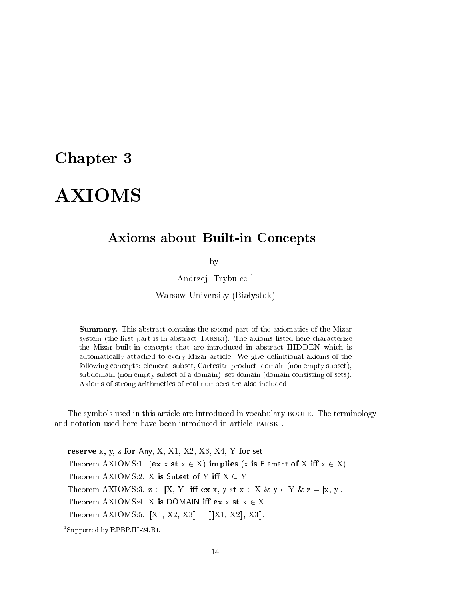## Chapter 3

# **AXIOMS**

### Axioms about Built-in Concepts

by

Andrzej Trybule <sup>1</sup>

Warsaw University (Białystok)

Summary. This abstract contains the second part of the axiomatics of the Mizar system (the first part is in abstract TARSKI). The axioms listed here characterize the Mizar built-in on
epts that are introdu
ed in abstra
t HIDDEN whi
h is automatically attached to every Mizar article. We give definitional axioms of the following concepts: element, subset, Cartesian product, domain (non empty subset), subdomain (non empty subset of a domain), set domain (domain consisting of sets). Axioms of strong arithmeti
s of real numbers are also in
luded.

The symbols used in this arti
le are introdu
ed in vo
abulary boole. The terminology and notation used here have been introduced in article TARSKI.

reserve x, y, z for Any, X, X1, X2, X3, X4, Y for set. Theorem AXIOMS:1. (ex x st  $x \in X$ ) implies (x is Element of X iff  $x \in X$ ). Theorem AXIOMS:2. X is Subset of Y iff  $X \subseteq Y$ . Theorem AXIOMS:3.  $z \in [X, Y]$  iff  $ex x, y st x \in X \& y \in Y \& z = [x, y].$ Theorem AXIOMS:4. X is DOMAIN iff  $ex x st x \in X$ . Theorem AXIOMS:5.  $[X1, X2, X3] = [[X1, X2], X3]$ .

<sup>1</sup> Supported by RPBP.III-24.B1.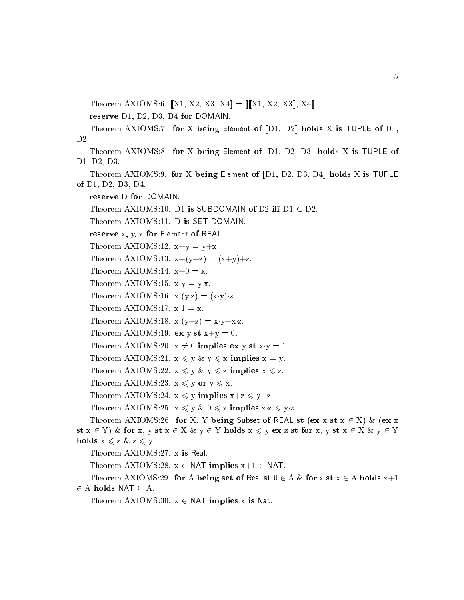Theorem AXIOMS:6.  $[[X1, X2, X3, X4] = [[X1, X2, X3], X4]$ .

reserve D1, D2, D3, D4 for DOMAIN.

Theorem AXIOMS:7. for X being Element of  $[D1, D2]$  holds X is TUPLE of D1,  $D2.$ 

Theorem AXIOMS:8. for X being Element of  $[D1, D2, D3]$  holds X is TUPLE of D1, D2, D3.

Theorem AXIOMS:9. for X being Element of  $\llbracket \text{D1}, \text{D2}, \text{D3}, \text{D4} \rrbracket$  holds X is TUPLE of D1, D2, D3, D4.

reserve D for DOMAIN.

Theorem AXIOMS:10. D1 is SUBDOMAIN of D2 iff  $D1 \subset D2$ .

Theorem AXIOMS:11. D is SET DOMAIN.

reserve x, y, z for Element of REAL.

Theorem AXIOMS:12.  $x+y = y+x$ . Theorem AXIOMS:13.  $x+(y+z) = (x+y)+z$ . Theorem AXIOMS:14.  $x+0 = x$ . Theorem AXIOMS:15.  $x \cdot y = y \cdot x$ . Theorem AXIOMS:16.  $x \cdot (y \cdot z) = (x \cdot y) \cdot z$ . Theorem AXIOMS:17.  $x \cdot 1 = x$ . Theorem AXIOMS:18.  $x \cdot (y+z) = x \cdot y + x \cdot z$ . Theorem AXIOMS:19. ex y st  $x+y=0$ . Theorem AXIOMS:20.  $x \neq 0$  implies ex y st  $x \cdot y = 1$ . Theorem AXIOMS:21.  $x \leq y \& y \leq x$  implies  $x = y$ . Theorem AXIOMS:22.  $x \leq y \& y \leq z$  implies  $x \leq z$ . Theorem AXIOMS:23.  $x \leq y$  or  $y \leq x$ . Theorem AXIOMS:24.  $x \leq y$  implies  $x+z \leq y+z$ . Theorem AXIOMS:25.  $x \leq y \& 0 \leq z$  implies  $x \leq y \leq z$ . Theorem AXIOMS:26. for X, Y being Subset of REAL st (ex x st  $x \in X$ ) & (ex x st  $x \in Y$ ) & for x, y st  $x \in X$  &  $y \in Y$  holds  $x \leq y$  ex z st for x, y st  $x \in X$  &  $y \in Y$ holds  $x \leq z \& z \leq y$ . Theorem AXIOMS:27. x is Real. Theorem AXIOMS:28.  $x \in \text{NAT}$  implies  $x+1 \in \text{NAT}$ . Theorem AXIOMS:29. for A being set of Real st  $0 \in A \&$  for x st  $x \in A$  holds  $x+1$ 

2 A holds name is a constant of the second state of the second state  $\sim$ 

Theorem AXIOMS:30.  $x \in \text{NAT}$  implies x is Nat.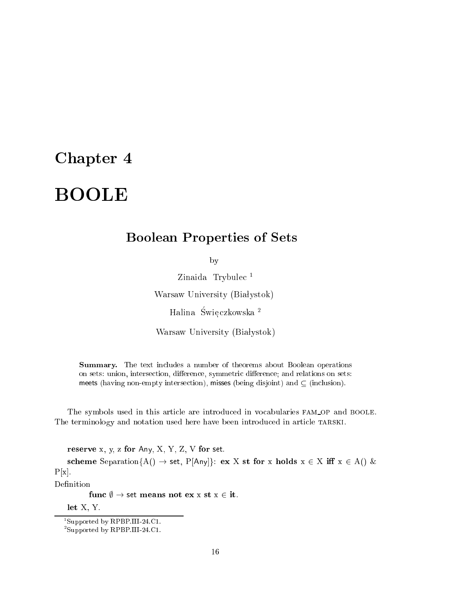## Chapter 4

# BOOLE

## Boolean Properties of Sets

by

Zinaida Trybulec<sup>1</sup> Warsaw University (Białystok)

Halina Świe czkowska <sup>2</sup>

Warsaw University (Białystok)

Summary. The text in
ludes a number of theorems about Boolean operations on sets: union, intersection, difference, symmetric difference; and relations on sets: meets (having non-empty intersection), misses (being disjoint) and  $\subset$  (inclusion).

The symbols used in this article are introduced in vocabularies FAM\_OP and BOOLE. The terminology and notation used here have been introduced in article TARSKI.

reserve  $x, y, z$  for Any,  $X, Y, Z, V$  for set.

scheme Separation{A()  $\rightarrow$  set, P[Any]}: ex X st for x holds  $x \in X$  iff  $x \in A$ () &  $P[x]$ .

Definition

func  $\emptyset \to$  set means not ex x st x  $\in$  it.

let X, Y.

<sup>1</sup> Supported by RPBP.III-24.C1.

<sup>2</sup> Supported by RPBP.III-24.C1.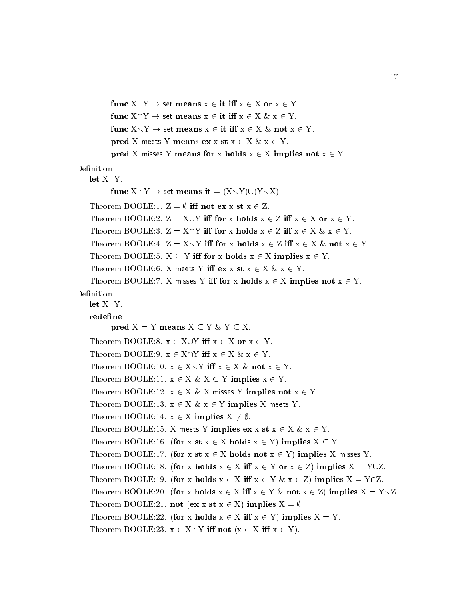```
func X \cup Y \to \text{set means } x \in \text{it iff } x \in X \text{ or } x \in Y.func X \cap Y \to set means x \in \text{it iff } x \in X \& x \in Y.
          func X \setminus Y \to \text{set means } x \in \text{it iff } x \in X \& \text{not } x \in Y.pred X meets Y means ex x st x \in X \& x \in Y.
          pred X misses Y means for x holds x \in X implies not x \in Y.
Definition
   let X, Y.
          func X - Y \rightarrow set means it = (X \setminus Y) \cup (Y \setminus X).
   Theorem BOOLE:1. Z = \emptyset iff not ex x st x \in Z.
   Theorem BOOLE:2. Z = X \cup Y iff for x holds x \in Z iff x \in X or x \in Y.
   Theorem BOOLE:3. Z = X \cap Y iff for x holds x \in Z iff x \in X \& x \in Y.
   Theorem BOOLE:4. Z = X \setminus Y iff for x holds x \in Z iff x \in X & not x \in Y.
   Theorem BOOLE:5. X \subseteq Y iff for x holds x \in X implies x \in Y.
   Theorem BOOLE:6. X meets Y iff ex x st x \in X \& x \in Y.
   Theorem BOOLE:7. X misses Y iff for x holds x \in X implies not x \in Y.
Definition
   let X, Y.
   redefine
          pred X = Y means X \subset Y \& Y \subset X.
   Theorem BOOLE:8. x \in X \cup Y iff x \in X or x \in Y.
   Theorem BOOLE:9. x \in X \cap Y iff x \in X \& x \in Y.
   Theorem BOOLE:10. x \in X \setminus Y iff x \in X & not x \in Y.
   Theorem BOOLE:11. x \in X \& X \subseteq Y implies x \in Y.
   Theorem BOOLE:12. x \in X \& X misses Y implies not x \in Y.
   Theorem BOOLE:13. x \in X \& x \in Y implies X meets Y.
   Theorem BOOLE:14. x \in X implies X \neq \emptyset.
   Theorem BOOLE:15. X meets Y implies ex x st x \in X \& x \in Y.
   Theorem BOOLE:16. (for x st x \in X holds x \in Y) implies X \subset Y.
   Theorem BOOLE:17. (for x st x \in X holds not x \in Y) implies X misses Y.
   Theorem BOOLE:18. (for x holds x \in X iff x \in Y or x \in Z) implies X = Y \cup Z.
   Theorem BOOLE:19. (for x holds x \in X iff x \in Y \& x \in Z) implies X = Y \cap Z.
   Theorem BOOLE:20. (for x holds x \in X iff x \in Y & not x \in Z) implies X = Y \setminus Z.
   Theorem BOOLE:21. not (ex x st x \in X) implies X = \emptyset.
   Theorem BOOLE:22. (for x holds x \in X iff x \in Y) implies X = Y.
   Theorem BOOLE:23. x \in X \rightarrow Y iff not (x \in X \text{ iff } x \in Y).
```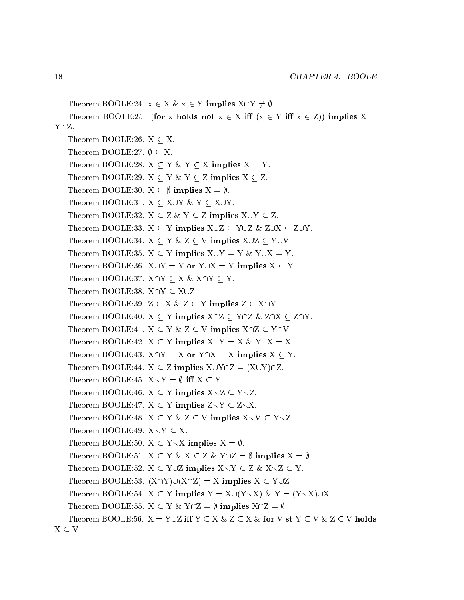Theorem BOOLE:24.  $x \in X \& x \in Y$  implies  $X \cap Y \neq \emptyset$ . Theorem BOOLE:25. (for x holds not  $x \in X$  iff  $(x \in Y$  iff  $x \in Z$ )) implies  $X =$  $Y \dot{=} Z$ . Theorem BOOLE:26.  $X \subseteq X$ . Theorem BOOLE:27.  $\emptyset \subseteq X$ . Theorem BOOLE:28.  $X \subseteq Y \& Y \subseteq X$  implies  $X = Y$ . Theorem BOOLE:29.  $X \subset Y \& Y \subset Z$  implies  $X \subset Z$ . Theorem BOOLE:30.  $X \subset \emptyset$  implies  $X = \emptyset$ . Theorem BOOLE:31.  $X \subseteq X \cup Y \& Y \subseteq X \cup Y$ . Theorem BOOLE:32.  $X \subseteq Z \& Y \subseteq Z$  implies  $X \cup Y \subseteq Z$ . Theorem BOOLE:33.  $X \subseteq Y$  implies  $X \cup Z \subseteq Y \cup Z$  & Z $\cup X \subseteq Z \cup Y$ . Theorem BOOLE:34.  $X \subseteq Y \& Z \subseteq V$  implies  $X \cup Z \subseteq Y \cup V$ . Theorem BOOLE:35.  $X \subseteq Y$  implies  $X \cup Y = Y$  &  $Y \cup X = Y$ . Theorem BOOLE:36.  $X \cup Y = Y$  or  $Y \cup X = Y$  implies  $X \subseteq Y$ . Theorem BOOLE:37.  $X \cap Y \subseteq X$  &  $X \cap Y \subseteq Y$ . Theorem BOOLE:38.  $X \cap Y \subset X \cup Z$ . Theorem BOOLE:39.  $Z \subseteq X \& Z \subseteq Y$  implies  $Z \subseteq X \cap Y$ . Theorem BOOLE:40.  $X \subseteq Y$  implies  $X \cap Z \subseteq Y \cap Z$  & Z $\cap X \subseteq Z \cap Y$ . Theorem BOOLE:41.  $X \subset Y \& Z \subset V$  implies  $X \cap Z \subset Y \cap V$ . Theorem BOOLE:42.  $X \subset Y$  implies  $X \cap Y = X$  &  $Y \cap X = X$ . Theorem BOOLE:43.  $X \cap Y = X$  or  $Y \cap X = X$  implies  $X \subseteq Y$ . Theorem BOOLE:44.  $X \subset Z$  implies  $X \cup Y \cap Z = (X \cup Y) \cap Z$ . Theorem BOOLE:45.  $X \setminus Y = \emptyset$  iff  $X \subseteq Y$ . Theorem BOOLE:46.  $X \subset Y$  implies  $X \setminus Z \subset Y \setminus Z$ . Theorem BOOLE:47.  $X \subset Y$  implies  $Z \setminus Y \subset Z \setminus X$ . Theorem BOOLE:48.  $X \subset Y \& Z \subset V$  implies  $X \setminus V \subset Y \setminus Z$ . Theorem BOOLE:49.  $X \setminus Y \subset X$ . Theorem BOOLE:50.  $X \subset Y \setminus X$  implies  $X = \emptyset$ . Theorem BOOLE:51.  $X \subseteq Y \& X \subseteq Z \& Y \cap Z = \emptyset$  implies  $X = \emptyset$ . Theorem BOOLE:52.  $X \subset Y \cup Z$  implies  $X \setminus Y \subset Z$  &  $X \setminus Z \subset Y$ . Theorem BOOLE:53.  $(X \cap Y) \cup (X \cap Z) = X$  implies  $X \subseteq Y \cup Z$ . Theorem BOOLE:54.  $X \subseteq Y$  implies  $Y = X \cup (Y \setminus X)$  &  $Y = (Y \setminus X) \cup X$ . Theorem BOOLE:55.  $X \subseteq Y \& Y \cap Z = \emptyset$  implies  $X \cap Z = \emptyset$ . Theorem BOOLE:56.  $X = Y \cup Z$  iff  $Y \subset X \& Z \subset X \&$  for  $V$  st  $Y \subset V \& Z \subset V$  holds  $X \subset V$ .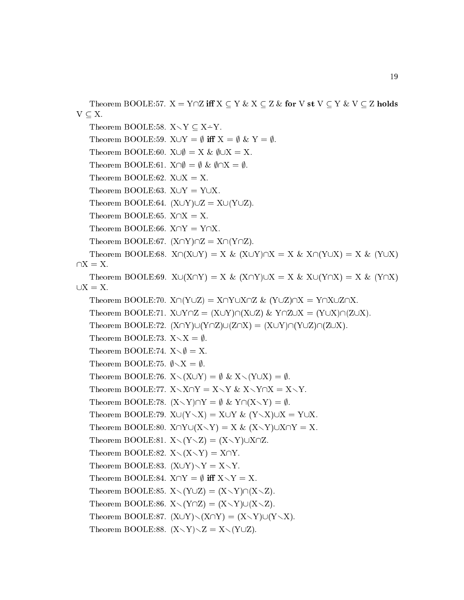Theorem BOOLE:57.  $X = Y \cap Z$  iff  $X \subseteq Y \& X \subseteq Z \&$  for V st  $V \subseteq Y \& V \subseteq Z$  holds  $V \subseteq X$ . Theorem BOOLE:58.  $X \setminus Y \subset X \dot{=} Y$ . Theorem BOOLE:59.  $X \cup Y = \emptyset$  iff  $X = \emptyset$  &  $Y = \emptyset$ . Theorem BOOLE:60.  $X \cup \emptyset = X \& \emptyset \cup X = X$ . Theorem BOOLE:61.  $X \cap \emptyset = \emptyset$  &  $\emptyset \cap X = \emptyset$ . Theorem BOOLE:62.  $X \cup X = X$ . Theorem BOOLE:63.  $X \cup Y = Y \cup X$ . Theorem BOOLE:64.  $(X \cup Y) \cup Z = X \cup (Y \cup Z)$ . Theorem BOOLE:65.  $X \cap X = X$ . Theorem BOOLE:66.  $X \cap Y = Y \cap X$ . Theorem BOOLE:67.  $(X\cap Y)\cap Z = X\cap (Y\cap Z)$ . Theorem BOOLE:68.  $X \cap (X \cup Y) = X \& (X \cup Y) \cap X = X \& X \cap (Y \cup X) = X \& (Y \cup X)$  $\bigcap X = X.$ Theorem BOOLE:69.  $X\cup (X\cap Y) = X \& (X\cap Y)\cup X = X \& X\cup (Y\cap X) = X \& (Y\cap X)$  $\bigcup X = X$ . Theorem BOOLE:70.  $X \cap (Y \cup Z) = X \cap Y \cup X \cap Z$  &  $(Y \cup Z) \cap X = Y \cap X \cup Z \cap X$ . Theorem BOOLE:71.  $X\cup Y\cap Z = (X\cup Y)\cap (X\cup Z)$  &  $Y\cap Z\cup X = (Y\cup X)\cap (Z\cup X)$ . Theorem BOOLE:72.  $(X\cap Y)\cup(Y\cap Z)\cup(Z\cap X) = (X\cup Y)\cap(Y\cup Z)\cap(Z\cup X)$ . Theorem BOOLE:73.  $X \setminus X = \emptyset$ . Theorem BOOLE:74.  $X \setminus \emptyset = X$ . Theorem BOOLE:75.  $\phi \setminus X = \emptyset$ . Theorem BOOLE:76.  $X\setminus (X\cup Y) = \emptyset$  &  $X\setminus (Y\cup X) = \emptyset$ . Theorem BOOLE:77.  $X \setminus X \cap Y = X \setminus Y$  &  $X \setminus Y \cap X = X \setminus Y$ . Theorem BOOLE:78.  $(X \setminus Y) \cap Y = \emptyset$  &  $Y \cap (X \setminus Y) = \emptyset$ . Theorem BOOLE:79.  $X \cup (Y \setminus X) = X \cup Y$  &  $(Y \setminus X) \cup X = Y \cup X$ . Theorem BOOLE:80.  $X \cap Y \cup (X \setminus Y) = X$  &  $(X \setminus Y) \cup X \cap Y = X$ . Theorem BOOLE:81.  $X\setminus (Y\setminus Z) = (X\setminus Y)\cup X\cap Z$ . Theorem BOOLE:82.  $X\setminus (X\setminus Y) = X\cap Y$ . Theorem BOOLE:83.  $(X \cup Y) \setminus Y = X \setminus Y$ . Theorem BOOLE:84.  $X \cap Y = \emptyset$  iff  $X \setminus Y = X$ . Theorem BOOLE:85.  $X\setminus (Y\cup Z) = (X\setminus Y)\cap (X\setminus Z)$ . Theorem BOOLE:86.  $X\setminus (Y\cap Z) = (X\setminus Y)\cup (X\setminus Z)$ . Theorem BOOLE:87.  $(X\cup Y)\setminus (X\cap Y) = (X\setminus Y)\cup (Y\setminus X)$ . Theorem BOOLE:88.  $(X\ Y)\Z = X\ Y\Z$ .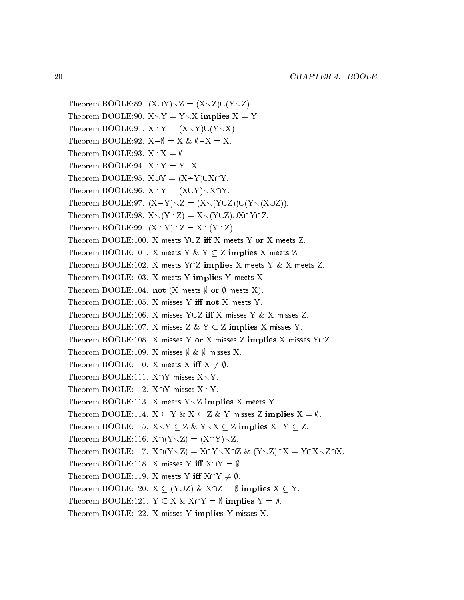Theorem BOOLE:89.  $(X\cup Y)\setminus Z = (X\setminus Z)\cup (Y\setminus Z)$ . Theorem BOOLE:90.  $X \setminus Y = Y \setminus X$  implies  $X = Y$ . Theorem BOOLE:91.  $X - Y = (X \setminus Y) \cup (Y \setminus X)$ . Theorem BOOLE:92.  $X \div \emptyset = X \& \emptyset \div X = X$ . Theorem BOOLE:93.  $X \dot{=} X = \emptyset$ . Theorem BOOLE:94.  $X \dot{=} Y = Y \dot{=} X$ . Theorem BOOLE:95.  $X \cup Y = (X \div Y) \cup X \cap Y$ . Theorem BOOLE:96.  $X \dot{=} Y = (X \cup Y) \setminus X \cap Y$ . Theorem BOOLE:97.  $(X-Y)\setminus Z = (X\setminus (Y\cup Z))\cup (Y\setminus (X\cup Z)).$ Theorem BOOLE:98.  $X\setminus (Y-Z) = X\setminus (Y\cup Z)\cup X\cap Y\cap Z$ . Theorem BOOLE:99.  $(X-Y)-Z = X-(Y-Z)$ . Theorem BOOLE:100. X meets YUZ iff X meets Y or X meets Z. Theorem BOOLE:101. X meets Y & Y  $\subseteq$  Z implies X meets Z. Theorem BOOLE:102. X meets  $Y \cap Z$  implies X meets Y & X meets Z. Theorem BOOLE:103. X meets Y implies Y meets X. Theorem BOOLE:104. not (X meets  $\emptyset$  or  $\emptyset$  meets X). Theorem BOOLE:105. X misses Y iff not X meets Y. Theorem BOOLE:106. X misses Y $\cup$ Z iff X misses Y & X misses Z. Theorem BOOLE:107. X misses Z & Y  $\subseteq$  Z implies X misses Y. Theorem BOOLE:108. X misses Y or X misses Z implies X misses  $Y \cap Z$ . Theorem BOOLE:109. X misses  $\emptyset$  &  $\emptyset$  misses X. Theorem BOOLE:110. X meets X iff  $X \neq \emptyset$ . Theorem BOOLE:111.  $X \cap Y$  misses  $X \setminus Y$ . Theorem BOOLE:112.  $X \cap Y$  misses  $X \div Y$ . Theorem BOOLE:113. X meets  $Y\setminus Z$  implies X meets Y. Theorem BOOLE:114.  $X \subseteq Y \& X \subseteq Z \& Y$  misses Z implies  $X = \emptyset$ . Theorem BOOLE:115.  $X \setminus Y \subset Z \& Y \setminus X \subset Z$  implies  $X \to Y \subset Z$ . Theorem BOOLE:116.  $X \cap (Y \setminus Z) = (X \cap Y) \setminus Z$ . Theorem BOOLE:117.  $X \cap (Y \setminus Z) = X \cap Y \setminus X \cap Z$  &  $(Y \setminus Z) \cap X = Y \cap X \setminus Z \cap X$ . Theorem BOOLE:118. X misses Y iff  $X \cap Y = \emptyset$ . Theorem BOOLE:119. X meets Y iff  $X \cap Y \neq \emptyset$ . Theorem BOOLE:120.  $X \subseteq (Y \cup Z) \& X \cap Z = \emptyset$  implies  $X \subseteq Y$ . Theorem BOOLE:121.  $Y \subset X \& X \cap Y = \emptyset$  implies  $Y = \emptyset$ . Theorem BOOLE:122. X misses Y implies Y misses X.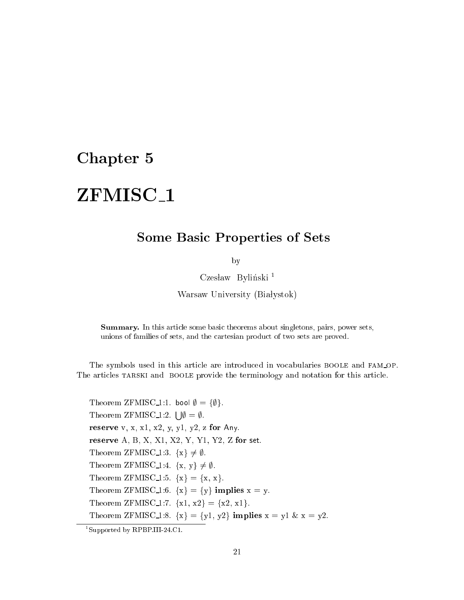## Chapter 5

# ZFMISC<sub>1</sub>

## Some Basi Properties of Sets

by

Czesław Byliński<sup>1</sup>

Warsaw University (Białystok)

Summary. In this arti
le some basi theorems about singletons, pairs, power sets, unions of families of sets, and the artesian produ
t of two sets are proved.

The symbols used in this article are introduced in vocabularies BOOLE and FAM\_OP. The articles TARSKI and BOOLE provide the terminology and notation for this article.

Theorem ZFMISC<sub>1</sub>:1. bool  $\emptyset = {\emptyset}.$ Theorem ZFMISC<sub>1</sub>:2.  $\vert \psi \vert = \emptyset$ . reserve v, x, x1, x2, y, y1, y2, z for Any. reserve A, B, X, X1, X2, Y, Y1, Y2, Z for set. Theorem ZFMISC<sub>1</sub>:3.  $\{x\} \neq \emptyset$ . Theorem ZFMISC<sub>1:4</sub>.  $\{x, y\} \neq \emptyset$ . Theorem ZFMISC<sub>1</sub>:5.  $\{x\} = \{x, x\}.$ Theorem ZFMISC<sub>1</sub>:6.  $\{x\} = \{y\}$  implies  $x = y$ . Theorem ZFMISC<sub>1</sub>:7.  ${x1, x2} = {x2, x1}.$ Theorem ZFMISC<sub>1</sub>:8.  $\{x\} = \{y1, y2\}$  implies  $x = y1 \& x = y2$ .

<sup>1</sup> Supported by RPBP.III-24.C1.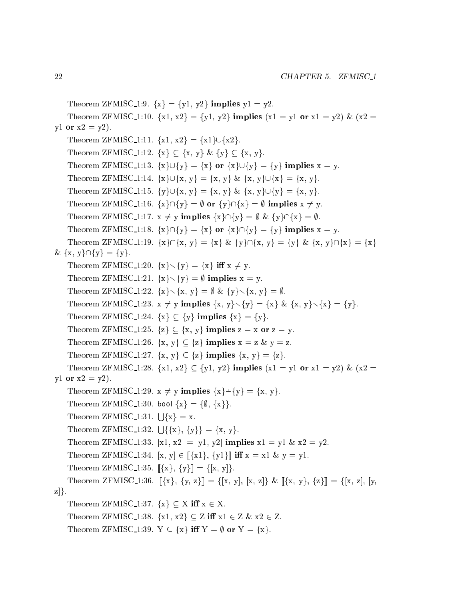```
Theorem ZFMISC<sub>1</sub>:9. \{x\} = \{y1, y2\} implies y1 = y2.
    Theorem ZFMISC 1:10. \{x1, x2\} = \{y1, y2\} implies (x1 = y1 or x1 = y2) & (x2 =y1 or x2 = y2).
    Theorem ZFMISC 1:11. \{x1, x2\} = \{x1\} \cup \{x2\}.Theorem ZFMISC 1:12. \{x\} \subseteq \{x, y\} \& \{y\} \subseteq \{x, y\}.Theorem ZFMISC 1:13. \{x\} \cup \{y\} = \{x\} or \{x\} \cup \{y\} = \{y\} implies x = y.
    Theorem ZFMISC_1:14. \{x\} \cup \{x, y\} = \{x, y\} \& \{x, y\} \cup \{x\} = \{x, y\}.Theorem ZFMISC_1:15. \{y\} \cup \{x, y\} = \{x, y\} \& \{x, y\} \cup \{y\} = \{x, y\}.Theorem ZFMISC_1:16. \{x\}\cap\{y\} = \emptyset or \{y\}\cap\{x\} = \emptyset implies x \neq y.
    Theorem ZFMISC_1:17. x \neq y implies \{x\} \cap \{y\} = \emptyset & \{y\} \cap \{x\} = \emptyset.
    Theorem ZFMISC 1:18. \{x\} \cap \{y\} = \{x\} or \{x\} \cap \{y\} = \{y\} implies x = y.
    Theorem ZFMISC 1:19. \{x\}\cap\{x, y\} = \{x\} \& \{y\}\cap\{x, y\} = \{y\} \& \{x, y\}\cap\{x\} = \{x\}\& \{x, y\} \cap \{y\} = \{y\}.Theorem ZFMISC 1:20. \{x\} \setminus \{y\} = \{x\} iff x \neq y.
    Theorem ZFMISC 1:21. \{x\} \setminus \{y\} = \emptyset implies x = y.
    Theorem ZFMISC 1:22. \{x\} \setminus \{x, y\} = \emptyset \& \{y\} \setminus \{x, y\} = \emptyset.Theorem ZFMISC 1:23. x \neq y implies \{x, y\} \setminus \{y\} = \{x\} \& \{x, y\} \setminus \{x\} = \{y\}.Theorem ZFMISC 1:24. \{x\} \subseteq \{y\} implies \{x\} = \{y\}.Theorem ZFMISC_1:25. \{z\} \subseteq \{x, y\} implies z = x or z = y.
    Theorem ZFMISC 1:26. \{x, y\} \subseteq \{z\} implies x = z \& y = z.
    Theorem ZFMISC 1:27. \{x, y\} \subseteq \{z\} implies \{x, y\} = \{z\}.Theorem ZFMISC 1:28. \{x1, x2\} \subset \{y1, y2\} implies (x1 = y1 or x1 = y2) & (x2 =y1 or x2 = y2).
    Theorem ZFMISC 1:29. x \neq y implies \{x\} \dot{-} \{y\} = \{x, y\}.Theorem ZFMISC<sub>1</sub>:30. bool \{x\} = \{\emptyset, \{x\}\}.Theorem ZFMISC<sub>-1</sub>:31. \vert \vert \{x\} = x.
    Theorem ZFMISC<sub>1</sub>:32. \{ \}{x}, {y}} = {x, y}.
    Theorem ZFMISC 1:33. [x1, x2] = [y1, y2] implies x1 = y1 \& x2 = y2.
    Theorem ZFMISC 1:34. [x, y] \in [\{x1\}, \{y1\}] iff x = x1 \& y = y1.
    Theorem ZFMISC_1:35. [\{x\}, \{y\}] = \{[x, y]\}.Theorem ZFMISC 1:36. [\{x\}, \{y, z\}]=\{[x, y], [x, z]\} & [\{x, y\}, \{z\}]=\{[x, z], [y, z\}z]\}.Theorem ZFMISC 1:37. \{x\} \subset X iff x \in X.
    Theorem ZFMISC 1:38. \{x1, x2\} \subseteq Z iff x1 \in Z \& x2 \in Z.
    Theorem ZFMISC<sub>1</sub>:39. Y \subseteq \{x\} iff Y = \emptyset or Y = \{x\}.
```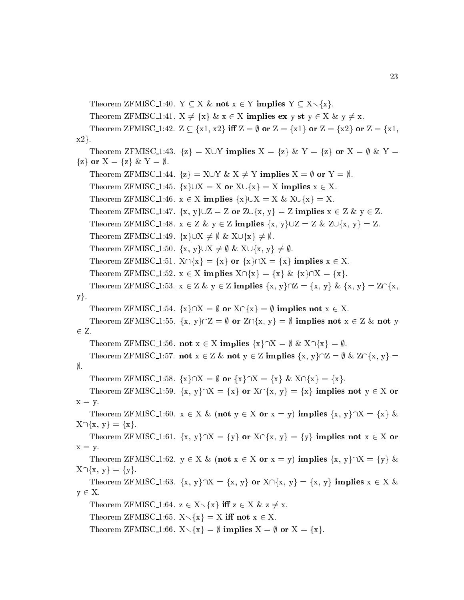Theorem ZFMISC 1:40. Y  $\subseteq$  X  $\&$  not  $x \in Y$  implies  $Y \subseteq X \setminus \{x\}$ . Theorem ZFMISC 1:41.  $X \neq \{x\} \& x \in X$  implies ex y st  $y \in X \& y \neq x$ . Theorem ZFMISC 1:42.  $Z \subseteq \{x1, x2\}$  iff  $Z = \emptyset$  or  $Z = \{x1\}$  or  $Z = \{x2\}$  or  $Z = \{x1, x2\}$  $x2$ . Theorem ZFMISC 1:43.  $\{z\} = X \cup Y$  implies  $X = \{z\}$  &  $Y = \{z\}$  or  $X = \emptyset$  &  $Y =$  $\{z\}$  or  $X = \{z\}$  &  $Y = \emptyset$ . Theorem ZFMISC\_1:44.  $\{z\} = X \cup Y \& X \neq Y$  implies  $X = \emptyset$  or  $Y = \emptyset$ . Theorem ZFMISC 1:45.  $\{x\} \cup X = X$  or  $X \cup \{x\} = X$  implies  $x \in X$ . Theorem ZFMISC 1:46.  $x \in X$  implies  $\{x\} \cup X = X \& X \cup \{x\} = X$ . Theorem ZFMISC 1:47.  $\{x, y\} \cup Z = Z$  or  $Z \cup \{x, y\} = Z$  implies  $x \in Z \& y \in Z$ . Theorem ZFMISC 1:48.  $x \in Z \& y \in Z$  implies  $\{x, y\} \cup Z = Z \& Z \cup \{x, y\} = Z$ . Theorem ZFMISC 1:49.  $\{x\} \cup X \neq \emptyset$  &  $X \cup \{x\} \neq \emptyset$ . Theorem ZFMISC 1:50.  $\{x, y\} \cup X \neq \emptyset$  &  $X \cup \{x, y\} \neq \emptyset$ . Theorem ZFMISC 1:51.  $X \cap \{x\} = \{x\}$  or  $\{x\} \cap X = \{x\}$  implies  $x \in X$ . Theorem ZFMISC\_1:52.  $x \in X$  implies  $X \cap \{x\} = \{x\} \& \{x\} \cap X = \{x\}.$ Theorem ZFMISC 1:53.  $x \in Z \& y \in Z$  implies  $\{x, y\} \cap Z = \{x, y\} \& \{x, y\} = Z \cap \{x, y\}$  $y$ . Theorem ZFMISC 1:54.  $\{x\}\cap X = \emptyset$  or  $X\cap \{x\} = \emptyset$  implies not  $x \in X$ . Theorem ZFMISC\_1:55.  $\{x, y\} \cap Z = \emptyset$  or  $Z \cap \{x, y\} = \emptyset$  implies not  $x \in Z \&$  not y  $2.2$   $2.2$ Theorem ZFMISC 1:56. not  $x \in X$  implies  $\{x\} \cap X = \emptyset$  &  $X \cap \{x\} = \emptyset$ . Theorem ZFMISC 1:57. not  $x \in Z \&$  not  $y \in Z$  implies  $\{x, y\} \cap Z = \emptyset \& Z \cap \{x, y\} =$  $\emptyset$ . Theorem ZFMISC 1:58.  $\{x\}\cap X = \emptyset$  or  $\{x\}\cap X = \{x\}$  &  $X\cap \{x\} = \{x\}.$ Theorem ZFMISC 1:59.  $\{x, y\}\cap X = \{x\}$  or  $X\cap \{x, y\} = \{x\}$  implies not  $y \in X$  or  $x = y$ . Theorem ZFMISC 1:60.  $x \in X \&$  (not  $y \in X$  or  $x = y$ ) implies  $\{x, y\} \cap X = \{x\} \&$  $X \cap \{x, y\} = \{x\}.$ Theorem ZFMISC 1:61.  $\{x, y\}\cap X = \{y\}$  or  $X\cap \{x, y\} = \{y\}$  implies not  $x \in X$  or  $x = y$ . Theorem ZFMISC 1:62.  $y \in X \& \textbf{(not } x \in X \textbf{ or } x = y)$  implies  $\{x, y\} \cap X = \{y\} \&$  $X \cap \{x, y\} = \{y\}.$ Theorem ZFMISC 1:63.  $\{x, y\}\cap X = \{x, y\}$  or  $X\cap \{x, y\} = \{x, y\}$  implies  $x \in X$  &  $y \in X$ . Theorem ZFMISC 1:64.  $z \in X \setminus \{x\}$  iff  $z \in X \& z \neq x$ . Theorem ZFMISC 1:65.  $X \setminus \{x\} = X$  iff not  $x \in X$ . Theorem ZFMISC 1:66.  $X \setminus \{x\} = \emptyset$  implies  $X = \emptyset$  or  $X = \{x\}.$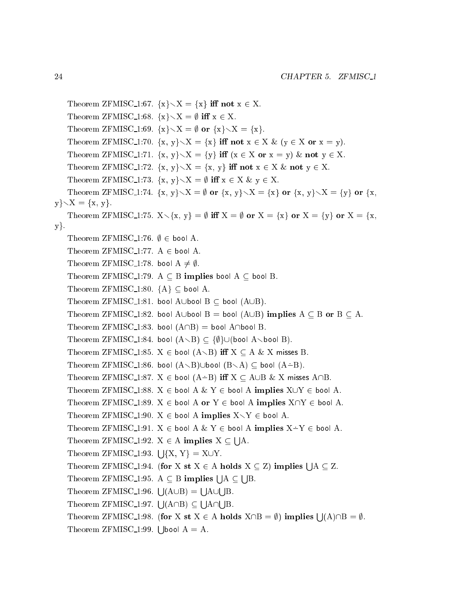Theorem ZFMISC\_1:67.  $\{x\}\setminus X = \{x\}$  iff not  $x \in X$ . Theorem ZFMISC<sub>1</sub>:68.  $\{x\} \setminus X = \emptyset$  iff  $x \in X$ . Theorem ZFMISC<sub>1</sub>:69.  $\{x\} \setminus X = \emptyset$  or  $\{x\} \setminus X = \{x\}.$ Theorem ZFMISC 1:70.  $\{x, y\} \setminus X = \{x\}$  iff not  $x \in X$  &  $(y \in X$  or  $x = y)$ . Theorem ZFMISC 1:71.  $\{x, y\} \setminus X = \{y\}$  iff  $(x \in X \text{ or } x = y)$  & not  $y \in X$ . Theorem ZFMISC 1:72.  $\{x, y\} \setminus X = \{x, y\}$  iff not  $x \in X$  & not  $y \in X$ . Theorem ZFMISC 1:73.  $\{x, y\} \setminus X = \emptyset$  iff  $x \in X$  &  $y \in X$ . Theorem ZFMISC 1:74.  $\{x, y\} \setminus X = \emptyset$  or  $\{x, y\} \setminus X = \{x\}$  or  $\{x, y\} \setminus X = \{y\}$  or  $\{x,$  $y\}\diagdown X = \{x, y\}.$ Theorem ZFMISC 1:75.  $X \setminus \{x, y\} = \emptyset$  iff  $X = \emptyset$  or  $X = \{x\}$  or  $X = \{y\}$  or  $X = \{x, y\}$  $y$ . Theorem ZFMISC<sub>1</sub>:76.  $\emptyset \in$  bool A. Theorem ZFMISC<sub>1</sub>:77.  $A \in \text{bool } A$ . Theorem ZFMISC<sub>1</sub>:78. bool  $A \neq \emptyset$ . Theorem ZFMISC<sub>1</sub>:79. A  $\subseteq$  B implies bool A  $\subseteq$  bool B. Theorem ZFMISC<sub>1:80</sub>.  ${A} \subset \text{bool } A$ . Theorem ZFMISC\_1:81. bool AUbool B  $\subset$  bool (AUB). Theorem ZFMISC<sub>1</sub>:82. bool AUbool B = bool (AUB) implies  $A \subseteq B$  or  $B \subseteq A$ . Theorem ZFMISC<sub>1</sub>:83. bool  $(A \cap B)$  = bool  $A \cap b$ ool B. Theorem ZFMISC 1:84. bool  $(A\setminus B) \subset \{\emptyset\} \cup (\text{bool } A\setminus \text{bool } B).$ Theorem ZFMISC 1:85.  $X \in \text{bool} (\mathbf{A} \setminus \mathbf{B})$  iff  $X \subseteq \mathbf{A} \& \mathbf{X}$  misses B. Theorem ZFMISC\_1:86. bool  $(A\setminus B)\cup$ bool  $(B\setminus A)\subseteq$  bool  $(A-B)$ . Theorem ZFMISC<sub>1</sub>:87.  $X \in \text{bool}(A \rightarrow B)$  iff  $X \subseteq A \cup B \& X$  misses  $A \cap B$ . Theorem ZFMISC\_1:88.  $X \in$  bool A  $\& Y \in$  bool A implies  $X \cup Y \in$  bool A. Theorem ZFMISC<sub>1</sub>:89.  $X \in$  bool A or Y  $\in$  bool A implies  $X \cap Y \in$  bool A. Theorem ZFMISC\_1:90.  $X \in$  bool A implies  $X \setminus Y \in$  bool A. Theorem ZFMISC\_1:91.  $X \in$  bool A  $\& Y \in$  bool A implies  $X-Y \in$  bool A. Theorem ZFMISC 1:92. <sup>X</sup> <sup>2</sup> <sup>A</sup> implies <sup>X</sup> s and the second state of the second state of the second state of the second state of the second state of the second state in the second state in the second state in the second state in the second state in the second state Theorem ZFMISC<sub>1</sub>:93.  $\vert \int \{X, Y\} = X \cup Y$ . Theorem ZFMISC\_1:94. (for X st  $X \in A$  holds  $X \subseteq Z$ ) implies  $A \subseteq Z$ . Theorem ZFMISC\_1:95.  $A \subseteq B$  implies  $\vert \vert A \vert$ s a Theorem ZFMISC<sub>-1:96</sub>.  $\Box$ (A $\Box$ B) = s and the second state of the second state of the second state of the second state in the second state in the second state in the second state in the second state in the second state in the second state in the second state s and the second state of the second state in the second state in the second state in the second state in the second state in the second state in the second state in the second state in the second state in the second state Theorem ZFMISC\_1:97. [ $\vert$ (A $\cap$ B)  $\subset$ s a s a Theorem ZFMISC\_1:98. (for X st  $X \in A$  holds  $X \cap B = \emptyset$ ) implies  $| \hspace{.06cm} |(A) \cap B = \emptyset$ . Theorem ZFMISC $\text{1:99.}$  | Jbool A = A.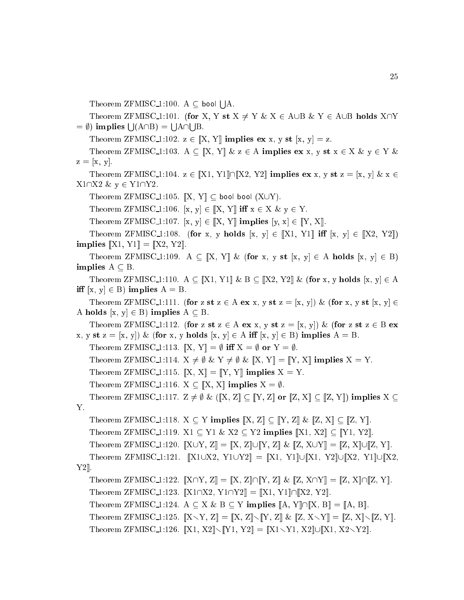Theorem ZFMISC\_1:100.  $A \subseteq$  bool [ ]A.

Theorem ZFMISC 1:101. (for X, Y st  $X \neq Y$  &  $X \in A \cup B$  & Y  $\in A \cup B$  holds  $X \cap Y$  $= \emptyset$ ) implies  $\bigcup (A \cap B) =$ s a --s a

Theorem ZFMISC 1:102.  $z \in [X, Y]$  implies ex x, y st  $[x, y] = z$ .

Theorem ZFMISC 1:103. A  $\subset$   $[X, Y]$  &  $z \in A$  implies ex x, y st  $x \in X$  &  $y \in Y$  &  $z = [x, y].$ 

Theorem ZFMISC\_1:104.  $z \in [[X1, Y1] \cap [[X2, Y2]]$  implies ex x, y st  $z = [x, y] \& x \in$  $X1\cap X2 \& y \in Y1\cap Y2$ .

Theorem ZFMISC\_1:105.  $\left[ \mathbf{X}, \mathbf{Y} \right] \subseteq$  bool bool  $(\mathbf{X} \cup \mathbf{Y})$ .

Theorem ZFMISC 1:106.  $[x, y] \in [X, Y]$  iff  $x \in X \& y \in Y$ .

Theorem ZFMISC 1:107.  $[x, y] \in [[X, Y]]$  implies  $[y, x] \in [[Y, X]].$ 

Theorem ZFMISC 1:108. (for x, y holds  $[x, y] \in [X1, Y1]$  iff  $[x, y] \in [X2, Y2]$ ) implies  $[X1, Y1] = [X2, Y2]$ .

Theorem ZFMISC 1:109. A  $\subseteq$  [X, Y] & (for x, y st [x, y]  $\in$  A holds [x, y]  $\in$  B) implies  $A \subseteq B$ .

Theorem ZFMISC 1:110.  $A \subseteq \llbracket X1, Y1 \rrbracket \& B \subseteq \llbracket X2, Y2 \rrbracket \& \text{ (for } x, y \text{ holds } [x, y] \in A$ iff  $[x, y] \in B$ ) implies  $A = B$ .

Theorem ZFMISC 1:111. (for z st  $z \in A$  ex x, y st  $z = [x, y]$ ) & (for x, y st  $[x, y] \in$ A holds  $[x, y] \in B$ ) implies  $A \subseteq B$ .

Theorem ZFMISC 1:112. (for z st  $z \in A$  ex x, y st  $z = [x, y]$ ) & (for z st  $z \in B$  ex x, y st z = [x, y]) & (for x, y holds [x, y]  $\in$  A iff [x, y]  $\in$  B) implies A = B.

Theorem ZFMISC 1:113.  $\mathbb{X}, Y \mathbb{I} = \emptyset$  iff  $X = \emptyset$  or  $Y = \emptyset$ .

Theorem ZFMISC 1:114.  $X \neq \emptyset \& Y \neq \emptyset \& [\![X, Y]\!] = [\![Y, X]\!]$  implies  $X = Y$ .

Theorem ZFMISC 1:115.  $\mathbb{X}, X \mathbb{I} = \mathbb{Y}, Y \mathbb{I}$  implies  $X = Y$ .

Theorem ZFMISC 1:116.  $X \subseteq [X, X]$  implies  $X = \emptyset$ .

Theorem ZFMISC\_1:117.  $Z \neq \emptyset$  & ( $[[X, Z]] \subseteq [[Y, Z]]$  or  $[[Z, X]] \subseteq [[Z, Y]]$ ) implies  $X \subseteq$ Y.

Theorem ZFMISC\_1:118.  $X \subseteq Y$  implies  $\llbracket X, Z \rrbracket \subseteq \llbracket Y, Z \rrbracket \& \llbracket Z, X \rrbracket \subseteq \llbracket Z, Y \rrbracket.$ 

Theorem ZFMISC 1:119. X1  $\subseteq$  Y1 & X2  $\subseteq$  Y2 implies  $\llbracket$ X1, X2 $\rrbracket \subseteq$   $\llbracket$ Y1, Y2 $\rrbracket$ .

Theorem ZFMISC 1:120.  $\llbracket X \cup Y, Z \rrbracket = \llbracket X, Z \rrbracket \cup \llbracket Y, Z \rrbracket \& \llbracket Z, X \cup Y \rrbracket = \llbracket Z, X \rrbracket \cup \llbracket Z, Y \rrbracket.$ 

Theorem ZFMISC<sub>1</sub>:121.  $\llbracket X1 \cup X2, Y1 \cup Y2 \rrbracket = \llbracket X1, Y1 \rrbracket \cup \llbracket X1, Y2 \rrbracket \cup \llbracket X2, Y1 \rrbracket \cup \llbracket X2, Y1 \rrbracket$  $Y2$ ].

Theorem ZFMISC 1:122.  $\llbracket X \cap Y, Z \rrbracket = \llbracket X, Z \rrbracket \cap \llbracket Y, Z \rrbracket \& \llbracket Z, X \cap Y \rrbracket = \llbracket Z, X \rrbracket \cap \llbracket Z, Y \rrbracket.$ Theorem ZFMISC 1:123.  $[X1 \cap X2, Y1 \cap Y2] = [X1, Y1] \cap [X2, Y2]$ .

Theorem ZFMISC 1:124. A  $\subseteq$  X & B  $\subseteq$  Y implies  $[[A, Y] \cap [[X, B]] = [[A, B]].$ 

Theorem ZFMISC\_1:125.  $\llbracket X \setminus Y, Z \rrbracket = \llbracket X, Z \rrbracket \setminus \llbracket Y, Z \rrbracket \& \llbracket Z, X \setminus Y \rrbracket = \llbracket Z, X \rrbracket \setminus \llbracket Z, Y \rrbracket.$ 

```
Theorem ZFMISC 1:126. \|X1, X2\| \setminus \|Y1, Y2\| = \|X1 \setminus Y1, X2\| \cup \|X1, X2 \setminus Y2\|.
```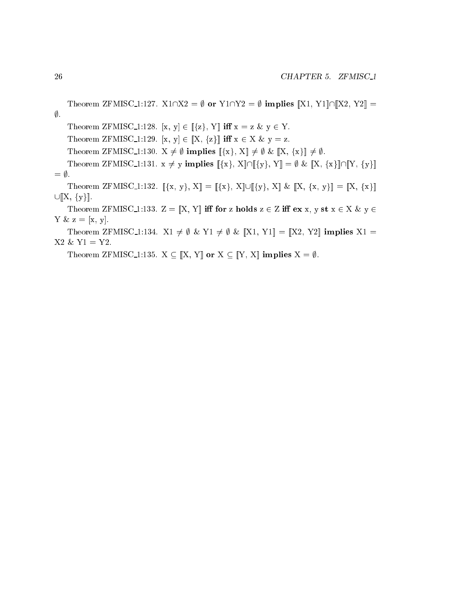```
Theorem ZFMISC_1:127. X1\cap X2 = \emptyset or Y1\cap Y2 = \emptyset implies \llbracket X1, Y1 \rrbracket \cap \llbracket X2, Y2 \rrbracket =\emptyset.
    Theorem ZFMISC_1:128. [x, y] \in [\{z\}, Y] iff x = z \& y \in Y.
    Theorem ZFMISC 1:129. [x, y] \in [X, \{z\}] iff x \in X \& y = z.
    Theorem ZFMISC_1:130. X \neq \emptyset implies [\{x\}, X] \neq \emptyset \& [X, \{x\}] \neq \emptyset.
    Theorem ZFMISC_1:131. x \neq y implies \llbracket \{x\}, X \rrbracket \cap \llbracket \{y\}, Y \rrbracket = \emptyset \& \llbracket X, \{x\} \rrbracket \cap \llbracket Y, \{y\} \rrbracket= \emptyset.
    Theorem ZFMISC_1:132. [\{x, y\}, X] = [\{x\}, X] \cup [\{y\}, X] \& [X, \{x, y\}] = [X, \{x\}]\cup [X, \{y\}].Theorem ZFMISC 1:133. Z = [X, Y] iff for z holds z \in Z iff ex \ x, y \st x \in X \ \& \ y \in ZY \& z = [x, y].Theorem ZFMISC 1:134. X1 \neq \emptyset & Y1 \neq \emptyset & [X1, Y1] = [X2, Y2] implies X1 =
X2 \& Y1 = Y2.
```
Theorem ZFMISC 1:135.  $X \subseteq [X, Y]$  or  $X \subseteq [Y, X]$  implies  $X = \emptyset$ .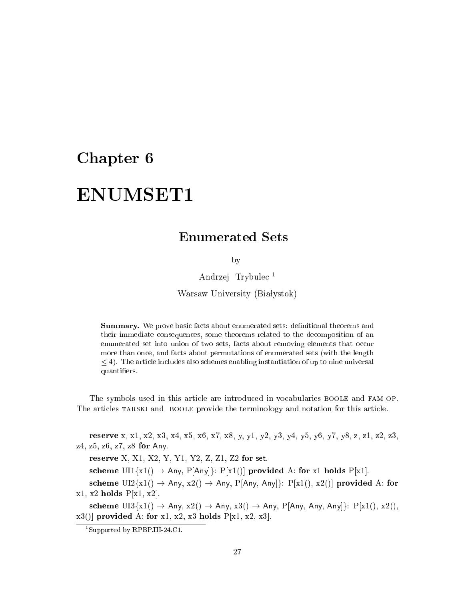## Chapter 6

# ENUMSET1

by

Andrzej Trybule <sup>1</sup>

Warsaw University (Białystok)

Summary. We prove basic facts about enumerated sets: definitional theorems and their immediate onsequen
es, some theorems related to the de
omposition of an enumerated set into union of two sets, facts about removing elements that occur more than once, and facts about permutations of enumerated sets (with the length  $\leq$  4). The article includes also schemes enabling instantiation of up to nine universal quantiers.

The symbols used in this article are introduced in vocabularies BOOLE and FAM\_OP. The articles TARSKI and BOOLE provide the terminology and notation for this article.

reserve x, x1, x2, x3, x4, x5, x6, x7, x8, y, y1, y2, y3, y4, y5, y6, y7, y8, z, z1, z2, z3, z4, z5, z6, z7, z8 for Any.

reserve X, X1, X2, Y, Y1, Y2, Z, Z1, Z2 for set.

scheme UI1 $\{x1() \rightarrow Any, P[Any]\}$ : P[x1()] provided A: for x1 holds P[x1].

scheme  $UI2{x1() \rightarrow Any, x2() \rightarrow Any, P[Any, Any]}$ :  $P[x1(), x2()]$  provided A: for  $x1, x2$  holds  $P[x1, x2]$ .

scheme  $\text{UI3}_{\{x1\}} \rightarrow \text{Any}, x2() \rightarrow \text{Any}, x3() \rightarrow \text{Any}, P[\text{Any}, \text{Any}, \text{Any}\}]$ :  $P[x1(), x2(),$  $x3()$  provided A: for x1, x2, x3 holds  $P[x1, x2, x3]$ .

<sup>1</sup> Supported by RPBP.III-24.C1.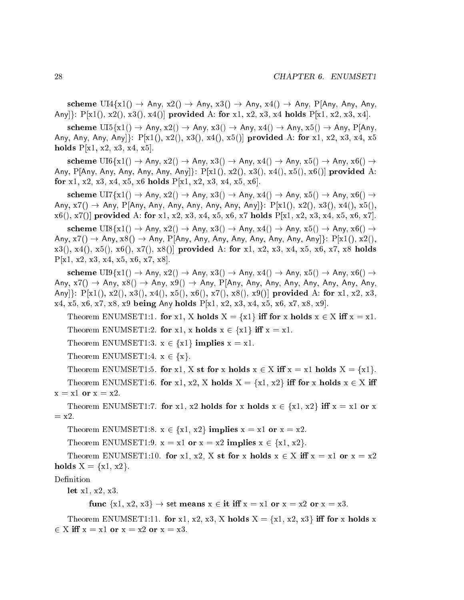scheme  $UI4{x1() \rightarrow Any, x2() \rightarrow Any, x3() \rightarrow Any, x4() \rightarrow Any, P[Any, Any, Any,$ Any[]:  $P[x1(), x2(), x3(), x4()]$  provided A: for x1, x2, x3, x4 holds  $P[x1, x2, x3, x4].$ 

scheme  $\text{UI5}\lbrace \text{x1}() \rightarrow \text{Any}, \text{x2}() \rightarrow \text{Any}, \text{x3}() \rightarrow \text{Any}, \text{x4}() \rightarrow \text{Any}, \text{x5}() \rightarrow \text{Any}, \text{P}[\text{Any},$ Any, Any, Any, Any]:  $P[x1(), x2(), x3(), x4(), x5()]$  provided A: for x1, x2, x3, x4, x5 holds  $P[x1, x2, x3, x4, x5].$ 

scheme  $U16\{x1() \rightarrow Any, x2() \rightarrow Any, x3() \rightarrow Any, x4() \rightarrow Any, x5() \rightarrow Any, x6() \rightarrow$ Any, P[Any, Any, Any, Any, Any]:  $P[x1(), x2(), x3(), x4(), x5(), x6()]$  provided A: for x1, x2, x3, x4, x5, x6 holds  $P[x1, x2, x3, x4, x5, x6].$ 

scheme  $UI7\{x1() \rightarrow Any, x2() \rightarrow Any, x3() \rightarrow Any, x4() \rightarrow Any, x5() \rightarrow Any, x6() \rightarrow$ Any,  $x7() \rightarrow$  Any, P[Any, Any, Any, Any, Any, Any, Any]: P[x1(), x2(), x3(), x4(), x5(),  $x6(), x7()$  provided A: for x1, x2, x3, x4, x5, x6, x7 holds P[x1, x2, x3, x4, x5, x6, x7].

scheme  $U18\{x1() \rightarrow Any, x2() \rightarrow Any, x3() \rightarrow Any, x4() \rightarrow Any, x5() \rightarrow Any, x6() \rightarrow$ Any,  $x7() \rightarrow Any, x8() \rightarrow Any, P[Any, Any, Any, Any, Any, Any, Any, Any]$ :  $P[x1(), x2(),$  $x3(), x4(), x5(), x6(), x7(), x8()$  provided A: for x1, x2, x3, x4, x5, x6, x7, x8 holds  $P[x1, x2, x3, x4, x5, x6, x7, x8].$ 

scheme  $\text{UI9}_{x}^{(x)}(x) \to \text{Any}, x2) \to \text{Any}, x3) \to \text{Any}, x4) \to \text{Any}, x5) \to \text{Any}, x6) \to$ Any,  $x7() \rightarrow Any, x8() \rightarrow Any, x9() \rightarrow Any, P[Any, Any, Any, Any, Any, Any, Any, Any,$ Any|}:  $P[x1(), x2(), x3(), x4(), x5(), x6(), x7(), x8(), x9()]$  provided A: for x1, x2, x3,  $x4, x5, x6, x7, x8, x9$  being Any holds  $P[x1, x2, x3, x4, x5, x6, x7, x8, x9].$ 

Theorem ENUMSET1:1. for x1, X holds  $X = \{x\}$  iff for x holds  $x \in X$  iff  $x = x1$ . Theorem ENUMSET1:2. for x1, x holds  $x \in \{x\}$  iff  $x = x1$ .

Theorem ENUMSET1:3.  $x \in \{x\}$  implies  $x = x1$ .

Theorem ENUMSET1:4.  $x \in \{x\}$ .

Theorem ENUMSET1:5. for x1, X st for x holds  $x \in X$  iff  $x = x1$  holds  $X = \{x1\}$ . Theorem ENUMSET1:6. for x1, x2, X holds  $X = \{x1, x2\}$  iff for x holds  $x \in X$  iff  $x = x1$  or  $x = x2$ .

Theorem ENUMSET1:7. for x1, x2 holds for x holds  $x \in \{x1, x2\}$  iff  $x = x1$  or x  $=$   $x2$ .

Theorem ENUMSET1:8.  $x \in \{x1, x2\}$  implies  $x = x1$  or  $x = x2$ .

Theorem ENUMSET1:9.  $x = x1$  or  $x = x2$  implies  $x \in \{x1, x2\}$ .

Theorem ENUMSET1:10. for x1, x2, X st for x holds  $x \in X$  iff  $x = x1$  or  $x = x2$ holds  $X = \{x1, x2\}.$ 

Definition

let x1, x2, x3.

func  $\{x1, x2, x3\} \rightarrow \text{set means } x \in \text{it iff } x = x1 \text{ or } x = x2 \text{ or } x = x3.$ 

Theorem ENUMSET1:11. for x1, x2, x3, X holds  $X = \{x1, x2, x3\}$  iff for x holds x 2 X i x = x1 or x = x2 or x = x3.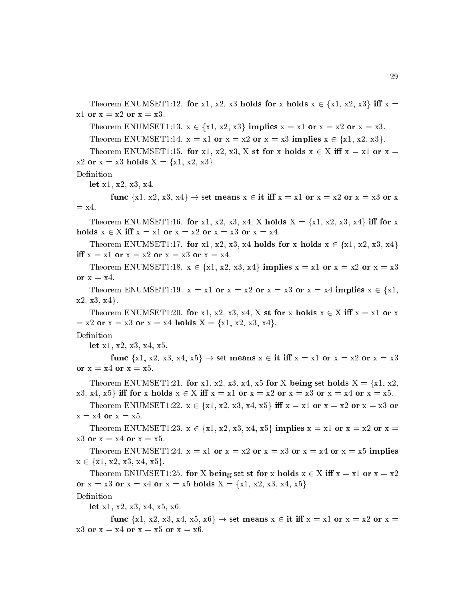Theorem ENUMSET1:12. for x1, x2, x3 holds for x holds  $x \in \{x1, x2, x3\}$  iff  $x =$  $x1$  or  $x = x2$  or  $x = x3$ .

Theorem ENUMSET1:13.  $x \in \{x1, x2, x3\}$  implies  $x = x1$  or  $x = x2$  or  $x = x3$ .

Theorem ENUMSET1:14.  $x = x1$  or  $x = x2$  or  $x = x3$  implies  $x \in \{x1, x2, x3\}$ .

Theorem ENUMSET1:15. for x1, x2, x3, X st for x holds  $x \in X$  iff  $x = x1$  or  $x =$ x2 or  $x = x3$  holds  $X = \{x1, x2, x3\}.$ 

Definition

let x1, x2, x3, x4.

func  $\{x1, x2, x3, x4\} \rightarrow \text{set means } x \in \text{it iff } x = x1 \text{ or } x = x2 \text{ or } x = x3 \text{ or } x$  $=$  x4.

Theorem ENUMSET1:16. for x1, x2, x3, x4, X holds  $X = \{x1, x2, x3, x4\}$  iff for x holds  $x \in X$  iff  $x = x1$  or  $x = x2$  or  $x = x3$  or  $x = x4$ .

Theorem ENUMSET1:17. for x1, x2, x3, x4 holds for x holds  $x \in \{x1, x2, x3, x4\}$ iff  $x = x1$  or  $x = x2$  or  $x = x3$  or  $x = x4$ .

Theorem ENUMSET1:18.  $x \in \{x1, x2, x3, x4\}$  implies  $x = x1$  or  $x = x2$  or  $x = x3$ or  $x = x4$ .

Theorem ENUMSET1:19.  $x = x1$  or  $x = x2$  or  $x = x3$  or  $x = x4$  implies  $x \in \{x1,$  $x2, x3, x4$ .

Theorem ENUMSET1:20. for x1, x2, x3, x4, X st for x holds  $x \in X$  iff  $x = x1$  or x  $= x2$  or  $x = x3$  or  $x = x4$  holds  $X = \{x1, x2, x3, x4\}.$ 

let x1, x2, x3, x4, x5.

func  $\{x1, x2, x3, x4, x5\} \rightarrow \text{set means } x \in \text{it iff } x = x1 \text{ or } x = x2 \text{ or } x = x3$ or  $x = x4$  or  $x = x5$ .

Theorem ENUMSET1:21. for x1, x2, x3, x4, x5 for X being set holds X = fx1, x2,  $x3, x4, x5$  iff for x holds  $x \in X$  iff  $x = x1$  or  $x = x2$  or  $x = x3$  or  $x = x4$  or  $x = x5$ .

Theorem ENUMSET1:22.  $x \in \{x1, x2, x3, x4, x5\}$  iff  $x = x1$  or  $x = x2$  or  $x = x3$  or  $x = x4$  or  $x = x5$ .

Theorem ENUMSET1:23.  $x \in \{x1, x2, x3, x4, x5\}$  implies  $x = x1$  or  $x = x2$  or  $x =$  $x3$  or  $x = x4$  or  $x = x5$ .

Theorem ENUMSET1:24.  $x = x1$  or  $x = x2$  or  $x = x3$  or  $x = x4$  or  $x = x5$  implies  $x \in \{x1, x2, x3, x4, x5\}.$ 

Theorem ENUMSET1:25. for X being set st for x holds  $x \in X$  iff  $x = x1$  or  $x = x2$ or  $x = x3$  or  $x = x4$  or  $x = x5$  holds  $X = \{x1, x2, x3, x4, x5\}.$ 

Definition

let x1, x2, x3, x4, x5, x6.

func  $\{x1, x2, x3, x4, x5, x6\} \rightarrow \text{set means } x \in \text{it iff } x = x1 \text{ or } x = x2 \text{ or } x =$  $x3$  or  $x = x4$  or  $x = x5$  or  $x = x6$ .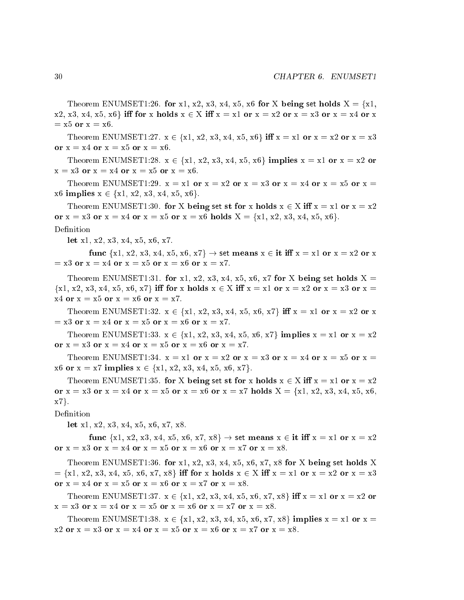Theorem ENUMSET1:26. for x1, x2, x3, x4, x5, x6 for X being set holds  $X = \{x1,$  $x2, x3, x4, x5, x6$  iff for x holds  $x \in X$  iff  $x = x1$  or  $x = x2$  or  $x = x3$  or  $x = x4$  or x  $= x5$  or  $x = x6$ .

Theorem ENUMSET1:27.  $x \in \{x1, x2, x3, x4, x5, x6\}$  iff  $x = x1$  or  $x = x2$  or  $x = x3$ or  $x = x4$  or  $x = x5$  or  $x = x6$ .

Theorem ENUMSET1:28.  $x \in \{x1, x2, x3, x4, x5, x6\}$  implies  $x = x1$  or  $x = x2$  or  $x = x3$  or  $x = x4$  or  $x = x5$  or  $x = x6$ .

Theorem ENUMSET1:29.  $x = x1$  or  $x = x2$  or  $x = x3$  or  $x = x4$  or  $x = x5$  or  $x =$  $x6$  implies  $x \in \{x1, x2, x3, x4, x5, x6\}.$ 

Theorem ENUMSET1:30. for X being set st for x holds  $x \in X$  iff  $x = x1$  or  $x = x2$ or  $x = x3$  or  $x = x4$  or  $x = x5$  or  $x = x6$  holds  $X = \{x1, x2, x3, x4, x5, x6\}.$ 

Definition

let x1, x2, x3, x4, x5, x6, x7.

func  $\{x1, x2, x3, x4, x5, x6, x7\} \rightarrow \text{set means } x \in \text{it iff } x = x1 \text{ or } x = x2 \text{ or } x$  $= x3$  or  $x = x4$  or  $x = x5$  or  $x = x6$  or  $x = x7$ .

Theorem ENUMSET1:31. for x1, x2, x3, x4, x5, x6, x7 for X being set holds  $X =$  $\{x1, x2, x3, x4, x5, x6, x7\}$  iff for x holds  $x \in X$  iff  $x = x1$  or  $x = x2$  or  $x = x3$  or  $x = x3$  $x4$  or  $x = x5$  or  $x = x6$  or  $x = x7$ .

Theorem ENUMSET1:32.  $x \in \{x1, x2, x3, x4, x5, x6, x7\}$  iff  $x = x1$  or  $x = x2$  or  $x$  $= x3$  or  $x = x4$  or  $x = x5$  or  $x = x6$  or  $x = x7$ .

Theorem ENUMSET1:33.  $x \in \{x1, x2, x3, x4, x5, x6, x7\}$  implies  $x = x1$  or  $x = x2$ or  $x = x3$  or  $x = x4$  or  $x = x5$  or  $x = x6$  or  $x = x7$ .

Theorem ENUMSET1:34.  $x = x1$  or  $x = x2$  or  $x = x3$  or  $x = x4$  or  $x = x5$  or  $x =$ x6 or  $x = x7$  implies  $x \in \{x1, x2, x3, x4, x5, x6, x7\}.$ 

Theorem ENUMSET1:35. for X being set st for x holds  $x \in X$  iff  $x = x1$  or  $x = x2$ or  $x = x3$  or  $x = x4$  or  $x = x5$  or  $x = x6$  or  $x = x7$  holds  $X = \{x1, x2, x3, x4, x5, x6,$  $x7$ .

Definition

let x1, x2, x3, x4, x5, x6, x7, x8.

func  $\{x1, x2, x3, x4, x5, x6, x7, x8\} \rightarrow \text{set means } x \in \text{it iff } x = x1 \text{ or } x = x2$ or  $x = x3$  or  $x = x4$  or  $x = x5$  or  $x = x6$  or  $x = x7$  or  $x = x8$ .

Theorem ENUMSET1:36. for x1, x2, x3, x4, x5, x6, x7, x8 for X being set holds X  $= \{x1, x2, x3, x4, x5, x6, x7, x8\}$  iff for x holds  $x \in X$  iff  $x = x1$  or  $x = x2$  or  $x = x3$ or  $x = x4$  or  $x = x5$  or  $x = x6$  or  $x = x7$  or  $x = x8$ .

Theorem ENUMSET1:37.  $x \in \{x1, x2, x3, x4, x5, x6, x7, x8\}$  iff  $x = x1$  or  $x = x2$  or  $x = x3$  or  $x = x4$  or  $x = x5$  or  $x = x6$  or  $x = x7$  or  $x = x8$ .

Theorem ENUMSET1:38.  $x \in \{x1, x2, x3, x4, x5, x6, x7, x8\}$  implies  $x = x1$  or  $x =$  $x2$  or  $x = x3$  or  $x = x4$  or  $x = x5$  or  $x = x6$  or  $x = x7$  or  $x = x8$ .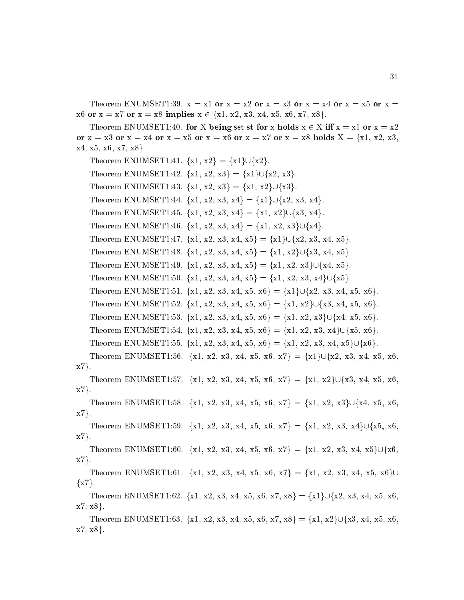Theorem ENUMSET1:39.  $x = x1$  or  $x = x2$  or  $x = x3$  or  $x = x4$  or  $x = x5$  or  $x = x5$ x6 or  $x = x7$  or  $x = x8$  implies  $x \in \{x1, x2, x3, x4, x5, x6, x7, x8\}.$ 

Theorem ENUMSET1:40. for X being set st for x holds  $x \in X$  iff  $x = x1$  or  $x = x2$ or  $x = x3$  or  $x = x4$  or  $x = x5$  or  $x = x6$  or  $x = x7$  or  $x = x8$  holds  $X = \{x1, x2, x3,$  $x4, x5, x6, x7, x8$ .

Theorem ENUMSET1:41.  $\{x1, x2\} = \{x1\} \cup \{x2\}.$ Theorem ENUMSET1:42.  $\{x1, x2, x3\} = \{x1\} \cup \{x2, x3\}.$ Theorem ENUMSET1:43.  $\{x1, x2, x3\} = \{x1, x2\} \cup \{x3\}.$ Theorem ENUMSET1:44.  $\{x1, x2, x3, x4\} = \{x1\} \cup \{x2, x3, x4\}.$ Theorem ENUMSET1:45.  $\{x1, x2, x3, x4\} = \{x1, x2\} \cup \{x3, x4\}.$ Theorem ENUMSET1:46.  $\{x1, x2, x3, x4\} = \{x1, x2, x3\} \cup \{x4\}.$ Theorem ENUMSET1:47. {x1, x2, x3, x4, x5} = {x1} $\bigcup \{x_2, x_3, x_4, x_5\}$ . Theorem ENUMSET1:48. {x1, x2, x3, x4, x5} = {x1, x2} $\bigcup \{x3, x4, x5\}$ . Theorem ENUMSET1:49. {x1, x2, x3, x4, x5} = {x1, x2, x3} $\bigcup \{x4, x5\}$ . Theorem ENUMSET1:50. {x1, x2, x3, x4, x5} = {x1, x2, x3, x4} $\bigcup \{x5\}.$ Theorem ENUMSET1:51. {x1, x2, x3, x4, x5, x6} = {x1} $\bigcup \{x_2, x_3, x_4, x_5, x_6\}$ . Theorem ENUMSET1:52. {x1, x2, x3, x4, x5, x6} = {x1, x2} $\bigcup \{x_3, x_4, x_5, x_6\}$ . Theorem ENUMSET1:53. {x1, x2, x3, x4, x5, x6} = {x1, x2, x3} $\bigcup \{x4, x5, x6\}$ . Theorem ENUMSET1:54. {x1, x2, x3, x4, x5, x6} = {x1, x2, x3, x4} $\bigcup \{x5, x6\}$ . Theorem ENUMSET1:55. {x1, x2, x3, x4, x5, x6} = {x1, x2, x3, x4, x5} $\bigcup \{x6\}$ . Theorem ENUMSET1:56. {x1, x2, x3, x4, x5, x6, x7} = {x1} $\bigcup \{x2, x3, x4, x5, x6, x6\}$  $x7$ . Theorem ENUMSET1:57. {x1, x2, x3, x4, x5, x6, x7} = {x1, x2} $\bigcup \{x3, x4, x5, x6, x7\}$  $x7$ . Theorem ENUMSET1:58. {x1, x2, x3, x4, x5, x6, x7} = {x1, x2, x3} $\bigcup \{x4, x5, x6, x7\}$  $x7$ . Theorem ENUMSET1:59. {x1, x2, x3, x4, x5, x6, x7} = {x1, x2, x3, x4} $\bigcup \{x5, x6,$  $x7$ . Theorem ENUMSET1:60. {x1, x2, x3, x4, x5, x6, x7} = {x1, x2, x3, x4, x5} $\bigcup \{x6,$  $x7$ . Theorem ENUMSET1:61. {x1, x2, x3, x4, x5, x6, x7} = {x1, x2, x3, x4, x5, x6}  $\{x7\}.$ Theorem ENUMSET1:62.  $\{x1, x2, x3, x4, x5, x6, x7, x8\} = \{x1\} \cup \{x2, x3, x4, x5, x6, x7, x8\}$  $x7, x8$ . Theorem ENUMSET1:63.  $\{x1, x2, x3, x4, x5, x6, x7, x8\} = \{x1, x2\} \cup \{x3, x4, x5, x6, x6, x7, x8\}$  $x7, x8$ .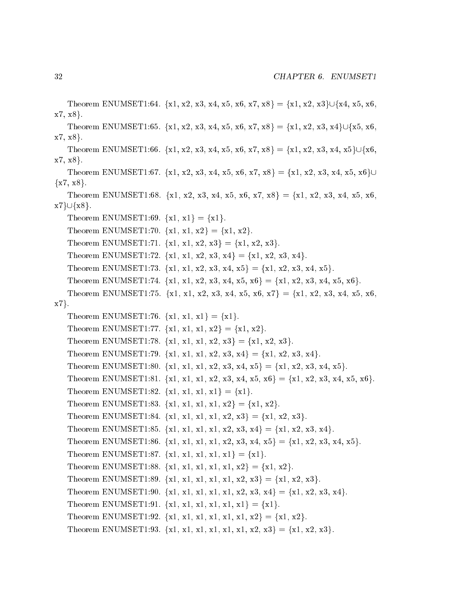```
Theorem ENUMSET1:64. {x1, x2, x3, x4, x5, x6, x7, x8} = {x1, x2, x3}\bigcup \{x4, x5, x6,x7, x8.
   Theorem ENUMSET1:65. {x1, x2, x3, x4, x5, x6, x7, x8} = {x1, x2, x3, x4}\bigcup \{x5, x6,x7, x8.
   Theorem ENUMSET1:66. {x1, x2, x3, x4, x5, x6, x7, x8} = {x1, x2, x3, x4, x5}\bigcup \{x6,x7, x8.
   Theorem ENUMSET1:67. \{x1, x2, x3, x4, x5, x6, x7, x8\} = \{x1, x2, x3, x4, x5, x6\} \cup\{x7, x8\}.Theorem ENUMSET1:68. {x1, x2, x3, x4, x5, x6, x7, x8} = {x1, x2, x3, x4, x5, x6,
x7\} \cup \{x8\}.Theorem ENUMSET1:69. \{x1, x1\} = \{x1\}.Theorem ENUMSET1:70. \{x1, x1, x2\} = \{x1, x2\}.Theorem ENUMSET1:71. \{x1, x1, x2, x3\} = \{x1, x2, x3\}.Theorem ENUMSET1:72. \{x1, x1, x2, x3, x4\} = \{x1, x2, x3, x4\}.Theorem ENUMSET1:73. \{x1, x1, x2, x3, x4, x5\} = \{x1, x2, x3, x4, x5\}.Theorem ENUMSET1:74. \{x1, x1, x2, x3, x4, x5, x6\} = \{x1, x2, x3, x4, x5, x6\}.Theorem ENUMSET1:75. {x1, x1, x2, x3, x4, x5, x6, x7} = {x1, x2, x3, x4, x5, x6,
x7.
   Theorem ENUMSET1:76. \{x1, x1, x1\} = \{x1\}.Theorem ENUMSET1:77. \{x1, x1, x1, x2\} = \{x1, x2\}.Theorem ENUMSET1:78. \{x1, x1, x1, x2, x3\} = \{x1, x2, x3\}.Theorem ENUMSET1:79. {x1, x1, x1, x2, x3, x4} = {x1, x2, x3, x4}.
   Theorem ENUMSET1:80. {x1, x1, x1, x2, x3, x4, x5} = {x1, x2, x3, x4, x5}.
   Theorem ENUMSET1:81. \{x1, x1, x1, x2, x3, x4, x5, x6\} = \{x1, x2, x3, x4, x5, x6\}.Theorem ENUMSET1:82. \{x1, x1, x1, x1\} = \{x1\}.Theorem ENUMSET1:83. \{x1, x1, x1, x1, x2\} = \{x1, x2\}.Theorem ENUMSET1:84. {x1, x1, x1, x1, x2, x3} = {x1, x2, x3}.
   Theorem ENUMSET1:85. \{x1, x1, x1, x2, x3, x4\} = \{x1, x2, x3, x4\}.Theorem ENUMSET1:86. \{x1, x1, x1, x1, x2, x3, x4, x5\} = \{x1, x2, x3, x4, x5\}.Theorem ENUMSET1:87. \{x1, x1, x1, x1, x1\} = \{x1\}.Theorem ENUMSET1:88. \{x1, x1, x1, x1, x1, x2\} = \{x1, x2\}.Theorem ENUMSET1:89. \{x1, x1, x1, x1, x1, x2, x3\} = \{x1, x2, x3\}.Theorem ENUMSET1:90. {x1, x1, x1, x1, x1, x2, x3, x4} = {x1, x2, x3, x4}.
   Theorem ENUMSET1:91. \{x1, x1, x1, x1, x1, x1\} = \{x1\}.Theorem ENUMSET1:92. \{x1, x1, x1, x1, x1, x1, x2\} = \{x1, x2\}.Theorem ENUMSET1:93. {x1, x1, x1, x1, x1, x1, x2, x3} = {x1, x2, x3}.
```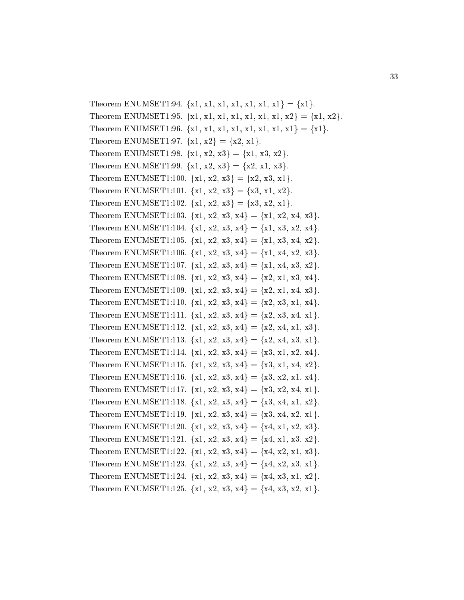Theorem ENUMSET1:94.  $\{x1, x1, x1, x1, x1, x1, x1\} = \{x1\}.$ Theorem ENUMSET1:95. {x1, x1, x1, x1, x1, x1, x1, x2} = {x1, x2}. Theorem ENUMSET1:96. {x1, x1, x1, x1, x1, x1, x1, x1} = {x1}. Theorem ENUMSET1:97.  $\{x1, x2\} = \{x2, x1\}.$ Theorem ENUMSET1:98.  $\{x1, x2, x3\} = \{x1, x3, x2\}.$ Theorem ENUMSET1:99.  $\{x1, x2, x3\} = \{x2, x1, x3\}.$ Theorem ENUMSET1:100.  $\{x1, x2, x3\} = \{x2, x3, x1\}.$ Theorem ENUMSET1:101.  $\{x1, x2, x3\} = \{x3, x1, x2\}.$ Theorem ENUMSET1:102.  $\{x1, x2, x3\} = \{x3, x2, x1\}.$ Theorem ENUMSET1:103.  $\{x1, x2, x3, x4\} = \{x1, x2, x4, x3\}.$ Theorem ENUMSET1:104.  $\{x1, x2, x3, x4\} = \{x1, x3, x2, x4\}.$ Theorem ENUMSET1:105.  $\{x1, x2, x3, x4\} = \{x1, x3, x4, x2\}.$ Theorem ENUMSET1:106.  $\{x1, x2, x3, x4\} = \{x1, x4, x2, x3\}.$ Theorem ENUMSET1:107.  $\{x1, x2, x3, x4\} = \{x1, x4, x3, x2\}.$ Theorem ENUMSET1:108.  $\{x1, x2, x3, x4\} = \{x2, x1, x3, x4\}.$ Theorem ENUMSET1:109.  $\{x1, x2, x3, x4\} = \{x2, x1, x4, x3\}.$ Theorem ENUMSET1:110.  $\{x1, x2, x3, x4\} = \{x2, x3, x1, x4\}.$ Theorem ENUMSET1:111.  $\{x1, x2, x3, x4\} = \{x2, x3, x4, x1\}.$ Theorem ENUMSET1:112.  $\{x1, x2, x3, x4\} = \{x2, x4, x1, x3\}.$ Theorem ENUMSET1:113.  $\{x1, x2, x3, x4\} = \{x2, x4, x3, x1\}.$ Theorem ENUMSET1:114.  $\{x1, x2, x3, x4\} = \{x3, x1, x2, x4\}.$ Theorem ENUMSET1:115.  $\{x1, x2, x3, x4\} = \{x3, x1, x4, x2\}.$ Theorem ENUMSET1:116.  $\{x1, x2, x3, x4\} = \{x3, x2, x1, x4\}.$ Theorem ENUMSET1:117.  $\{x1, x2, x3, x4\} = \{x3, x2, x4, x1\}.$ Theorem ENUMSET1:118.  $\{x1, x2, x3, x4\} = \{x3, x4, x1, x2\}.$ Theorem ENUMSET1:119.  $\{x1, x2, x3, x4\} = \{x3, x4, x2, x1\}.$ Theorem ENUMSET1:120.  $\{x1, x2, x3, x4\} = \{x4, x1, x2, x3\}.$ Theorem ENUMSET1:121.  $\{x1, x2, x3, x4\} = \{x4, x1, x3, x2\}.$ Theorem ENUMSET1:122.  $\{x1, x2, x3, x4\} = \{x4, x2, x1, x3\}.$ Theorem ENUMSET1:123.  $\{x1, x2, x3, x4\} = \{x4, x2, x3, x1\}.$ Theorem ENUMSET1:124.  $\{x1, x2, x3, x4\} = \{x4, x3, x1, x2\}.$ Theorem ENUMSET1:125.  $\{x1, x2, x3, x4\} = \{x4, x3, x2, x1\}.$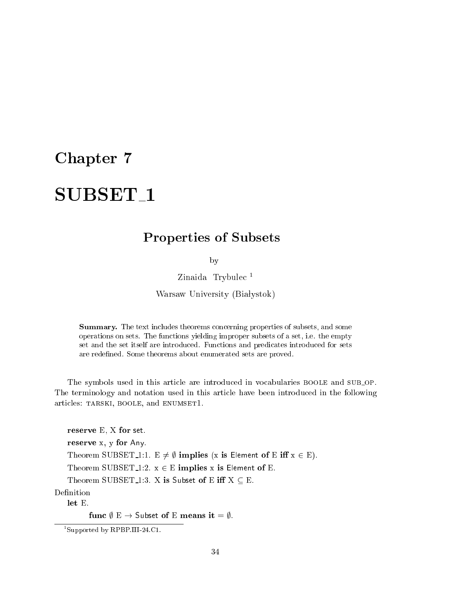## Chapter 7

# SUBSET<sub>1</sub>

### Properties of Subsets

by

Zinaida Trybulec<sup>1</sup>

Warsaw University (Białystok)

Summary. The text in
ludes theorems on
erning properties of subsets, and some operations on sets. The fun
tions yielding improper subsets of a set, i.e. the empty set and the set itself are introdu
ed. Fun
tions and predi
ates introdu
ed for sets are redefined. Some theorems about enumerated sets are proved.

The symbols used in this article are introduced in vocabularies BOOLE and SUB\_OP. The terminology and notation used in this arti
le have been introdu
ed in the following articles: TARSKI, BOOLE, and ENUMSET1.

reserve E, X for set. reserve x, y for Any. Theorem SUBSET 1:1. E  $\neq \emptyset$  implies (x is Element of E iff  $x \in E$ ). Theorem SUBSET 1:2.  $x \in E$  implies x is Element of E. Theorem SUBSET 1:3. X is Subset of E iff  $X \subseteq E$ . Definition let E.

func  $\emptyset \to \mathsf{Subset}$  of E means it =  $\emptyset$ .

<sup>1</sup> Supported by RPBP.III-24.C1.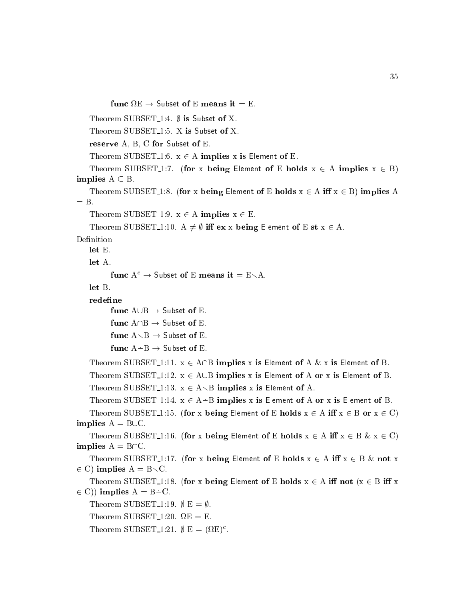Theorem SUBSET<sub>1:4</sub>.  $\emptyset$  is Subset of X.

Theorem SUBSET<sub>1:5</sub>. X is Subset of X.

reserve A, B, C for Subset of E.

Theorem SUBSET<sub>1:6</sub>.  $x \in A$  implies x is Element of E.

Theorem SUBSET 1:7. (for x being Element of E holds  $x \in A$  implies  $x \in B$ ) implies  $A \subseteq B$ .

Theorem SUBSET<sub>1</sub>:8. (for x being Element of E holds  $x \in A$  iff  $x \in B$ ) implies A

Theorem SUBSET 1:9.  $x \in A$  implies  $x \in E$ .

Theorem SUBSET 1:10. A  $\neq \emptyset$  iff ex x being Element of E st  $x \in A$ .

Definition

let E.

let A.

```
func A^c \to Subset of E means it = E \A.
```

```
func A \cup B \rightarrow Subset of E.
```

```
func A \cap B \to Subset of E.
```

```
func A \setminus B \to Subset of E.
```

```
func A \rightarrow B \rightarrow Subset of E.
```
Theorem SUBSET<sub>1</sub>:11.  $x \in A \cap B$  implies x is Element of A & x is Element of B.

```
Theorem SUBSET 1:12. x \in A \cup B implies x is Element of A or x is Element of B.
```
Theorem SUBSET 1:13.  $x \in A \setminus B$  implies x is Element of A.

```
Theorem SUBSET<sub>1</sub>:14. x \in A \rightarrow B implies x is Element of A or x is Element of B.
```
Theorem SUBSET<sub>1</sub>:15. (for x being Element of E holds  $x \in A$  iff  $x \in B$  or  $x \in C$ ) implies  $A = B\cup C$ .

Theorem SUBSET 1:16. (for x being Element of E holds  $x \in A$  iff  $x \in B$   $\& x \in C$ ) implies  $A = B \cap C$ .

```
Theorem SUBSET 1:17. (for x being Element of E holds x \in A iff x \in B & not x
2 c) implies a set 2 in \mathbb{R}^n
```

```
Theorem SUBSET 1:18. (for x being Element of E holds x \in A iff not (x \in B iff x
\epsilon \cup \mu implies \mu = \mu \in
```

```
Theorem SUBSET<sub>-1</sub>:19. \emptyset E = \emptyset.
```

```
Theorem SUBSET 1:20. 
E = E.
```

```
Theorem 50D5E1 - 121. \psi E = (77E).
```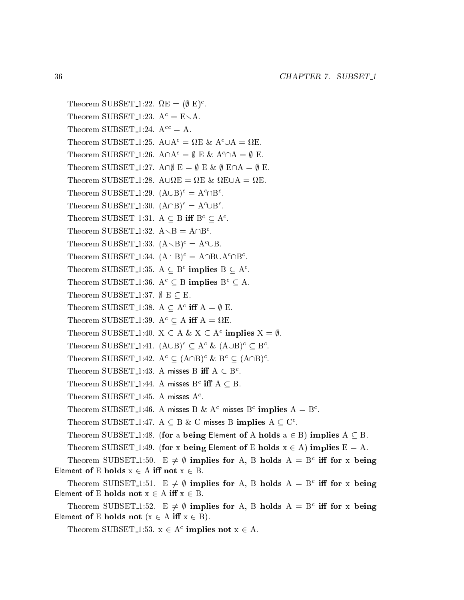```
I heorem SUDSEI 1:22. M_E = (\Psi E)^T.
    Theorem SUBSET<sub>-1:23</sub>. A^c = E \setminus A.
    Theorem SUBSET<sub>-1:24</sub>. A^{cc} = A.
    I heorem SUBSE1<sub>-1</sub>:25. A \cup A^{\dagger} = M E \& A^{\dagger} \cup A = M E.
    I neorem SUBSEL1-1:20. A |A^* = \emptyset E \& A^*| A = \emptyset E.
    Theorem SUBSET 1:27. A\cap \emptyset E = \emptyset E & \emptyset E\cap A = \emptyset E.
    Theorem SUBSET 1:28. A[
E = 
E & 
E[A = 
E.
    I heorem SUBSET-1:29. (AUD) = A \BoxD.
    I heorem SUBSE1-1:30. (A||B)^{T} = A^{-}UB^{T}.
    Theorem SUBSET-1:31. A \subseteq B in B \subseteq A.
    T heorem SUBSET 1:32. A \setminus D = A \setminus D.
    I heorem SUBSET<sub>-1</sub>:33. (A \setminus B)^{T} = A^{T} \cup D.
    \text{Theorem 50D5E1:} :34. (A - D) = A|\text{D}A|I neorem SUBSET 1:35. A \subseteq B implies B \subseteq A.
    Theorem SUBSET 1:36. A^c \subseteq B implies B^c \subseteq A.
    Theorem SUBSET<sub>-1:37</sub>. \emptyset \to \subseteq E.
    I HEOTEIN SUBSET 1:30. A \subseteq A^* III A = \emptyset E.
    Theorem SUBSET 1:39. A^T \subseteq A in A = \Sigma E.
    I Heorem SUBSET 1:40. \Lambda \subseteq A \otimes \Lambda \subseteq A^+ implies \Lambda = \emptyset.
    I neorem SUBSEL1:41. (AUB)<sup>-</sup> \subseteq A<sup>-</sup> & (AUB)<sup>-</sup> \subseteq B<sup>-</sup>.
    I neorem SUBSEL1:42. A^T \subseteq (A||B)^T \& B^T \subseteq (A||B)^T.
    Theorem SUBSET 1:45. A misses B III A \subseteq B.
    I HEOTEIN SUDSET 1:44. A MISSES D. III A \subseteq D.
    1 heorem 5 0 D5E 1 -1:45. A misses A^T.
    I neorem SUBSET 1:40. A misses B & A<sup>-</sup> misses B<sup>-</sup> Implies A = B.
    I neorem SUBSET 1:47. A \subseteq B & C misses B implies A \subseteq C.
    Theorem SUBSET<sub>1</sub>:48. (for a being Element of A holds a \in B) implies A \subseteq B.
    Theorem SUBSET<sub>1</sub>:49. (for x being Element of E holds x \in A) implies E = A.
    I heorem SUBSET 1:50. E \neq \emptyset implies for A, B holds A = B. In for x being
Element of E holds x \in A iff not x \in B.
    I heorem SUBSET 1:51. E \neq \emptyset implies for A, B holds A = B in for x being
Element of E holds not x \in A iff x \in B.
    I heorem SUBSET 1:52. E \neq \emptyset implies for A, B holds A = B in for x being
Element of E holds not (x \in A \text{ iff } x \in B).
```
I neorem SUBSET 1:33.  $X \in A$  implies not  $X \in A$ .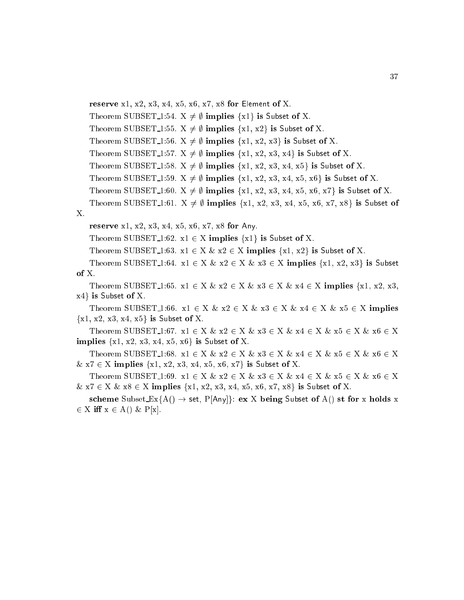```
reserve x1, x2, x3, x4, x5, x6, x7, x8 for Element of X.
Theorem SUBSET-1:54. X \neq \emptyset implies \{x1\} is Subset of X.
Theorem SUBSET 1:55. X \neq \emptyset implies \{x1, x2\} is Subset of X.
Theorem SUBSET<sub>-1</sub>:56. X \neq \emptyset implies {x1, x2, x3} is Subset of X.
Theorem SUBSET 1:57. X \neq \emptyset implies {x1, x2, x3, x4} is Subset of X.
Theorem SUBSET 1:58. X \neq \emptyset implies {x1, x2, x3, x4, x5} is Subset of X.
Theorem SUBSET 1:59. X \neq \emptyset implies \{x1, x2, x3, x4, x5, x6\} is Subset of X.
Theorem SUBSET 1:60. X \neq \emptyset implies {x1, x2, x3, x4, x5, x6, x7} is Subset of X.
Theorem SUBSET 1:61. X \neq \emptyset implies {x1, x2, x3, x4, x5, x6, x7, x8} is Subset of
reserve x1, x2, x3, x4, x5, x6, x7, x8 for Any.
```
#### X.

Theorem SUBSET<sub>1:62</sub>.  $x1 \in X$  implies  $\{x1\}$  is Subset of X.

Theorem SUBSET 1:63.  $x1 \in X \& x2 \in X$  implies  $\{x1, x2\}$  is Subset of X.

Theorem SUBSET 1:64.  $x1 \in X \& x2 \in X \& x3 \in X$  implies  $\{x1, x2, x3\}$  is Subset of X.

Theorem SUBSET<sub>-1</sub>:65.  $x1 \in X \& x2 \in X \& x3 \in X \& x4 \in X$  implies  $\{x1, x2, x3, x5\}$  $x4$  is Subset of X.

Theorem SUBSET 1:66.  $x1 \in X \& x2 \in X \& x3 \in X \& x4 \in X \& x5 \in X$  implies  ${x1, x2, x3, x4, x5}$  is Subset of X.

Theorem SUBSET 1:67.  $x1 \in X \& x2 \in X \& x3 \in X \& x4 \in X \& x5 \in X \& x6 \in X$ implies  $\{x1, x2, x3, x4, x5, x6\}$  is Subset of X.

Theorem SUBSET 1:68.  $x1 \in X \& x2 \in X \& x3 \in X \& x4 \in X \& x5 \in X \& x6 \in X$  $\&$  x7  $\in$  X implies {x1, x2, x3, x4, x5, x6, x7} is Subset of X.

Theorem SUBSET 1:69.  $x1 \in X \& x2 \in X \& x3 \in X \& x4 \in X \& x5 \in X \& x6 \in X$  $\&$  x7  $\in$  X  $\&$  x8  $\in$  X implies {x1, x2, x3, x4, x5, x6, x7, x8} is Subset of X.

scheme Subset  $Ex{A() \rightarrow set, P[Any]}$ : ex X being Subset of A() st for x holds x  $2 - 2 - 2 - 3 - 2 - 3 - 1, 1, 2 - 3 - 1, 3 - 1, 2 - 1, 3 - 1, 4 - 1, 5 - 1, 6 - 1, 7 - 1, 8 - 1, 1, 1 - 1, 1 - 1, 1 - 1, 1 - 1, 1 - 1, 1 - 1, 1 - 1, 1 - 1, 1 - 1, 1 - 1, 1 - 1, 1 - 1, 1 - 1, 1 - 1, 1 - 1, 1 - 1, 1 - 1, 1 - 1, 1 - 1, 1 - 1, 1 - 1, 1 - 1, 1 - 1$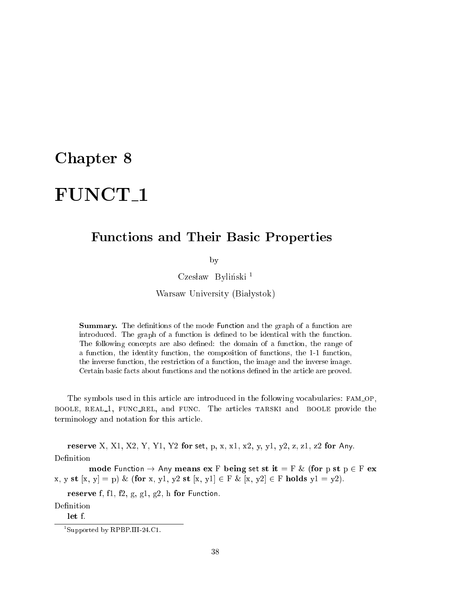### Chapter 8

# FUNCT<sub>1</sub>

#### Fun
tions and Their Basi Properties

by

Czesław Byliński<sup>1</sup>

Warsaw University (Białystok)

Summary. The definitions of the mode Function and the graph of a function are introduced. The graph of a function is defined to be identical with the function. The following concepts are also defined: the domain of a function, the range of a fun
tion, the identity fun
tion, the omposition of fun
tions, the 1-1 fun
tion, the inverse fun
tion, the restri
tion of a fun
tion, the image and the inverse image. Certain basic facts about functions and the notions defined in the article are proved.

The symbols used in this article are introduced in the following vocabularies: FAM\_OP, BOOLE, REAL1, FUNC\_REL, and FUNC. The articles TARSKI and BOOLE provide the terminology and notation for this arti
le.

reserve X, X1, X2, Y, Y1, Y2 for set, p, x, x1, x2, y, y1, y2, z, z1, z2 for Any. Definition

mode Function  $\rightarrow$  Any means ex F being set st it = F & (for p st p  $\in$  F ex  $x, y \text{ st } [x, y] = p$ ) & (for  $x, y1, y2 \text{ st } [x, y1] \in F$  &  $[x, y2] \in F$  holds  $y1 = y2$ ).

reserve f, fl, f2, g, g1, g2, h for Function.

Definition

 $let f.$ 

<sup>1</sup> Supported by RPBP.III-24.C1.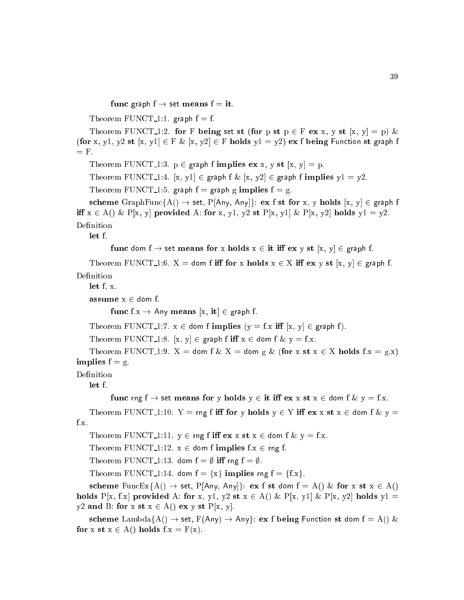```
func graph f \rightarrow set means f = it.
```
Theorem FUNCT<sub>-1:1</sub>. graph  $f = f$ .

Theorem FUNCT 1:2. for F being set st (for p st  $p \in F$  ex x, y st  $[x, y] = p$ ) & (for x, y1, y2 st [x, y1]  $\in$  F & [x, y2]  $\in$  F holds y1 = y2) ex f being Function st graph f  $=$  F.

Theorem FUNCT<sub>1</sub>:3.  $p \in graph$  f implies ex x, y st [x, y] = p.

Theorem FUNCT 1:4. [x, y1]  $\in$  graph f & [x, y2]  $\in$  graph f implies y1 = y2.

Theorem FUNCT<sub>1</sub>:5. graph  $f =$  graph g implies  $f = g$ .

scheme GraphFunc{A()  $\rightarrow$  set, P[Any, Any]}: ex f st for x, y holds [x, y]  $\in$  graph f iff  $x \in A()$  & P[x, y] provided A: for x, y1, y2 st P[x, y1] & P[x, y2] holds  $y1 = y2$ . Definition

let f.

func dom  $f \rightarrow$  set means for x holds  $x \in \mathbf{it}$  iff  $\mathbf{ex}$  y st  $[x, y] \in \mathbf{graph}$  f.

Theorem FUNCT<sub>-1</sub>:6.  $X =$  dom f iff for x holds  $x \in X$  iff  $ex$  y st  $[x, y] \in graph f$ . Definition

let f, x.

assume  $x \in$  dom f.

func f.x  $\rightarrow$  Any means [x, it]  $\in$  graph f.

Theorem FUNCT 1:7.  $x \in$  dom f implies  $(y = f.x \text{ iff } [x, y] \in \text{graph } f)$ .

Theorem FUNCT 1:8.  $[x, y] \in \text{graph } f \text{ iff } x \in \text{dom } f \& y = f.x.$ 

Theorem FUNCT<sub>-1</sub>:9.  $X =$  dom f &  $X =$  dom g & (for x st  $x \in X$  holds f.x = g.x) implies  $f = g$ .

Definition

let f.

func rng f  $\rightarrow$  set means for y holds  $y \in \text{it iff } \text{ex } x \text{ st } x \in \text{dom } f \& y = f.x.$ 

Theorem FUNCT<sub>-1</sub>:10. Y = rng f iff for y holds  $y \in Y$  iff  $ex x st x \in dom f \& y$  = f.x.

Theorem FUNCT 1:11.  $y \in \text{rng } f$  iff  $\mathbf{ex } x \mathbf{st } x \in \text{dom } f \& y = f.x$ .

Theorem FUNCT<sub>1</sub>:12.  $x \in$  dom f implies f.x  $\in$  rng f.

Theorem FUNCT 1:13. dom  $f = \emptyset$  iff rng  $f = \emptyset$ .

Theorem FUNCT<sub>1</sub>:14. dom  $f = \{x\}$  implies rng  $f = \{f.x\}$ .

scheme FuncEx{A()  $\rightarrow$  set, P[Any, Any]}: ex f st dom f = A() & for x st x  $\in$  A() holds P[x, f.x] provided A: for x, y1, y2 st  $x \in A() \& P[x, y1] \& P[x, y2]$  holds y1 = y2 and B: for x st  $x \in A()$  ex y st  $P[x, y]$ .

scheme Lambda $\{A() \rightarrow set, F(Any) \rightarrow Any\}$ : ex f being Function st dom  $f = A() \&$ for x st  $x \in A()$  holds  $f.x = F(x)$ .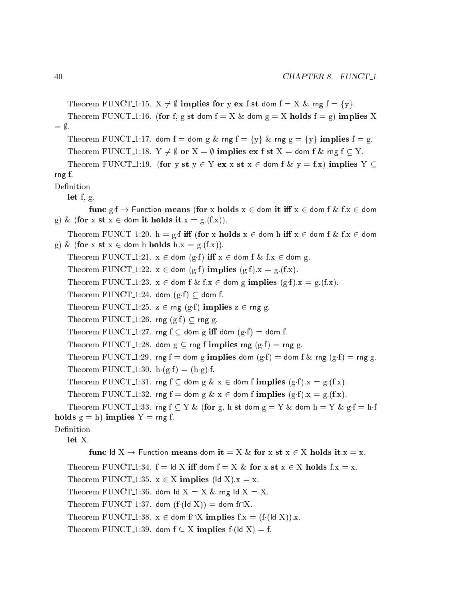```
Theorem FUNCT<sub>-1</sub>:15. X \neq \emptyset implies for y ex f st dom f = X \& rng f = \{y\}.Theorem FUNCT<sub>1</sub>:16. (for f, g st dom f = X \& dom g = X holds f = g) implies X
= \emptyset.
    Theorem FUNCT<sub>-1</sub>:17. dom f = dom g & rng f = {y} & rng g = {y} implies f = g.
    Theorem FUNCT<sub>1</sub>:18. Y \neq \emptyset or X = \emptyset implies ex f st X = dom f & rng f \subset Y.
    Theorem FUNCT<sub>1</sub>:19. (for y st y \in Y ex x st x \in dom f & y = f.x) implies Y \subseteqrng f.
Definition
    let f, g.
           func g \cdot f \to Function means (for x holds x \in dom it iff x \in dom f \& f.x \in dom
g) & (for x st x \in dom it holds it.x = g(f.x)).
    Theorem FUNCT<sub>-1</sub>:20. h = g.f iff (for x holds x \in dom h iff x \in dom f & f.x \in dom
g) & (for x st x \in dom h holds h.x = g.(f.x)).
    Theorem FUNCT<sub>1</sub>:21. x \in dom (g \cdot f) iff x \in dom f & f.x \in dom g.
    Theorem FUNCT<sub>1</sub>:22. x \in dom (g·f) implies (g·f).x = g(f.x).
    Theorem FUNCT<sub>1</sub>:23. x \in dom f & f.x \in dom g implies (g.f).x = g.(f.x).Theorem FUNCT<sub>1</sub>:24. dom (g \cdot f) \subset dom f.
    Theorem FUNCT<sub>-1</sub>:25. z \in \text{rng}(g \cdot f) implies z \in \text{rng } g.
    Theorem FUNCT<sub>1</sub>:26. rng (g \cdot f) \subseteq rng g.
    Theorem FUNCT<sub>1</sub>:27. rng f \subseteq dom g iff dom (g·f) = dom f.
    Theorem FUNCT<sub>1</sub>:28. dom g \subseteq rng f implies rng (g \cdot f) = rng g.
    Theorem FUNCT<sub>1</sub>:29. rng f = dom g implies dom (g:f) = dom f & rng (g:f) = rng g.
    Theorem FUNCT<sub>-1</sub>:30. h(g f) = (h \cdot g) \cdot f.
    Theorem FUNCT<sub>-1</sub>:31. rng f \subseteq dom g \& x \in dom f implies (g·f).x = g.(f.x).
    Theorem FUNCT<sub>1</sub>:32. rng f = dom g & x \in dom f implies (g·f).x = g.(f.x).
    Theorem FUNCT<sub>-1</sub>:33. rng f \subseteq Y & (for g, h st dom g = Y & dom h = Y & g \cdot f = h \cdot fholds g = h) implies Y = \text{rng } f.
Definition
    let X.
           func ld X \to Function means dom it = X & for x st x \in X holds it.x = x.
    Theorem FUNCT<sub>-1</sub>:34. f = ld X iff dom f = X & for x st x \in X holds f.x = x.
    Theorem FUNCT<sub>1</sub>:35. x \in X implies (Id X).x = x.
    Theorem FUNCT<sub>1</sub>:36. dom ld X = X \& rng ld X = X.
    Theorem FUNCT<sub>1:37</sub>. dom (f(Id X)) = dom f \cap X.
    Theorem FUNCT 1:38. x \in dom f\cap X implies f.x = (f([d X)).x.
    Theorem FUNCT<sub>-1</sub>:39. dom f \subset X implies f(\text{Id } X) = f.
```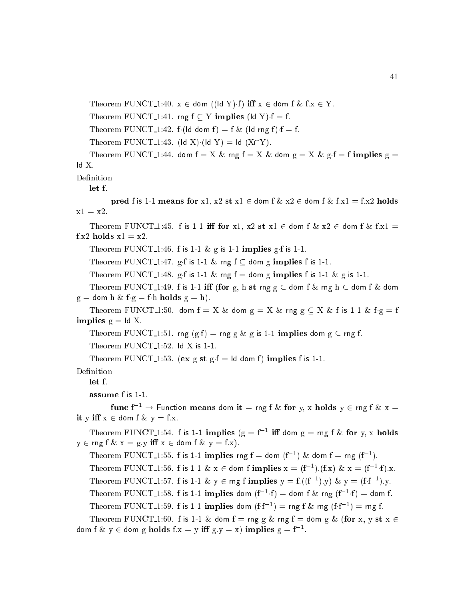Theorem FUNCT 1:40.  $x \in$  dom ((ld Y)f) iff  $x \in$  dom f & f. $x \in Y$ .

Theorem FUNCT<sub>-1</sub>:41. rng  $f \subseteq Y$  implies (ld Y) $\cdot f = f$ .

Theorem FUNCT<sub>-1</sub>:42. f(Id dom f) = f & (Id rng f)  $f = f$ .

Theorem FUNCT<sub>1</sub>:43. (Id X) $\cdot$ (Id Y) = Id (X $\cap$ Y).

Theorem FUNCT<sub>1</sub>:44. dom  $f = X \& rng f = X \& dom g = X \& gc f = f$  implies  $g = f$ Id X.

Definition

let f.

pred f is 1-1 means for x1, x2 st x1  $\in$  dom f  $\&$  x2  $\in$  dom f  $\&$  f.x1 = f.x2 holds  $x1 = x2$ .

Theorem FUNCT<sub>-1</sub>:45. f is 1-1 iff for x1, x2 st x1  $\in$  dom f & x2  $\in$  dom f & f.x1 = f.x2 holds  $x1 = x2$ .

Theorem FUNCT<sub>1</sub>:46. f is 1-1 & g is 1-1 implies g f is 1-1.

Theorem FUNCT 1:47. g f is 1-1  $\&$  rng f  $\subseteq$  dom g implies f is 1-1.

Theorem FUNCT 1:48. g f is 1-1 & rng f = dom g implies f is 1-1 & g is 1-1.

Theorem FUNCT<sub>-1</sub>:49. f is 1-1 iff (for g, h st rng  $g \text{ }\subset$  dom f  $\&$  rng h  $\subset$  dom f  $\&$  dom  $g =$  dom h & f  $g =$  f h holds  $g =$  h).

Theorem FUNCT<sub>-1</sub>:50. dom  $f = X \&$  dom  $g = X \&$  rng  $g \subseteq X \&$  f is 1-1  $\&$  f  $g = f$ implies  $g = Id X$ .

Theorem FUNCT<sub>-1</sub>:51. rng (g·f) = rng g & g is 1-1 implies dom g  $\subseteq$  rng f.

Theorem FUNCT<sub>-1:52</sub>. Id X is 1-1.

Theorem FUNCT 1:53. (ex g st  $g \cdot f = Id$  dom f) implies f is 1-1.

Definition

let f.

```
assume f is 1-1.
```
func  $f^{-1}$   $\rightarrow$  Function means dom it = rng f & for y, x holds  $y \in$  rng f & x = it.y iff  $x \in$  dom f &  $y = f.x$ .

Theorem FUNCT<sub>1</sub>1:54. f is 1-1 implies (g =  $f^{-1}$  iff dom g = rng f & for y, x holds  $y \in \text{rng } f \& x = g.y \text{ iff } x \in \text{dom } f \& y = f.x).$ 

Theorem FUNCT<sub>-1</sub>:55. f is 1-1 implies rng  $f =$  dom  $(f^{-1})$  & dom  $f =$  rng  $(f^{-1})$ . Theorem FUNCT<sub>-1</sub>:56. f is 1-1 & x  $\in$  dom f implies  $x = (f^{-1}) (f.x)$  &  $x = (f^{-1} \cdot f) .x$ . Theorem FUNCT<sub>-1</sub>:57. f is 1-1 & y  $\in$  rng f implies y = f.((f<sup>-1</sup>),y) & y = (f·f<sup>-1</sup>),y. Theorem FUNCT<sub>-1</sub>:58. f is 1-1 implies dom  $(f^{-1} \cdot f) =$  dom f & rng  $(f^{-1} \cdot f) =$  dom f. Theorem FUNCT<sub>-1</sub>:59. f is 1-1 implies dom  $(f \cdot f^{-1}) = rng f \& rng (f \cdot f^{-1}) = rng f$ . Theorem FUNCT 1:60. f is 1-1 & dom f = rng g & rng f = dom g & (for x, y st  $x \in$ dom f  $\&$  y  $\in$  dom g holds f.x = y iff g.y = x) implies g = f $^{-1}.$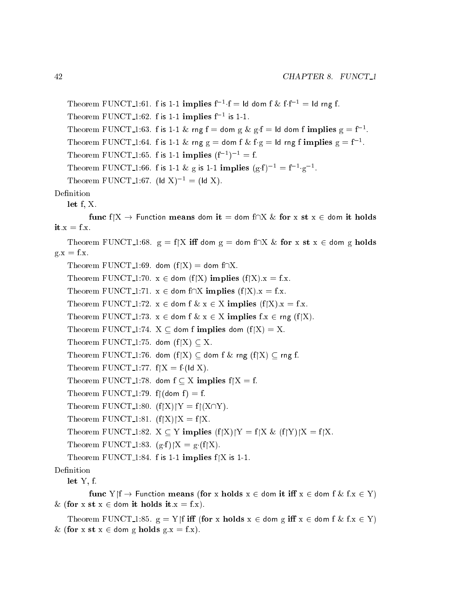```
Theorem FUNCT_1:61. f is 1-1 implies f^{-1} \cdot f = \mathsf{Id} dom f \& f f^{-1} = \mathsf{Id} rng f.
    Theorem FUNCT<sub>1:62</sub>. f is 1-1 implies f^{-1} is 1-1.
    Theorem FUNCT_1:63. f is 1-1 & rng f = dom g & g f = ld dom f implies g = f^{-1}.
    Theorem FUNCT 1:64. f is 1-1 & rng g = dom f & f g = ld rng f implies g = f^{-1}.
    Theorem FUNCT<sub>-1</sub>:65. f is 1-1 implies (f^{-1})^{-1} = f.
    Theorem FUNCT<sub>-1:66</sub>. f is 1-1 & g is 1-1 implies (g \cdot f)^{-1} = f^{-1} \cdot g^{-1}.
    Theorem FUNCT<sub>-1:67</sub>. (Id X)<sup>-1</sup> = (Id X).
Definition
```
let f, X.

func  $f|X \to$  Function means dom it = dom  $f|X \&$  for x st  $x \in$  dom it holds  $it.x = f.x.$ 

Theorem FUNCT<sub>-1</sub>:68.  $g = f[X \text{ iff } dom g = dom f\cap X \& \text{ for } x \text{ st } x \in dom g \text{ holds}$  $g.x = f.x.$ 

Theorem FUNCT<sub>-1:69</sub>. dom  $(f|X) =$  dom  $f \cap X$ .

Theorem FUNCT<sub>-1</sub>:70.  $x \in$  dom (f|X) implies (f|X). $x = f.x$ .

Theorem FUNCT<sub>-1</sub>:71.  $x \in$  dom f $\cap X$  implies (f $\vert X \vert$ ). $x = f.x$ .

Theorem FUNCT<sub>1</sub>:72.  $x \in$  dom f  $\& x \in X$  implies (f[X). $x = f.x$ .

Theorem FUNCT<sub>1</sub>:73.  $x \in$  dom f  $\& x \in X$  implies  $f.x \in$  rng (f|X).

Theorem FUNCT<sub>1</sub>:74.  $X \subseteq$  dom f implies dom  $(f|X) = X$ .

Theorem FUNCT<sub>1</sub>:75. dom  $(f|X) \subseteq X$ .

Theorem FUNCT<sub>-1</sub>:76. dom  $(f|X) \subseteq$  dom f & rng  $(f|X) \subseteq$  rng f.

Theorem FUNCT<sub>1</sub>:77.  $f|X = f(1)dX$ .

Theorem FUNCT<sub>-1</sub>:78. dom  $f \subseteq X$  implies  $f \mid X = f$ .

Theorem FUNCT<sub>-1</sub>:79. f $\lceil$ (dom f) = f.

Theorem FUNCT<sub>-1</sub>:80.  $(f|X)|Y = f|(X\cap Y)$ .

Theorem FUNCT 1:81.  $(f|X)|X = f|X$ .

Theorem FUNCT<sub>1</sub>:82.  $X \subseteq Y$  implies  $(f[X)|Y = f|X \& (f|Y)|X = f|X$ .

Theorem FUNCT<sub>1:83</sub>.  $(g f)|X = g(f|X)$ .

Theorem FUNCT<sub>1:84</sub>. f is 1-1 implies  $f[X]$  is 1-1.

#### Definition

let Y, f.

func  $Y \nmid f \to$  Function means (for x holds  $x \in$  dom it iff  $x \in$  dom f  $\& f.x \in Y$ ) & (for x st  $x \in$  dom it holds it. $x = f.x$ ).

Theorem FUNCT<sub>-1</sub>:85.  $g = Y \upharpoonright f$  iff (for x holds  $x \in$  dom g iff  $x \in$  dom f  $\&$  f.x  $\in Y$ ) & (for x st  $x \in$  dom g holds g.x = f.x).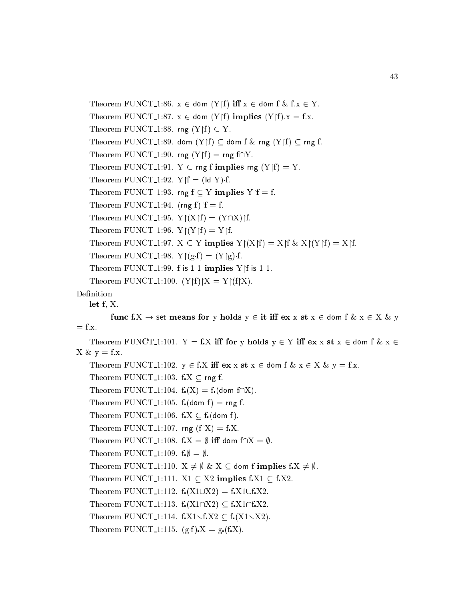Theorem FUNCT 1:86.  $x \in$  dom  $(Y | f)$  iff  $x \in$  dom f & f. $x \in Y$ . Theorem FUNCT 1:87.  $x \in$  dom (Y|f) implies (Y|f). $x = f.x$ . Theorem FUNCT<sub>-1:88</sub>. rng  $(Y | f) \subseteq Y$ . Theorem FUNCT<sub>-1:89</sub>. dom  $(Y|f) \subset$  dom f & rng  $(Y|f) \subset$  rng f. Theorem FUNCT<sub>-1:90</sub>. rng  $(Y|f) = \text{rng } f \cap Y$ . Theorem FUNCT 1:91.  $Y \subseteq \text{rng f implies rng } (Y \upharpoonright f) = Y$ . Theorem FUNCT<sub>1:92</sub>.  $Y \upharpoonright f = (\text{Id } Y) \cdot f$ . Theorem FUNCT<sub>-1:93</sub>. rng  $f \subset Y$  implies  $Y|f = f$ . Theorem FUNCT<sub>-1:94</sub>. (rng f)  $f = f$ . Theorem FUNCT<sub>-1:95</sub>.  $Y|(X|f) = (Y\cap X)f$ . Theorem FUNCT<sub>-1:96</sub>.  $Y|(Y|f) = Y|f$ . Theorem FUNCT\_1:97.  $X \subseteq Y$  implies  $Y|(X|f) = X|f \& X|(Y|f) = X|f$ . Theorem FUNCT<sub>1:98</sub>.  $Y|(g \cdot f) = (Y|g) \cdot f$ . Theorem FUNCT<sub>-1:99</sub>. f is 1-1 implies  $Y \mid f$  is 1-1. Theorem FUNCT<sub>-1</sub>:100.  $(Y|f)|X = Y|(f|X)$ .

Definition

let f, X.

func f.X  $\rightarrow$  set means for y holds  $y \in \mathbf{it}$  iff  $\mathbf{ex} \times \mathbf{st} \times \in \mathbf{dom} \text{ } f \& x \in X \& y$  $=$  f.x.

```
Theorem FUNCT<sub>-1</sub>:101. Y = f.X iff for y holds y \in Y iff ex x st x \in dom f \& x \inX \& y = f.x.Theorem FUNCT 1:102. y \in f.X iff ex x st x \in dom f & x \in X & y = f.x.
    Theorem FUNCT<sub>-1:103</sub>. f.X \subset rng f.
    Theorem FUNCT<sub>-1</sub>:104. f(x) = f(c). (dom f\cap X).
    Theorem FUNCT<sub>-1</sub>:105. f. (dom f) = rng f.
    Theorem FUNCT<sub>-1</sub>:106. f.X \subseteq f (dom f).
    Theorem FUNCT<sub>-1</sub>:107. rng (f|X) = f.X.
    Theorem FUNCT<sub>-1</sub>:108. f.X = \emptyset iff dom f\cap X = \emptyset.
    Theorem FUNCT<sub>-1</sub>:109. f \phi = \phi.
    Theorem FUNCT<sub>-1</sub>:110. X \neq \emptyset & X \subseteq dom f implies f.X \neq \emptyset.
    Theorem FUNCT<sub>-1</sub>:111. X1 \subseteq X2 implies f.X1 \subseteq f.X2.
    Theorem FUNCT<sub>1:112</sub>. f(x1 \cup X2) = f(x1 \cup f_x X2).
    Theorem FUNCT 1:113. f_{\bullet}(X1\cap X2) \subseteq f_{\bullet}X1\cap f_{\bullet}X2.
    Theorem FUNCT 1:114. f.X1 \setminus f.X2 \subseteq f(X1 \setminus X2).
    Theorem FUNCT 1:115. (g \cdot f) X = g \cdot (f X).
```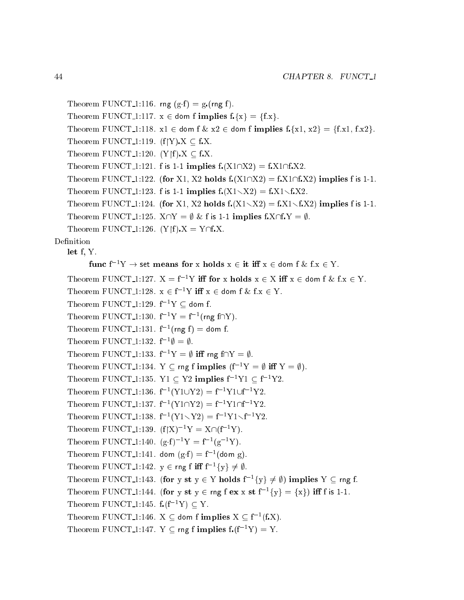```
Theorem FUNCT<sub>1:116</sub>. rng (g \cdot f) = g \cdot (r \cdot f).
    Theorem FUNCT<sub>-1</sub>:117. x \in dom f implies f_x\{x\} = \{f.x\}.Theorem FUNCT_1:118. x1 \in \text{dom } f \& x2 \in \text{dom } f \text{ implies } f_x\{x1, x2\} = \{f.x1, fx2\}.Theorem FUNCT<sub>-1:119</sub>. (f|Y) X \subseteq f.X.
    Theorem FUNCT<sub>1</sub>:120. (Y|f) X \subseteq fX.
    Theorem FUNCT 1:121. f is 1-1 implies f(x1\cap X2) = f(x1\cap f,X2).
    Theorem FUNCT 1:122. (for X1, X2 holds f(x1\cap X2) = f(x1\cap f(X2)) implies f is 1-1.
    Theorem FUNCT 1:123. f is 1-1 implies f(X1\setminus X2) = f.X1\setminus f.X2.
    Theorem FUNCT 1:124. (for X1, X2 holds f(x1\sqrt{X2}) = f(x1\sqrt{X2}) implies f is 1-1.
    Theorem FUNCT 1:125. X \cap Y = \emptyset & f is 1-1 implies f.X \cap f Y = \emptyset.
    Theorem FUNCT<sub>-1</sub>:126. (Y|f) X = Y \cap f.X.
Definition
    let f. Y.
     let f, Y.
            func f^{-1}Y \rightarrow set means for x holds x \in it iff x \in dom f & f.x \in Y.
    Theorem FUNCT 1:127. X = f^{-1}Y iff for x holds x \in X iff x \in \text{dom } f \& f.x \in Y.
    Theorem FUNCT 1:128. x \in f^{-1}Y iff x \in dom f & f.x \in Y.
    Theorem FUNCT<sub>-1:129</sub>. f^{-1}Y \subseteq dom f.
     Theorem FUNCT<sub>-1</sub>:130. f^{-1}Y = f^{-1}(mg f \cap Y).
     Theorem \text{FUNCT}\_1:131. f^{-1}(\text{rng } f) = dom f.
     Theorem FUNCT<sub>-1</sub>:132. f^{-1}\emptyset = \emptyset.
    Theorem FUNCT<sub>1</sub>:133. f^{-1}Y = \emptyset iff rng f \cap Y = \emptyset.
    Theorem FUNCT<sub>1</sub>:134. Y \subseteq rng f implies (f<sup>-1</sup>Y = \emptyset iff Y = \emptyset).
    Theorem FUNCT<sub>1</sub>:135. Y1 \subseteq Y2 implies f^{-1}Y1 \subseteq f^{-1}Y2.
     Theorem FUNCT<sub>-1</sub>:136. f^{-1}(Y1\cup Y2) = f^{-1}Y1\cup f^{-1}Y2.
     Theorem FUNCT<sub>-1:137</sub>, f^{-1}(Y1\cap Y2) = f^{-1}Y1\cap f^{-1}Y2.
     Theorem FUNCT<sub>-1</sub>:138. f^{-1}(Y1\diagdown Y2) = f^{-1}Y1\diagdown f^{-1}Y2.
    Theorem FUNCT<sub>-1</sub>:139. (f|X)^{-1}Y = X\cap(f^{-1}Y).
     Theorem FUNCT<sub>-1</sub>:140. (e \cdot f)^{-1}Y = f^{-1}(e^{-1}Y).
     Theorem FUNCT<sub>-1:141</sub>. dom (g \cdot f) = f^{-1}(d \circ m g).
     Theorem FUNCT_1:142. y \in \text{rng f iff } f^{-1}{y} \neq \emptyset.
     Theorem FUNCT<sub>-1</sub>:143. (for y st y \in Y holds f^{-1}{y} \neq \emptyset) implies Y \subseteq \text{rng } f.
     Theorem FUNCT<sub>-1</sub>:144. (for y st y \in \text{rng } f ex x st f^{-1}{y} = {x}) iff f is 1-1.
    Theorem FUNCT<sub>1:145</sub>. f(f^{-1}Y) \subset Y.
     Theorem FUNCT<sub>-1:146</sub>. X \subseteq dom fimplies X \subseteq f^{-1}(f.X).
    Theorem FUNCT 1:147. Y \subset \text{rng f implies } f(f^{-1}Y) = Y.
```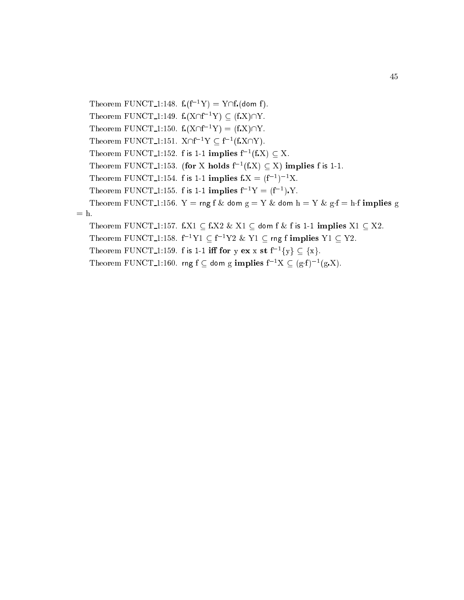Theorem FUNCT<sub>1</sub>:148.  $f_r(f^{-1}Y) = Y \cap f_r(\text{dom } f)$ . Theorem FUNCT<sub>-1:149</sub>.  $f(X\cap f^{-1}Y) \subseteq (f.X)\cap Y$ . Theorem FUNCT<sub>-1</sub>:150.  $f(x \cap f^{-1}Y) = (f.X) \cap Y$ . Theorem FUNCT<sub>-1</sub>:151.  $X \cap f^{-1}Y \subset f^{-1}(f X \cap Y)$ . Theorem FUNCT 1:152. f is 1-1 implies  $f^{-1}(fX) \subset X$ . Theorem FUNCT 1:153. (for X holds  $f^{-1}(fX) \subset X$ ) implies f is 1-1. Theorem FUNCT<sub>1</sub>:154. f is 1-1 implies  $f.X = (f^{-1})^{-1}X$ . Theorem FUNCT<sub>1</sub>:155. f is 1-1 implies  $f^{-1}Y = (f^{-1})Y$ . Theorem FUNCT<sub>-1</sub>:156. Y = rng f & dom g = Y & dom h = Y & g·f = h·f implies g  $=$  h. Theorem FUNCT 1:157. f.X1  $\subset$  f.X2 & X1  $\subset$  dom f & f is 1-1 implies X1  $\subset$  X2. Theorem FUNCT 1:158.  $f^{-1}Y1 \subseteq f^{-1}Y2 \& Y1 \subseteq rng$  implies  $Y1 \subseteq Y2$ . Theorem FUNCT<sub>-1</sub>:159. f is 1-1 iff for y ex x st  $f^{-1}{y} \subset {x}$ . Theorem FUNCT\_1:160. rng f  $\subset$  dom g implies  $f^{-1}X \subset (g \cdot f)^{-1}(g \cdot X)$ .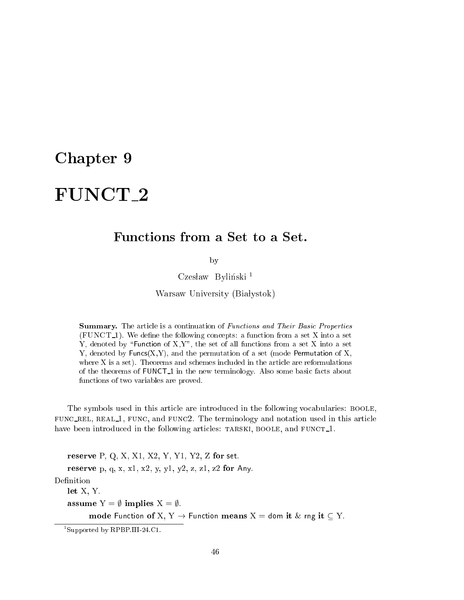### Chapter 9

# FUNCT 2

by

Czesław Byliński<sup>1</sup>

Warsaw University (Białystok)

**Summary.** The article is a continuation of *Functions and Their Basic Properties*  $(FUNCT_1)$ . We define the following concepts: a function from a set X into a set Y, denoted by "Function of X,Y", the set of all functions from a set X into a set Y, denoted by Funcs(X,Y), and the permutation of a set (mode Permutation of X, where X is a set). Theorems and schemes included in the article are reformulations of the theorems of **FUNCT**<sub>-1</sub> in the new terminology. Also some basic facts about fun
tions of two variables are proved.

The symbols used in this arti
le are introdu
ed in the following vo
abularies: boole, fun rel, real 1, fun
, and fun
2. The terminology and notation used in this arti
le have been introduced in the following articles: TARSKI, BOOLE, and FUNCT<sub>1</sub>.

reserve P, Q, X, X1, X2, Y, Y1, Y2, Z for set. reserve p, q, x, x1, x2, y, y1, y2, z, z1, z2 for Any. let X, Y. assume  $Y = \emptyset$  implies  $X = \emptyset$ . mode Function of X, Y  $\rightarrow$  Function means X = dom it & rng it  $\subseteq$  Y.

<sup>1</sup> Supported by RPBP.III-24.C1.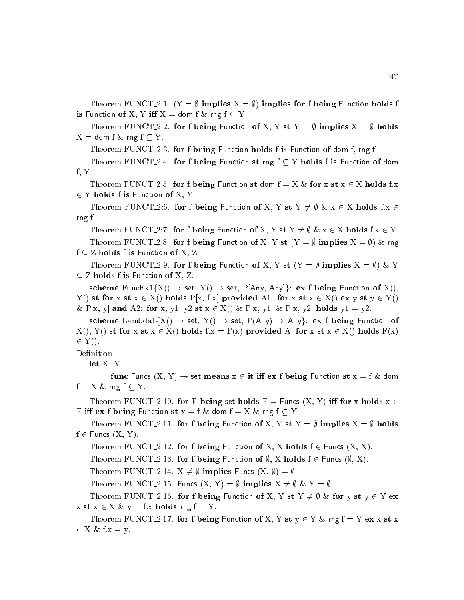Theorem FUNCT 2:1.  $(Y = \emptyset$  implies  $X = \emptyset$  implies for f being Function holds f is Function of X, Y iff  $X =$  dom f & rng f  $\subseteq Y$ .

Theorem FUNCT<sub>-2</sub>:2. for f being Function of X, Y st Y =  $\emptyset$  implies X =  $\emptyset$  holds  $X =$  dom f & rng f  $\subseteq Y$ .

Theorem FUNCT<sub>-2</sub>:3. for f being Function holds f is Function of dom f, rng f.

Theorem FUNCT<sub>-2</sub>:4. for f being Function st rng  $f \subset Y$  holds f is Function of dom f, Y.

Theorem FUNCT<sub>-2</sub>:5. for f being Function st dom  $f = X \&$  for x st  $x \in X$  holds f.x 2 Y holds f is Fun
tion of X, Y.

Theorem FUNCT 2:6. for f being Function of X, Y st  $Y \neq \emptyset$  &  $x \in X$  holds f.x  $\in$ rng f.

Theorem FUNCT 2:7. for f being Function of X, Y st Y  $\neq \emptyset$  & x  $\in$  X holds f.x  $\in$  Y.

Theorem FUNCT<sub>-2</sub>:8. for f being Function of X, Y st  $(Y = \emptyset)$  implies  $X = \emptyset$  & rng  $f \subset Z$  holds f is Function of X, Z.

Theorem FUNCT<sub>-2</sub>:9. for f being Function of X, Y st  $(Y = \emptyset \text{ implies } X = \emptyset) \& Y$ <u>tion of the functions for the  $\frac{1}{2}$ </u>

scheme FuncEx1{X()  $\rightarrow$  set, Y()  $\rightarrow$  set, P[Any, Any]}: ex f being Function of X(),  $Y()$  st for x st  $x \in X()$  holds  $P[x, f.x]$  provided A1: for x st  $x \in X()$  ex y st  $y \in Y()$ & P[x, y] and A2: for x, y1, y2 st  $x \in X()$  & P[x, y1] & P[x, y2] holds  $y1 = y2$ .

scheme Lambda1 $\{X() \rightarrow set, Y() \rightarrow set, F(Any) \rightarrow Any\}$ : ex f being Function of  $X($ ,  $Y($ ) st for x st  $x \in X($ ) holds f: $x = F(x)$  provided A: for x st  $x \in X($ ) holds  $F(x)$  $-1$ .

Definition

 $let X. Y.$ let X, Y.

func Funcs  $(X, Y) \rightarrow$  set means  $x \in \mathbf{it}$  iff ex f being Function st  $x = f \&$  dom  $f = X \&$  rng  $f \subset Y$ .

Theorem FUNCT 2:10. for F being set holds  $F =$  Funcs  $(X, Y)$  iff for x holds  $x \in$ F iff ex f being Function st  $x = f \&$  dom  $f = X \&$  rng  $f \subseteq Y$ .

Theorem FUNCT 2:11. for f being Function of X, Y st Y =  $\emptyset$  implies X =  $\emptyset$  holds  $f \in$  Funcs  $(X, Y)$ .

Theorem FUNCT 2:12. for f being Function of X, X holds  $f \in$  Funcs  $(X, X)$ .

Theorem FUNCT 2:13. for f being Function of  $\emptyset$ , X holds  $f \in$  Funcs  $(\emptyset, X)$ .

Theorem FUNCT 2:14.  $X \neq \emptyset$  implies Funcs  $(X, \emptyset) = \emptyset$ .

Theorem FUNCT 2:15. Funcs  $(X, Y) = \emptyset$  implies  $X \neq \emptyset$  &  $Y = \emptyset$ .

Theorem FUNCT<sub>-2</sub>:16. for f being Function of X, Y st Y  $\neq \emptyset$  & for y st y  $\in$  Y ex x st  $x \in X \& y = f.x$  holds rng  $f = Y$ .

Theorem FUNCT 2:17. for f being Function of X, Y st  $y \in Y$  & rng  $f = Y$  ex x st x 2 X & f:x = y.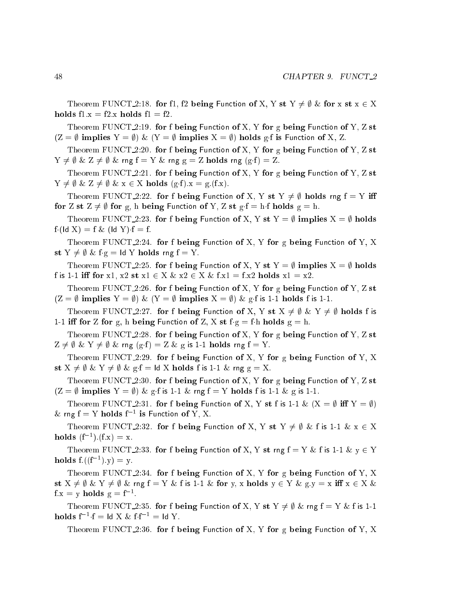Theorem FUNCT 2:18. for f1, f2 being Function of X, Y st Y  $\neq \emptyset$  & for x st  $x \in X$ holds  $f1.x = f2.x$  holds  $f1 = f2$ .

Theorem FUNCT 2:19. for f being Function of X, Y for g being Function of Y, Z st  $(Z = \emptyset \text{ implies } Y = \emptyset) \& (Y = \emptyset \text{ implies } X = \emptyset) \text{ holds } g \text{-} f \text{ is Function of } X, Z.$ 

Theorem FUNCT  $2:20$ . for f being Function of X, Y for g being Function of Y, Z st  $Y \neq \emptyset \& Z \neq \emptyset \& \text{rng } f = Y \& \text{rng } g = Z \text{ holds rng } (g \cdot f) = Z.$ 

Theorem FUNCT  $2:21$ . for f being Function of X, Y for g being Function of Y, Z st  $Y \neq \emptyset \& Z \neq \emptyset \& x \in X \text{ holds } (g \cdot f).x = g \cdot (f \cdot x).$ 

Theorem FUNCT 2:22. for f being Function of X, Y st Y  $\neq$   $\emptyset$  holds rng f = Y iff for Z st  $Z \neq \emptyset$  for g, h being Function of Y, Z st g f = h f holds g = h.

Theorem FUNCT\_2:23. for f being Function of X, Y st Y =  $\emptyset$  implies X =  $\emptyset$  holds  $f (Id X) = f \& (Id Y) \cdot f = f.$ 

Theorem FUNCT  $2:24$ . for f being Function of X, Y for g being Function of Y, X st  $Y \neq \emptyset$  & fg = ld Y holds rng f = Y.

Theorem FUNCT 2:25. for f being Function of X, Y st  $Y = \emptyset$  implies  $X = \emptyset$  holds f is 1-1 iff for x1, x2 st  $x1 \in X \& x2 \in X \& f.x1 = f.x2$  holds  $x1 = x2$ .

Theorem FUNCT  $2:26$ . for f being Function of X, Y for g being Function of Y, Z st  $(Z = \emptyset \text{ implies } Y = \emptyset) \& (Y = \emptyset \text{ implies } X = \emptyset) \& g \text{ is 1-1 holds } f \text{ is 1-1}.$ 

Theorem FUNCT 2:27. for f being Function of X, Y st  $X \neq \emptyset$  & Y  $\neq \emptyset$  holds f is 1-1 iff for Z for g, h being Function of Z, X st  $f g = f h$  holds  $g = h$ .

Theorem FUNCT  $2:28$ . for f being Function of X, Y for g being Function of Y, Z st  $Z \neq \emptyset \& Y \neq \emptyset \& \text{rng } (g \cdot f) = Z \& g \text{ is 1-1 holds rng } f = Y.$ 

Theorem FUNCT 2:29. for f being Function of X, Y for g being Function of Y, X st  $X \neq \emptyset$  &  $Y \neq \emptyset$  & g·f = ld X holds f is 1-1 & rng g = X.

Theorem FUNCT 2:30. for f being Function of X, Y for g being Function of Y, Z st  $(Z = \emptyset$  implies  $Y = \emptyset$ ) & g f is 1-1 & rng f = Y holds f is 1-1 & g is 1-1.

Theorem FUNCT<sub>-2</sub>:31. for f being Function of X, Y st f is 1-1 &  $(X = \emptyset \text{ iff } Y = \emptyset)$  $\&$  rng  $f = Y$  holds  $f^{-1}$  is Function of Y, X.

Theorem FUNCT 2:32. for f being Function of X, Y st Y  $\neq \emptyset$  & f is 1-1 & x  $\in$  X **holds**  $(f^{-1}) \cdot (f.x) = x.$ 

Theorem FUNCT<sub>-2</sub>:33. for f being Function of X, Y st rng  $f = Y \& f$  is 1-1  $\& y \in Y$ **holds**  $f((f^{-1}).y) = y$ .

Theorem FUNCT 2:34. for f being Function of X, Y for g being Function of Y, X st  $X \neq \emptyset$  &  $Y \neq \emptyset$  & rng  $f = Y$  & f is 1-1 & for y, x holds  $y \in Y$  & g.y = x iff  $x \in X$  &  $f.x = y$  holds  $g = f^{-1}$ .

Theorem FUNCT 2:35. for f being Function of X, Y st  $Y \neq \emptyset$  & rng  $f = Y$  & f is 1-1  ${\rm \bf holds\ } {\rm f}^{-1}\cdot {\rm f} = {\rm Id\ } {\rm X\ \&\ } {\rm f}\cdot {\rm f}^{-1} = {\rm Id\ } {\rm Y}.$ 

Theorem FUNCT 2:36. for f being Function of X, Y for g being Function of Y, X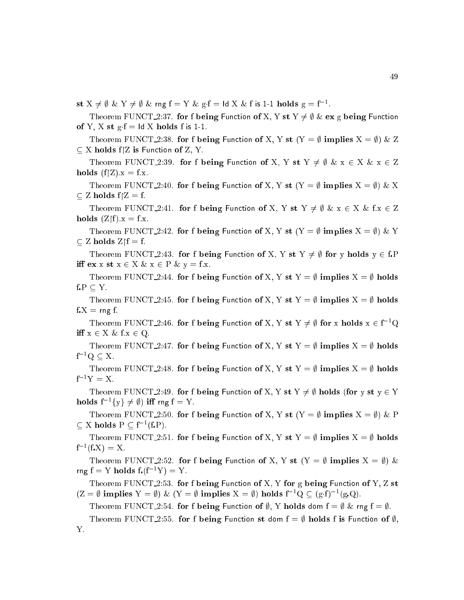st  $X \neq \emptyset$  &  $Y \neq \emptyset$  & rng  $f = Y$  & g·f = ld  $X$  & f is 1-1 holds  $g = f^{-1}$ .

Theorem FUNCT 2:37. for f being Function of X, Y st Y  $\neq \emptyset$  & ex g being Function of Y, X st  $g.f = Id X$  holds f is 1-1.

Theorem FUNCT 2:38. for f being Function of X, Y st  $(Y = \emptyset \text{ implies } X = \emptyset) \& Z$ X holds fZ is Fun
tion of Z, Y.

Theorem FUNCT 2:39. for f being Function of X, Y st Y  $\neq \emptyset$  & x  $\in$  X & x  $\in$  Z holds  $(f|Z).x = f.x.$ 

Theorem FUNCT 2:40. for f being Function of X, Y st  $(Y = \emptyset \text{ implies } X = \emptyset) \& X$ Z holds fZ = f.

Theorem FUNCT 2:41. for f being Function of X, Y st Y  $\neq \emptyset$  & x  $\in$  X & f.x  $\in$  Z holds  $(Z \upharpoonright f).x = f.x.$ 

Theorem FUNCT 2:42. for f being Function of X, Y st  $(Y = \emptyset)$  implies  $X = \emptyset$  & Y Z holds Zf = f.

Theorem FUNCT 2:43. for f being Function of X, Y st Y  $\neq \emptyset$  for y holds  $y \in f.P$ iff  $ex x st x \in X \& x \in P \& y = f.x.$ 

Theorem FUNCT 2:44. for f being Function of X, Y st Y =  $\emptyset$  implies X =  $\emptyset$  holds  $f.P \subseteq Y$ .

Theorem FUNCT 2:45. for f being Function of X, Y st Y =  $\emptyset$  implies X =  $\emptyset$  holds  $f.X = rng f$ .

Theorem FUNCT 2:46. for f being Function of X, Y st  $Y \neq \emptyset$  for x holds  $x \in f^{-1}Q$ iff  $x \in X \& f.x \in Q$ .

Theorem FUNCT 2:47. for f being Function of X, Y st Y =  $\emptyset$  implies X =  $\emptyset$  holds  $f^{-1}Q \subseteq X$ .

Theorem FUNCT 2:48. for f being Function of X, Y st Y =  $\emptyset$  implies X =  $\emptyset$  holds  $f^{-1}Y = X.$ 

Theorem FUNCT 2:49. for f being Function of X, Y st Y  $\neq \emptyset$  holds (for y st y  $\in$  Y holds  $f^{-1}{v} \neq \emptyset$  iff rng  $f = Y$ .

Theorem FUNCT 2:50. for f being Function of X, Y st (Y =  $\emptyset$  implies X =  $\emptyset$ ) & P  $\subset X$  holds  $P \subset f^{-1}(f.P)$ .

Theorem FUNCT 2:51. for f being Function of X, Y st Y =  $\emptyset$  implies X =  $\emptyset$  holds  $f^{-1}(f X) = X.$ 

Theorem FUNCT<sub>-2</sub>:52. for f being Function of X, Y st  $(Y = \emptyset)$  implies  $X = \emptyset$  & rng  $f = Y$  holds  $f \cdot (f^{-1}Y) = Y$ .

Theorem FUNCT 2:53. for f being Function of X, Y for g being Function of Y, Z st  $(Z = \emptyset \text{ implies } Y = \emptyset) \& (Y = \emptyset \text{ implies } X = \emptyset) \text{ holds } f^{-1}Q \subset (g \cdot f)^{-1}(g \cdot Q).$ 

Theorem FUNCT 2:54. for f being Function of  $\emptyset$ , Y holds dom  $f = \emptyset$  & rng  $f = \emptyset$ .

Theorem FUNCT 2:55. for f being Function st dom  $f = \emptyset$  holds f is Function of  $\emptyset$ , Y.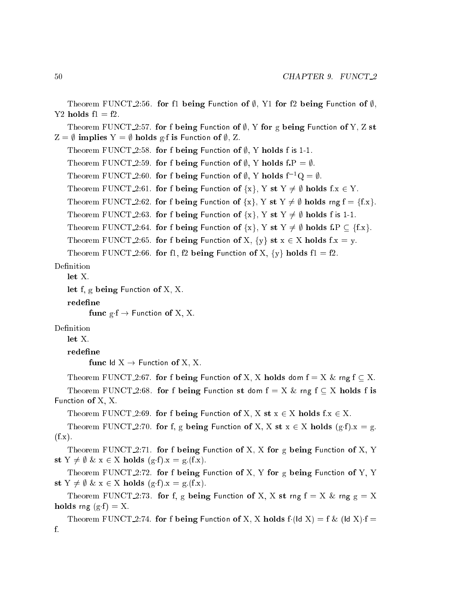```
Theorem FUNCT<sub>-2:56</sub>. for f1 being Function of \emptyset, Y1 for f2 being Function of \emptyset,
Y2 holds f1 = f2.
   Theorem FUNCT<sub>-2</sub>:57. for f being Function of \emptyset, Y for g being Function of Y, Z st
Z = \emptyset implies Y = \emptyset holds g f is Function of \emptyset, Z.
   Theorem FUNCT 2:58. for f being Function of \emptyset, Y holds f is 1-1.
   Theorem FUNCT 2:59. for f being Function of \emptyset, Y holds f.P = \emptyset.
   Theorem FUNCT 2:60. for f being Function of \emptyset, Y holds f^{-1}Q = \emptyset.
   Theorem FUNCT 2:61. for f being Function of \{x\}, Y st Y \neq \emptyset holds f.x \in Y.
   Theorem FUNCT 2:62. for f being Function of \{x\}, Y st Y \neq \emptyset holds rng f = \{f.x\}.
   Theorem FUNCT 2:63. for f being Function of \{x\}, Y st Y \neq \emptyset holds f is 1-1.
   Theorem FUNCT 2:64. for f being Function of \{x\}, Y st Y \neq \emptyset holds f.P \subseteq \{f.x\}.
   Theorem FUNCT 2:65. for f being Function of X, \{y\} st x \in X holds f.x = y.
   Theorem FUNCT 2:66. for f1, f2 being Function of X, \{y\} holds f1 = f2.
Definition
   let X.
   let f, g being Function of X, X.
   redefine
          func g f \rightarrow Function of X, X.
Definition
   let X.redefine
          func ld X \rightarrow Function of X, X.
   Theorem FUNCT 2:67. for f being Function of X, X holds dom f = X \& rng f \subset X.
   Theorem FUNCT<sub>-2:68</sub>. for f being Function st dom f = X \& rng f \subseteq X holds f is
Fun
tion of X, X.
   Theorem FUNCT 2:69. for f being Function of X, X st x \in X holds f:x \in X.
   Theorem FUNCT 2:70. for f, g being Function of X, X st x \in X holds (g \cdot f)x = g.
(f.x).Theorem FUNCT 2:71. for f being Function of X, X for g being Function of X, Y
st Y \neq \emptyset & x \in X holds (g·f).x = g.(f.x).
   Theorem FUNCT 2:72. for f being Function of X, Y for g being Function of Y, Y
st Y \neq \emptyset & x \in X holds (g·f).x = g.(f.x).
   Theorem FUNCT 2:73. for f, g being Function of X, X st rng f = X \& \text{rng } g = Xholds rng (g \cdot f) = X.
   Theorem FUNCT 2:74. for f being Function of X, X holds f (ld X) = f & (ld X) f =f.
```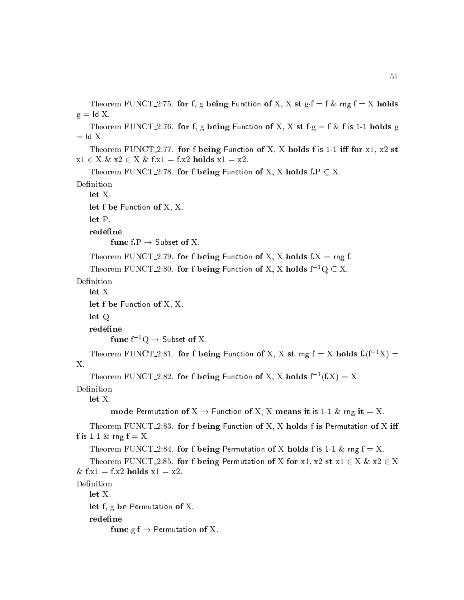```
Theorem FUNCT 2:75. for f, g being Function of X, X st g \cdot f = f \& rng \ f = X \text{ holds}g = Id X.
   Theorem FUNCT<sub>-2</sub>:76. for f, g being Function of X, X st f g = f \& f is 1-1 holds g
= Id X.
   Theorem FUNCT<sub>-2</sub>:77. for f being Function of X, X holds f is 1-1 iff for x1, x2 st
x1 \in X \& x2 \in X \& f.x1 = f.x2 holds x1 = x2.
   Theorem FUNCT 2:78. for f being Function of X, X holds f.P \subseteq X.
Definition
   let X.let f be Function of X, X.
   let P.func f.P \rightarrow Subset of X.
   Theorem FUNCT 2:79. for f being Function of X, X holds f.X = rng f.
   Theorem FUNCT 2:80. for f being Function of X, X holds f^{-1}Q \subset X.
Definition
   let X.
   let f be Function of X, X.
   let Q.
   redefine
         func f^{-1}Q \rightarrow Subset of X.
   Theorem FUNCT 2:81. for f being Function of X, X st rng f = X holds f(f^{-1}X) =X.
    Theorem FUNCT_2:82. for f being Function of X, X holds f^{-1}(f.X) = X.
Definition
   let X.
          mode Permutation of X \to Function of X, X means it is 1-1 \& rng it = X.
   Theorem FUNCT<sub>-2</sub>:83. for f being Function of X, X holds f is Permutation of X iff
f is 1-1 \& rng f = X.
   Theorem FUNCT 2:84. for f being Permutation of X holds f is 1-1 \& rng f = X.
   Theorem FUNCT 2:85. for f being Permutation of X for x1, x2 st x1 \in X \& x2 \in X& f.x1 = f.x2 holds x1 = x2.
Definition
   let X.
   let f, g be Permutation of X.
   redefine
```
func  $g \cdot f \rightarrow$  Permutation of X.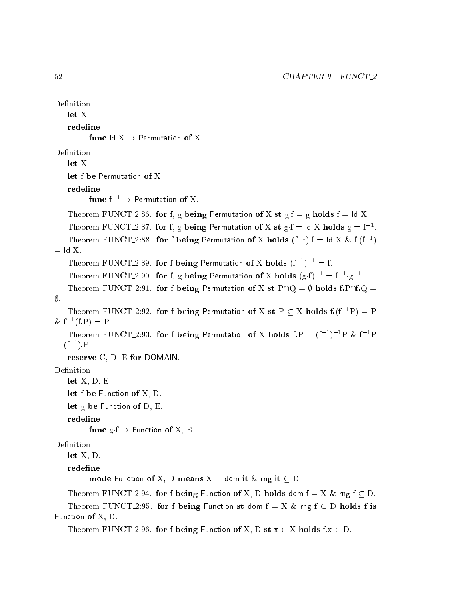```
Definition
   let X.redefine
          func ld X \rightarrow Permutation of X.
Definition
   let X.
   redefine
          func f^{-1} \rightarrow Permutation of X.
   Theorem FUNCT 2:86. for f, g being Permutation of X st g \cdot f = g holds f = Id X.
    Theorem FUNCT 2:87. for f, g being Permutation of X st g f = ld X holds g = f^{-1}.
    Theorem FUNCT 2:88. for f being Permutation of X holds (f^{-1}) \cdot f = \mathsf{Id} \times \& f \cdot (f^{-1})= Id X.
    Theorem FUNCT 2:89. for f being Permutation of X holds (f^{-1})^{-1} = f.
    Theorem FUNCT 2:90. for f, g being Permutation of X holds (g \cdot f)^{-1} = f^{-1} \cdot g^{-1}.
   Theorem FUNCT 2:91. for f being Permutation of X st P\cap Q = \emptyset holds f.P\cap f\cap Q =\emptyset.
    Theorem FUNCT 2:92. for f being Permutation of X st P \subset X holds f(f^{-1}P) = P& f^{-1}(f.P) = P.Theorem FUNCT 2:93. for f being Permutation of X holds f.P = (f^{-1})^{-1}P \& f^{-1}P= (f^{-1}) P.
   reserve C, D, E for DOMAIN.
Definition
   let X, D, E.
   let f be Function of X, D.
   let g be Function of D, E.
   redefine
          func g \cdot f \rightarrow Function of X, E.
Definition
   let X, D.
   redefine
          mode Function of X, D means X = dom it & rng it \subseteq D.
   Theorem FUNCT 2:94. for f being Function of X, D holds dom f = X \& rng f \subseteq D.
   Theorem FUNCT<sub>-2:95</sub>. for f being Function st dom f = X \& rng f \subseteq D holds f is
Fun
tion of X, D.
   Theorem FUNCT 2:96. for f being Function of X, D st x \in X holds f.x \in D.
```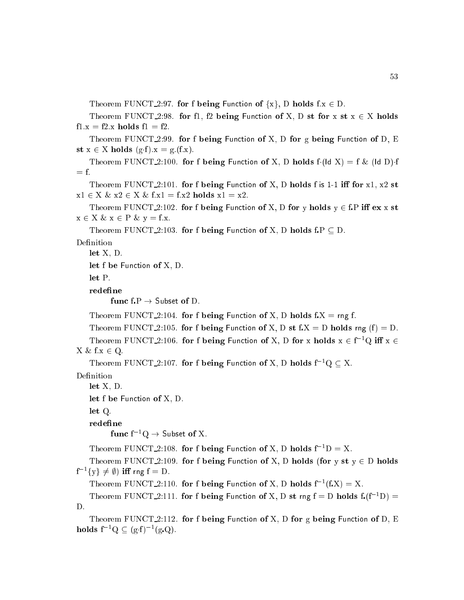Theorem FUNCT 2:97. for f being Function of  $\{x\}$ , D holds f.x  $\in$  D.

Theorem FUNCT<sub>-2:98</sub>. for fl, f2 being Function of X, D st for  $x$  st  $x \in X$  holds  $f1.x = f2.x$  holds  $f1 = f2$ .

Theorem FUNCT 2:99. for f being Function of X, D for g being Function of D, E st  $x \in X$  holds  $(g \cdot f).x = g.(f.x).$ 

Theorem FUNCT 2:100. for f being Function of X, D holds  $f(Id X) = f \& (Id D) \cdot f$  $=$  f.

Theorem FUNCT 2:101. for f being Function of X, D holds f is 1-1 iff for  $x1, x2$  st  $x1 \in X \& x2 \in X \& f.x1 = f.x2 \text{ holds } x1 = x2.$ 

Theorem FUNCT 2:102. for f being Function of X, D for y holds  $y \in f.P$  iff  $ex x$  st  $x \in X \& x \in P \& y = f.x.$ 

Theorem FUNCT 2:103. for f being Function of X, D holds f.P  $\subseteq$  D.

Definition

let X, D.

let f be Function of X, D.

 $let P.$ 

redefine

func  $f.P \rightarrow$  Subset of D.

Theorem FUNCT 2:104. for f being Function of X, D holds  $f.X = rng f$ .

Theorem FUNCT<sub>-2</sub>:105. for f being Function of X, D st f.X = D holds rng (f) = D.

Theorem FUNCT 2:106. for f being Function of X, D for x holds  $x \in f^{-1}Q$  iff  $x \in$  $X \& f.x \in Q.$ 

Theorem FUNCT 2:107. for f being Function of X, D holds  $f^{-1}Q \subset X$ .

Definition

let X, D.

```
let f be Function of X, D.
```
let Q.

redefine

func  $f^{-1}Q \rightarrow$  Subset of X.

Theorem FUNCT 2:108. for f being Function of X, D holds  $f^{-1}D = X$ .

Theorem FUNCT<sub>-2</sub>:109. for f being Function of X, D holds (for y st  $y \in D$  holds  $f^{-1}{y} \neq \emptyset$ ) iff rng  $f = D$ .

Theorem FUNCT\_2:110. for f being Function of X, D holds  $f^{-1}(f,X) = X$ .

Theorem FUNCT 2:111. for f being Function of X, D st rng  $f = D$  holds  $f(f^{-1}D) =$ D.

Theorem FUNCT<sub>-2</sub>:112. for f being Function of X, D for g being Function of D, E holds  $f^{-1}Q \subset (g \cdot f)^{-1}(g \cdot Q)$ .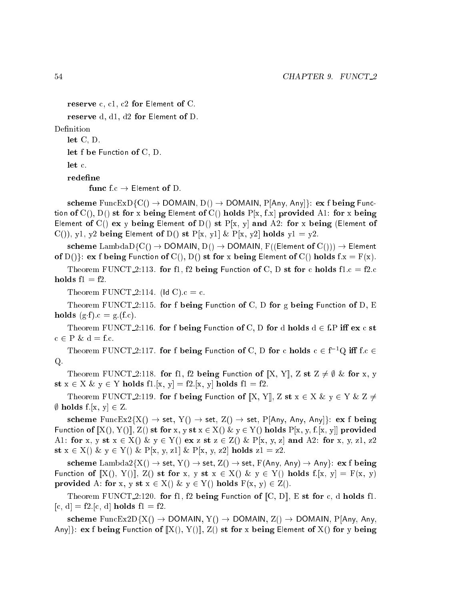```
reserve c, c1, c2 for Element of C.
```

```
reserve d, d1, d2 for Element of D.
```
Definition

let C, D.

let f be Function of C, D.

let c.

redefine

func  $f.c \rightarrow$  Element of D.

scheme FuncExD{C()  $\rightarrow$  DOMAIN, D()  $\rightarrow$  DOMAIN, P[Any, Any]}: ex f being Function of  $C($ ),  $D($ ) st for x being Element of  $C($ ) holds  $P[x, f.x]$  provided A1: for x being Element of C() ex y being Element of D() st  $P[x, y]$  and A2: for x being (Element of C()), y1, y2 being Element of D() st P[x, y1] & P[x, y2] holds  $y1 = y2$ .

scheme LambdaD $\{C() \rightarrow$  DOMAIN,  $D() \rightarrow$  DOMAIN,  $F((Element of C))) \rightarrow$  Element of  $D()$ : ex f being Function of  $C(), D()$  st for x being Element of  $C()$  holds  $f.x = F(x)$ .

Theorem FUNCT 2:113. for fl, f2 being Function of C, D st for c holds fl.c = f2.c holds  $f1 = f2$ .

Theorem FUNCT 2:114. (ld C). $c = c$ .

Theorem FUNCT<sub>-2</sub>:115. for f being Function of C, D for g being Function of D, E holds  $(g \cdot f).c = g.(f.c).$ 

Theorem FUNCT<sub>-2</sub>:116. for f being Function of C, D for d holds  $d \in$  f.P iff ex c st  $c \in P \& d = f.c.$ 

Theorem FUNCT 2:117. for f being Function of C, D for c holds  $c \in f^{-1}Q$  iff f.c  $\in$ Q.

Theorem FUNCT 2:118. for f1, f2 being Function of [X, Y], Z st Z  $\neq \emptyset$  & for x, y st  $x \in X \& y \in Y$  holds fl.[x, y] = f2.[x, y] holds fl = f2.

Theorem FUNCT 2:119. for f being Function of  $[X, Y]$ , Z st  $x \in X \& y \in Y \& Z \neq Y$ , <u>holds files for a construction</u>

scheme FuncEx2{X()  $\rightarrow$  set, Y()  $\rightarrow$  set, Z()  $\rightarrow$  set, P[Any, Any, Any]}: ex f being Function of  $[[X], Y]]$ ,  $Z()$  st for x, y st  $x \in X()$  &  $y \in Y()$  holds  $P[x, y, f[x, y]]$  provided A1: for x, y st  $x \in X()$  & y  $\in Y()$  ex z st  $z \in Z()$  & P[x, y, z] and A2: for x, y, z1, z2 st  $x \in X()$  &  $y \in Y()$  & P[x, y, z1] & P[x, y, z2] holds  $z1 = z2$ .

scheme Lambda2 $\{X() \rightarrow set, Y() \rightarrow set, Z() \rightarrow set, F(Any, Any) \rightarrow Any\}$ : ex f being Function of  $[[X](, Y)]$ ,  $Z()$  st for x, y st  $x \in X()$  &  $y \in Y()$  holds  $f:[x, y] = F(x, y)$ provided A: for x, y st  $x \in X()$  &  $y \in Y()$  holds  $F(x, y) \in Z()$ .

Theorem FUNCT<sub>-2</sub>:120. for fl, f2 being Function of  $[C, D]$ , E st for c, d holds fl.  $[c, d] = f2.[c, d]$  holds  $f1 = f2$ .

scheme FuncEx2D{X()  $\rightarrow$  DOMAIN, Y()  $\rightarrow$  DOMAIN, Z()  $\rightarrow$  DOMAIN, P[Any, Any, Any]: ex f being Function of  $[X()$ ,  $Y()$ ],  $Z()$  st for x being Element of  $X()$  for y being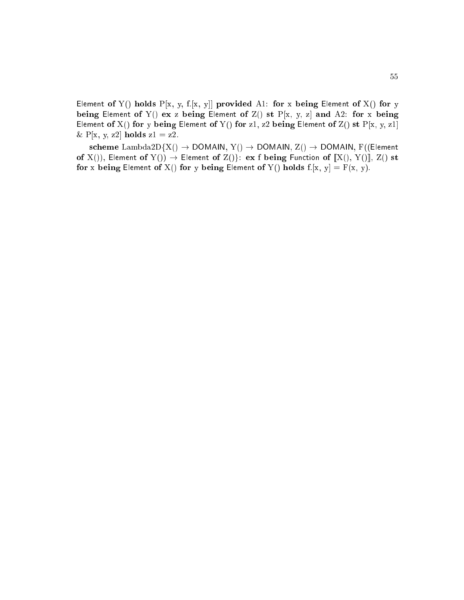Element of Y() holds P[x, y, f.[x, y]] provided A1: for x being Element of X() for y being Element of Y() ex z being Element of Z() st  $P[x, y, z]$  and A2: for x being Element of X() for y being Element of Y() for z1, z2 being Element of Z() st  $P[x, y, z1]$ & P[x, y, z2] holds  $z1 = z2$ .

scheme Lambda2D{X()  $\rightarrow$  DOMAIN, Y()  $\rightarrow$  DOMAIN, Z()  $\rightarrow$  DOMAIN, F((Element of X()), Element of Y())  $\rightarrow$  Element of Z()}: ex f being Function of  $[[X(), Y()]]$ , Z() st for x being Element of X() for y being Element of Y() holds  $f.[x, y] = F(x, y)$ .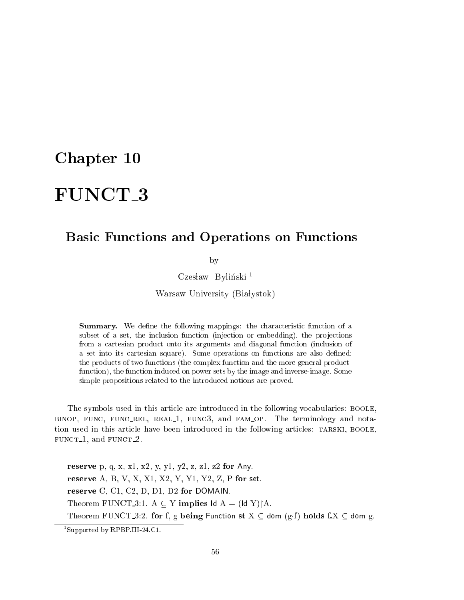### Chapter 10

# FUNCT 3

#### Basic Functions and Operations on Functions

by

Czesław Byliński<sup>1</sup>

Warsaw University (Białystok)

**Summary.** We define the following mappings: the characteristic function of a subset of a set, the inclusion function (injection or embedding), the projections from a cartesian product onto its arguments and diagonal function (inclusion of a set into its cartesian square). Some operations on functions are also defined: the products of two functions (the complex function and the more general productfunction), the function induced on power sets by the image and inverse-image. Some simple propositions related to the introdu
ed notions are proved.

The symbols used in this article are introduced in the following vocabularies: BOOLE, BINOP, FUNC, FUNC\_REL, REAL\_1, FUNC3, and FAM\_OP. The terminology and notation used in this article have been introduced in the following articles: TARSKI, BOOLE, fun
t 1, and fun
t 2.

reserve p, q, x, x1, x2, y, y1, y2, z, z1, z2 for Any. reserve A, B, V, X, X1, X2, Y, Y1, Y2, Z, P for set. reserve C, C1, C2, D, D1, D2 for DOMAIN. Theorem FUNCT 3:1. A  $\subseteq$  Y implies  $\operatorname{Id}$  A = ( $\operatorname{Id}$  Y) $\upharpoonright$ A. Theorem FUNCT 3:2. for f, g being Function st  $X \subseteq$  dom  $(g \cdot f)$  holds f. $X \subseteq$  dom g.

<sup>1</sup> Supported by RPBP.III-24.C1.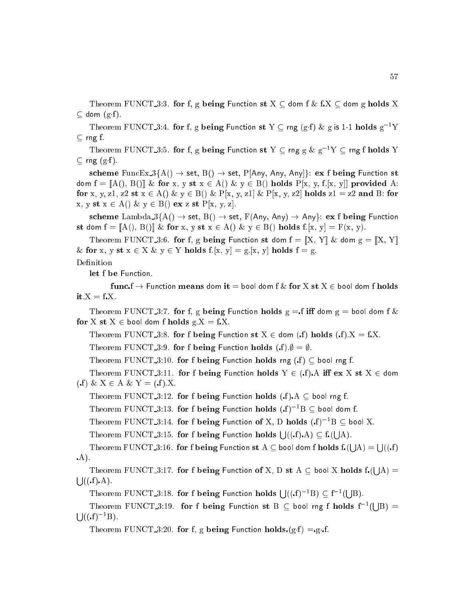Theorem FUNCT 3:3. for f, g being Function st  $X \subseteq$  dom f  $\&$  f.X  $\subseteq$  dom g holds X dom (gf ).

Theorem FUNCT 3:4. for f, g being Function st Y  $\subset$  rng (g.f) & g is 1-1 holds  $g^{-1}Y$ rng f.

Theorem FUNCT 3:5. for f, g being Function st Y  $\subseteq$  rng g  $\&$   $g^{-1}Y \subseteq$  rng f holds Y  $\ldots$   $\ldots$   $\ldots$   $\ldots$ 

scheme FuncEx\_3{A()  $\rightarrow$  set, B()  $\rightarrow$  set, P[Any, Any, Any]}: ex f being Function st dom  $f = [A()$ ,  $B()$  & for x, y st  $x \in A()$  &  $y \in B()$  holds  $P[x, y, f:[x, y]]$  provided A: for x, y, z1, z2 st  $x \in A() \& y \in B() \& P[x, y, z1] \& P[x, y, z2]$  holds  $z1 = z2$  and B: for  $x, y \text{ st } x \in A() \& y \in B() \text{ ex } z \text{ st } P[x, y, z].$ 

scheme Lambda  $3\{\text{A}() \rightarrow \text{set}, \text{B}() \rightarrow \text{set}, \text{F}(\text{Any}, \text{Any}) \rightarrow \text{Any}\}\$ : ex f being Function st dom  $f = [A()$ ,  $B()$  & for x, y st  $x \in A()$  & y  $\in B()$  holds  $f:[x, y] = F(x, y)$ .

Theorem FUNCT-3:6. for f, g being Function st dom  $f = [X, Y]$  & dom  $g = [X, Y]$ & for x, y st  $x \in X$  &  $y \in Y$  holds f.[x, y] = g.[x, y] holds f = g.

#### Definition

let f be Function.

func.f  $\rightarrow$  Function means dom it = bool dom f & for X st X  $\in$  bool dom f holds it. $X = f X$ .

Theorem FUNCT 3:7. for f, g being Function holds  $g = f$  iff dom  $g =$  bool dom f & for X st  $X \in$  bool dom f holds  $g.X = f.X$ .

Theorem FUNCT 3:8. for f being Function st  $X \in$  dom (f) holds (f)  $X = fX$ .

Theorem FUNCT 3:9. for f being Function holds (f)  $\emptyset = \emptyset$ .

Theorem FUNCT 3:10. for f being Function holds rng  $(f) \subseteq$  bool rng f.

Theorem FUNCT<sub>-3</sub>:11. for f being Function holds  $Y \in (f)$ . A iff ex X st X  $\in$  dom (f) &  $X \in A \& Y = (f).X.$ 

Theorem FUNCT 3:12. for f being Function holds  $(f)$ . A  $\subseteq$  bool rng f.

Theorem FUNCT\_3:13. for f being Function holds  $(f)^{-1}B\subseteq$  bool dom f.

Theorem FUNCT 3:14. for f being Function of X, D holds  $(f)^{-1}B \subseteq$  bool X.

Theorem FUNCT 3:15. for f being Function holds  $\bigcup((f)A) \subseteq f$  ( s such an an A).

theorem Function st A  $\sim$  for fixed function state for form for  $\sim$ s and the second state of the second state of the second state of the second state of the second state of the second state in the second state in the second state in the second state in the second state in the second state A) = s and the second state of the second state of the second state of the second state of the second state of the second state in the second state in the second state in the second state in the second state in the second state  $\cdots$ A).

Theorem FUNCT 3:17. for <sup>f</sup> being Fun
tion of X, <sup>D</sup> st <sup>A</sup> bool <sup>X</sup> holds <sup>f</sup>( s a A) = s a  $\cdots$ 

Theorem FUNCT\_3:18. for f being Function holds  $\bigcup ((.f)^{-1}B) \subset f^{-1}($ s a  $-$  , .

Theorem FUNCT\_3:19. for f being Function st B  $\subset$  bool rng f holds  $f^{-1}($ s a B) =  $\bigcup ((\mathbf{f})^{-1}B).$ 

Theorem FUNCT 3:20. for f, g being Function holds  $(g \cdot f) = g \cdot f$ .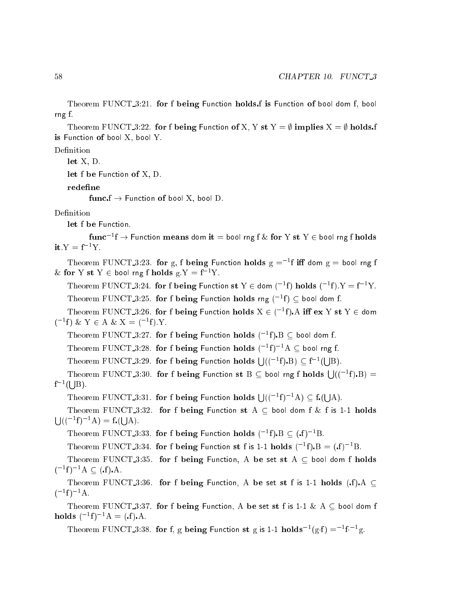Theorem FUNCT\_3:21. for f being Function holds f is Function of bool dom f, bool rng f.

Theorem FUNCT\_3:22. for f being Function of X, Y st Y =  $\emptyset$  implies X =  $\emptyset$  holds.f is Function of bool X, bool Y.

Definition

let X, D.

let f be Function of X, D.

redefine

func  $f \rightarrow$  Function of bool X, bool D.

Definition

let f be Function.

 ${\rm func}^{-1}f \to$  Function  ${\rm \bf means}$  dom  ${\rm \bf it} =$  bool rng f  $\&$  for  $Y$  st  $Y \in$  bool rng f  ${\rm holds}$ it.Y =  $f^{-1}Y$ .

Theorem FUNCT\_3:23. for g, f being Function holds  $g = -1f$  iff dom  $g =$  bool rng f & for Y st Y  $\in$  bool rng f holds g.Y = f<sup>-1</sup>Y.

Theorem FUNCT\_3:24. for f being Function st  $Y \in$  dom  $({}^{-1}f)$  holds  $({}^{-1}f).Y = f^{-1}Y.$ Theorem FUNCT\_3:25. for f being Function holds rng ( $^{-1}$ f)  $\subset$  bool dom f.

Theorem FUNCT\_3:26. for f being Function holds  $X \in (-1f)$ . A iff  $ex \ Y \ st \ Y \in$  dom  $(^{-1}f) \& Y \in A \& X = (^{-1}f).Y.$ 

Theorem FUNCT\_3:27. for f being Function holds  $({}^{-1}{\rm f})$  B  $\subset$  bool dom f.

Theorem FUNCT.3:28. for f being Function holds  $({}^{-1}f)^{-1}A \subseteq$  bool rng f.

Theorem FUNCT\_3:29. for f being Function holds  $\bigcup (({}^{-1}f).B) \subset f^{-1}(f)$ s a  $-$  , .

Theorem FUNCT 3:30. for f being Function st B  $\subset$  bool rng f holds  $\bigcup (({}^{-1}f)$ . B) =  $\mathrm{f}^{-1}($ s such an an  $\cdot$ 

Theorem FUNCT.3:31. for f being Function holds  $\bigcup (({}^{-1}f)^{-1}A) \subset f$ A).

Theorem FUNCT 3:32. for f being Function st A  $\subset$  bool dom f & f is 1-1 holds  $\mathcal{L}$   $\mathcal{L}$   $($   $($   $^{-1}$  f $)$   $^{-1}$  A  $)$   $=$  f $\mathcal{L}$   $\mathcal{L}$   $\mathcal{L}$ A).

Theorem FUNCT\_3:33. for f being Function holds  $(^{-1}f)$ .B  $\subset$   $(f)^{-1}B$ .

Theorem FUNCT 3:34. for f being Function st f is 1-1 holds  $({}^{-1}f).B = (f)^{-1}B$ .

Theorem FUNCT 3:35. for f being Function, A be set st  $A \subseteq$  bool dom f holds  $(-1f)^{-1}A \subseteq (f)A$ .

Theorem FUNCT 3:36. for f being Function, A be set st f is 1-1 holds (.f). A  $\subseteq$  $(-1f)^{-1}A$ .

Theorem FUNCT 3:37. for f being Function, A be set st f is 1-1 & A  $\subseteq$  bool dom f holds  $(^{-1}f)^{-1}A = (f)A$ .

Theorem FUNCT 3:38. for f, g being Function st g is 1-1 holds<sup>-1</sup>(g.f) =<sup>-1</sup>f<sup>-1</sup>g.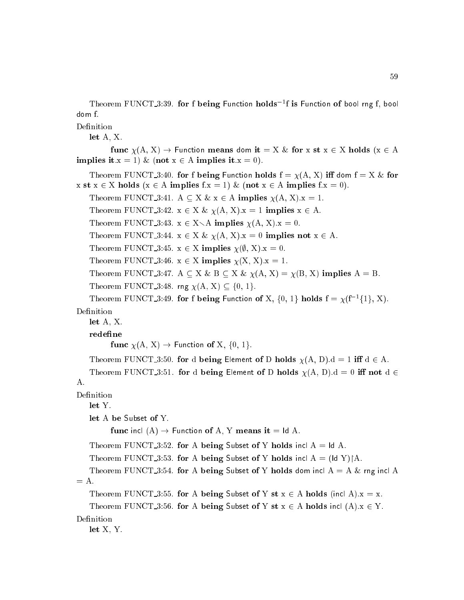Theorem FUNCT\_3:39. for f being Function holds<sup>-1</sup>f is Function of bool rng f, bool dom f.

Definition

let A, X.

func  $\chi(A, X) \to$  Function means dom it = X & for x st x  $\in$  X holds (x  $\in$  A implies it.x = 1) & (not  $x \in A$  implies it.x = 0).

Theorem FUNCT 3:40. for f being Function holds  $f = \chi(A, X)$  iff dom  $f = X \&$  for x st  $x \in X$  holds  $(x \in A$  implies  $f.x = 1)$  & (not  $x \in A$  implies  $f.x = 0$ ).

Theorem FUNCT 3:41. A  $\subseteq X \& x \in A$  implies  $\chi(A, X).x = 1$ .

Theorem FUNCT 3:42.  $x \in X \& \chi(A, X).x = 1$  implies  $x \in A$ .

Theorem FUNCT 3:43.  $x \in X \setminus A$  implies  $\chi(A, X).x = 0$ .

Theorem FUNCT 3:44.  $x \in X \& \chi(A, X).x = 0$  implies not  $x \in A$ .

Theorem FUNCT 3:45.  $x \in X$  implies  $\chi(\emptyset, X).x = 0$ .

Theorem FUNCT 3:46.  $x \in X$  implies  $\chi(X, X).x = 1$ .

Theorem FUNCT 3:47. A  $\subseteq X \& B \subseteq X \& \chi(A, X) = \chi(B, X)$  implies A = B.

Theorem FUNCT 3:48. rng  $\chi(A, X) \subseteq \{0, 1\}.$ 

Theorem FUNCT 3:49. for f being Function of X,  $\{0, 1\}$  holds  $f = \chi(f^{-1}\{1\}, X)$ . Definition

let A, X.

redefine

func  $\chi(A, X) \rightarrow$  Function of X,  $\{0, 1\}$ .

Theorem FUNCT 3:50. for d being Element of D holds  $\chi(A, D).d = 1$  iff  $d \in A$ .

Theorem FUNCT 3:51. for d being Element of D holds  $\chi(A, D).d = 0$  iff not  $d \in$ A.

Definition

let Y.

let A be Subset of Y.

func incl  $(A) \rightarrow$  Function of A, Y means it = ld A.

Theorem FUNCT 3:52. for A being Subset of Y holds incl  $A = Id A$ .

Theorem FUNCT 3:53. for A being Subset of Y holds incl  $A = (Id Y) \upharpoonright A$ .

Theorem FUNCT 3:54. for A being Subset of Y holds dom incl  $A = A \&$  rng incl A  $= A.$ 

```
Theorem FUNCT 3:55. for A being Subset of Y st x \in A holds (incl A).x = x.
```

```
Theorem FUNCT 3:56. for A being Subset of Y st x \in A holds incl (A).x \in Y.
```
Definition

let X, Y.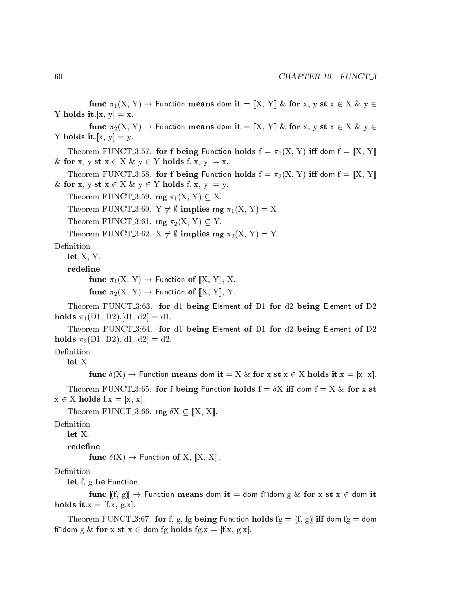func  $\pi_1(X, Y) \to$  Function means dom it =  $[X, Y]$  & for x, y st  $x \in X$  & y  $\in$ Y holds it.[x,  $y = x$ .] func  $\pi_2(X, Y) \to$  Function means dom it =  $[X, Y]$  & for x, y st  $x \in X$  & y  $\in$ Y holds it.[x,  $y = y$ .] Theorem FUNCT 3:57. for f being Function holds  $f = \pi_1(X, Y)$  iff dom  $f = [X, Y]$ & for x, y st  $x \in X$  &  $y \in Y$  holds f.[x, y] = x. Theorem FUNCT\_3:58. for f being Function holds  $f = \pi_2(X, Y)$  iff dom  $f = [X, Y]$ & for x, y st  $x \in X$  &  $y \in Y$  holds f.[x, y] = y. Theorem FUNCT 3:59. rng  $\pi_1(X, Y) \subseteq X$ . Theorem FUNCT 3:60.  $Y \neq \emptyset$  implies rng  $\pi_1(X, Y) = X$ . Theorem FUNCT 3:61. rng  $\pi_2(X, Y) \subseteq Y$ . Theorem FUNCT 3:62.  $X \neq \emptyset$  implies rng  $\pi_2(X, Y) = Y$ . Definition let X, Y. redefine func  $\pi_1(X, Y) \to$  Function of  $\llbracket X, Y \rrbracket$ , X. func  $\pi_2(X, Y) \to$  Function of  $\llbracket X, Y \rrbracket$ , Y. Theorem FUNCT 3:63. for d1 being Element of D1 for d2 being Element of D2 holds  $\pi_1(D1, D2)$ .[d1, d2] = d1. Theorem FUNCT 3:64. for d1 being Element of D1 for d2 being Element of D2 holds  $\pi_2(D1, D2)$ .[d1, d2] = d2. Definition let X. func  $\delta(X) \to$  Function means dom it = X & for x st  $x \in X$  holds it. $x = [x, x]$ . Theorem FUNCT<sub>-3</sub>:65. for f being Function holds  $f = \delta X$  iff dom  $f = X \&$  for x st  $x \in X$  holds  $f.x = [x, x].$ Theorem FUNCT 3:66. rng  $\delta X \subseteq [X, X]$ . Definition let X. redefine

func  $\delta(X) \to$  Function of X,  $\llbracket X, X \rrbracket$ .

#### Definition

let f, g be Function.

func  $(f, g) \rightarrow$  Function means dom it = dom f $\cap$ dom g & for x st x  $\in$  dom it holds it.x =  $[f.x, g.x]$ .

Theorem FUNCT<sub>-3</sub>:67. for f, g, fg being Function holds fg =  $[(f, g)]$  iff dom fg = dom f $\Box$ dom g & for x st x  $\in$  dom fg holds fg.x = [f.x, g.x].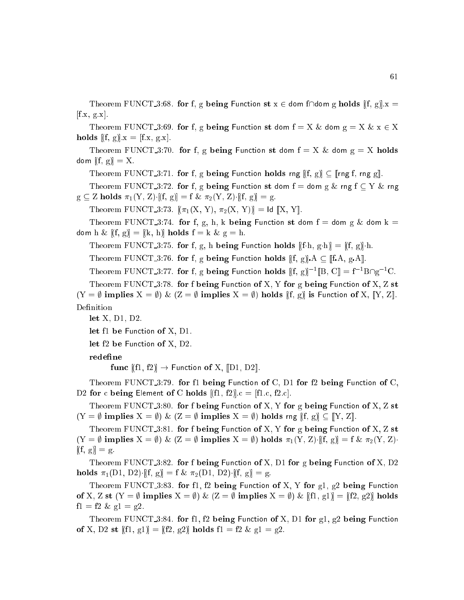Theorem FUNCT 3:68. for f, g being Function st  $x \in$  dom f $\cap$  dom g holds  $[(f, g], x =$  $[f.x, g.x].$ 

Theorem FUNCT 3:69. for f, g being Function st dom  $f = X \&$  dom  $g = X \& x \in X$ holds  $[f, g] \cdot x = [f.x, g.x].$ 

Theorem FUNCT<sub>-3</sub>:70. for f, g being Function st dom  $f = X \&$  dom  $g = X$  holds dom  $[f, g] = X$ .

Theorem FUNCT 3:71. for f, g being Function holds rng  $[(f, g)] \subseteq [r \log f, r \log g]$ .

Theorem FUNCT 3:72. for f, g being Function st dom  $f =$  dom g  $\&$  rng  $f \subseteq Y \&$  rng  $g \subseteq Z$  holds  $\pi_1(Y, Z)$   $[(f, g)] = f \& \pi_2(Y, Z)$   $[(f, g)] = g$ 

Theorem FUNCT 3:73.  $[(\pi_1(X, Y), \pi_2(X, Y))] = Id [X, Y].$ 

Theorem FUNCT<sub>-3</sub>:74. for f, g, h, k being Function st dom f = dom g & dom k = dom h &  $[(f, g)] = [(k, h)]$  holds  $f = k$  &  $g = h$ .

Theorem FUNCT 3:75. for f, g, h being Function holds  $[f-h, g-h] = [f, g]h$ .

Theorem FUNCT 3:76. for f, g being Function holds  $[(f, g) A \subseteq [[f A, g A]]$ .

Theorem FUNCT 3:77. for f, g being Function holds  $[[f, g]]^{-1}[[B, C]] = f^{-1}B \cap g^{-1}C$ .

Theorem FUNCT  $3:78$ . for f being Function of X, Y for g being Function of X, Z st  $(Y = \emptyset$  implies  $X = \emptyset$ ) &  $(Z = \emptyset$  implies  $X = \emptyset$ ) holds  $[[f, g]]$  is Function of X,  $[[Y, Z]]$ . Definition

let X, D1, D2.

let f1 be Function of X, D1.

let f2 be Function of X, D2.

redefine

func  $[f1, f2] \rightarrow$  Function of X,  $[D1, D2]$ .

Theorem FUNCT 3:79. for f1 being Function of C, D1 for f2 being Function of C, D2 for c being Element of C holds  $[[f1, f2]].c = [f1.c, f2.c].$ 

Theorem FUNCT 3:80. for f being Function of X, Y for g being Function of X, Z st  $(Y = \emptyset$  implies  $X = \emptyset$ ) &  $(Z = \emptyset$  implies  $X = \emptyset$ ) holds rng  $[(f, g) \subseteq [Y, Z]$ .

Theorem FUNCT 3:81. for f being Function of X, Y for g being Function of X, Z st  $(Y = \emptyset \text{ implies } X = \emptyset) \& (Z = \emptyset \text{ implies } X = \emptyset) \text{ holds } \pi_1(Y, Z) \cdot [f, g] = f \& \pi_2(Y, Z) \cdot$  $[(f, g)] = g.$ 

Theorem FUNCT  $3:82$ . for f being Function of X, D1 for g being Function of X, D2 holds  $\pi_1(D1, D2)$  [(f, g)] = f &  $\pi_2(D1, D2)$  [(f, g)] = g.

Theorem FUNCT<sub>-3:83</sub>. for f1, f2 being Function of X, Y for  $g_1$ ,  $g_2$  being Function of X, Z st  $(Y = \emptyset$  implies  $X = \emptyset$ ) &  $(Z = \emptyset$  implies  $X = \emptyset$ ) &  $[f1, g1] = [f2, g2]$  holds  $f1 = f2 \& g1 = g2.$ 

Theorem FUNCT 3:84. for f1, f2 being Function of X, D1 for  $g_1$ ,  $g_2$  being Function of X, D2 st  $[[f1, g1] = [[f2, g2]]$  holds  $f1 = f2 \& g1 = g2$ .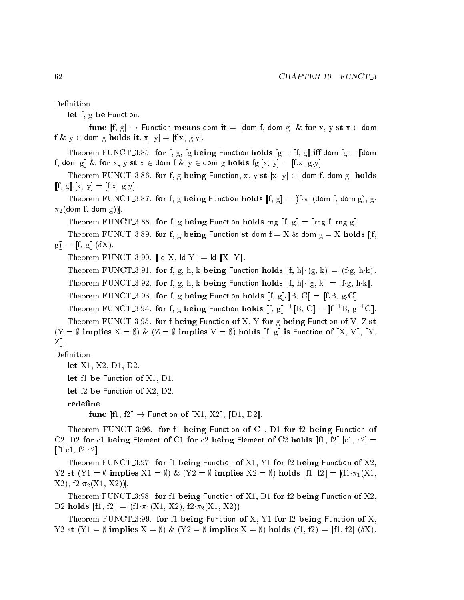Definition

let f, g be Function.

func  $[f, g] \to$  Function means dom it =  $[\![ \text{dom } f, \text{dom } g] \And$  for x, y st  $x \in$  dom  $f \& y \in$  dom g holds it.[x, y] = [f.x, g.y].

Theorem FUNCT 3:85. for f, g, fg being Function holds  $fg = \llbracket f, g \rrbracket$  iff dom  $fg = \llbracket$ dom f, dom g|| & for x, y st  $x \in$  dom f & y  $\in$  dom g holds fg.[x, y] = [f.x, g.y].

Theorem FUNCT<sub>-3</sub>:86. for f, g being Function, x, y st [x, y]  $\in$  [dom f, dom g] holds  $[f, g] \cdot [x, y] = [f.x, g.y].$ 

Theorem FUNCT 3:87. for f, g being Function holds  $[[f, g]] = [[f \pi_1(dom f, dom g), g]$ .  $\pi_2$ (dom f, dom g)).

Theorem FUNCT 3:88. for f, g being Function holds rng  $[[f, g]] = [[\text{rng } f, \text{rng } g]]$ .

Theorem FUNCT-3:89. for f, g being Function st dom  $f = X \&$  dom  $g = X$  holds [f.  $[g] = [f, g] \cdot (\delta X).$ 

Theorem FUNCT 3:90. [Id X, Id Y] = Id [X, Y].

Theorem FUNCT 3:91. for f, g, h, k being Function holds  $[f, h] \cdot [g, k] = [f \cdot g, h \cdot k]$ . Theorem FUNCT 3:92. for f, g, h, k being Function holds  $[[f, h] \cdot [[g, k]] = [[fg, h \cdot k]].$ 

Theorem FUNCT 3:93. for f, g being Function holds  $[[f, g] \cdot [[B, C]] = [[f, B, g, C]]$ .

Theorem FUNCT 3:94, for f, g being Function holds  $\llbracket f, g \rrbracket^{-1} \llbracket B, C \rrbracket = \llbracket f^{-1}B, g^{-1}C \rrbracket.$ Theorem FUNCT 3:95. for f being Function of X, Y for g being Function of V, Z st  $(Y = \emptyset \text{ implies } X = \emptyset) \& (Z = \emptyset \text{ implies } V = \emptyset) \text{ holds } [[f, g]] \text{ is Function of } [[X, V]], [[Y,$ 

 $Z$ .

Definition

```
let X1, X2, D1, D2.
```

```
let f1 be Function of X1, D1.
```
let f2 be Function of X2, D2.

redefine

func  $\llbracket f1, f2 \rrbracket \rightarrow$  Function of  $\llbracket X1, X2 \rrbracket, \llbracket D1, D2 \rrbracket.$ 

Theorem FUNCT<sub>-3:96</sub>. for f1 being Function of C1, D1 for f2 being Function of C2, D2 for c1 being Element of C1 for c2 being Element of C2 holds  $||f1, f2||.$  [c1, c2] =  $[{\rm fl.c1}, {\rm fl.c2}].$ 

Theorem FUNCT<sub>-3</sub>:97. for fl being Function of X1, Y1 for f2 being Function of X2, Y2 st  $(Y1 = \emptyset$  implies  $X1 = \emptyset$ ) &  $(Y2 = \emptyset$  implies  $X2 = \emptyset$ ) holds  $[[f1, f2]] = [[f1 \cdot \pi_1(X1,$  $X2$ ,  $f2 \cdot \pi_2(X1, X2)$ .

Theorem FUNCT<sub>-3:98</sub>. for fl being Function of X1, D1 for f2 being Function of X2, D2 holds  $[[f1, f2]] = [[f1 \cdot \pi_1(X1, X2), f2 \cdot \pi_2(X1, X2)]$ .

Theorem FUNCT  $3:99$ . for f1 being Function of X, Y1 for f2 being Function of X, Y2 st  $(Y1 = \emptyset$  implies  $X = \emptyset)$  &  $(Y2 = \emptyset$  implies  $X = \emptyset)$  holds  $[[f1, f2]] = [[f1, f2]] \cdot (\delta X)$ .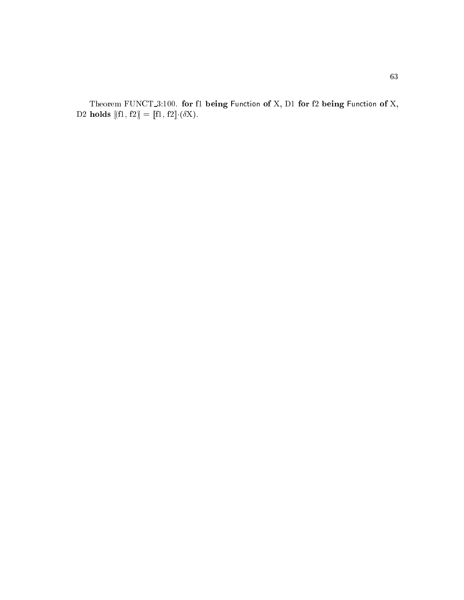Theorem FUNCT\_3:100. for f1 being Function of X, D1 for f2 being Function of X, D2 holds  $[[f1, f2]] = [[f1, f2]] \cdot (\delta \mathbf{X}).$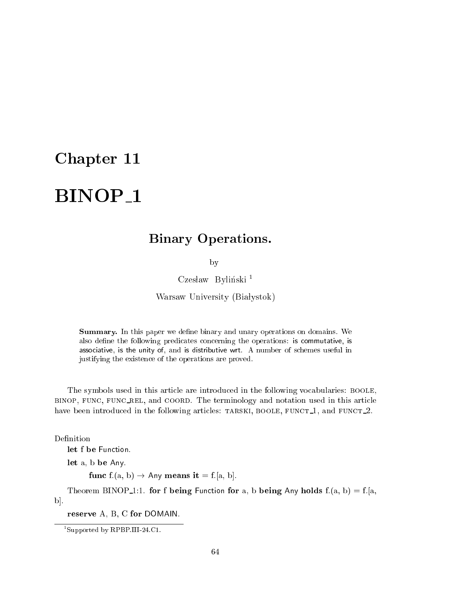### Chapter 11

# BINOP<sub>1</sub>

### Binary Operations.

by

 $\rm Czes law$  Byliński $^1$ 

Warsaw University (Białystok)

**Summary.** In this paper we define binary and unary operations on domains. We also define the following predicates concerning the operations: is commutative, is asso
iative, is the unity of, and is distributive wrt. A number of s
hemes useful in justifying the existen
e of the operations are proved.

The symbols used in this arti
le are introdu
ed in the following vo
abularies: boole, BINOP, FUNC, FUNC\_REL, and COORD. The terminology and notation used in this article have been introduced in the following articles: TARSKI, BOOLE, FUNCT<sub>1</sub>, and FUNCT<sub>1</sub>.

let f be Function.

let a, b be Any.

func  $f:(a, b) \rightarrow Any$  means it =  $f:[a, b]$ .

Theorem BINOP<sub>1</sub>:1. for f being Function for a, b being Any holds  $f(a, b) = f(a, b)$  $\mathbf{b}$ .

reserve A, B, C for DOMAIN.

<sup>1</sup> Supported by RPBP.III-24.C1.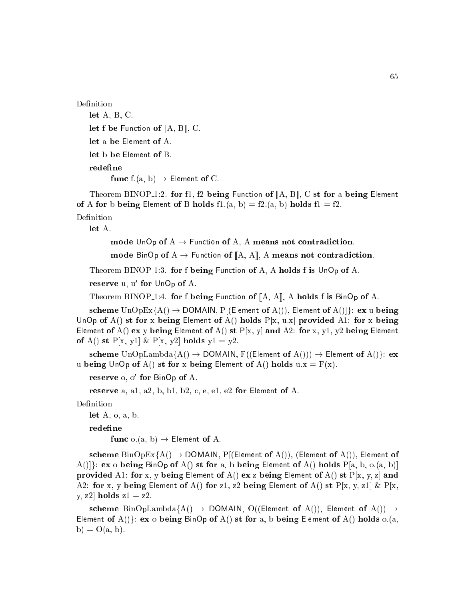Definition

let A, B, C. let f be Function of  $[A, B]$ , C. let a be Element of A. let b be Element of B.

func f.(a, b)  $\rightarrow$  Element of C.

Theorem BINOP<sub>1</sub>:2. for f1, f2 being Function of  $[A, B]$ , C st for a being Element of A for b being Element of B holds fl.(a, b) = f2.(a, b) holds fl = f2.

Definition

let A.

mode UnOp of  $A \rightarrow$  Function of A, A means not contradiction.

mode BinOp of A  $\rightarrow$  Function of [A, A], A means not contradiction.

Theorem BINOP<sub>1</sub>:3. for f being Function of A, A holds f is UnOp of A.

reserve u, u lor UnUp of A.

Theorem BINOP<sub>1</sub>:4. for f being Function of  $[A, A]$ , A holds f is BinOp of A.

scheme  $\text{UnOpEx}\{A() \rightarrow \text{DOMAIN}, P[(\text{Element of } A())$ , Element of  $A()$ ]: ex u being UnOp of A() st for x being Element of A() holds  $P[x, u.x]$  provided A1: for x being Element of A() ex y being Element of A() st  $P[x, y]$  and A2: for x, y1, y2 being Element of A() st P[x, y1] & P[x, y2] holds  $y1 = y2$ .

scheme  $\text{UnOpLambda} \{A() \rightarrow \text{DOMAIN}, F((\text{Element of } A()) \rightarrow \text{Element of } A() \}$ : ex u being UnOp of A() st for x being Element of A() holds  $u.x = F(x)$ .

 ${\bf r}$ ese ${\bf r}$ ve 0, 0  ${\bf r}$ or BinOp of A.

reserve a, a1, a2, b, b1, b2, c, e, e1, e2 for Element of A.

Definition

let  $A$ ,  $o$ ,  $a$ ,  $b$ .

redefine

func  $o.(a, b) \rightarrow$  Element of A.

scheme  $\text{BinOpEx}\{A() \rightarrow \text{DOMAIN}, P[(\text{Element of } A());\}$  (Element of A()), Element of  $A(|\cdot|):$  ex o being BinOp of A() st for a, b being Element of A() holds P[a, b, o.(a, b)] provided A1: for x, y being Element of A() ex z being Element of A() st  $P[x, y, z]$  and A2: for x, y being Element of A() for z1, z2 being Element of A() st  $P[x, y, z1] \& P[x, z]$ y, z2] holds  $z1 = z2$ .

scheme BinOpLambda $\{A() \rightarrow$  DOMAIN, O((Element of A()), Element of A())  $\rightarrow$ Element of  $A()$ : ex o being BinOp of  $A()$  st for a, b being Element of  $A()$  holds o.(a,  $b) = O(a, b).$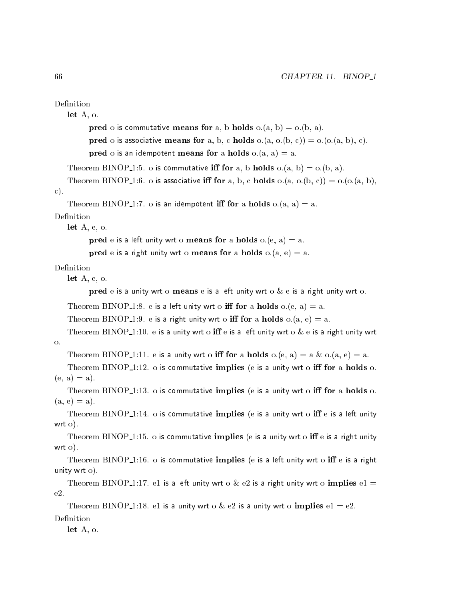```
Definition
```
let A, o.

```
pred o is commutative means for a, b holds o.(a, b) = o.(b, a).
pred o is associative means for a, b, c holds o.(a, o.(b, c)) = o.(o.(a, b), c).
pred o is an idempotent means for a holds o.(a, a) = a.
```

```
Theorem BINOP<sub>-1</sub>:5. o is commutative iff for a, b holds o_i(a, b) = o_i(b, a).
```

```
Theorem BINOP<sub>1</sub>:6. o is associative iff for a, b, c holds o.(a, o.(b, c)) = o.(o.(a, b)),
```
#### ).

```
Theorem BINOP<sub>1</sub>:7. o is an idempotent iff for a holds o.(a, a) = a.
```
#### Definition

let A, e, o.

**pred** e is a left unity wrt o **means for** a holds  $o.(e, a) = a$ .

pred e is a right unity wrt o means for a holds  $o.(a, e) = a$ .

let A, e, o.

pred e is a unity wrt o means e is a left unity wrt o  $\&$  e is a right unity wrt o.

Theorem BINOP 1:8. e is a left unity wrt o iff for a holds  $o.(e, a) = a$ .

Theorem BINOP 1:9. e is a right unity wrt o iff for a holds  $o.(a, e) = a$ .

Theorem BINOP<sub>1</sub>:10. e is a unity wrt o iff e is a left unity wrt o & e is a right unity wrt o.

Theorem BINOP<sub>1</sub>:11. e is a unity wrt o **iff for** a **holds** o.(e, a) = a & o.(a, e) = a.

Theorem BINOP $\text{\_1:12. o}$  is commutative implies (e is a unity wrt o iff for a holds o.  $(e, a) = a$ ).

Theorem BINOP $\text{\_1:13. o}$  is commutative implies (e is a unity wrt o iff for a holds o.  $(a, e) = a$ ).

Theorem BINOP<sub>1</sub>:14. o is commutative implies (e is a unity wrt o iff e is a left unity wrt o).

Theorem BINOP<sub>1</sub>:15. o is commutative implies (e is a unity wrt o iff e is a right unity wrt o).

Theorem BINOP<sub>-1</sub>:16. o is commutative implies (e is a left unity wrt o iff e is a right unity wrt o).

Theorem BINOP<sub>1</sub>:17. e1 is a left unity wrt o & e2 is a right unity wrt o implies e1 = e2.

Theorem BINOP<sub>1</sub>:18. e1 is a unity wrt o & e2 is a unity wrt o implies  $e1 = e2$ . Definition

let A, o.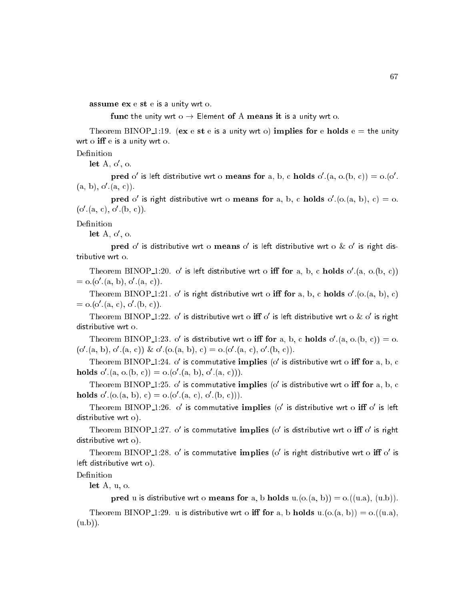assume ex e st e is a unity wrt o.

func the unity wrt  $o \rightarrow$  Element of A means it is a unity wrt o.

Theorem BINOP<sub>1</sub>:19. (ex e st e is a unity wrt o) implies for e holds  $e =$  the unity wrt o  $\inf$  e is a unity wrt o.

Definition

let  $A, \ 0$  ,  $0.$ 

**pred** 0 is left distributive wrt o **means for** a, b, c **nolds**  $0. \{a, 0. (b, c)\} = 0. (0, c)$ (a, b), o (a, c)).

 $\bf{p}$  pred  $\alpha$  is right distributive wrt  $\alpha$  means for a, b, c notas  $\alpha$ .(0.(a, b), c)  $\alpha$  o. (0.(a, c), o.(b, c)).

Definition

let  $A, \ 0$  ,  $0.$ 

 $\bf p_{red}$  on is distributive wrt of means on is left distributive wrt on  $\alpha$  on is right distributive wrt o.

I Heorem BINOP 1:20. O is left distributive wrt o **ill for** a, b, c **holds**  $0$  (a,  $0.$ (b, c))  $= 0. (0. (a, b), 0. (a, c)).$ 

I Heorem BINOP 1:21. O is right distributive wrt o in for a, b, c **holds**  $0.$  (0.(a, b), c)  $= 0. (0.1a, 0.0a, 0.0b, 0.0b)$ 

Theorem BINOP\_1:22. Ons distributive wrt on  $\bf{m}$  on is left distributive wrt ox ons right distributive wrt o.

I neorem BINOP 1:23. O is distributive wrt o in for a, b, c noigs o  $(a, 0, (b, c)) = 0$ .  $(0, a, b), 0, a, c)$  &  $0, (0, a, b), c) = 0, (0, a, c), 0, (b, c)$ .

I heorem  $\text{BINOP}_1/24$ . O is commutative implies (o is distributive wrt o in for a, b, c  $\bf{nolas}$  o.(a, o.(b, c)) = o.(o.(a, b), o.(a, c))).

I heorem BINOP  $\pm 1:25.$  O is commutative implies (o is distributive wrt o in for a, b, c  $\bf{nolas}$   $\rm{o}$  (0.(a, b),  $\rm{c}$ )  $=$  0.(0.(a, c), 0.(b, c))).

Integretic DINOP 1:20. Ons commutative implies to is distributive wrt only ons left distributive wrt o).

I Heorem BINOP 1:27. O is commutative implies to is distributive wrt o in o is right distributive wrt o).

I neorem BINOP 1:28. O is commutative implies (o is right distributive wrt o in o is left distributive wrt o).

Definition

let A, u, o.

pred u is distributive wrt o means for a, b holds  $u.(o.(a, b)) = o.((u.a), (u.b)).$ 

Theorem BINOP<sub>-1</sub>:29. u is distributive wrt o iff for a, b holds u.(o.(a, b)) = o.((u.a),  $(u.b)$ .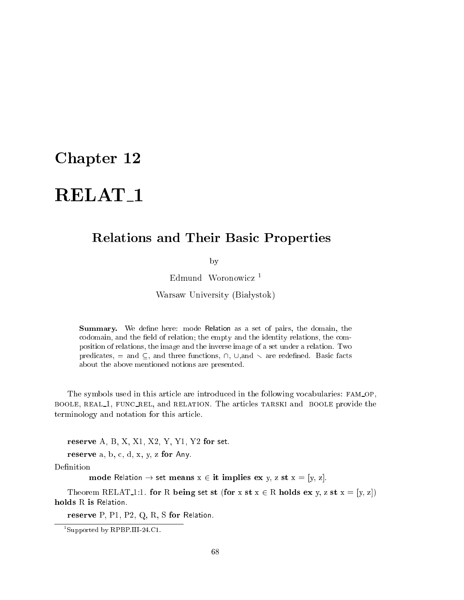# RELAT<sub>1</sub>

### Relations and Their Basic Properties

by

Edmund Woronowicz<sup>1</sup>

Warsaw University (Białystok)

Summary. We define here: mode Relation as a set of pairs, the domain, the codomain, and the field of relation; the empty and the identity relations, the composition of relations, the image and the inverse image of a set under a relation. Two predicates, = and  $\subseteq$ , and three functions,  $\cap$ ,  $\cup$ , and  $\setminus$  are redefined. Basic facts about the above mentioned notions are presented.

The symbols used in this article are introduced in the following vocabularies: FAM\_OP, BOOLE, REAL1, FUNC\_REL, and RELATION. The articles TARSKI and BOOLE provide the terminology and notation for this arti
le.

reserve A, B, X, X1, X2, Y, Y1, Y2 for set.

reserve  $a, b, c, d, x, y, z$  for Any.

Definition

mode Relation  $\rightarrow$  set means  $x \in \mathbf{it}$  implies ex y, z st  $x = [y, z]$ .

Theorem RELAT 1:1. for R being set st (for x st  $x \in R$  holds ex y, z st  $x = [y, z]$ ) holds R is Relation.

reserve P, P1, P2, Q, R, S for Relation.

<sup>1</sup> Supported by RPBP.III-24.C1.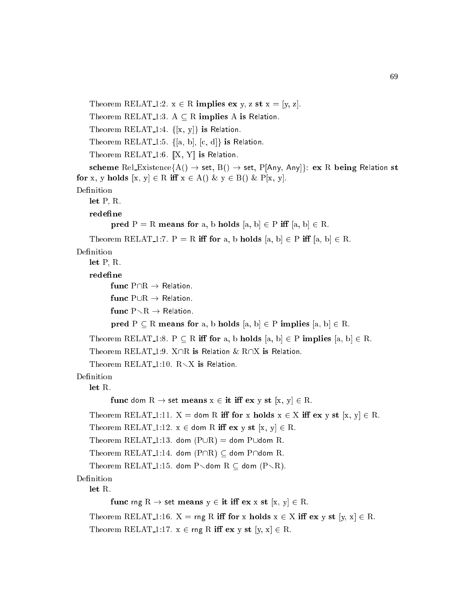```
Theorem RELAT 1:2. x \in R implies ex y, z st x = [y, z].
    Theorem RELAT 1:3. A \subseteq R implies A is Relation.
    Theorem RELAT<sub>-1:4.</sub> \{[x, y]\} is Relation.
    Theorem RELAT<sub>1</sub>:5. \{[a, b], [c, d]\} is Relation.
    Theorem RELAT<sub>1:6</sub>. \left[\right] X, Y\right] is Relation.
    scheme Rel_Existence{A() \rightarrow set, B() \rightarrow set, P[Any, Any]}: ex R being Relation st
for x, y holds [x, y] \in R iff x \in A() \& y \in B() \& P[x, y].
Definition
    let P, R.
           pred P = R means for a, b holds [a, b] \in P iff [a, b] \in R.
    Theorem RELAT 1:7. P = R iff for a, b holds [a, b] \in P iff [a, b] \in R.
Definition
    let P, R.
    redefine
           func \mathrm{P}\cap \mathrm{R} \to \mathsf{Relation}.func P\cup R \rightarrow Relation.
           func P \setminus R \rightarrow Relation.
           pred P \subseteq R means for a, b holds [a, b] \in P implies [a, b] \in R.
    Theorem RELAT 1:8. P \subseteq R iff for a, b holds [a, b] \in P implies [a, b] \in R.
    Theorem RELAT<sub>1:9</sub>. X\capR is Relation & R\capX is Relation.
    Theorem RELAT<sub>-1:10</sub>. R\overline{\times}X is Relation.
Definition
    let R.
           func dom R \to set means x \in \text{it iff } \text{ex } y \text{ st } [x, y] \in R.
    Theorem RELAT<sub>1</sub>:11. X = dom R iff for x holds x \in X iff ex y st [x, y] \in R.
    Theorem RELAT<sub>1</sub>:12. x \in dom R iff ex y st [x, y] \in R.
    Theorem RELAT<sub>-1</sub>:13. dom (P\cup R) = dom P\cupdom R.
    Theorem RELAT<sub>1</sub>:14. dom (P \cap R) \subseteq dom P\capdom R.
    Theorem RELAT<sub>1</sub>:15. dom P\lambdadom R \subseteq dom (P\setminus R).
Definition
    let R.
           func rng R \rightarrow set means y \in it iff ex x st [x, y] \in R.
    Theorem RELAT 1:16. X = \text{rng } R iff for x holds x \in X iff ex y st [y, x] \in R.
    Theorem RELAT<sub>-1</sub>:17. x \in \text{rng } R iff ex y st [y, x] \in R.
```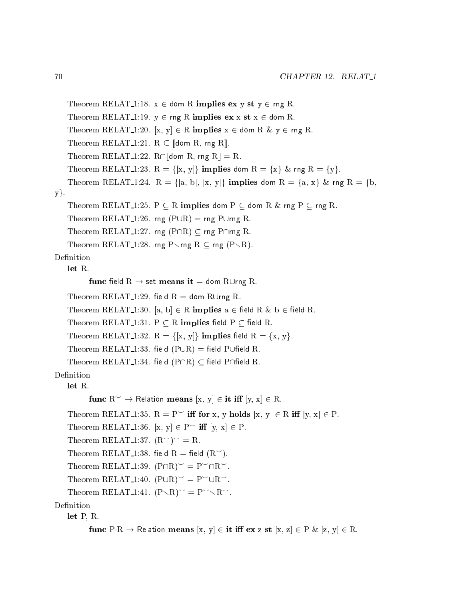```
Theorem RELAT<sub>1</sub>:18. x \in dom R implies ex y st y \in rng R.
    Theorem RELAT 1:19. y \in \text{rng } R implies ex \times st \times \in dom R.
    Theorem RELAT 1:20. [x, y] \in R implies x \in dom R & y \in rng R.
    Theorem RELAT<sub>-1</sub>:21. R \subset [dom R, rng R].
    Theorem RELAT<sub>1</sub>:22. R\cap[dom R, rng R] = R.
    Theorem RELAT 1:23. R = \{ [x, y] \} implies dom R = \{x\} & rng R = \{y\}.
    Theorem RELAT 1:24. R = \{[a, b], [x, y]\} implies dom R = \{a, x\} & rng R = \{b,y.
    Theorem RELAT 1:25. P \subseteq R implies dom P \subseteq dom R & rng P \subseteq rng R.
    Theorem RELAT<sub>1</sub>:26. rng (PUR) = rng PUrng R.
    Theorem RELAT 1:27. rng ( P \cap R ) \subset \text{rng } P \cap \text{rng } R.
    Theorem RELAT<sub>1</sub>:28. rng P \rng R \subseteq rng (P \R).
Definition
    let R.func field R \rightarrow set means it = dom RUrng R.
    Theorem RELAT<sub>-1</sub>:29. field R = dom RUrng R.
    Theorem RELAT<sub>-1</sub>:30. [a, b] \in R implies a \in field R & b \in field R.
    Theorem RELAT<sub>-1</sub>:31. P \subseteq R implies field P \subseteq field R.
    Theorem RELAT 1:32. R = \{ [x, y] \} implies field R = \{x, y\}.Theorem RELAT<sub>-1</sub>:33. field (P \cup R) = field P\cupfield R.
    Theorem RELAT<sub>1</sub>:34. field (P \cap R) \subseteq field P\capfield R.
Definition
    let R.func R^{\sim} \to Relation means [x, y] \in \mathbf{it} iff [y, x] \in R.
    Theorem RELAT 1:35. R = P^{\smile} iff for x, y holds [x, y] \in R iff [y, x] \in P.
    Theorem RELAT<sub>1</sub>:36. [x, y] \in P^{\sim} iff [y, x] \in P.
    Theorem RELAT<sub>1:37</sub>. (R<sup>o</sup>)<sup>o</sup> = R.
    Theorem RELAT<sub>1</sub>:38. field R = field (R<sup>o</sup>).
    Theorem RELAT<sub>-1</sub>:39. (P\cap R)^{\sim} = P^{\sim} \cap R^{\sim}.
    Theorem RELAT<sub>-1</sub>:40. (P\cup R)^{\sim} = P^{\sim} \cup R^{\sim}.
    Theorem RELAT<sub>-1</sub>:41. (P \setminus R)^{\sim} = P^{\sim} \setminus R^{\sim}.
Definition
    let P, R.
            func P \cdot R \to \text{Relation means } [x, y] \in \text{it iff } \text{ex } z \text{ st } [x, z] \in P \& [z, y] \in R.
```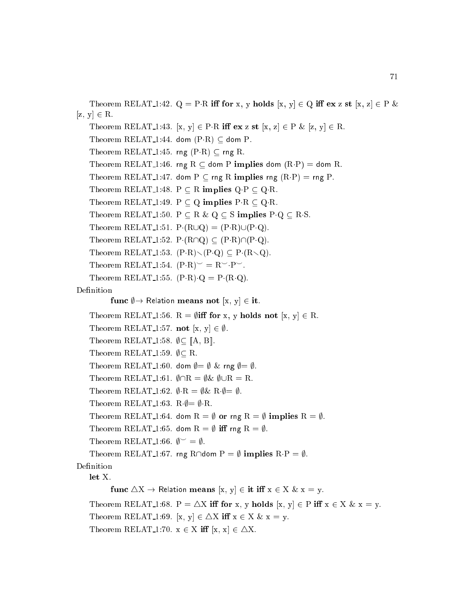Theorem RELAT 1:42.  $Q = P \cdot R$  iff for x, y holds  $[x, y] \in Q$  iff ex z st  $[x, z] \in P$  &  $[z, y] \in R$ . Theorem RELAT<sub>1</sub>:43. [x, y]  $\in$  P·R iff ex z st [x, z]  $\in$  P & [z, y]  $\in$  R. Theorem RELAT<sub>-1:44</sub>. dom  $(P \cdot R) \subseteq$  dom P. Theorem RELAT<sub>1</sub>:45. rng  $(P \cdot R) \subseteq \text{rng } R$ . Theorem RELAT<sub>1</sub>:46. rng R  $\subseteq$  dom P implies dom  $(R \cdot P) =$  dom R. Theorem RELAT 1:47. dom  $P \subset \text{rng } R$  implies rng  $(R \cdot P) = \text{rng } P$ . Theorem RELAT 1:48.  $P \subseteq R$  implies  $Q \cdot P \subseteq Q \cdot R$ . Theorem RELAT 1:49. P  $\subseteq$  Q implies P R  $\subseteq$  Q R. Theorem RELAT 1:50.  $P \subseteq R \& Q \subseteq S$  implies  $P \cdot Q \subseteq R \cdot S$ . Theorem RELAT<sub>-1</sub>:51.  $P \cdot (R \cup Q) = (P \cdot R) \cup (P \cdot Q)$ . Theorem RELAT<sub>1</sub>:52. P(R $\cap$ Q)  $\subseteq$  (P·R) $\cap$ (P·Q). Theorem RELAT 1:53.  $(P \cdot R) \setminus (P \cdot Q) \subset P \cdot (R \setminus Q)$ . Theorem RELAT<sub>-1</sub>:54.  $(P \cdot R)^{\sim} = R^{\sim} \cdot P^{\sim}$ . Theorem RELAT 1:55.  $(P \cdot R) \cdot Q = P \cdot (R \cdot Q)$ . Definition func  $\emptyset \rightarrow$  Relation means not [x, y]  $\in$  it. Theorem RELAT 1:56.  $R = \emptyset$  iff for x, y holds not [x, y]  $\in R$ . Theorem RELAT<sub>-1</sub>:57. **not** [x, y]  $\in \emptyset$ . Theorem RELAT<sub>-1:58</sub>.  $\emptyset \subset [\![A, B]\!]$ . Theorem RELAT<sub>-1:59</sub>.  $\emptyset \subset R$ . Theorem RELAT<sub>-1</sub>:60. dom  $\emptyset = \emptyset$  & rng  $\emptyset = \emptyset$ . Theorem RELAT<sub>-1:61</sub>.  $\emptyset \cap R = \emptyset \& \emptyset \cup R = R$ . Theorem RELAT<sub>-1</sub>:62.  $\emptyset \cdot R = \emptyset \& R \cdot \emptyset = \emptyset$ . Theorem RELAT 1:63. R $\phi = \emptyset$  R. Theorem RELAT 1:64. dom R =  $\emptyset$  or rng R =  $\emptyset$  implies R =  $\emptyset$ . Theorem RELAT<sub>-1</sub>:65. dom R =  $\emptyset$  iff rng R =  $\emptyset$ . Theorem RELAT<sub>-1:66</sub>.  $\phi^{\sim} = \emptyset$ . Theorem RELAT 1:67. rng R $\cap$ dom P =  $\emptyset$  implies R $\cdot P = \emptyset$ . Definition let X. func  $\triangle X \rightarrow$  Relation means  $[x, y] \in \text{it iff } x \in X \& x = y.$ Theorem RELAT 1:68. P =  $\Delta X$  iff for x, y holds  $[x, y] \in P$  iff  $x \in X \& x = y$ . Theorem RELAT<sub>-1:69</sub>. [x, y]  $\in \triangle X$  iff  $x \in X$  &  $x = y$ . Theorem RELAT<sub>-1</sub>:70.  $x \in X$  iff  $[x, x] \in \triangle X$ .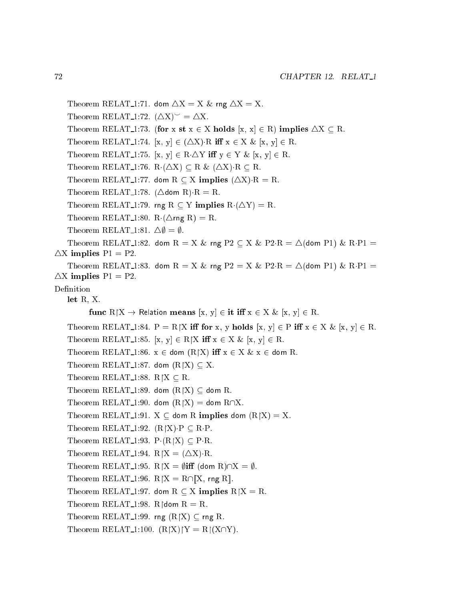```
Theorem RELAT<sub>1</sub>:71. dom \triangle X = X \& rng \triangle X = X.
    Theorem RELAT<sub>-1</sub>:72. (\triangle X)^{\sim} = \triangle X.
    Theorem RELAT 1:73. (for x st x \in X holds [x, x] \in R) implies \triangle X \subseteq R.
    Theorem RELAT 1:74. [x, y] \in (\Delta X) R iff x \in X \& [x, y] \in R.
    Theorem RELAT 1:75. [x, y] \in R \Delta Y iff y \in Y & [x, y] \in R.
    Theorem RELAT 1:76. R(\triangle X) \subseteq R & (\triangle X) R \subseteq R.
    Theorem RELAT 1:77. dom R \subset X implies (\triangle X) R = R.
    Theorem RELAT 1:78. (\triangledom R) R = R.
    Theorem RELAT<sub>-1</sub>:79. rng R \subset Y implies R\cdot(\DeltaY) = R.
    Theorem RELAT<sub>1</sub>:80. R(\trianglerng R) = R.
    Theorem RELAT<sub>-1:81</sub>. \Delta\emptyset = \emptyset.
    Theorem RELAT 1:82. dom R = X & rng P2 \subseteq X & P2 R = \triangle(dom P1) & R P1 =
\DeltaX implies P1 = P2.
    Theorem RELAT 1:83. dom R = X & rng P2 = X & P2·R = \triangle(dom P1) & R·P1 =
\DeltaX implies P1 = P2.
Definition
    let R, X.
           func R[X \rightarrow Relation means [x, y] \in \mathbf{it} iff x \in X \& [x, y] \in \mathbf{R}.
    Theorem RELAT 1:84. P = R[X \text{ iff for } x, y \text{ holds } [x, y] \in P \text{ iff } x \in X \& [x, y] \in R.
    Theorem RELAT 1:85. [x, y] \in R[X \text{ iff } x \in X \& [x, y] \in R.
    Theorem RELAT<sub>1</sub>:86. x \in dom (R|X) iff x \in X \& x \in dom R.
    Theorem RELAT<sub>-1:87</sub>. dom (R|X) \subseteq X.
    Theorem RELAT<sub>-1:88</sub>. R\upharpoonrightX \subset R.
    Theorem RELAT<sub>-1:89</sub>. dom (R|X) \subseteq dom R.
    Theorem RELAT<sub>-1:90</sub>. dom (R|X) = dom R\cap X.
    Theorem RELAT 1:91. X \subseteq dom R implies dom (R|X) = X.
    Theorem RELAT<sub>-1:92</sub>. (R|X) \cdot P \subseteq R \cdot P.
    Theorem RELAT<sub>-1:93</sub>. P (R|X) \subseteq P R.
    Theorem RELAT<sub>-1</sub>:94. R\vert X = (\Delta X) \cdot R.
    Theorem RELAT<sub>-1:95</sub>. R\upharpoonright X = \emptysetiff (dom R)\cap X = \emptyset.
    Theorem RELAT<sub>-1</sub>:96. R\upharpoonright X = R \cap \|X\|, rng R\|.Theorem RELAT 1:97. dom R \subseteq X implies R\upharpoonrightX = R.
    Theorem RELAT<sub>-1:98</sub>. R dom R = R.
    Theorem RELAT<sub>-1:99</sub>. rng (R|X) \subseteq rng R.
    Theorem RELAT<sub>-1</sub>:100. (R|X)|Y = R|(X\cap Y).
```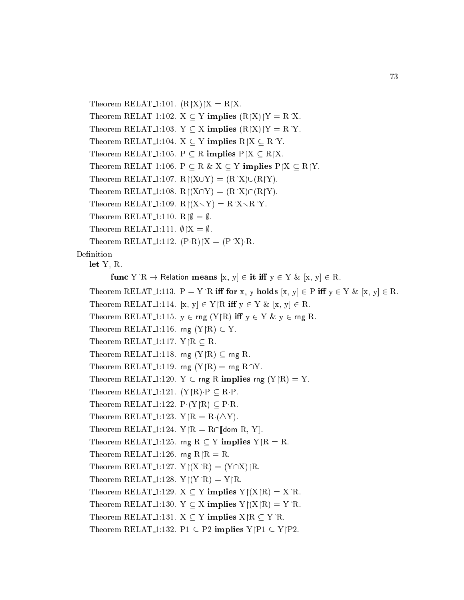```
Theorem RELAT<sub>1:101</sub>. (R|X)|X = R|X.
    Theorem RELAT<sub>-1</sub>:102. X \subseteq Y implies (R|X)|Y = R|X.
    Theorem RELAT<sub>-1</sub>:103. Y \subseteq X implies (R[X)|Y = R|Y.
    Theorem RELAT<sub>-1</sub>:104. X \subseteq Y implies R/X \subseteq R/Y.
    Theorem RELAT 1:105. P \subseteq R implies P[X \subseteq R[X.
    Theorem RELAT_1:106. P \subseteq R \& X \subseteq Y implies P|X \subseteq R|Y.
    Theorem RELAT<sub>-1</sub>:107. R\lceil (X \cup Y) \rceil = (R \upharpoonright X) \cup (R \upharpoonright Y).
    Theorem RELAT<sub>-1</sub>:108. R\lceil (X \cap Y) \rceil = (R \upharpoonright X) \cap (R \upharpoonright Y).
    Theorem RELAT<sub>-1</sub>:109. R\lceil (X \setminus Y) \rceil = R \lceil X \setminus R \lceil Y \rceil.
    Theorem RELAT<sub>-1</sub>:110. R\phi = \emptyset.
    Theorem RELAT<sub>-1</sub>:111. \emptyset|X = \emptyset.
    Theorem RELAT<sub>-1</sub>:112. (P \cdot R)/X = (P \upharpoonright X) \cdot R.
Definition
    let Y, R.
             func Y/R \to \text{Relation means } [x, y] \in \text{it iff } y \in Y \& [x, y] \in R.Theorem RELAT 1:113. P = Y|R iff for x, y holds [x, y] \in P iff y \in Y \& [x, y] \in R.
    Theorem RELAT 1:114. [x, y] \in Y \mid R \text{ iff } y \in Y \& [x, y] \in R.
    Theorem RELAT 1:115. y \in rng(Y \mid R) iff y \in Y \& y \in rng R.
    Theorem RELAT<sub>1</sub>:116. rng (Y | R) \subseteq Y.
    Theorem RELAT 1:117. Y \upharpoonright R \subseteq R.
    Theorem RELAT<sub>1:118</sub>. rng (Y | R) \subseteq rng R.
    Theorem RELAT<sub>1</sub>:119. rng (Y|R) = rng R\cap Y.
    Theorem RELAT<sub>1</sub>:120. Y \subseteq rng R implies rng (Y|R) = Y.
    Theorem RELAT 1:121. (Y | R) \cdot P \subseteq R \cdot P.
    Theorem RELAT<sub>1:122</sub>. P (Y | R) \subset P R.
    Theorem RELAT<sub>1:123</sub>. Y \upharpoonright R = R \cdot (\triangle Y).
    Theorem RELAT<sub>-1</sub>:124. Y|R = R\cap[dom R, Y].
    Theorem RELAT<sub>-1</sub>:125. rng R \subset Y implies Y|R = R.
    Theorem RELAT<sub>-1</sub>:126. rng R\mathcal{R} = \mathcal{R}.
    Theorem RELAT<sub>-1</sub>:127. Y|(X|R) = (Y\cap X)|R.
    Theorem RELAT<sub>-1</sub>:128. Y|(Y|R) = Y|R.
    Theorem RELAT<sub>-1</sub>:129. X \subseteq Y implies Y|(X|R) = X|R.
    Theorem RELAT<sub>-1</sub>:130. Y \subset X implies Y\restriction(X \restriction R) = Y \restriction R.
    Theorem RELAT 1:131. X \subseteq Y implies X \upharpoonright R \subseteq Y \upharpoonright R.
    Theorem RELAT<sub>1</sub>:132. P1 \subset P2 implies Y|P1 \subset Y|P2.
```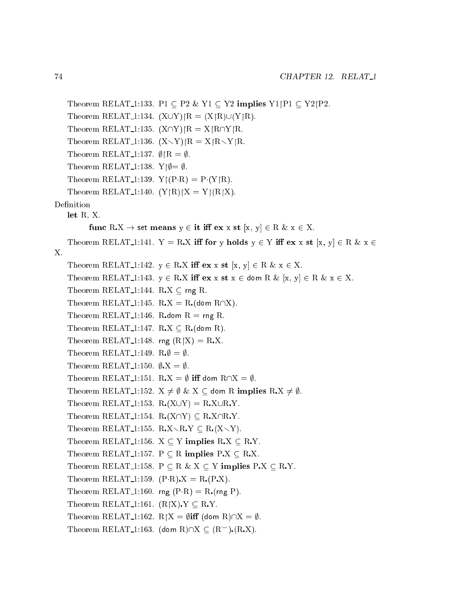```
Theorem RELAT 1:133. P1 \subseteq P2 & Y1 \subseteq Y2 implies Y1|P1 \subseteq Y2|P2.
    Theorem RELAT<sub>-1</sub>:134. (X \cup Y)|R = (X|R) \cup (Y|R).
    Theorem RELAT<sub>-1</sub>:135. (X\cap Y)|R = X|R\cap Y|R.
    Theorem RELAT 1:136. (X \setminus Y)|R = X|R \setminus Y|R.
    Theorem RELAT<sub>1:137</sub>. \emptyset| R = \emptyset.
    Theorem RELAT<sub>-1</sub>:138. Y\phi = \emptyset.
    Theorem RELAT<sub>-1</sub>:139. Y\upharpoonright(P·R) = P·(Y\upharpoonrightR).
    Theorem RELAT<sub>1:140</sub>. (Y \cap R)/X = Y \cap (R/X).
Definition
    let R, X.
           func RX \rightarrow set means y \in it iff ex x st [x, y] \in R & x \in X.
    Theorem RELAT<sub>1</sub>:141. Y = R.X iff for y holds y \in Y iff ex x st [x, y] \in R \& x \inX.
    Theorem RELAT 1:142. y \in R.X iff ex x st [x, y] \in R & x \in X.
    Theorem RELAT 1:143. y \in R.X iff ex x st x \in dom R \& [x, y] \in R \& x \in X.
    Theorem RELAT<sub>1:144</sub>. RX \subseteq rng R.
    Theorem RELAT 1:145. R.X = R. (dom R\capX).
    Theorem RELAT 1:146. R dom R = \text{rng } R.
    Theorem RELAT 1:147. R.X \subseteq R (dom R).
    Theorem RELAT<sub>1</sub>:148. rng (R|X) = R.X.
    Theorem RELAT<sub>-1</sub>:149. R;\emptyset = \emptyset.
    Theorem RELAT<sub>1:150</sub>. \emptyset.X = \emptyset.
    Theorem RELAT<sub>1</sub>:151. R.X = \emptyset iff dom R\cap X = \emptyset.
    Theorem RELAT 1:152. X \neq \emptyset & X \subseteq dom R implies R.X \neq \emptyset.
    Theorem RELAT 1:153. R(X \cup Y) = R.X \cup R.Y.
    Theorem RELAT 1:154. R(X\cap Y) \subseteq R X\cap R.Y.
    Theorem RELAT 1:155. RX \RY \subseteq R(X\Y).
    Theorem RELAT 1:156. X \subseteq Y implies R.X \subseteq R.Y.
    Theorem RELAT 1:157. P \subseteq R implies P.X \subseteq R.X.
    Theorem RELAT 1:158. P \subseteq R \& X \subseteq Y implies P.X \subseteq R.Y.
    Theorem RELAT 1:159. (P \cdot R) \cdot X = R \cdot (P \cdot X).
    Theorem RELAT<sub>-1</sub>:160. rng (P \cdot R) = R (rng P).
    Theorem RELAT<sub>1:161</sub>. (R|X), Y \subseteq R, Y.
    Theorem RELAT<sub>-1</sub>:162. R|X = \emptysetiff (dom R)\capX = \emptyset.
    Theorem RELAT<sub>-1</sub>:163. (dom R)\cap X \subseteq (R^{\sim}). (R.X).
```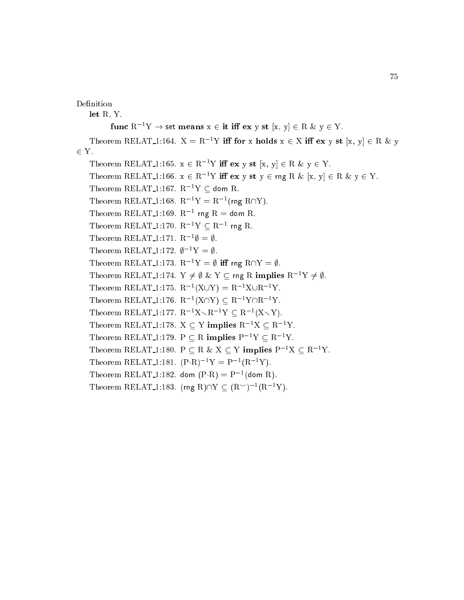Definition

let R, Y. func  $R^{-1}Y \to \text{set means } x \in \text{it iff } \text{ex } y \text{ st } [x, y] \in R \& y \in Y.$ Theorem RELAT 1:164.  $X = R^{-1}Y$  iff for x holds  $x \in X$  iff  $ex y st [x, y] \in R \& y$  $2.2$  Y. Theorem RELAT<sub>1</sub>:165.  $x \in R^{-1}Y$  iff  $ex y st [x, y] \in R \& y \in Y$ . Theorem RELAT<sub>-1</sub>:166.  $x \in R^{-1}Y$  iff  $ex y st y \in rng R \& [x, y] \in R \& y \in Y$ . Theorem RELAT<sub>-1</sub>:167.  $R^{-1}Y \subset$  dom R. Theorem RELAT<sub>-1</sub>:168.  $R^{-1}Y = R^{-1}$ (rng R $\cap Y$ ). Theorem RELAT\_1:169.  $R^{-1}$  rng  $R =$  dom R. Theorem RELAT<sub>-1:170</sub>.  $R^{-1}Y \subseteq R^{-1}$  rng R. Theorem RELAT<sub>-1</sub>:171.  $R^{-1}\emptyset = \emptyset$ . Theorem RELAT<sub>-1</sub>:172.  $\phi^{-1}Y = \emptyset$ . Theorem RELAT<sub>-1</sub>:173.  $R^{-1}Y = \emptyset$  iff rng R $\cap Y = \emptyset$ . Theorem RELAT 1:174.  $Y \neq \emptyset$  &  $Y \subseteq$  rng R implies  $R^{-1}Y \neq \emptyset$ . Theorem RELAT<sub>-1</sub>:175.  $R^{-1}(X \cup Y) = R^{-1}X \cup R^{-1}Y$ . Theorem RELAT<sub>-1</sub>:176.  $R^{-1}(X\cap Y) \subseteq R^{-1}Y\cap R^{-1}Y$ . Theorem RELAT<sub>1</sub>:177.  $R^{-1}X\setminus R^{-1}Y \subseteq R^{-1}(X\setminus Y)$ . Theorem RELAT<sub>-1</sub>:178.  $X \subseteq Y$  implies  $R^{-1}X \subseteq R^{-1}Y$ . Theorem RELAT<sub>-1</sub>:179. P  $\subseteq$  R implies P<sup>-1</sup>Y  $\subseteq$  R<sup>-1</sup>Y. Theorem RELAT 1:180.  $P \subseteq R \& X \subseteq Y$  implies  $P^{-1}X \subseteq R^{-1}Y$ . Theorem RELAT<sub>-1</sub>:181.  $(P \cdot R)^{-1}Y = P^{-1}(R^{-1}Y)$ . Theorem RELAT<sub>-1:182</sub>. dom  $(P \cdot R) = P^{-1}$ (dom R). Theorem RELAT<sub>-1</sub>:183. (rng R) $\cap$ Y  $\subset$   $(R<sup>-1</sup>)<sup>-1</sup>(R<sup>-1</sup>Y)$ .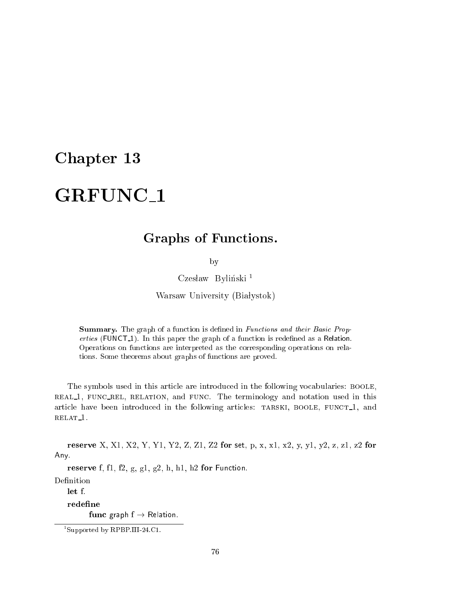# Graphs of Fun
tions.

by

Czesław Byliński<sup>1</sup>

Warsaw University (Białystok)

Summary. The graph of a function is defined in *Functions and their Basic Prop*erties (FUNCT<sub>-1</sub>). In this paper the graph of a function is redefined as a Relation. Operations on fun
tions are interpreted as the orresponding operations on relations. Some theorems about graphs of fun
tions are proved.

The symbols used in this article are introduced in the following vocabularies: BOOLE, real 1, fun rel, relation, and fun
. The terminology and notation used in this article have been introduced in the following articles: TARSKI, BOOLE, FUNCT<sub>1</sub>, and relat 1.

reserve X, X1, X2, Y, Y1, Y2, Z, Z1, Z2 for set, p, x, x1, x2, y, y1, y2, z, z1, z2 for Any.

reserve f, fl, f2, g, g1, g2, h, h1, h2 for Function.

 $let f.$ 

redefine

func graph  $f \rightarrow$  Relation.

<sup>1</sup> Supported by RPBP.III-24.C1.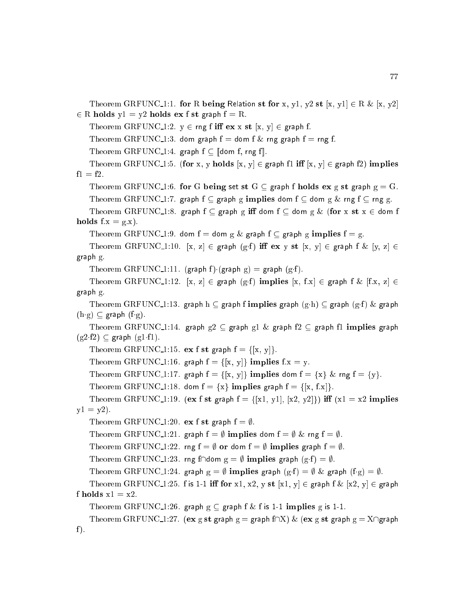Theorem GRFUNC 1:1. for R being Relation st for x, y1, y2 st  $[x, y1] \in R \& [x, y2]$  $2 - 2$  and  $2 - 7$  is the state for the state field from  $\sim$ 

Theorem GRFUNC 1:2.  $y \in \text{rng } f \text{ iff } \text{ex } x \text{ st } [x, y] \in \text{graph } f.$ 

Theorem GRFUNC 1:3. dom graph  $f =$  dom f  $\&$  rng graph  $f =$  rng f.

Theorem GRFUNC 1:4. graph  $f \subset \mathbb{I}$ dom f, rng f $\mathbb{I}$ .

Theorem GRFUNC 1:5. (for x, y holds  $[x, y] \in \text{graph } f1$  iff  $[x, y] \in \text{graph } f2$ ) implies  $f1 = f2$ .

Theorem GRFUNC 1:6. for G being set st  $G \subseteq$  graph f holds ex g st graph  $g = G$ .

Theorem GRFUNC-1:7. graph  $f \subseteq$  graph g implies dom  $f \subseteq$  dom g  $\&$  rng  $f \subseteq$  rng g.

Theorem GRFUNC 1:8. graph  $f \subseteq$  graph g iff dom  $f \subseteq$  dom g  $\&$  (for x st  $x \in$  dom f holds  $f.x = g.x$ ).

Theorem GRFUNC 1:9. dom  $f =$  dom  $g \&$  graph  $f \subseteq$  graph  $g$  implies  $f = g$ .

Theorem GRFUNC 1:10.  $[x, z] \in \text{graph } (g \cdot f)$  iff  $\mathbf{ex} y \cdot \mathbf{st} [x, y] \in \text{graph } f \& [y, z] \in$ graph g.

Theorem GRFUNC 1:11. (graph f) (graph g) = graph (g·f).

Theorem GRFUNC 1:12.  $[x, z] \in \text{graph } (g \cdot f)$  implies  $[x, f \cdot x] \in \text{graph } f \& [f \cdot x, z] \in$ graph g.

Theorem GRFUNC 1:13. graph h  $\subseteq$  graph f implies graph  $(g \cdot h) \subseteq$  graph  $(g \cdot f)$  & graph  $(h \cdot g) \subseteq \text{graph } (f \cdot g)$ .

Theorem GRFUNC 1:14. graph  $g2 \subseteq g$ raph  $g1 \& g$ raph  $f2 \subseteq g$ raph f1 implies graph  $(g2 f2) \subseteq$  graph  $(g1 f1)$ .

Theorem GRFUNC 1:15. ex f st graph  $f = \{[x, y]\}.$ 

Theorem GRFUNC 1:16. graph  $f = \{ [x, y] \}$  implies  $f.x = y$ .

Theorem GRFUNC 1:17. graph  $f = \{ [x, y] \}$  implies dom  $f = \{x\}$  & rng  $f = \{y\}$ .

Theorem GRFUNC 1:18. dom  $f = \{x\}$  implies graph  $f = \{[x, f.x]\}.$ 

Theorem GRFUNC 1:19. (ex f st graph  $f = \{[x1, y1], [x2, y2]\}\$  iff  $(x1 = x2$  implies  $y1 = y2$ ).

Theorem GRFUNC 1:20. ex f st graph  $f = \emptyset$ .

Theorem GRFUNC 1:21. graph  $f = \emptyset$  implies dom  $f = \emptyset$  & rng  $f = \emptyset$ .

Theorem GRFUNC 1:22. rng  $f = \emptyset$  or dom  $f = \emptyset$  implies graph  $f = \emptyset$ .

Theorem GRFUNC 1:23. rng f $\cap$ dom  $g = \emptyset$  implies graph  $(g \cdot f) = \emptyset$ .

```
Theorem GRFUNC 1:24. graph g = \emptyset implies graph (g \cdot f) = \emptyset & graph (f \cdot g) = \emptyset.
```

```
Theorem GRFUNC 1:25. f is 1-1 iff for x1, x2, y st [x1, y] \in \text{graph } f \& [x2, y] \in \text{graph } ff holds x1 = x2.
```
Theorem GRFUNC 1:26. graph  $g \subseteq$  graph f & f is 1-1 implies g is 1-1.

```
Theorem GRFUNC 1:27. (ex g st graph g = graph f\cap X) & (ex g st graph g = X\capgraph
f).
```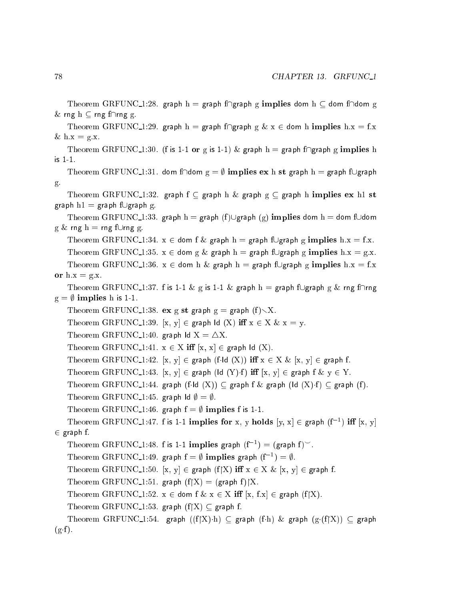```
Theorem GRFUNC 1:28. graph h = graph f\capgraph g implies dom h \subseteq dom f\capdom g
& rng h \subseteq rng f\caprng g.
    Theorem GRFUNC 1:29. graph h = graph f\capgraph g & x \in dom h implies h:x = f.x
& \text{h.x} = g.x.Theorem GRFUNC 1:30. (f is 1-1 or g is 1-1) & graph h = graph f\bigcapgraph g implies h
is 1-1.
    Theorem GRFUNC-1:31. dom f\Omegadom g = \emptyset implies ex h st graph h = graph f\bigcupgraph
g.
    Theorem GRFUNC-1:32. graph f \subset graph h & graph g \subset graph h implies ex h1 st
graph h1 = graph f\bigcupgraph g.
    Theorem GRFUNC_1:33. graph h = graph (f)\bigcupgraph (g) implies dom h = dom f\bigcupdom
g & rng h = \text{rng } f \cup \text{rng } g.
    Theorem GRFUNC 1:34. x \in dom f & graph h = graph f\bigcupgraph g implies h.x = f.x.
    Theorem GRFUNC-1:35. x \in dom g & graph h = graph f\bigcupgraph g implies h.x = g.x.
    Theorem GRFUNC-1:36. x \in dom h & graph h = graph fUgraph g implies h:x = f.xor h.x = g.x.
    Theorem GRFUNC 1:37. f is 1-1 & g is 1-1 & graph h = graph fUgraph g & rng f\caprng
g = \emptyset implies h is 1-1.
    Theorem GRFUNC 1:38. ex g st graph g = graph (f) \setminus X.
    Theorem GRFUNC 1:39. [x, y] \in \text{graph} Id (X) iff x \in X \& x = y.
    Theorem GRFUNC 1:40. graph \mathsf{Id} \mathsf{X} = \triangle \mathsf{X}.
    Theorem GRFUNC 1:41. x \in X iff [x, x] \in graph Id (X).
    Theorem GRFUNC 1:42. [x, y] \in graph (f\cdotId (X)) iff x \in X \& [x, y] \in graph f.
    Theorem GRFUNC 1:43. [x, y] \in \text{graph} (ld (Y) \cdot f) iff [x, y] \in \text{graph} f \& y \in Y.
    Theorem GRFUNC-1:44. graph (f \cdot d(X)) \subseteq graph f \& graph (d(X) \cdot f) \subseteq graph (f).
    Theorem GRFUNC 1:45. graph \mathsf{Id} \emptyset = \emptyset.
    Theorem GRFUNC 1:46. graph f = \emptyset implies f is 1-1.
    Theorem GRFUNC-1:47. f is 1-1 implies for x, y holds [y, x] \in \text{graph } (f^{-1}) iff [x, y]\sim \sim \sim \sim \sim \sim \simTheorem GRFUNC_1:48. f is 1-1 implies graph (f^{-1}) = (graph f)^{\sim}.
    Theorem GRFUNC_1:49. graph f = \emptyset implies graph (f^{-1}) = \emptyset.
    Theorem GRFUNC 1:50. [x, y] \in graph (f[X) iff x \in X \& [x, y] \in graph f.
    Theorem GRFUNC 1:51. graph (f|X) = (graph f)|X.
    Theorem GRFUNC 1:52. x \in dom f & x \in X iff [x, f.x] \in graph (f|X).
    Theorem GRFUNC 1:53. graph (f|X) \subseteq graph f.
    Theorem GRFUNC 1:54. graph ((f|X) \cdot h) \subset graph (f \cdot h) \& graph (g \cdot (f|X)) \subset graph
(g \cdot f).
```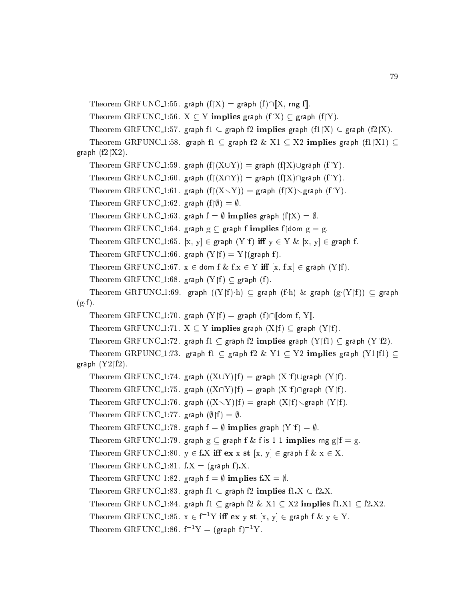```
Theorem GRFUNC 1:55. graph (f|X) = graph (f) \cap [X, rng f].
```
Theorem GRFUNC 1:56.  $X \subseteq Y$  implies graph  $(f|X) \subseteq g$ raph  $(f|Y)$ .

Theorem GRFUNC 1:57. graph  $f1 \subseteq$  graph  $f2$  implies graph  $(f1|X) \subseteq$  graph  $(f2|X)$ .

Theorem GRFUNC 1:58. graph f1  $\subseteq$  graph f2  $\&$  X1  $\subseteq$  X2 implies graph (f1|X1)  $\subseteq$ graph  $(f2|X2)$ .

```
Theorem GRFUNC 1:59. graph (f|(X\cup Y)) = graph (f|X)\cup graph (f|Y).
```

```
Theorem GRFUNC<sub>1</sub>:60. graph (f|(X\cap Y)) = graph (f|X)\cap graph (f|Y).
```

```
Theorem GRFUNC_1:61. graph (f|(X\setminus Y)) = graph (f|X)\setminus graph (f|Y).
```
Theorem GRFUNC 1:62. graph  $(f | \emptyset) = \emptyset$ .

Theorem GRFUNC 1:63. graph  $f = \emptyset$  implies graph  $(f|X) = \emptyset$ .

Theorem GRFUNC-1:64. graph  $g \subseteq$  graph f implies f|dom  $g = g$ .

Theorem GRFUNC 1:65. [x, y]  $\in$  graph (Y|f) iff  $y \in Y \& [x, y] \in$  graph f.

Theorem GRFUNC 1:66. graph  $(Y|f) = Y|(graph f)$ .

```
Theorem GRFUNC 1:67. x \in dom f & f.x \in Y iff [x, f.x] \in graph (Y|f).
```

```
Theorem GRFUNC 1:68. graph (Y|f) \subseteq graph (f).
```

```
Theorem GRFUNC 1:69. graph ((Y \nvert f) \cdot h) \subset graph (f \cdot h) \& graph (g \cdot (Y \nvert f)) \subset graph
(g \cdot f).
```

```
Theorem GRFUNC 1:70. graph (Y|f) = graph (f) \cap [dom f, Y].
```

```
Theorem GRFUNC 1:71. X \subseteq Y implies graph (X|f) \subseteq graph (Y|f).
```

```
Theorem GRFUNC 1:72. graph f1 \subseteq graph f2 implies graph (Y|f1) \subseteq graph (Y|f2).
```

```
Theorem GRFUNC 1:73. graph f1 \subseteq graph f2 \& Y1 \subseteq Y2 implies graph (Y1|f1) \subseteqgraph (Y2|f2).
```

```
Theorem GRFUNC_1:74. graph ((X\cup Y)f) = graph (X\upharpoonright f)\cup graph (Y\upharpoonright f).
```
Theorem GRFUNC 1:75. graph  $((X\cap Y)f) =$  graph  $(X\uparrow f)\cap$ graph  $(Y\uparrow f)$ .

Theorem GRFUNC 1:76. graph  $((X\ Y)(f) =$  graph  $(X(f)\ Z)$ raph  $(Y(f)$ .

Theorem GRFUNC 1:77. graph  $(\emptyset | f) = \emptyset$ .

Theorem GRFUNC 1:78. graph  $f = \emptyset$  implies graph  $(Y|f) = \emptyset$ .

```
Theorem GRFUNC 1:79. graph g \subseteq graph f & f is 1-1 implies rng g f = g.
```

```
Theorem GRFUNC 1:80. y \in f.X iff ex x st [x, y] \in graph f & x \in X.
```
Theorem GRFUNC 1:81.  $f.X = (graph f).X$ .

Theorem GRFUNC 1:82. graph  $f = \emptyset$  implies  $f.X = \emptyset$ .

Theorem GRFUNC 1:83. graph  $f1 \nsubseteq$  graph  $f2$  implies  $f1.X \nsubseteq f2.X$ .

Theorem GRFUNC 1:84. graph f1  $\subseteq$  graph f2 & X1  $\subseteq$  X2 implies f1.X1  $\subseteq$  f2.X2.

Theorem GRFUNC 1:85.  $x \in f^{-1}Y$  iff ex y st  $[x, y] \in graph f \& y \in Y$ .

Theorem GRFUNC 1:86.  $f^{-1}Y = (graph f)^{-1}Y$ .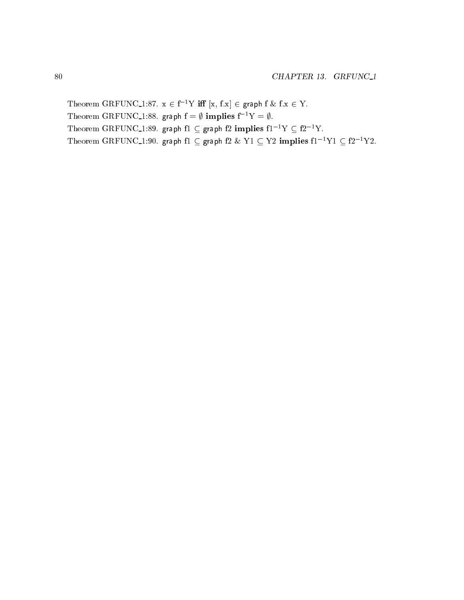Theorem GRFUNC\_1:87.  $x \in f^{-1}Y$  iff  $[x, f.x] \in graph f \& f.x \in Y$ . Theorem GRFUNC<sub>1</sub>:88. graph  $f = \emptyset$  implies  $f^{-1}Y = \emptyset$ . Theorem GRFUNC 1:89. graph f1  $\subseteq$  graph f2 implies f1<sup>-1</sup>Y  $\subseteq$  f2<sup>-1</sup>Y. Theorem GRFUNC\_1:90. graph f1  $\subseteq$  graph f2 & Y1  $\subseteq$  Y2 implies f1<sup>-1</sup>Y1  $\subseteq$  f2<sup>-1</sup>Y2.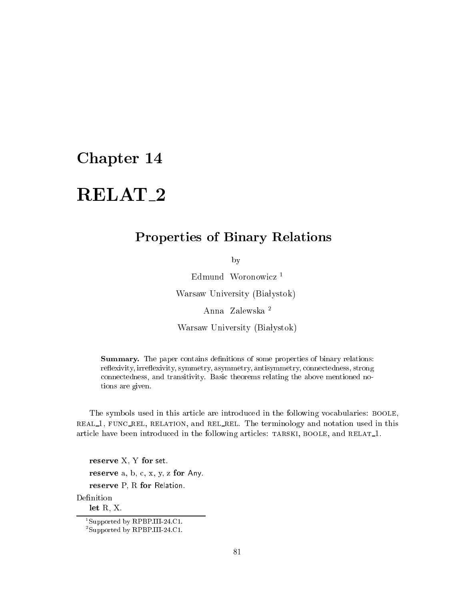# RELAT 2

## Properties of Binary Relations

by

Edmund Woronowicz<sup>1</sup> Warsaw University (Białystok)

Anna Zalewska <sup>2</sup>

Warsaw University (Białystok)

Summary. The paper contains definitions of some properties of binary relations: reflexivity, irreflexivity, symmetry, asymmetry, antisymmetry, connectedness, strong onne
tedness, and transitivity. Basi theorems relating the above mentioned notions are given.

The symbols used in this article are introduced in the following vocabularies: BOOLE, real 1, fun rel, relation, and rel rel. The terminology and notation used in this article have been introduced in the following articles: TARSKI, BOOLE, and RELAT<sub>1</sub>.

reserve X, Y for set. reserve a, b, c, x, y, z for Any. reserve P, R for Relation.

Definition let R, X.

<sup>1</sup> Supported by RPBP.III-24.C1.

<sup>2</sup> Supported by RPBP.III-24.C1.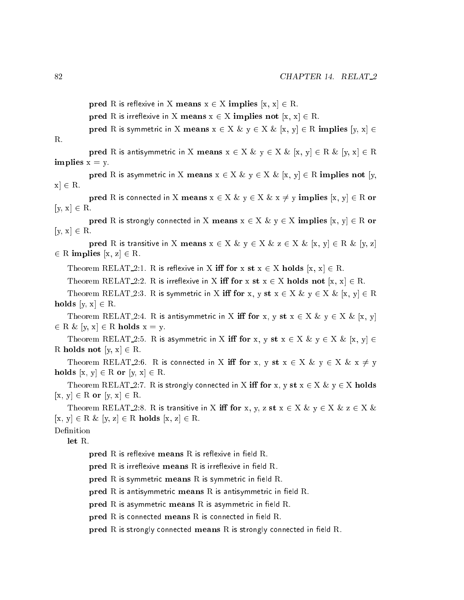pred R is reflexive in X means  $x \in X$  implies  $[x, x] \in R$ .

pred R is irreflexive in X means  $x \in X$  implies not  $[x, x] \in R$ .

pred R is symmetric in X means  $x \in X \& y \in X \& [x, y] \in R$  implies  $[y, x] \in R$  $R_{\cdot}$ 

pred R is antisymmetric in X means  $x \in X \& y \in X \& [x, y] \in R \& [y, x] \in R$ implies  $x = y$ .

pred R is asymmetric in X means  $x \in X \& y \in X \& [x, y] \in R$  implies not [y,  $x \in \mathbb{R}$ .

pred R is connected in X means  $x \in X \& y \in X \& x \neq y$  implies  $[x, y] \in R$  or  $[y, x] \in R$ .

pred R is strongly connected in X means  $x \in X \& y \in X$  implies  $[x, y] \in R$  or  $[y, x] \in R$ .

pred R is transitive in X means  $x \in X \& y \in X \& z \in X \& [x, y] \in R \& [y, z]$ 2 R implies to the 2 R in planning and 2 R in the 2 R in the 2 R in the 2 R in the 2 R in the 2 R in the 2 R i

Theorem RELAT 2:1. R is reflexive in X iff for x st  $x \in X$  holds  $[x, x] \in R$ .

Theorem RELAT 2:2. R is irreflexive in X iff for x st  $x \in X$  holds not  $[x, x] \in R$ .

Theorem RELAT 2:3. R is symmetric in X iff for x, y st  $x \in X \& y \in X \& [x, y] \in R$ holds  $[y, x] \in R$ .

Theorem RELAT 2:4. R is antisymmetric in X iff for x, y st  $x \in X \& y \in X \& [x, y]$  $2 - 2 - 2 - 1$  ,  $2 - 2 - 1 - 2 - 2 - 2 - 2 - 1$ 

Theorem RELAT 2:5. R is asymmetric in X iff for x, y st  $x \in X \& y \in X \& [x, y] \in$ R holds not  $[y, x] \in R$ .

Theorem RELAT 2:6. R is connected in X iff for x, y st  $x \in X \& y \in X \& x \neq y$ holds  $[x, y] \in R$  or  $[y, x] \in R$ .

Theorem RELAT 2:7. R is strongly connected in X iff for x, y st  $x \in X \& y \in X$  holds  $[x, y] \in R$  or  $[y, x] \in R$ .

Theorem RELAT 2:8. R is transitive in X iff for x, y, z st  $x \in X \& y \in X \& z \in X \& x$  $[x, y] \in R \& [y, z] \in R$  holds  $[x, z] \in R$ .

let R.

 $\bold{pred}$  R is reflexive means R is reflexive in field R.

 $\bold{pred}$  R is irreflexive means R is irreflexive in field R.

 $\bold{pred}$  R is symmetric means R is symmetric in field R.

 $\mathbf{pred}$  R is antisymmetric means R is antisymmetric in field R.

 $\mathbf{pred}$  R is asymmetric means R is asymmetric in field R.

 $pred R$  is connected means  $R$  is connected in field  $R$ .

pred  $R$  is strongly connected means  $R$  is strongly connected in field  $R$ .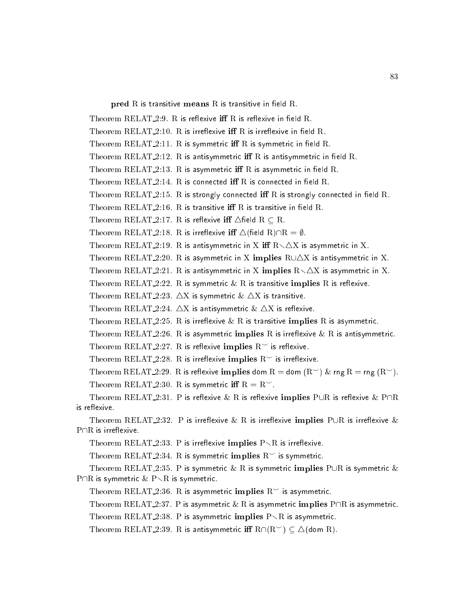$\bold{pred}$   $\boldsymbol{R}$  is transitive means  $\boldsymbol{R}$  is transitive in field  $\boldsymbol{R}$ .

```
Theorem RELAT_2:9. R is reflexive iff R is reflexive in field R.
   Theorem RELAT_2:10. R is irreflexive iff R is irreflexive in field R.
   Theorem RELAT_2:11. R is symmetric iff R is symmetric in field R.
   Theorem RELAT 2:12. R is antisymmetric iff R is antisymmetric in field R.
   Theorem RELAT 2:13. R is asymmetric iff R is asymmetric in field R.
   Theorem RELAT 2.14. R is connected iff R is connected in field R.
   Theorem RELAT<sub>-2</sub>:15. R is strongly connected iff R is strongly connected in field R.
   Theorem RELAT_2:16. R is transitive iff R is transitive in field R.
   Theorem RELAT_2:17. R is reflexive iff \triangle field R \subseteq R.
   Theorem RELAT_2:18. R is irreflexive iff \triangle (field R)\capR = \emptyset.
   Theorem RELAT 2:19. R is antisymmetric in X iff R \setminus \Delta X is asymmetric in X.
   Theorem RELAT 2:20. R is asymmetric in X implies R \cup \triangle X is antisymmetric in X.
   Theorem RELAT 2:21. R is antisymmetric in X implies R \setminus \triangle X is asymmetric in X.
   Theorem RELAT 2:22. R is symmetric \& R is transitive implies R is reflexive.
   Theorem RELAT<sub>-2</sub>:23. \triangleX is symmetric \& \triangleX is transitive.
   Theorem RELAT 2:24. \triangle X is antisymmetric \& \triangle X is reflexive.
   Theorem RELAT_2:25. R is irreflexive \& R is transitive implies R is asymmetric.
   Theorem RELAT 2:26. R is asymmetric implies R is irreflexive & R is antisymmetric.
   Theorem RELAT<sub>-2</sub>:27. R is reflexive implies R^{\sim} is reflexive.
   Theorem RELAT 2:28. R is irreflexive implies R^{\sim} is irreflexive.
   Theorem RELAT 2:29. R is reflexive implies dom R = dom (R<sup>th</sup>) & rng R = rng (R<sup>th</sup>).
   Theorem RELAT 2:30. R is symmetric iff R = R^{\sim}.
   Theorem RELAT 2:31. P is reflexive & R is reflexive implies PUR is reflexive & P\capR
is reflexive.
   Theorem RELAT 2:32. P is irreflexive & R is irreflexive implies PUR is irreflexive &
P \cap R is irreflexive.
   Theorem RELAT 2:33. P is irreflexive implies P \setminus R is irreflexive.
   Theorem RELAT 2:34. R is symmetric implies R<sup>th</sup> is symmetric.
   Theorem RELAT 2:35. P is symmetric & R is symmetric implies PUR is symmetric &
P\capR is symmetric & P\setminusR is symmetric.
   Theorem RELAT 2:36. R is asymmetric implies R<sup>o</sup> is asymmetric.
```
Theorem RELAT\_2:37. P is asymmetric  $\&$  R is asymmetric implies P $\cap$ R is asymmetric.

Theorem RELAT 2:38. P is asymmetric implies  $P \setminus R$  is asymmetric.

Theorem RELAT 2:39. R is antisymmetric iff  $R\cap (R^{\sim}) \subset \Delta$ (dom R).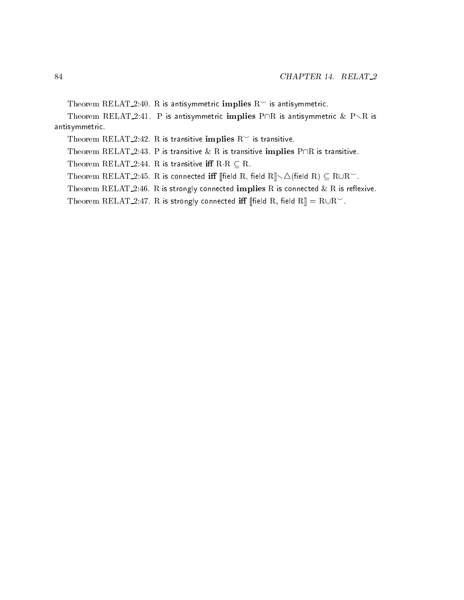Theorem RELAT 2:40. R is antisymmetric implies  $R^{\sim}$  is antisymmetric.

Theorem RELAT 2:41. P is antisymmetric implies  $P\cap R$  is antisymmetric  $\& P\setminus R$  is antisymmetri
.

Theorem RELAT 2:42. R is transitive implies  $R^{\sim}$  is transitive.

Theorem RELAT 2:43. P is transitive  $\&$  R is transitive implies P $\cap$ R is transitive.

Theorem RELAT 2:44. R is transitive iff  $R \cdot R \subseteq R$ .

Theorem RELAT 2:45. R is connected iff [field R, field R]  $\setminus \triangle$  (field R)  $\subseteq$  RUR $\sim$ .

Theorem RELAT 2:46. R is strongly connected implies R is connected  $\&$  R is reflexive.

Theorem RELAT\_2:47. R is strongly connected iff [field R, field R] =  $\text{R}\cup\text{R}^{\smile}$ .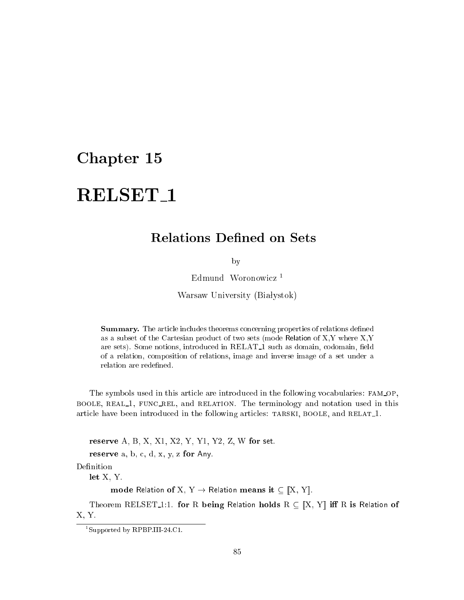# RELSET<sub>1</sub>

### **Relations Defined on Sets**

by

Edmund Woronowicz<sup>1</sup>

Warsaw University (Białystok)

Summary. The article includes theorems concerning properties of relations defined as a subset of the Cartesian produ
t of two sets (mode Relation of X,Y where X,Y are sets). Some notions, introduced in RELAT\_1 such as domain, codomain, field of a relation, omposition of relations, image and inverse image of a set under a relation are redefined.

The symbols used in this article are introduced in the following vocabularies: FAM\_OP, BOOLE, REAL<sub>1</sub>, FUNC\_REL, and RELATION. The terminology and notation used in this article have been introduced in the following articles: TARSKI, BOOLE, and RELAT<sub>1</sub>.

reserve A, B, X, X1, X2, Y, Y1, Y2, Z, W for set.

reserve  $a, b, c, d, x, y, z$  for Any.

Definition

let X, Y.

mode Relation of X, Y  $\rightarrow$  Relation means it  $\subseteq [X, Y]$ .

Theorem RELSET<sub>1</sub>:1. for R being Relation holds  $R \subseteq [X, Y]$  iff R is Relation of X, Y.

<sup>1</sup> Supported by RPBP.III-24.C1.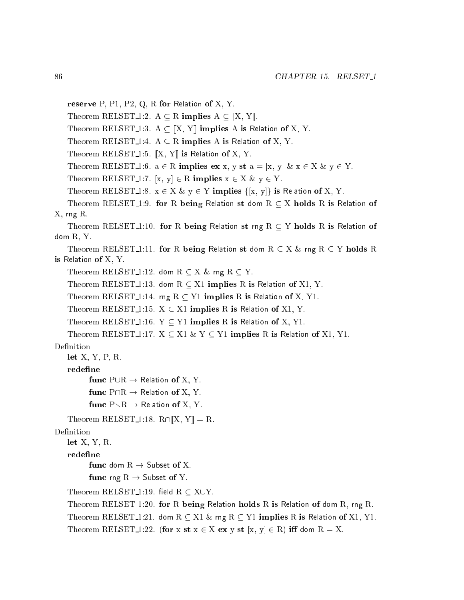```
reserve P, P1, P2, Q, R for Relation of X, Y.
   Theorem RELSET<sub>-1</sub>:2. A \subseteq R implies A \subseteq ||X, Y||.
   Theorem RELSET 1:3. A \subseteq \mathbb{X}, Y\mathbb{I} implies A is Relation of X, Y.
   Theorem RELSET<sub>-1</sub>:4. A \subseteq R implies A is Relation of X, Y.
   Theorem RELSET<sub>1:5</sub>. \mathbb{X}, Y is Relation of X, Y.
   Theorem RELSET 1:6. a \in R implies ex x, y st a = [x, y] & x \in X & y \in Y.
   Theorem RELSET 1:7. [x, y] \in R implies x \in X \& y \in Y.
   Theorem RELSET 1:8. x \in X \& y \in Y implies \{[x, y]\} is Relation of X, Y.
   Theorem RELSET<sub>1</sub>:9. for R being Relation st dom R \subseteq X holds R is Relation of
X, rng R.
    Theorem RELSET<sub>1</sub>:10. for R being Relation st rng R \subseteq Y holds R is Relation of
dom R, Y.
   Theorem RELSET<sub>1</sub>:11. for R being Relation st dom R \subseteq X \& \text{ rng } R \subseteq Y holds R
is Relation of X, Y.
   Theorem RELSET<sub>1:12</sub>. dom R \subseteq X \& \text{rng } R \subseteq Y.
   Theorem RELSET 1:13. dom R \subseteq X1 implies R is Relation of X1, Y.
   Theorem RELSET<sub>1:14</sub>. rng R \subseteq Y<sub>1</sub> implies R is Relation of X, Y<sub>1</sub>.
   Theorem RELSET 1:15. X \subseteq X1 implies R is Relation of X1, Y.
   Theorem RELSET<sub>-1:16</sub>. Y \subseteq Y1 implies R is Relation of X, Y1.
   Theorem RELSET<sub>1</sub>:17. X \subseteq X1 \& Y \subseteq Y1 implies R is Relation of X1, Y1.
Definition
   let X, Y, P, R.
   redefine
          func P\cup R \rightarrow Relation of X, Y.
          func P\cap R \to Relation of X, Y.
          func P \setminus R \to Relation of X, Y.
   Theorem RELSET 1:18. R \cap [X, Y] = R.
Definition
   let X, Y, R.
   redefine
          func dom R \rightarrow Subset of X.
          func rng R \rightarrow Subset of Y.
   Theorem RELSET 1:19. field R \subset X \cup Y.
   Theorem RELSET 1:20. for R being Relation holds R is Relation of dom R, rng R.
   Theorem RELSET 1:21. dom R \subset X1 \& rng R \subset Y1 implies R is Relation of X1, Y1.
   Theorem RELSET 1:22. (for x st x \in X ex y st [x, y] \in R) iff dom R = X.
```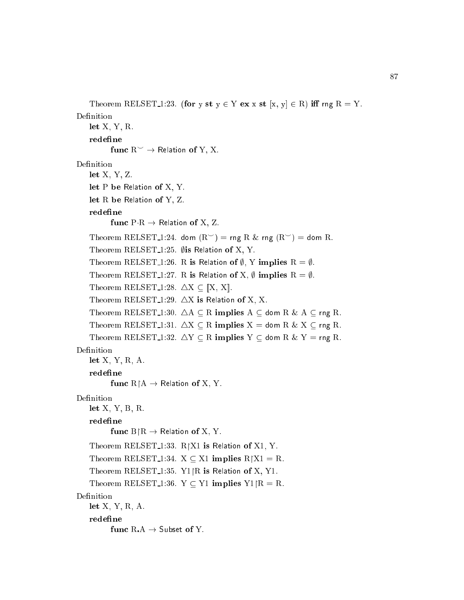```
Theorem RELSET 1:23. (for y st y \in Y ex x st [x, y] \in R) iff rng R = Y.
Definition
    let X, Y, R.
    redefine
           func R^{\sim} \rightarrow Relation of Y, X.
Definition
    let X, Y, Z.
    let P be Relation of X, Y.
    let R be Relation of Y, Z.
    redefine
           func P \cdot R \rightarrow Relation of X, Z.
    Theorem RELSET<sub>-1</sub>:24. dom (R<sup>></sup>) = rng R & rng (R<sup>></sup>) = dom R.
    Theorem RELSET<sub>1:25</sub>. \emptyset is Relation of X, Y.
    Theorem RELSET 1:26. R is Relation of \emptyset, Y implies R = \emptyset.
    Theorem RELSET<sub>1</sub>:27. R is Relation of X, \emptyset implies R = \emptyset.
    Theorem RELSET<sub>1:28</sub>. \triangle X \subseteq [X, X].
    Theorem RELSET<sub>1:29</sub>. \triangleX is Relation of X, X.
    Theorem RELSET<sub>1</sub>:30. \Delta A \subseteq R implies A \subseteq dom R & A \subseteq rng R.
    Theorem RELSET 1:31. \Delta X \subseteq R implies X = dom R & X \subseteq rng R.
    Theorem RELSET 1:32. \Delta Y \subseteq R implies Y \subseteq dom R & Y = rng R.
Definition
    let X, Y, R, A.
    redefine
           func R/A \rightarrow Relation of X, Y.
Definition
    let X, Y, B, R.
    redefine
           func B/R \rightarrow Relation of X, Y.
    Theorem RELSET<sub>1:33</sub>. R[X1 is Relation of X1, Y.
    Theorem RELSET 1:34. X \subseteq X1 implies R/X1 = R.
    Theorem RELSET<sub>1:35</sub>. Y<sub>1</sub>|R is Relation of X, Y<sub>1</sub>.
    Theorem RELSET<sub>1</sub>:36. Y \subseteq Y1 implies Y1|R = R.
Definition
    let X, Y, R, A.
    redefine
           func RA \rightarrow Subset of Y.
```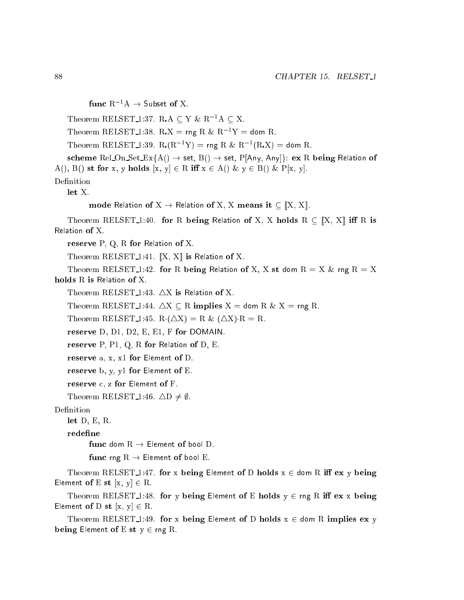func  $R^{-1}A \rightarrow$  Subset of X. Theorem RELSET<sub>1</sub>:37. RA  $\subseteq$  Y & R<sup>-1</sup>A  $\subseteq$  X. Theorem RELSET 1:38. R.X = rng R &  $R^{-1}Y =$  dom R. Theorem RELSET 1:39. R  $(R^{-1}Y)$  = rng R &  $R^{-1}(R.X)$  = dom R. scheme Rel\_On\_Set\_Ex{A()  $\rightarrow$  set, B()  $\rightarrow$  set, P[Any, Any]}: ex R being Relation of A(), B() st for x, y holds  $[x, y] \in R$  iff  $x \in A$ () &  $y \in B$ () & P[x, y]. Definition let X. mode Relation of  $X \to$  Relation of X, X means it  $\subseteq [X, X]$ . Theorem RELSET<sub>1</sub>:40. for R being Relation of X, X holds  $R \subset [X, X]$  iff R is Relation of X. reserve P, Q, R for Relation of X. Theorem RELSET<sub>-1</sub>:41.  $\left[ \mathbf{X}, \mathbf{X} \right]$  is Relation of X. Theorem RELSET<sub>1</sub>:42. for R being Relation of X, X st dom  $R = X \&$  rng  $R = X$ holds R is Relation of X. Theorem RELSET<sub>1:43</sub>.  $\triangle$ X is Relation of X. Theorem RELSET 1:44.  $\triangle X \subseteq R$  implies  $X =$  dom R & X = rng R. Theorem RELSET<sub>-1</sub>:45. R( $\Delta X$ ) = R & ( $\Delta X$ )·R = R. reserve D, D1, D2, E, E1, F for DOMAIN. reserve P, P1, Q, R for Relation of D, E. reserve a, x, x1 for Element of D. reserve b, y, y1 for Element of E. reserve c, z for Element of F. Theorem RELSET<sub>-1</sub>:46.  $\triangle D \neq \emptyset$ . let D, E, R. redefine func dom  $R \rightarrow$  Element of bool D. func rng  $R \rightarrow$  Element of bool E. Theorem RELSET<sub>1</sub>:47. for x being Element of D holds  $x \in$  dom R iff ex y being Element of E st  $[x, y] \in R$ . Theorem RELSET<sub>1</sub>:48. for y being Element of E holds  $y \in \text{rng } R$  iff ex x being Element of D st  $[x, y] \in R$ .

Theorem RELSET<sub>1</sub>:49. for x being Element of D holds  $x \in$  dom R implies ex y being Element of E st  $y \in \text{rng } R$ .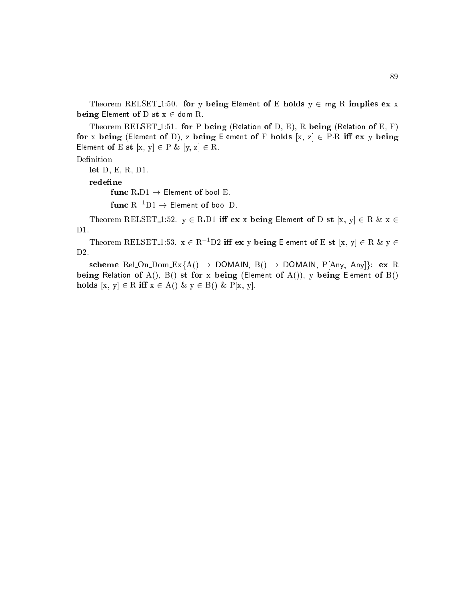Theorem RELSET<sub>1</sub>:50. for y being Element of E holds  $y \in \text{rng } R$  implies ex x being Element of D st  $x \in$  dom R.

Theorem RELSET<sub>1</sub>:51. for P being (Relation of D, E), R being (Relation of E, F) for x being (Element of D), z being Element of F holds  $[x, z] \in P \cdot R$  iff ex y being Element of E st  $[x, y] \in P \& [y, z] \in R$ .

### Definition

let D, E, R, D1.

redefine

func  $R$  D1  $\rightarrow$  Element of bool E.

func ${\rm R}^{-1}{\rm D1} \rightarrow$  Element of bool D.

Theorem RELSET 1:52.  $y \in R.D1$  iff ex x being Element of D st [x, y]  $\in R \& x \in$ D1.

Theorem RELSET 1:53.  $x \in R^{-1}D2$  iff ex y being Element of E st  $[x, y] \in R \& y \in R$ D2.

scheme Rel On Dom  $Ex{A() \rightarrow$  DOMAIN,  $B() \rightarrow$  DOMAIN,  $P[Any, Any]$ : ex R being Relation of A(), B() st for x being (Element of A()), y being Element of B() holds  $[x, y] \in R$  iff  $x \in A()$   $\& y \in B()$   $\& P[x, y]$ .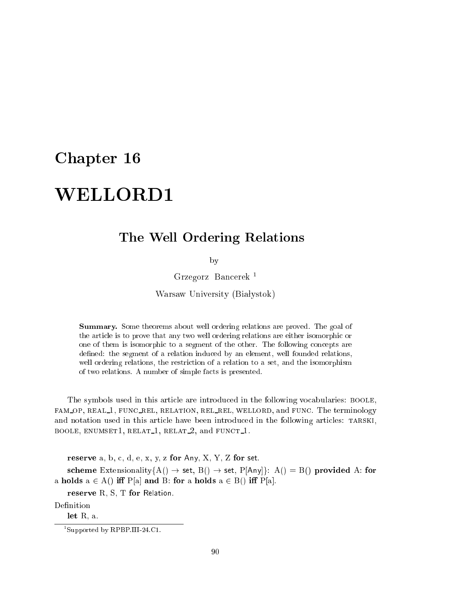# WELLORD1

## The Well Ordering Relations

by

Grzegorz Ban
erek <sup>1</sup>

Warsaw University (Białystok)

Summary. Some theorems about well ordering relations are proved. The goal of the article is to prove that any two well ordering relations are either isomorphic or one of them is isomorphic to a segment of the other. The following concepts are defined: the segment of a relation induced by an element, well founded relations, well ordering relations, the restri
tion of a relation to a set, and the isomorphism of two relations. A number of simple facts is presented.

The symbols used in this arti
le are introdu
ed in the following vo
abularies: boole, fam op, real 1, fun rel, relation, rel rel, wellord, and fun
. The terminology and notation used in this article have been introduced in the following articles: TARSKI, BOOLE, ENUMSET1, RELAT<sub>1</sub>, RELAT<sub>2</sub>, and FUNCT<sub>1</sub>.

reserve a, b, c, d, e, x, y, z for Any, X, Y, Z for set.

scheme Extensionality ${A() \rightarrow set, B() \rightarrow set, P[Any]}$ : A() = B() provided A: for a holds  $a \in A()$  iff  $P[a]$  and B: for a holds  $a \in B()$  iff  $P[a]$ .

reserve R, S, T for Relation.

Definition

let R, a.

<sup>1</sup> Supported by RPBP.III-24.C1.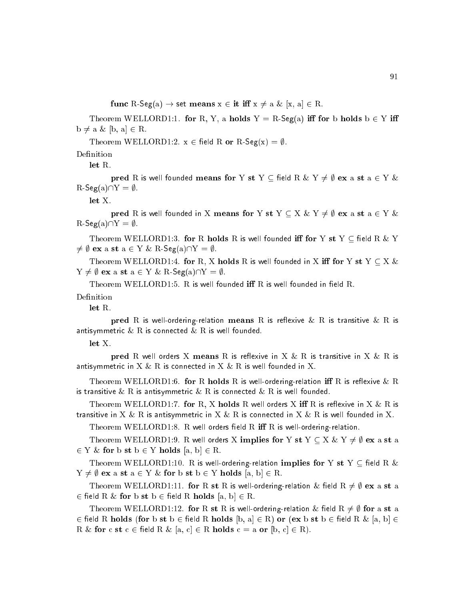func R-Seg(a)  $\rightarrow$  set means  $x \in \text{it iff } x \neq a \& [x, a] \in R$ .

Theorem WELLORD1:1. for R, Y, a holds  $Y = R\text{-}\mathsf{Seg}(a)$  iff for b holds  $b \in Y$  iff  $b \neq a \& [b, a] \in R$ .

Theorem WELLORD1:2.  $x \in \text{field } R$  or  $R\text{-}\text{Seg}(x) = \emptyset$ .

Definition

let R.

pred R is well founded means for Y st Y  $\subseteq$  field R & Y  $\neq \emptyset$  ex a st a  $\in$  Y &  $R\text{-}Seg(a)\cap Y = \emptyset.$ 

let X.

pred R is well founded in X means for Y st Y  $\subset$  X & Y  $\neq \emptyset$  ex a st a  $\in$  Y &  $R\text{-}\mathsf{Seg}(a)\cap Y = \emptyset.$ 

Theorem WELLORD1:3. for R holds R is well founded iff for Y st Y  $\subseteq$  field R & Y  $\neq \emptyset$  ex a st  $a \in Y \& R\text{-}\mathsf{Seg}(a)\cap Y = \emptyset$ .

Theorem WELLORD1:4. for R, X holds R is well founded in X iff for Y st  $Y \subseteq X \&$  $Y \neq \emptyset$  ex a st  $a \in Y \& R\text{-Seg}(a)\cap Y = \emptyset$ .

Theorem WELLORD1:5. R is well founded iff R is well founded in field R.

Definition

let R.

pred R is well-ordering-relation means R is reflexive & R is transitive & R is antisymmetric  $\&$   $\mathrm R$  is connected  $\&$   $\mathrm R$  is well founded.

 $let X.$ 

pred R well orders X means R is reflexive in X & R is transitive in X & R is antisymmetric in  $\mathrm{X} \ \& \ \mathrm{R}$  is connected in  $\mathrm{X} \ \& \ \mathrm{R}$  is well founded in  $\mathrm{X}.$ 

Theorem WELLORD1:6. for R holds R is well-ordering-relation iff R is reflexive & R is transitive  $\&$  R is antisymmetric  $\&$  R is connected  $\&$  R is well founded.

Theorem WELLORD1:7. for R, X holds R well orders X iff R is reflexive in X & R is transitive in X & R is antisymmetric in X & R is connected in X & R is well founded in X.

Theorem WELLORD1:8. R well orders field R iff R is well-ordering-relation.

Theorem WELLORD1:9. R well orders X implies for Y st Y  $\subseteq$  X & Y  $\neq \emptyset$  ex a st a 2 Y & for a st b 2 Y holds and the property for a first contract of the property contract of the property of the property of the property of the property of the property of the property of the property of the property of t

Theorem WELLORD1:10. R is well-ordering-relation implies for Y st Y  $\subset$  field R  $\&$  $Y \neq \emptyset$  ex a st  $a \in Y \&$  for b st  $b \in Y$  holds  $[a, b] \in R$ .

Theorem WELLORD1:11. for R st R is well-ordering-relation & field  $R \neq \emptyset$  ex a st a 2 eld R & for b st b <sup>2</sup> eld R holds [a, b℄ <sup>2</sup> R.

Theorem WELLORD1:12. for R st R is well-ordering-relation & field R  $\neq \emptyset$  for a st a 2 eld R holds (for b st b <sup>2</sup> eld R holds [b, a℄ <sup>2</sup> R) or (ex b st b <sup>2</sup> eld R & [a, b℄ <sup>2</sup> R & for c st  $c \in \text{field } R \& [a, c] \in R \text{ holds } c = a \text{ or } [b, c] \in R$ ).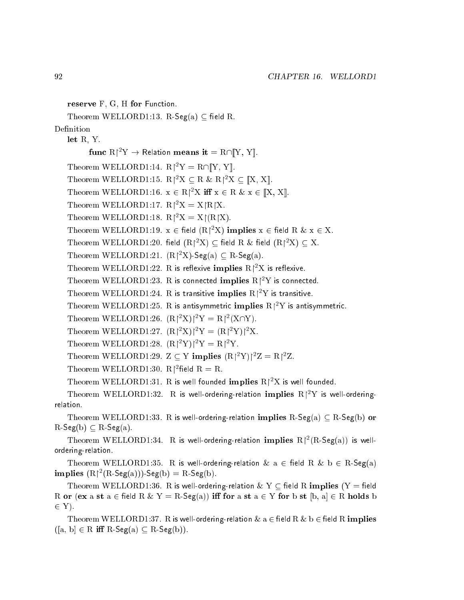reserve F, G, H for Function.

Theorem WELLORD1:13. R-Seg(a)  $\subseteq$  field R.

Definition

let R, Y.

 ${\bf func}\,\,{\rm R}\!\!\upharpoonright^{\rm 2} \rm Y \rightarrow \rm$  Relation  ${\bf mean s}\,\, {\bf it} = {\rm R}\cap \mathbb{I}$ Y, Y $\mathbb{I}.$ 

Theorem WELLORD1:14.  $R|^2Y = R \cap [Y, Y]$ .

Theorem WELLORD1:15.  $R$ <sup>2</sup>X  $\subset$  R & R<sup>2</sup>X  $\subset$  [X, X].

Theorem WELLORD1:16.  $x \in R|^2X$  iff  $x \in R \& x \in [X, X]$ .

Theorem WELLORD1:17.  $R|^2X = X[R|X]$ .

Theorem WELLORD1:18.  $R^2X = X(RX)$ .

Theorem WELLORD1:19.  $x \in$  field  $(R|^2X)$  implies  $x \in$  field R  $\& \ x \in X$ .

Theorem WELLORD1:20. field  $(\mathrm{R} \mathcal{C}^\mathrm{2} \mathrm{X}) \subseteq$  field  $\mathrm{R} \ \& \ \text{field } (\mathrm{R} \mathcal{C}^\mathrm{2} \mathrm{X}) \subseteq \mathrm{X}.$ 

Theorem WELLORD1:21.  $(R^2X)$ -Seg(a)  $\subset R$ -Seg(a).

Theorem WELLORD1:22. R is reflexive  $\mathbf{i} \mathbf{m} \mathbf{p} \mathbf{l} \mathbf{i}$ es R $\mathsf{I}^2 \mathrm{X}$  is reflexive.

Theorem WELLORD1:23. R is connected  $\mathbf{implies}~\mathrm{R}$ |<sup>2</sup>Y is connected.

Theorem WELLORD1:24. R is transitive implies  $\rm R$ 1° $\rm Y$  is transitive.

Theorem WELLORD1:25. R is antisymmetric  $\mathbf{implies} \ \mathrm{R} \mathsf{l}^2 \mathrm{Y}$  is antisymmetric.

Theorem WELLORD1:26.  $(R^2X)^2Y = R^2(X \cap Y)$ .

Theorem WELLORD1:27.  $(R^2X)^2Y = (R^2Y)^2X$ .

Theorem WELLORD1:28.  $(R^2 Y)^2 Y = R^2 Y$ .

Theorem WELLORD1:29.  $Z \subset Y$  implies  $(R[^{2}Y)]^{2}Z = R[^{2}Z$ .

Theorem WELLORD1:30.  $R$ |<sup>2</sup>field R = R.

Theorem WELLORD1:31. R is well founded  $\mathbf{implies}~\mathrm{R}\mathrm{(^2X}$  is well founded.

Theorem WELLORD1:32. R is well-ordering-relation implies  $R|^2Y$  is well-orderingrelation.

Theorem WELLORD1:33. R is well-ordering-relation implies  $R$ -Seg(a)  $\subset R$ -Seg(b) or  $R\text{-}Seg(b) \subseteq R\text{-}Seg(a).$ 

Theorem WELLORD1:34. R is well-ordering-relation implies  $R^2(R\text{-}\mathsf{Seg}(a))$  is wellordering-relation.

Theorem WELLORD1:35. R is well-ordering-relation  $\&$  a  $\in$  field R  $\&$  b  $\in$  R-Seg(a) implies  $(R^2(R-\text{Seg}(a)))-\text{Seg}(b) = R-\text{Seg}(b)$ .

Theorem WELLORD1:36. R is well-ordering-relation & Y  $\subseteq$  field R implies (Y = field R or (ex a st  $a \in \text{field } R \& Y = R$ -Seg(a)) iff for a st  $a \in Y$  for b st  $[b, a] \in R$  holds b  $\cdot$ 

Theorem WELLORD1:37. R is well-ordering-relation  $\&$  a  $\in$  field R  $\&$  b  $\in$  field R implies  $([a, b] \in R$  iff  $R$ -Seg $(a) \subseteq R$ -Seg $(b)$ ).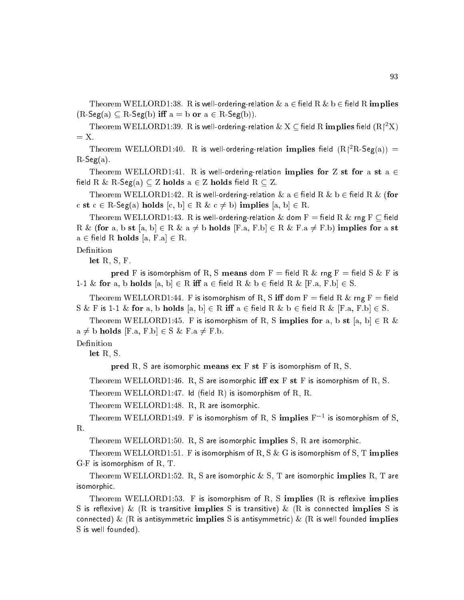Theorem WELLORD1:38. R is well-ordering-relation  $\&$  a  $\in$  field R  $\&$  b  $\in$  field R implies  $(R\text{-}Seg(a) \subseteq R\text{-}Seg(b)$  iff  $a = b$  or  $a \in R\text{-}Seg(b))$ .

Theorem WELLORD1:39.  $\rm\,R$  is well-ordering-relation  $\rm\&X\subseteq$  field  $\rm\,R$  implies field  $\rm\,(R|^2X)$  $=$  X.

Theorem WELLORD1:40. R is well-ordering-relation implies field  $(R^2R\text{-}\mathsf{Seg}(a))$  = R-Seg(a).

Theorem WELLORD1:41. R is well-ordering-relation implies for Z st for a st a  $\in$ field R & R-Seg(a)  $\subseteq$  Z holds a  $\in$  Z holds field R  $\subseteq$  Z.

Theorem WELLORD1:42. R is well-ordering-relation  $\&$  a  $\in$  field R  $\&$  b  $\in$  field R  $\&$  (for c st  $c \in R$ -Seg(a) holds  $[c, b] \in R \& c \neq b$ ) implies  $[a, b] \in R$ .

Theorem WELLORD1:43. R is well-ordering-relation  $\&$  dom F = field R  $\&$  rng F  $\subseteq$  field R & (for a, b st [a, b]  $\in$  R & a  $\neq$  b holds [F.a, F.b]  $\in$  R & F.a  $\neq$  F.b) implies for a st  $a \in \text{field R holds } [a, F.a] \in R.$ 

### Definition

let R, S, F.

pred F is isomorphism of R, S means dom F = field R & rng F = field S & F is 1-1 & for a, b holds  $[a, b] \in R$  iff  $a \in \text{field } R$  &  $b \in \text{field } R$  &  $[F.a, F.b] \in S$ .

Theorem WELLORD1:44. F is isomorphism of R, S iff dom  $F =$  field R & rng F = field S & F is 1-1 & for a, b holds  $[a, b] \in R$  iff  $a \in \text{field } R$  &  $b \in \text{field } R$  &  $[F.a, F.b] \in S$ .

Theorem WELLORD1:45. F is isomorphism of R, S implies for a, b st [a, b]  $\in$  R &  $a \neq b$  holds [F.a, F.b]  $\in S \& F.a \neq F.b.$ 

Definition

let R, S.

pred R, S are isomorphic means  $ex F st F$  is isomorphism of R, S.

Theorem WELLORD1:46. R, S are isomorphic iff  $ex F st F$  is isomorphism of R, S.

Theorem WELLORD1:47. Id (field R) is isomorphism of R, R.

Theorem WELLORD1:48. R, R are isomorphic.

Theorem WELLORD1:49. F is isomorphism of R, S implies  $\mathrm{F}^{-1}$  is isomorphism of S, R.

Theorem WELLORD1:50. R, S are isomorphic implies S, R are isomorphic.

Theorem WELLORD1:51. F is isomorphism of R, S & G is isomorphism of S, T implies  $G \cdot F$  is isomorphism of  $R$ ,  $T$ .

Theorem WELLORD1:52. R. S are isomorphic & S. T are isomorphic implies R. T are isomorphi
.

Theorem WELLORD1:53. F is isomorphism of R, S implies  $(R$  is reflexive implies S is reflexive) & (R is transitive implies S is transitive) & (R is connected implies S is connected) & (R is antisymmetric implies S is antisymmetric) & (R is well founded implies S is well founded).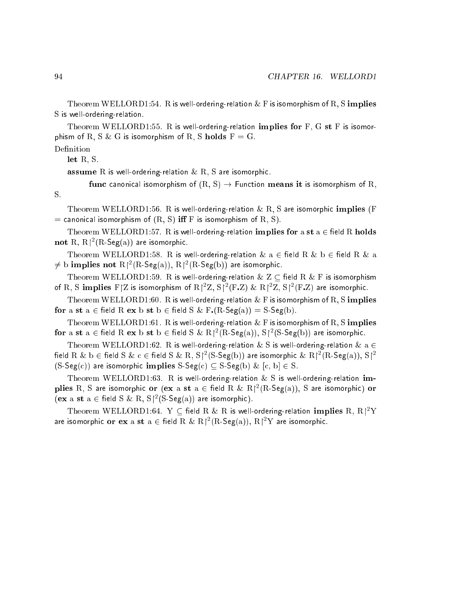Theorem WELLORD1:54. R is well-ordering-relation  $\&$  F is isomorphism of R, S implies S is well-ordering-relation.

Theorem WELLORD1:55. R is well-ordering-relation implies for  $F$ ,  $G$  st  $F$  is isomorphism of R, S & G is isomorphism of R, S holds  $F = G$ .

Definition

let R, S.

**assume** R is well-ordering-relation  $\&$  R, S are isomorphic.

func canonical isomorphism of  $(R, S) \rightarrow$  Function means it is isomorphism of R,

Theorem WELLORD1:56. R is well-ordering-relation  $\&$  R, S are isomorphic implies (F = canonical isomorphism of  $(R, S)$  iff F is isomorphism of R, S).

Theorem WELLORD1:57. R is well-ordering-relation implies for a st a  $\in$  field R holds not R,  $R^2(R\text{-}\mathsf{Seg}(a))$  are isomorphic.

Theorem WELLORD1:58. R is well-ordering-relation  $\&$  a  $\in$  field R  $\&$  b  $\in$  field R  $\&$  a  $\neq$  b implies not  $R|^2(R$ -Seg(a)),  $R|^2(R$ -Seg(b)) are isomorphic.

Theorem WELLORD1:59. R is well-ordering-relation  $\& Z \subseteq \text{field R} \& F$  is isomorphism of R, S implies  $F/Z$  is isomorphism of  $R\frac{2Z}{2}$ ,  $S\frac{2(F,Z)}{2}$  &  $R\frac{2Z}{2}$ ,  $S\frac{2(F,Z)}{2}$  are isomorphic.

Theorem WELLORD1:60. R is well-ordering-relation  $\&$  F is isomorphism of R, S implies for a st  $a \in \text{field } R$  ex b st  $b \in \text{field } S \& F(R\text{-Seg}(a)) = S\text{-Seg}(b).$ 

Theorem WELLORD1:61. R is well-ordering-relation  $\&$  F is isomorphism of R, S implies for a st  $a \in \text{field } R$  ex b st  $b \in \text{field } S \& R \nmid^2(R\text{-}\mathsf{Seg}(a)), S \nmid^2(S\text{-}\mathsf{Seg}(b))$  are isomorphic.

Theorem WELLORD1:62. R is well-ordering-relation  $\&$  S is well-ordering-relation  $\&$  a  $\in$ field R & b  $\in$  field S & c  $\in$  field S & R, S|<sup>2</sup>(S-Seg(b)) are isomorphic & R|<sup>2</sup>(R-Seg(a)), S|<sup>2</sup>  $(S-Seg(c))$  are isomorphic implies  $S-Seg(c) \subset S-Seg(b)$  &  $[c, b] \in S$ .

Theorem WELLORD1:63. R is well-ordering-relation  $\&$  S is well-ordering-relation implies R, S are isomorphic or (ex a st  $a \in \text{field } R \& R \nmid^2(R\text{-}\mathsf{Seg}(a)),$  S are isomorphic) or  $(\mathbf{ex} \mathbf{a} \mathbf{st} \mathbf{a} \in \text{field} \mathbf{S} \& \mathbf{R}, \mathbf{S} \upharpoonright^2 (\mathbf{S}\text{-}\mathbf{Seg}(\mathbf{a}))$  are isomorphic).

Theorem WELLORD1:64. Y  $\subset$  field R  $\&$  R is well-ordering-relation  $\bold{implies}$  R,  $\mathrm{R}^{\dagger 2}\mathrm{Y}$ are isomorphic or  ${\bf ex}$  a  ${\bf st}$  a  $\in$  field  ${\rm R}$   $\&$   ${\rm R} \mathord{\upharpoonright}^2({\rm R}\text{-}\mathsf{Seg}({\rm a})),$   ${\rm R} \mathord{\upharpoonright}^2{\rm Y}$  are isomorphic.

S.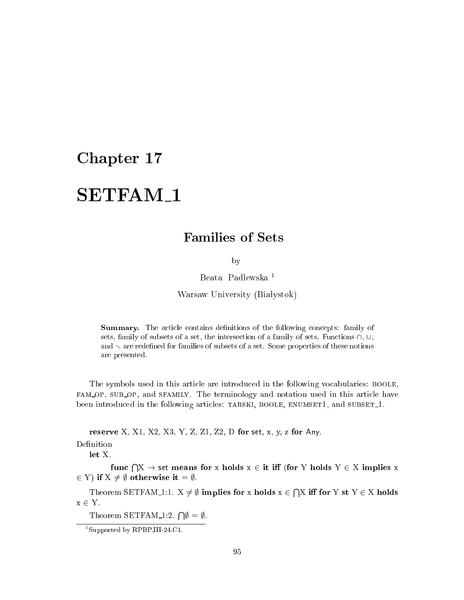### **SETFAM1** SETFAM 1

# Families of Sets

by

Beata Padlewska <sup>1</sup>

Warsaw University (Białystok)

**Summary.** The article contains definitions of the following concepts: family of sets, family of subsets of a set, the intersection of a family of sets. Functions  $\cap$ ,  $\cup$ , and  $\backsim$  are redefined for families of subsets of a set. Some properties of these notions are presented.

The symbols used in this arti
le are introdu
ed in the following vo
abularies: boole, fam op, sub op, and sfamily. The terminology and notation used in this arti
le have been introduced in the following articles: TARSKI, BOOLE, ENUMSET1, and SUBSET<sub>1</sub>.

reserve X, X1, X2, X3, Y, Z, Z1, Z2, D for set, x, y, z for Any.

Definition

let X.

func  $\bigcap X \to$  set means for x holds  $x \in \mathbf{it}$  iff (for Y holds  $Y \in X$  implies x  $\epsilon$   $\epsilon$  ,  $\epsilon$  is  $\epsilon$  in a set  $\epsilon$  . It is the set of  $\epsilon$  is the set of  $\epsilon$  is the set of  $\epsilon$ 

Theorem SETFAM 1:1. X 6= ; implies for x holds x <sup>2</sup>  $\sim$ X i for Y st Y <sup>2</sup> X holds  $x \in Y$ .

Theorem SETFAM<sub>-1</sub>:2.  $\bigcap \emptyset = \emptyset$ .

<sup>1</sup> Supported by RPBP.III-24.C1.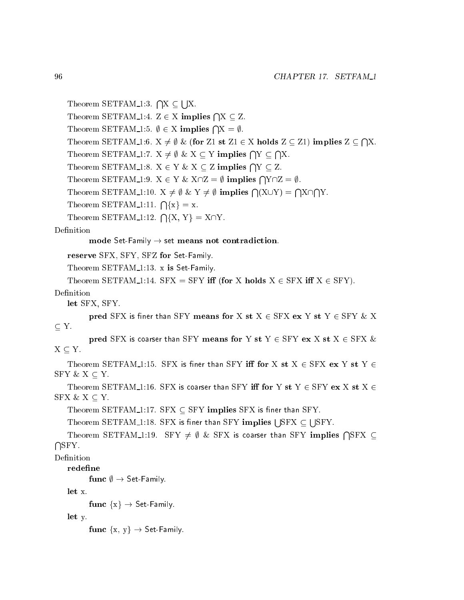```
Theorem SETFAM_1:3. \bigcap X \subseteqs and the second state of the second state of the second state of the second state of the second state of the second state in the second state in the second state in the second state in the second state in the second state
       Theorem SETFAM<sub>-1</sub>:4. Z \in X implies \bigcap X \subseteq Z.
       Theorem SETFAM 1:5. \emptyset \in X implies \bigcap X = \emptyset.
                                                                                                                                                                    \simThe set \mathcal{S}=\{f\in\mathcal{S}:\mathcal{S}=\mathcal{S}:\mathcal{S}=\mathcal{S}:\mathcal{S}=\mathcal{S}=\mathcal{S}:\mathcal{S}=\mathcal{S}=\mathcal{S}:\mathcal{S}=\mathcal{S}=\mathcal{S}=\mathcal{S}=\mathcal{S}=\mathcal{S}=\mathcal{S}=\mathcal{S}=\mathcal{S}=\mathcal{S}=\mathcal{S}=\mathcal{S}=\mathcal{S}=\mathcal{S}=\mathcal{S}=\mathcal{S}=\mathcal{S}=\mathcal{S}=\mathcal{S}=\mathcal{S}=\mathcal{S}=\mathcal{S}=\mathcalTheorem SETFAM<sub>-1</sub>:7. X \neq \emptyset & X \subseteq Y implies \bigcap Y \subseteqThe Contract of the Contract of the Contract of the Contract of the Contract of the Contract of The Contract o
       Theorem SETFAM_1:8. X \in Y \& X \subseteq Z implies \bigcap Y \subseteq Z.
       Theorem SETFAM<sub>-1</sub>:9. X \in Y \& X \cap Z = \emptyset implies \bigcap Y \cap Z = \emptyset.
       Theorem SETFAM 1:10. X \neq \emptyset & Y \neq \emptyset implies \bigcap (X \cup Y) =The Contract of the Contract of the Contract of the Contract of the Contract of the Contract of The Contract o
                                                                                                                                           The Contract of the Contract of the Contract of the Contract of the Contract of the Contract of The Contract o
       Theorem SETFAM<sub>-1</sub>:11. \bigcap \{x\} = x.
       Theorem SETFAM 1:12. \bigcap \{X, Y\} = X\bigcap Y.
Definition
                  mode Set-Family \rightarrow set means not contradiction.
      reserve SFX, SFY, SFZ for Set-Family.
      Theorem SETFAM<sub>-1:13</sub>. x is Set-Family.
      Theorem SETFAM 1:14. SFX = SFY iff (for X holds X \in SFX iff X \in SFY).
Definition
      let SFX, SFY.
                 pred SFX is finer than SFY means for X st X \in SFX ex Y st Y \in SFY & X
 Y.
                  pred SFX is coarser than SFY means for Y st Y \in SFY ex X st X \in SFX &
X \subseteq Y.
      Theorem SETFAM 1:15. SFX is finer than SFY iff for X st X \in SFX ex Y st Y \inSFY & X \subseteq Y.
      Theorem SETFAM 1:16. SFX is coarser than SFY iff for Y st Y \in SFY ex X st X \inSFX & X \subseteq Y.
      Theorem SETFAM 1:17. SFX \subset SFY implies SFX is finer than SFY.
       Theorem SETFAM_1:18. SFX is finer than SFY \mathop{\bf implies}\nolimits | |SFX \mathrel{\subset}s a
       Theorem SETFAM_1:19. SFY \neq \emptyset & SFX is coarser than SFY implies \bigcap {\rm SFX} \subseteqThe Company's Company's Company's Company's Company's Company's Company's Company's Company's Company's Company's Company's Company's Company's Company's Company's Company's Company's Company's Company's Company's Company
      redefine
                 func \emptyset \rightarrow Set-Family.
      let x.
                 func \{x\} \rightarrow Set-Family.
      let y.
```
func  $\{x, y\} \rightarrow$  Set-Family.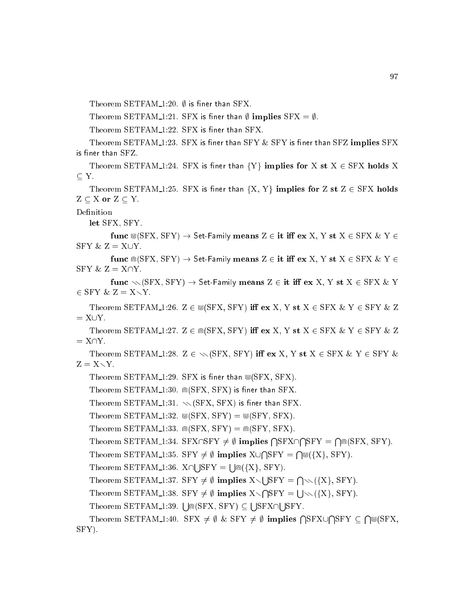Theorem SETFAM  $1:20.$   $\emptyset$  is finer than SFX.

Theorem SETFAM 1:21. SFX is finer than  $\emptyset$  implies SFX =  $\emptyset$ .

Theorem SETFAM 1:22. SFX is finer than SFX.

Theorem SETFAM  $1:23$ . SFX is finer than SFY  $\&$  SFY is finer than SFZ implies SFX is finer than  $SFZ$ .

Theorem SETFAM 1:24. SFX is finer than  ${Y}$  implies for X st  $X \in SFX$  holds X

Theorem SETFAM 1:25. SFX is finer than  $\{X, Y\}$  implies for Z st  $Z \in SFX$  holds  $Z \subseteq X$  or  $Z \subseteq Y$ .

Definition

let SFX, SFY.

func  $\mathbb{U}(SFX, SFY) \rightarrow$  Set-Family means  $Z \in \mathbf{it}$  iff ex X, Y st  $X \in SFX \& Y \in$ SFY  $\& Z = X \cup Y$ .

func  $\mathbb{R}(SFX, SFY) \to Set-Family$  means  $Z \in \mathbf{it}$  iff ex X, Y st  $X \in SFX \& Y \in$  $SFY & Z = X\cap Y$ .

func  $\sim$  (SFX, SFY)  $\rightarrow$  Set-Family means Z  $\in$  it iff ex X, Y st X  $\in$  SFX & Y  $2 \times 2 = 20$   $-2 = 20$ 

Theorem SETFAM 1:26.  $Z \in \mathbb{U}(\text{SFX}, \text{SFY})$  iff ex X, Y st  $X \in \text{SFX}$  & Y  $\in \text{SFY}$  & Z

Theorem SETFAM 1:27.  $Z \in \mathbb{R}$  (SFX, SFY) iff ex X, Y st  $X \in \text{SFX}$  & Y  $\in$  SFY & Z  $= X\cap Y$ .

Theorem SETFAM 1:28.  $Z \in \mathcal{B}(SFX, SFY)$  iff ex X, Y st  $X \in SFX \& Y \in SFY \&$  $Z = X \setminus Y$ .

Theorem SETFAM  $1:29$ . SFX is finer than  $\mathbb{U}(SFX, SFX)$ .

Theorem SETFAM\_1:30.  $\mathbb{M}(SFX, SFX)$  is finer than SFX.

Theorem SETFAM 1:31.  $\sqrt{\text{SFX}}$ , SFX) is finer than SFX.

Theorem SETFAM 1:32.  $\mathbb{U}(SFX, SFY) = \mathbb{U}(SFY, SFX).$ 

Theorem SETFAM 1:33.  $\mathbb{R}(SFX, SFY) = \mathbb{R}(SFY, SFX).$ 

Theorem SETFAM\_1:34. SFX $\cap$ SFY  $\neq \emptyset$  implies  $\bigcap$ SFX $\cap$ **The Company of the Company of the Company of the Company of the Company of the Company of the Company of the Company of the Company of the Company of the Company of the Company of the Company of the Company of the Company The Company of the Company of the Company of the Company of the Company of the Company of the Company of the Company of the Company of the Company of the Company of the Company of the Company of the Company of the Company**  $\cdots$ ,  $\approx$   $\sim$   $\sim$   $\sim$   $\sim$   $\sim$   $\cdots$ 

Theorem SETFAM 1:35. SFY 6= ; implies <sup>X</sup>[  $\sim$  $\sim$ d(fXg, SFY).

Theorem SETFAM 1:36. X\ s a s a  $\cdots$ ,  $\cdots$ ,  $\cdots$   $\cdots$ 

The set  $\mathcal{S}=\mathcal{S}$  is set of  $\mathcal{S}=\mathcal{S}$  . Set of  $\mathcal{S}=\mathcal{S}$  , if  $\mathcal{S}=\mathcal{S}$  is set of  $\mathcal{S}=\mathcal{S}$ s a **The Contract of the Contract of the Contract of the Contract of the Contract of the Contract of The Contract o** rr(fXg, SFY).

Theorem SETFAM 1:38. SFY 6= ; implies X<sup>r</sup>  $\sim$ s a  $\ldots$ ,  $\ldots$ ,  $\sim$   $\ldots$ 

Theorem SETFAM\_1:39. [  $|\text{m(SFX, SFY)} \subset$ s se s and the second state of the second state of the second state of the second state of the second state of the second state in the second state in the second state in the second state in the second state in the second state

Theorem SETFAM<sub>-1</sub>:40. SFX  $\neq \emptyset$  & SFY  $\neq \emptyset$  implies  $\bigcap$ SFX $\cup$ **The Contract of the Contract of the Contract of the Contract of the Contract of the Contract of The Contract o** SFY  $\sim$  $\sim$  ,  $\sim$   $-$ SFY).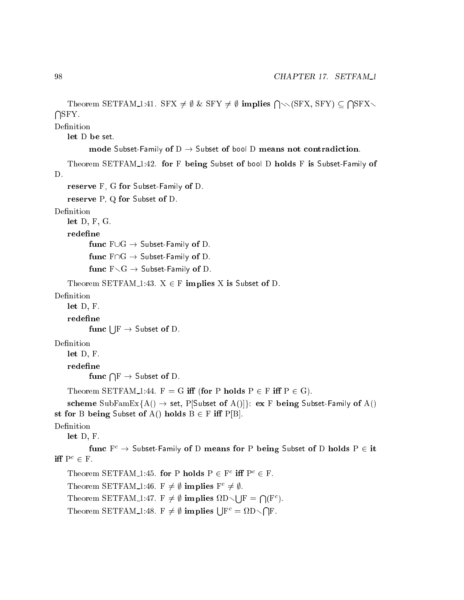$\sim$ 

```
Theorem SETFAM_1:41. SFX \neq \emptyset & SFY \neq \emptyset implies \bigcap \setminus (SFX, SFY) \subseteqThe Contract of the Contract of the Contract of the Contract of the Contract of the Contract of The Contract o
Definition
    let D be set.
             mode Subset-Family of D \rightarrow Subset of bool D means not contradiction.
    Theorem SETFAM 1:42. for F being Subset of bool D holds F is Subset-Family of
D.
    reserve F, G for Subset-Family of D.
    reserve P, Q for Subset of D.
Definition
    let D, F, G.
    redefine
            func F \cup G \rightarrow Subset-Family of D.
            func F \cap G \rightarrow Subset-Family of D.
            func F\diagdown G \rightarrow Subset-Family of D.
    Theorem SETFAM 1:43. X \in F implies X is Subset of D.
Definition
    let D, F.
    redefine
             func \mathsf{E} \to \mathsf{Subset} of D.
Definition
    let D, F.
    redefine
             func \bigcap \mathrm{F} \to \textsf{Subset of D}.Theorem SETFAM 1:44. F = G iff (for P holds P \in F iff P \in G).
    scheme SubFamEx{A() \rightarrow set, P[Subset of A()]}: ex F being Subset-Family of A()
st for B being Subset of A() holds B \in F iff P[B].
Definition
     let D, F.
            func F^c \to Subset-Family of D means for P being Subset of D holds P \in it
\mathbf{m} \mathbf{r} \in \mathbf{r} .
     I neorem SLITAM = 1.45. for P notas P \in F in P^* \in F.
     I neorem SETFAM 1:40. F \neq \emptyset implies F \neq \emptyset.
     Theorem SETFAM 1:47. F 6= ; implies 
Dr
                                                                   s such an an
                                                                            \bigcap (F^c).
     Theorem SETFAM 1:48. F \neq \emptyset implies \Box F^c = \Omega D \diagdownThe Contract of the Contract of the Contract of the Contract of the Contract of the Contract of The Contract o
```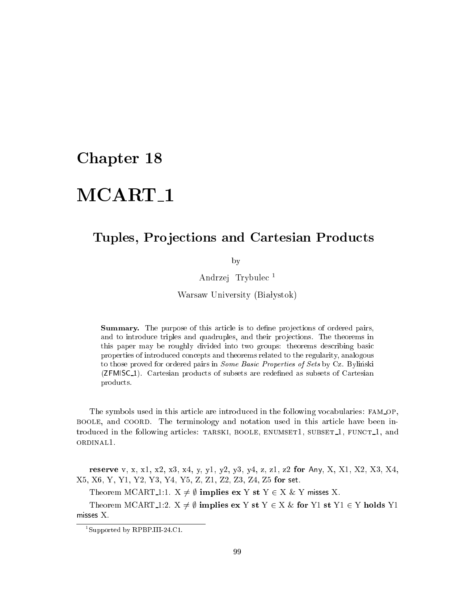# MCART<sub>-1</sub>

### Tuples, Projections and Cartesian Products

by

Andrzej Trybule <sup>1</sup>

Warsaw University (Białystok)

Summary. The purpose of this article is to define projections of ordered pairs, and to introduce triples and quadruples, and their projections. The theorems in this paper may be roughly divided into two groups: theorems describing basic properties of introdu
ed on
epts and theorems related to the regularity, analogous to those proved for ordered pairs in *Some Basic Properties of Sets* by Cz. Bylinski (**ZFMISC**<sub>1</sub>). Cartesian products of subsets are redefined as subsets of Cartesian produ
ts.

The symbols used in this article are introduced in the following vocabularies: FAM\_OP, BOOLE, and COORD. The terminology and notation used in this article have been introduced in the following articles: TARSKI, BOOLE, ENUMSET1, SUBSET<sub>1</sub>, FUNCT<sub>1</sub>, and ordinal1.

reserve v, x, x1, x2, x3, x4, y, y1, y2, y3, y4, z, z1, z2 for Any, X, X1, X2, X3, X4, X5, X6, Y, Y1, Y2, Y3, Y4, Y5, Z, Z1, Z2, Z3, Z4, Z5 for set.

Theorem MCART<sub>1</sub>:1.  $X \neq \emptyset$  implies ex Y st Y  $\in X \&$  Y misses X.

Theorem MCART 1:2.  $X \neq \emptyset$  implies ex Y st Y  $\in X \&$  for Y1 st Y1  $\in Y$  holds Y1 misses X.

<sup>1</sup> Supported by RPBP.III-24.C1.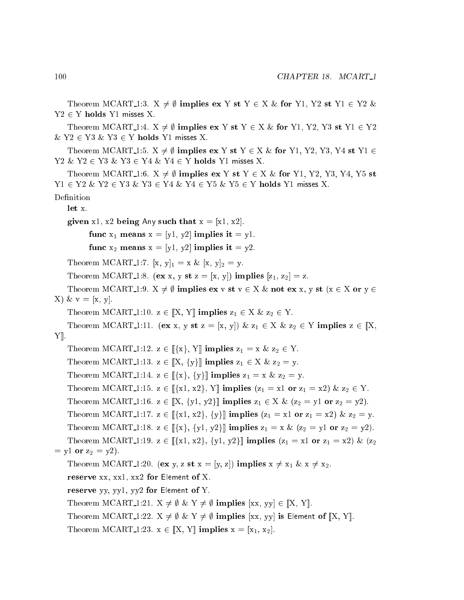```
Y2 \in Y holds Y1 misses X.
   Theorem MCART 1:4. X \neq \emptyset implies ex Y st Y \in X \& for Y1, Y2, Y3 st Y1 \in Y2\& Y2 \in Y3 \& Y3 \in Y holds Y1 misses X.
   Theorem MCART<sub>-1</sub>:5. X \neq \emptyset implies ex Y st Y \in X \& for Y1, Y2, Y3, Y4 st Y1 \inY2 \& Y2 \in Y3 \& Y3 \in Y4 \& Y4 \in Y holds Y1 misses X.
    Theorem MCART<sub>-1</sub>:6. X \neq \emptyset implies ex Y st Y \in X \& for Y1, Y2, Y3, Y4, Y5 st
Y1 \in Y2 \& Y2 \in Y3 \& Y3 \in Y4 \& Y4 \in Y5 \& Y5 \in Y holds Y1 misses X.
Definition
   let x.given x1, x2 being Any such that x = [x1, x2].
          func x_1 means x = [y_1, y_2] implies it y_1.
          func x_2 means x = [y_1, y_2] implies it y_2.
   Theorem MCART 1:7. [x, y]_1 = x \& [x, y]_2 = y.
   Theorem MCART 1:8. (ex x, y st z = [x, y]) implies [z_1, z_2] = z.
   Theorem MCART<sub>1</sub>:9. X \neq \emptyset implies ex v st v \in X \& \text{ not } \text{ex } x, y \text{ st } (x \in X \text{ or } y \in Y)X) \& v = [x, y].Theorem MCART 1:10. z \in [X, Y] implies z_1 \in X \& z_2 \in Y.
   Theorem MCART<sub>-1</sub>:11. (ex x, y st z = [x, y]) & z_1 \in X & z_2 \in Y implies z \in [X,Y\|.
   Theorem MCART 1:12. z \in [[\{x\}, Y]] implies z_1 = x \& z_2 \in Y.
   Theorem MCART 1:13. z \in [[X, \{y\}] implies z_1 \in X \& z_2 = y.
   Theorem MCART 1:14. z \in [[x], {y}]] implies z_1 = x \& z_2 = y.
   Theorem MCART 1:15. z \in \mathbb{K} \{x_1, x_2\}, Y implies (z_1 = x_1 \text{ or } z_1 = x_2) & z_2 \in Y.
   Theorem MCART 1:16. z \in [X, \{y1, y2\}] implies z_1 \in X \& (z_2 = y1 \text{ or } z_2 = y2).
   Theorem MCART 1:17. z \in [[x1, x2], {y}]] implies (z_1 = x1 or z_1 = x2) & z_2 = y.
   Theorem MCART 1:18. z \in [[x], \{y1, y2\}] implies z_1 = x \& (z_2 = y1 \text{ or } z_2 = y2).
   Theorem MCART 1:19. z \in [\{x1, x2\}, \{y1, y2\}] implies (z_1 = x1 or z_1 = x2) & (z_2= y1 or z_2 = y2).
   Theorem MCART 1:20. (ex y, z st x = [y, z]) implies x \neq x_1 \& x \neq x_2.
   reserve xx, xx1, xx2 for Element of X.
   reserve yy, yy1, yy2 for Element of Y.
   Theorem MCART 1:21. X \neq \emptyset & Y \neq \emptyset implies [xx, yy] \in [X, Y].
   Theorem MCART 1:22. X \neq \emptyset & Y \neq \emptyset implies [xx, yy] is Element of [X, Y].
   Theorem MCART 1:23. x \in [X, Y] implies x = [x_1, x_2].
```
Theorem MCART<sub>1</sub>:3.  $X \neq \emptyset$  implies ex Y st Y  $\in X \&$  for Y1, Y2 st Y1  $\in Y2 \&$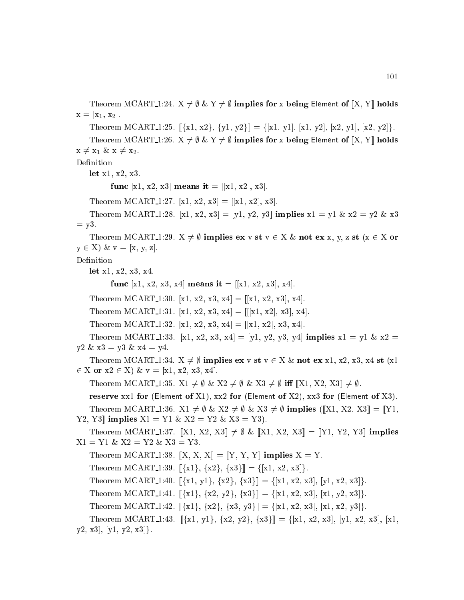Theorem MCART<sub>-1</sub>:24.  $X \neq \emptyset$  &  $Y \neq \emptyset$  implies for x being Element of  $[[X, Y]]$  holds  $x = [x_1, x_2].$ 

Theorem MCART 1:25.  $[\{x1, x2\}, \{y1, y2\}] = \{[x1, y1], [x1, y2], [x2, y1], [x2, y2]\}.$ 

Theorem MCART<sub>-1</sub>:26.  $X \neq \emptyset$  &  $Y \neq \emptyset$  implies for x being Element of  $[[X, Y]]$  holds  $x \neq x_1 \& x \neq x_2.$ 

Definition

let x1, x2, x3.

func [x1, x2, x3] means it = [[x1, x2], x3].

Theorem MCART 1:27. [x1, x2, x3] = [[x1, x2], x3].

Theorem MCART 1:28. [x1, x2, x3] = [y1, y2, y3] implies  $x1 = y1 \& x2 = y2 \& x3$  $=$  y3.

Theorem MCART 1:29.  $X \neq \emptyset$  implies ex v st  $v \in X \& \text{ not } \text{ex } x, y, z \text{ st } (x \in X \text{ or } y)$  $y \in X$ ) &  $v = [x, y, z]$ .

Definition

let x1, x2, x3, x4.

func [x1, x2, x3, x4] means it = [[x1, x2, x3], x4].

Theorem MCART 1:30. [x1, x2, x3, x4] = [[x1, x2, x3], x4].

Theorem MCART 1:31. [x1, x2, x3, x4] = [[[x1, x2], x3], x4].

Theorem MCART 1:32. [x1, x2, x3, x4] = [[x1, x2], x3, x4].

Theorem MCART 1:33. [x1, x2, x3, x4] = [y1, y2, y3, y4] implies  $x1 = y1 \& x2 =$  $y2 \& x3 = y3 \& x4 = y4.$ 

Theorem MCART<sub>-1</sub>:34.  $X \neq \emptyset$  implies ex v st  $v \in X \& \text{not } \in \mathbf{x} \times 1$ , x2, x3, x4 st (x1) 2 X or x2 <sup>2</sup> X) & v = [x1, x2, x3, x4℄.

Theorem MCART 1:35.  $X1 \neq \emptyset$  &  $X2 \neq \emptyset$  &  $X3 \neq \emptyset$  iff  $[[X1, X2, X3]] \neq \emptyset$ .

reserve xx1 for (Element of X1), xx2 for (Element of X2), xx3 for (Element of X3). Theorem MCART 1:36.  $X1 \neq \emptyset$  &  $X2 \neq \emptyset$  &  $X3 \neq \emptyset$  implies ([X1, X2, X3] = [Y1, Y2, Y3|| implies  $X1 = Y1 \& X2 = Y2 \& X3 = Y3$ .

Theorem MCART 1:37.  $[X1, X2, X3] \neq \emptyset \& [X1, X2, X3] = [Y1, Y2, Y3]$  implies  $X1 = Y1 \& X2 = Y2 \& X3 = Y3.$ 

Theorem MCART 1:38.  $[X, X, X] = [Y, Y, Y]$  implies  $X = Y$ .

Theorem MCART 1:39.  $[\{x1\}, \{x2\}, \{x3\}] = \{[x1, x2, x3]\}.$ 

Theorem MCART 1:40.  $[\{x1, y1\}, \{x2\}, \{x3\}] = \{[x1, x2, x3], [y1, x2, x3]\}.$ 

Theorem MCART 1:41.  $[\{x1\}, \{x2, y2\}, \{x3\}] = [\{x1, x2, x3\}, \{x1, y2, x3\}].$ 

Theorem MCART 1:42.  $[\{x1\}, \{x2\}, \{x3, y3\}] = \{[x1, x2, x3], [x1, x2, y3]\}.$ 

Theorem MCART 1:43.  $[\{x1, y1\}, \{x2, y2\}, \{x3\}] = [\{x1, x2, x3\}, [y1, x2, x3], [x1, x2, x3]]$  $y2, x3, [y1, y2, x3].$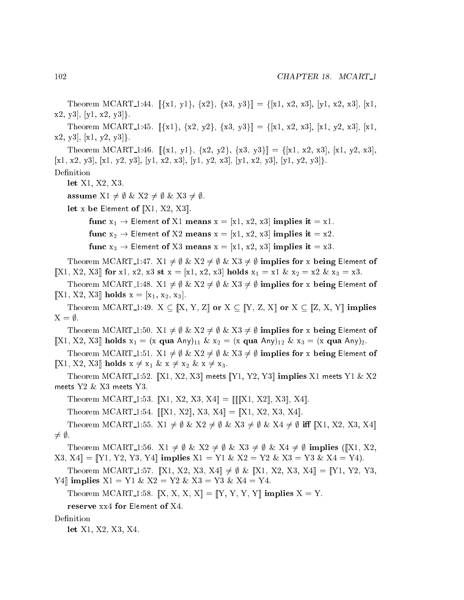Theorem MCART<sub>1</sub>:44.  $[\{x1, y1\}, \{x2\}, \{x3, y3\}] = [\{x1, x2, x3\}, [y1, x2, x3], [x1,$  $x2, y3$ ,  $[y1, x2, y3]$ .

Theorem MCART 1:45.  $[\{x1\}, \{x2, y2\}, \{x3, y3\}] = \{[x1, x2, x3], [x1, y2, x3], [x1,$  $x2, y3$ ,  $\lfloor x1, y2, y3 \rfloor$ .

Theorem MCART 1:46.  $[\{x1, y1\}, \{x2, y2\}, \{x3, y3\}] = [\{x1, x2, x3\}, \{x1, y2, x3\}]$  $[x1, x2, y3], [x1, y2, y3], [y1, x2, x3], [y1, y2, x3], [y1, x2, y3], [y1, y2, y3].$ Definition

let X1, X2, X3.

assume  $X1 \neq \emptyset \& X2 \neq \emptyset \& X3 \neq \emptyset$ .

let x be Element of  $[X1, X2, X3]$ .

func  $x_1 \rightarrow$  Element of X1 means  $x = [x1, x2, x3]$  implies it  $= x1$ .

func  $x_2 \rightarrow$  Element of X2 means  $x = [x_1, x_2, x_3]$  implies it  $= x_2$ .

func  $x_3 \rightarrow$  Element of X3 means  $x = [x1, x2, x3]$  implies it  $= x3$ .

Theorem MCART<sub>1</sub>:47.  $X1 \neq \emptyset \& X2 \neq \emptyset \& X3 \neq \emptyset$  implies for x being Element of [X1, X2, X3] for x1, x2, x3 st x = [x1, x2, x3] holds  $x_1 = x1 \& x_2 = x2 \& x_3 = x3$ .

Theorem MCART\_1:48.  $X1 \neq \emptyset \& X2 \neq \emptyset \& X3 \neq \emptyset$  implies for x being Element of  $[X1, X2, X3]$  holds  $x = [x_1, x_2, x_3]$ .

Theorem MCART\_1:49.  $X \subseteq [X, Y, Z]$  or  $X \subseteq [Y, Z, X]$  or  $X \subseteq [Z, X, Y]$  implies  $X = \emptyset$ .

Theorem MCART\_1:50.  $X1 \neq \emptyset \& X2 \neq \emptyset \& X3 \neq \emptyset$  implies for x being Element of [X1, X2, X3] holds  $x_1 = (x \text{ qua Any})_{11} \& x_2 = (x \text{ qua Any})_{12} \& x_3 = (x \text{ qua Any})_2$ .

Theorem MCART<sub>-1</sub>:51. X1  $\neq \emptyset$  & X2  $\neq \emptyset$  & X3  $\neq \emptyset$  implies for x being Element of [X1, X2, X3] holds  $x \neq x_1 \& x \neq x_2 \& x \neq x_3$ .

Theorem MCART\_1:52.  $\left[\!\left[\text{X1}, \text{X2}, \text{X3}\right]\!\right]$  meets  $\left[\!\left[\text{Y1}, \text{Y2}, \text{Y3}\right]\!\right]$  implies X1 meets Y1 & X2 meets Y2 & X3 meets Y3.

Theorem MCART 1:53.  $[X1, X2, X3, X4] = [[[X1, X2], X3], X4]$ .

Theorem MCART 1:54.  $[[X1, X2], X3, X4] = [[X1, X2, X3, X4]].$ 

Theorem MCART 1:55.  $X1 \neq \emptyset$  &  $X2 \neq \emptyset$  &  $X3 \neq \emptyset$  &  $X4 \neq \emptyset$  iff  $[[X1, X2, X3, X4]]$  $\neq \emptyset$ .

Theorem MCART<sub>-1</sub>:56. X1  $\neq \emptyset$  & X2  $\neq \emptyset$  & X3  $\neq \emptyset$  & X4  $\neq \emptyset$  implies ([X1, X2,  $[X3, X4] = [Y1, Y2, Y3, Y4]$  implies  $X1 = Y1 \& X2 = Y2 \& X3 = Y3 \& X4 = Y4$ .

Theorem MCART 1:57. [X1, X2, X3, X4]  $\neq \emptyset$  & [X1, X2, X3, X4]] = [Y1, Y2, Y3,  $Y4$  implies  $X1 = Y1 \& X2 = Y2 \& X3 = Y3 \& X4 = Y4$ .

Theorem MCART 1:58.  $[[X, X, X, X]] = [[Y, Y, Y, Y]]$  implies  $X = Y$ .

reserve xx4 for Element of X4.

Definition

let X1, X2, X3, X4.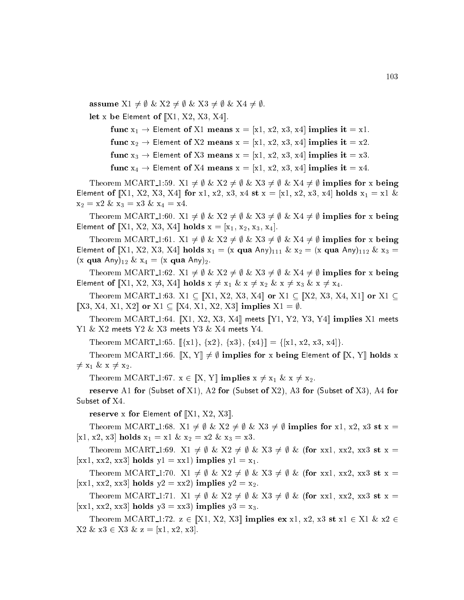assume  $X1 \neq \emptyset \& X2 \neq \emptyset \& X3 \neq \emptyset \& X4 \neq \emptyset$ . let x be Element of  $[[X1, X2, X3, X4]].$ 

> func  $x_1 \rightarrow$  Element of X1 means  $x = [x_1, x_2, x_3, x_4]$  implies it  $= x_1$ . func  $x_2 \rightarrow$  Element of X2 means  $x = [x1, x2, x3, x4]$  implies it  $= x2$ . func  $x_3 \rightarrow$  Element of X3 means  $x = [x1, x2, x3, x4]$  implies it  $= x3$ . func  $x_4 \rightarrow$  Element of X4 means  $x = [x1, x2, x3, x4]$  implies it  $= x4$ .

Theorem MCART 1:59.  $X1 \neq \emptyset \& X2 \neq \emptyset \& X3 \neq \emptyset \& X4 \neq \emptyset$  implies for x being Element of  $[[X1, X2, X3, X4]]$  for x1, x2, x3, x4 st  $x = [x1, x2, x3, x4]$  holds  $x_1 = x1 \&$  $x_2 = x2 \& x_3 = x3 \& x_4 = x4.$ 

Theorem MCART 1:60.  $X1 \neq \emptyset \& X2 \neq \emptyset \& X3 \neq \emptyset \& X4 \neq \emptyset$  implies for x being Element of [X1, X2, X3, X4] holds  $x = [x_1, x_2, x_3, x_4]$ .

Theorem MCART<sub>-1</sub>:61.  $X1 \neq \emptyset \& X2 \neq \emptyset \& X3 \neq \emptyset \& X4 \neq \emptyset$  implies for x being Element of [X1, X2, X3, X4] holds  $x_1 = (x \text{ qua Any})_{111} \& x_2 = (x \text{ qua Any})_{112} \& x_3 =$  $(x \text{ qua Any})_{12} \& x_4 = (x \text{ qua Any})_2.$ 

Theorem MCART 1:62.  $X1 \neq \emptyset \& X2 \neq \emptyset \& X3 \neq \emptyset \& X4 \neq \emptyset$  implies for x being Element of  $[X1, X2, X3, X4]$  holds  $x \neq x_1 \& x \neq x_2 \& x \neq x_3 \& x \neq x_4$ .

Theorem MCART<sub>-1</sub>:63. X1  $\subseteq$  [X1, X2, X3, X4] or X1  $\subseteq$  [X2, X3, X4, X1] or X1  $\subseteq$  $[X3, X4, X1, X2]$  or  $X1 \subseteq [X4, X1, X2, X3]$  implies  $X1 = \emptyset$ .

Theorem MCART<sub>1</sub>:64. [X1, X2, X3, X4] meets [Y1, Y2, Y3, Y4] implies X1 meets  $Y1$  & X2 meets  $Y2$  & X3 meets  $Y3$  & X4 meets  $Y4$ .

Theorem MCART 1:65.  $[\{x1\}, \{x2\}, \{x3\}, \{x4\}] = [\{x1, x2, x3, x4]\}.$ 

Theorem MCART<sub>1</sub>:66.  $\|X, Y\| \neq \emptyset$  implies for x being Element of  $\|X, Y\|$  holds x  $\neq$  x<sub>1</sub> & x  $\neq$  x<sub>2</sub>.

Theorem MCART 1:67.  $x \in [X, Y]$  implies  $x \neq x_1 \& x \neq x_2$ .

reserve A1 for (Subset of X1), A2 for (Subset of X2), A3 for (Subset of X3), A4 for Subset of X4.

reserve x for Element of  $[X1, X2, X3]$ .

Theorem MCART<sub>-1</sub>:68.  $X1 \neq \emptyset$  &  $X2 \neq \emptyset$  &  $X3 \neq \emptyset$  implies for x1, x2, x3 st x = [x1, x2, x3] holds  $x_1 = x1 \& x_2 = x2 \& x_3 = x3$ .

Theorem MCART 1:69. X1  $\neq \emptyset$  & X2  $\neq \emptyset$  & X3  $\neq \emptyset$  & (for xx1, xx2, xx3 st x = [xx1, xx2, xx3] holds  $y1 = xx1$ ] implies  $y1 = x_1$ .

Theorem MCART 1:70.  $X1 \neq \emptyset$  &  $X2 \neq \emptyset$  &  $X3 \neq \emptyset$  & (for xx1, xx2, xx3 st x = [xx1, xx2, xx3] holds  $y2 = xx2$ ] implies  $y2 = x_2$ .

Theorem MCART 1:71.  $X1 \neq \emptyset$  &  $X2 \neq \emptyset$  &  $X3 \neq \emptyset$  & (for xx1, xx2, xx3 st x = [xx1, xx2, xx3] holds  $y3 = xx3$ ] implies  $y3 = x_3$ .

Theorem MCART<sub>1</sub>1:72.  $z \in [X1, X2, X3]$  implies ex x1, x2, x3 st x1  $\in X1$  & x2  $\in$  $X2 \& x3 \in X3 \& z = [x1, x2, x3].$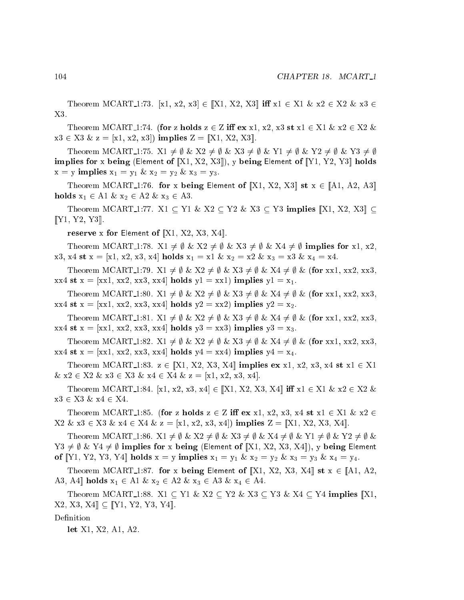Theorem MCART<sub>-1</sub>:73. [x1, x2, x3]  $\in$  [[X1, X2, X3] **iff**  $x1 \in X1$  &  $x2 \in X2$  &  $x3 \in$ X3.

Theorem MCART<sub>1</sub>:74. (for z holds  $z \in Z$  iff  $ex$  x1, x2, x3 st x1  $\in X1$  & x2  $\in X2$  &  $x3 \in X3 \& z = [x1, x2, x3]$  implies  $Z = [X1, X2, X3]$ .

Theorem MCART<sub>-1</sub>:75.  $X1 \neq \emptyset$  &  $X2 \neq \emptyset$  &  $X3 \neq \emptyset$  &  $Y1 \neq \emptyset$  &  $Y2 \neq \emptyset$  &  $Y3 \neq \emptyset$ implies for x being (Element of  $[X1, X2, X3]$ ), y being Element of  $[Y1, Y2, Y3]$  holds  $x = y$  implies  $x_1 = y_1 \& x_2 = y_2 \& x_3 = y_3$ .

Theorem MCART<sub>-1</sub>:76. for x being Element of  $[X1, X2, X3]$  st  $x \in [A1, A2, A3]$ holds  $x_1 \in A1 \& x_2 \in A2 \& x_3 \in A3$ .

Theorem MCART<sub>-1</sub>:77. X1  $\subseteq$  Y1 & X2  $\subseteq$  Y2 & X3  $\subseteq$  Y3 implies  $\llbracket$ X1, X2, X3 $\rrbracket$   $\subseteq$  $[T1, Y2, Y3]$ .

reserve x for Element of  $[X1, X2, X3, X4]$ .

Theorem MCART<sub>-1</sub>:78.  $X1 \neq \emptyset$  &  $X2 \neq \emptyset$  &  $X3 \neq \emptyset$  &  $X4 \neq \emptyset$  implies for x1, x2,  $x3, x4$  st  $x = [x1, x2, x3, x4]$  holds  $x_1 = x1 \& x_2 = x2 \& x_3 = x3 \& x_4 = x4$ .

Theorem MCART<sub>-1</sub>:79.  $X1 \neq \emptyset$  &  $X2 \neq \emptyset$  &  $X3 \neq \emptyset$  &  $X4 \neq \emptyset$  & (for xx1, xx2, xx3,  $xx4$  st  $x = [xx1, xx2, xx3, xx4]$  holds  $y1 = xx1$ ) implies  $y1 = x_1$ .

Theorem MCART<sub>-1</sub>:80.  $X1 \neq \emptyset \& X2 \neq \emptyset \& X3 \neq \emptyset \& X4 \neq \emptyset \& (\text{for xx1, xx2, xx3,})$  $xx4$  st  $x = [xx1, xx2, xx3, xx4]$  holds  $y2 = xx2$  implies  $y2 = x2$ .

Theorem MCART<sub>-1</sub>:81.  $X1 \neq \emptyset$  &  $X2 \neq \emptyset$  &  $X3 \neq \emptyset$  &  $X4 \neq \emptyset$  & (for xx1, xx2, xx3,  $xx4$  st  $x = [xx1, xx2, xx3, xx4]$  holds  $y3 = xx3$  implies  $y3 = x_3$ .

Theorem MCART<sub>-1</sub>:82.  $X1 \neq \emptyset \& X2 \neq \emptyset \& X3 \neq \emptyset \& X4 \neq \emptyset \& (\text{for xx1, xx2, xx3,}}$  $xx4$  st  $x = [xx1, xx2, xx3, xx4]$  holds  $y4 = xx4$ ) implies  $y4 = x_4$ .

Theorem MCART<sub>-1</sub>:83.  $z \in [X1, X2, X3, X4]$  implies ex x1, x2, x3, x4 st x1  $\in X1$  $& x2 \in X2 \& x3 \in X3 \& x4 \in X4 \& z = [x1, x2, x3, x4].$ 

Theorem MCART 1:84. [x1, x2, x3, x4]  $\in$  [X1, X2, X3, X4] iff x1  $\in$  X1 & x2  $\in$  X2 &  $x3 \in X3 \& x4 \in X4$ .

Theorem MCART<sub>1</sub>:85. (for z holds  $z \in Z$  iff ex x1, x2, x3, x4 st x1  $\in X1 \& x2 \in Z$  $X2 \& x3 \in X3 \& x4 \in X4 \& z = [x1, x2, x3, x4]$  implies  $Z = [[X1, X2, X3, X4]].$ 

Theorem MCART 1:86.  $X1 \neq \emptyset$  &  $X2 \neq \emptyset$  &  $X3 \neq \emptyset$  &  $X4 \neq \emptyset$  &  $Y1 \neq \emptyset$  &  $Y2 \neq \emptyset$  &  $Y3 \neq \emptyset$  &  $Y4 \neq \emptyset$  implies for x being (Element of [X1, X2, X3, X4]), y being Element of [Y1, Y2, Y3, Y4] holds  $x = y$  implies  $x_1 = y_1 \& x_2 = y_2 \& x_3 = y_3 \& x_4 = y_4$ .

Theorem MCART 1:87. for x being Element of [X1, X2, X3, X4] st  $x \in [A1, A2, A2]$ A3, A4 holds  $x_1 \in A1 \& x_2 \in A2 \& x_3 \in A3 \& x_4 \in A4$ .

Theorem MCART<sub>-1</sub>:88. X1  $\subseteq$  Y1 & X2  $\subseteq$  Y2 & X3  $\subseteq$  Y3 & X4  $\subseteq$  Y4 implies |X1,  $[X2, X3, X4] \subseteq [Y1, Y2, Y3, Y4].$ 

Definition

let X1, X2, A1, A2.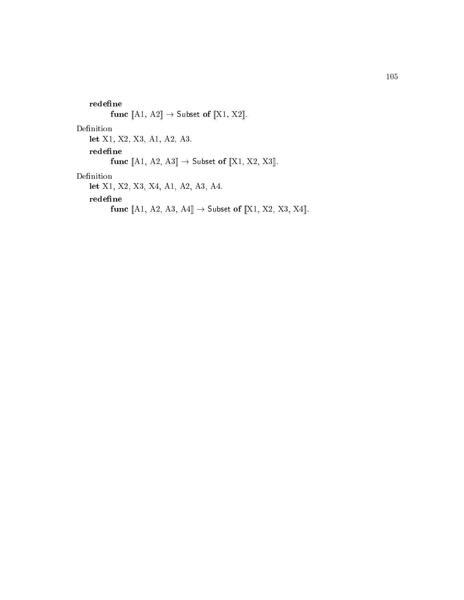redefine  $\label{eq:1} \textbf{func}\ [\![\mathrm{A1},\ \mathrm{A2}]\!] \rightarrow \textsf{Subset of}\ [\![\mathrm{X1},\ \mathrm{X2}]\!].$ Definition let X1, X2, X3, A1, A2, A3. redefine func  $[A1, A2, A3] \rightarrow$  Subset of  $[X1, X2, X3]$ . Definition let X1, X2, X3, X4, A1, A2, A3, A4. redefine func  $[A1, A2, A3, A4] \rightarrow$  Subset of  $[X1, X2, X3, X4]$ .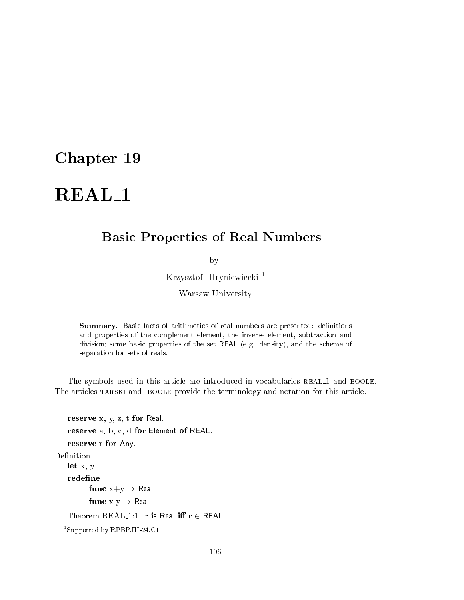## Basi Properties of Real Numbers

by

Krzysztof Hryniewie
ki <sup>1</sup>

Warsaw University

**Summary.** Basic facts of arithmetics of real numbers are presented: definitions and properties of the omplement element, the inverse element, subtra
tion and division; some basic properties of the set REAL (e.g. density), and the scheme of separation for sets of reals.

The symbols used in this article are introduced in vocabularies REAL\_1 and BOOLE. The articles TARSKI and BOOLE provide the terminology and notation for this article.

reserve x, y, z, t for Real. reserve a, b, c, d for Element of REAL. reserve r for Any. Definition let x, y. redefine func  $x+y \rightarrow$  Real. func  $x \cdot y \rightarrow$  Real. Theorem REAL 1:1. r is Real iff  $r \in \text{REAL}$ .

<sup>1</sup> Supported by RPBP.III-24.C1.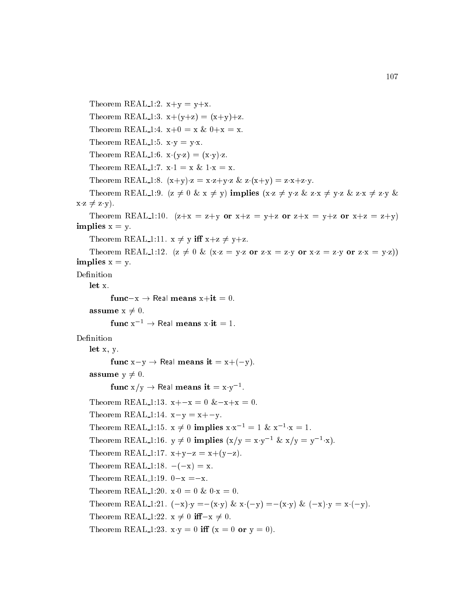```
Theorem REAL 1:2. x+y = y+x.
    Theorem REAL 1:3. x+(y+z) = (x+y)+z.
    Theorem REAL 1:4. x+0 = x \& 0+x = x.
    Theorem REAL 1:5. x \cdot y = y \cdot x.
     Theorem REAL 1:6. x \cdot (y \cdot z) = (x \cdot y) \cdot z.
    Theorem REAL 1:7. x \cdot 1 = x \& 1 \cdot x = x.
     Theorem REAL 1:8. (x+y) \cdot z = x \cdot z + y \cdot z \& z \cdot (x+y) = z \cdot x + z \cdot y.
    Theorem REAL 1:9. (z \neq 0 \& x \neq y) implies (x \cdot z \neq y \cdot z \& z \cdot x \neq y \cdot z \& z \cdot x \neq z \cdot y \& x \cdot z \neq z \cdot y \cdot z \& x \cdot z \neq z \cdot y \cdot z \& x \cdot z \neq z \cdot y \cdot z \& x \cdot z \neq z \cdot y \cdot z \& x \cdot z \neq z \cdot y \cdot z \& x \cdot z \neq z \cdot y \cdot z \& x \cdot z \neq z \cdot y \cdot z \& x \cdot z \neq z \cdot y \cdot z \& x \cdot z \neq z \cdotx \cdot z \neq z \cdot y).
     Theorem REAL 1:10. (z+x = z+y \text{ or } x+z = y+z \text{ or } z+x = y+z \text{ or } x+z = z+y)implies x = y.
    Theorem REAL 1:11. x \neq y iff x+z \neq y+z.
     Theorem REAL 1:12. (z \neq 0 \& (x \cdot z = y \cdot z) or z \cdot x = z \cdot y or x \cdot z = z \cdot y or z \cdot x = y \cdot z))
implies x = y.
Definition
    let x.
             func-x \rightarrow Real means x+it = 0.
    assume x \neq 0.
             func x^{-1} \rightarrow Real means x \cdot it = 1.
Definition
    let x, y.
             func x-y \rightarrow Real means it = x+(-y).
    assume y \neq 0.
              func x/y \rightarrow Real means it = x \cdot y^{-1}.
    Theorem REAL 1:13. x + -x = 0 \& -x +x = 0.
    Theorem REAL 1:14. x-y = x + -y.
     Theorem REAL 1:15. x \neq 0 implies x \cdot x^{-1} = 1 \& x^{-1} \cdot x = 1.
     Theorem REAL 1:16. y \neq 0 implies (x/y = x \cdot y^{-1} \& x/y = y^{-1} \cdot x).
    Theorem REAL 1:17. x+y-z = x+(y-z).
    Theorem REAL 1:18. -(-x) = x.
    Theorem REAL 1:19. 0-x = x.
    Theorem REAL 1:20. x \cdot 0 = 0 & 0 \cdot x = 0.
     Theorem REAL 1:21. (-x)\cdot y = -(x\cdot y) \& x\cdot (-y) = -(x\cdot y) \& (-x)\cdot y = x\cdot (-y).Theorem REAL 1:22. x \neq 0 if -x \neq 0.
     Theorem REAL 1:23. x \cdot y = 0 iff (x = 0 or y = 0).
```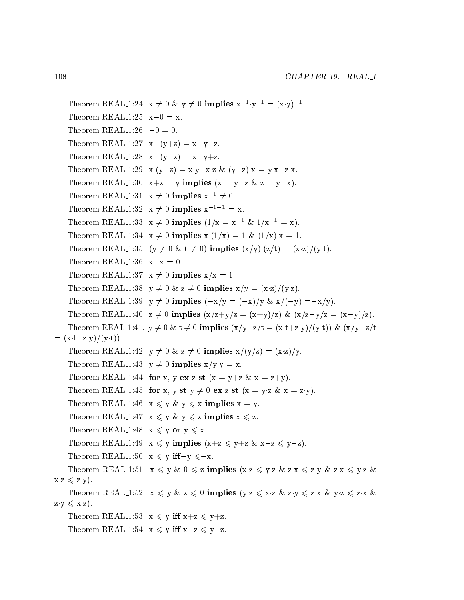Theorem REAL 1:24.  $x \neq 0$  &  $y \neq 0$  implies  $x^{-1} \cdot y^{-1} = (x \cdot y)^{-1}$ . Theorem REAL 1:25.  $x-0 = x$ . Theorem REAL  $1:26. -0 = 0.$ Theorem REAL 1:27.  $x-(y+z) = x-y-z$ . Theorem REAL 1:28.  $x-(y-z) = x-y+z$ . Theorem REAL 1:29.  $x \cdot (y-z) = x \cdot y - x \cdot z$  &  $(y-z) \cdot x = y \cdot x - z \cdot x$ . Theorem REAL 1:30.  $x+z = y$  implies  $(x = y-z \& z = y-x)$ . Theorem REAL-1:31.  $x \neq 0$  implies  $x^{-1} \neq 0$ . Theorem REAL 1:32.  $x \neq 0$  implies  $x^{-1-1} = x$ . Theorem REAL 1:33.  $x \neq 0$  implies  $(1/x = x^{-1} \& 1/x^{-1} = x)$ . Theorem REAL 1:34.  $x \neq 0$  implies  $x(1/x) = 1$  &  $(1/x) \cdot x = 1$ . Theorem REAL 1:35. ( $y \neq 0$  &  $t \neq 0$ ) implies  $(x/y) \cdot (z/t) = (x-z)/(y \cdot t)$ . Theorem REAL 1:36.  $x-x = 0$ . Theorem REAL 1:37.  $x \neq 0$  implies  $x/x = 1$ . Theorem REAL 1:38.  $y \neq 0$  &  $z \neq 0$  implies  $x/y = (x-z)/(y-z)$ . Theorem REAL 1:39.  $y \neq 0$  implies  $(-x/y = (-x)/y \& x/(-y) = -x/y)$ . Theorem REAL 1:40.  $z \neq 0$  implies  $(x/z+y/z) = (x+y)/z$   $\& (x/z-y/z) = (x-y)/z$ . Theorem REAL 1:41.  $y \neq 0$  &  $t \neq 0$  implies  $(x/y+z/t = (x-t+z-y)/(y \cdot t))$  &  $(x/y-z/t$  $=$   $(x \cdot t - z \cdot y)/(y \cdot t)$ . Theorem REAL 1:42.  $y \neq 0$  &  $z \neq 0$  implies  $x/(y/z) = (x-z)/y$ . Theorem REAL 1:43.  $y \neq 0$  implies  $x/y \cdot y = x$ . Theorem REAL 1:44. for x, y ex z st (x = y+z & x = z+y). Theorem REAL 1:45. for x, y st  $y \neq 0$  ex z st  $(x = y \cdot z \& x = z \cdot y)$ . Theorem REAL 1:46.  $x \leq y \& y \leq x$  implies  $x = y$ . Theorem REAL 1:47.  $x \leq y \& y \leq z$  implies  $x \leq z$ . Theorem REAL 1:48.  $x \leq y$  or  $y \leq x$ . Theorem REAL 1:49.  $x \leq y$  implies  $(x+z) \leq y+z \leq x-z \leq y-z$ . Theorem REAL 1:50.  $x \leq y$  iff-y  $\leq -x$ . Theorem REAL 1:51. x <sup>6</sup> y & 0 <sup>6</sup> z implies (xz <sup>6</sup> yz & zx <sup>6</sup> zy & zx <sup>6</sup> yz &  $x \cdot z \leqslant z \cdot y$ . Theorem REAL 1:52.  $x \leq y \& z \leq 0$  implies  $(y \cdot z \leq x \cdot z \& z \cdot y \leq z \cdot x \& y \cdot z \leq z \cdot x \& z \cdot y \cdot z \leq z \cdot y \cdot z \leq z \cdot y \cdot z \leq z \cdot y \cdot z \leq z \cdot y \cdot z \leq z \cdot y \cdot z \leq z \cdot y \cdot z \leq z \cdot y \cdot z \leq z \cdot y \cdot z \leq z \cdot y \cdot z \leq z \cdot y \cdot z \leq z \cdot y \cdot z \leq z \cdot y \cdot z \leq z \cdot y \cdot z \$  $z \cdot y \leqslant x \cdot z$ . Theorem REAL 1:53.  $x \leq y$  iff  $x+z \leq y+z$ . Theorem REAL 1:54.  $x \leq y$  iff  $x-z \leq y-z$ .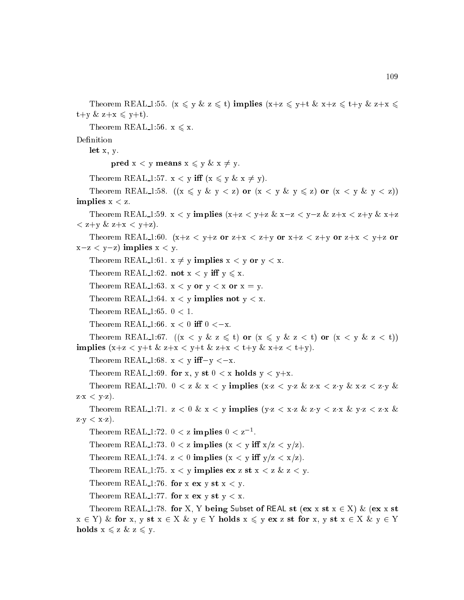```
Theorem REAL 1:55. (x \leq y \& z \leq t) implies (x+z \leq y+t \& x+z \leq t+y \& z+x \leq tt+y \& z+x \leq y+t.
    Theorem REAL 1:56. x \leq x.
    let x, y.
           pred x < y means x \leq y \& x \neq y.
    Theorem REAL 1:57. x < y iff (x \leq y \& x \neq y).
    Theorem REAL 1:58. ((x \leq y \& y < z) or (x < y \& y \leq z) or (x < y \& y < z))implies x < z.
    Theorem REAL 1:59. x < y implies (x+z < y+z \& x-z < y-z \& z+x < z+y \& x+z\langle z+y \& z+x \langle y+z \rangle.
    Theorem REAL 1:60. (x+z < y+z \text{ or } z+x < z+y \text{ or } x+z < z+y \text{ or } z+x < y+z \text{ or } z+y+zx-z < y-z) implies x < y.
    Theorem REAL 1:61. x \neq y implies x < y or y < x.
    Theorem REAL 1:62. not x < y iff y \leq x.
    Theorem REAL 1:63. x < y or y < x or x = y.
    Theorem REAL 1:64. x < y implies not y < x.
    Theorem REAL 1:65. 0 < 1.
    Theorem REAL 1:66. x < 0 iff 0 < -x.
    Theorem REAL 1:67. ((x < y \& z \leq t) or (x \leq y \& z < t) or (x < y \& z < t))implies (x+z < y+t \& z+x < y+t \& z+x < t+y \& x+z < t+y).
    Theorem REAL 1:68. x < y iff-y \lt -x.
    Theorem REAL 1:69. for x, y st 0 < x holds y < y+x.
    Theorem REAL 1:70. 0 < z \& x < y implies (x \cdot z < y \cdot z \& z \cdot x < z \cdot y \& x \cdot z < z \cdot y \& x \cdot z \& x \cdot y \& x \cdot z \& x \cdot y \& x \cdot z \& x \cdot y \& x \cdot z \& x \cdot z \& x \cdot z \& x \cdot z \& x \cdot z \& x \cdot z \& x \cdot z \& x \cdot z \& x \cdot z \& x \cdot z \& x \cdot z \& x \cdot z \& x \cdot z \& x \cdot z \& x \cdot z \& x \cdot z \& x \cdot z \& x \cdot z \& x \cdot z \z \cdot x < y \cdot z).
    Theorem REAL 1:71. z < 0 \& x < y implies (y \cdot z < x \cdot z \& z \cdot y < z \cdot x \& y \cdot z < z \cdot x \& x \cdot z \wedge z \cdot y \cdot z = z \cdot y \cdot z \cdot y \cdot zz \cdot y < x \cdot z).
     Theorem REAL 1:72. 0 < z implies 0 < z^{-1}.
    Theorem REAL 1:73. 0 < z implies (x < y iff x/z < y/z.
    Theorem REAL 1:74. z < 0 implies (x < y iff y/z < x/z).
    Theorem REAL 1:75. x < y implies ex z st x < z & z < y.
    Theorem REAL 1:76. for x ex y st x < y.
    Theorem REAL 1:77. for x ex y st y < x.
    Theorem REAL 1:78. for X, Y being Subset of REAL st (ex x st x \in X) & (ex x st
x \in Y) & for x, y st x \in X & y \in Y holds x \leq y ex z st for x, y st x \in X & y \in Yholds x \leq z \& z \leq y.
```
109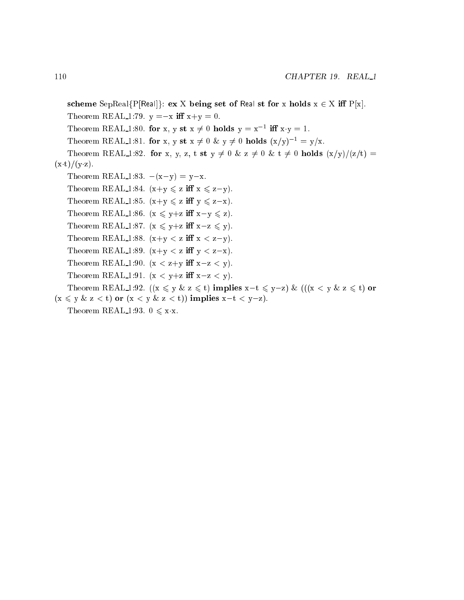scheme SepReal{P[Real]}: ex X being set of Real st for x holds  $x \in X$  iff  $P[x]$ . Theorem REAL 1:79.  $y = -x$  iff  $x+y = 0$ . Theorem REAL 1:80. for x, y st  $x \neq 0$  holds  $y = x^{-1}$  iff  $x \cdot y = 1$ . Theorem REAL 1:81. for x, y st  $x \neq 0$  &  $y \neq 0$  holds  $(x/y)^{-1} = y/x$ . Theorem REAL 1:82. for x, y, z, t st  $y \neq 0$  & z  $\neq 0$  & t  $\neq 0$  holds  $(x/y)/(z/t)$  =  $(x \cdot t)/(y \cdot z).$ Theorem REAL 1:83.  $-(x-y) = y-x$ . Theorem REAL 1:84.  $(x+y \leq z \text{ iff } x \leq z-y)$ . Theorem REAL 1:85.  $(x+y \leq z \text{ iff } y \leq z-x)$ . Theorem REAL 1:86.  $(x \leq y+z \text{ iff } x-y \leq z)$ . Theorem REAL 1:87.  $(x \leq y+z \text{ iff } x-z \leq y)$ . Theorem REAL 1:88.  $(x+y < z \text{ iff } x < z-y)$ . Theorem REAL 1:89.  $(x+y < z \text{ iff } y < z-x)$ . Theorem REAL 1:90.  $(x < z+y$  iff  $x-z < y$ ). Theorem REAL 1:91.  $(x < y+z \text{ iff } x-z < y)$ . Theorem REAL 1:92.  $((x \le y \& z \le t)$  implies  $x-t \le y-z)$  &  $(((x < y \& z \le t)$  or  $(x \leq y \& z < t)$  or  $(x < y \& z < t)$  implies  $x-t < y-z$ ). Theorem REAL 1:93.  $0 \leq x \cdot x$ .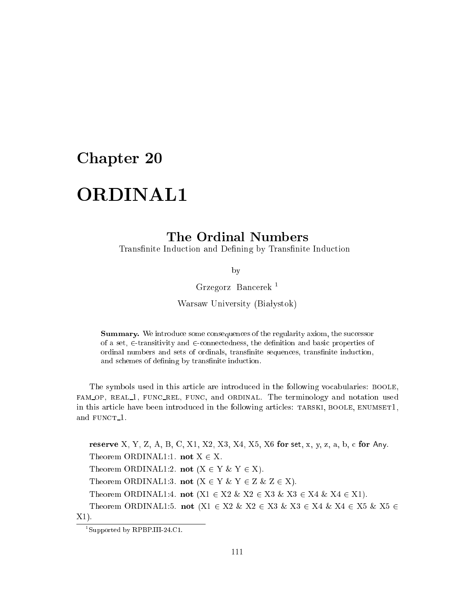# **ORDINAL1**

Transfinite Induction and Defining by Transfinite Induction

by

Grzegorz Ban
erek <sup>1</sup>

Warsaw University (Białystok)

**Summary.** We introduce some consequences of the regularity axiom, the successor of a set,  $\in$ -transitivity and  $\in$ -connectedness, the definition and basic properties of ordinal numbers and sets of ordinals, transfinite sequences, transfinite induction, and schemes of defining by transfinite induction.

The symbols used in this article are introduced in the following vocabularies: BOOLE, fam op, real 1, fun rel, fun
, and ordinal. The terminology and notation used in this article have been introduced in the following articles: TARSKI, BOOLE, ENUMSET1, and FUNCT<sub>-1</sub>.

reserve X, Y, Z, A, B, C, X1, X2, X3, X4, X5, X6 for set, x, y, z, a, b, c for Any. Theorem ORDINAL1:1. not  $X \in X$ . Theorem ORDINAL1:2. not  $(X \in Y \& Y \in X)$ . Theorem ORDINAL1:3. not  $(X \in Y \& Y \in Z \& Z \in X)$ . Theorem ORDINAL1:4. not  $(X1 \in X2 \& X2 \in X3 \& X3 \in X4 \& X4 \in X1)$ . Theorem ORDINAL1:5. not  $(X1 \in X2 \& X2 \in X3 \& X3 \in X4 \& X4 \in X5 \& X5 \in X4$ X1).

<sup>1</sup> Supported by RPBP.III-24.C1.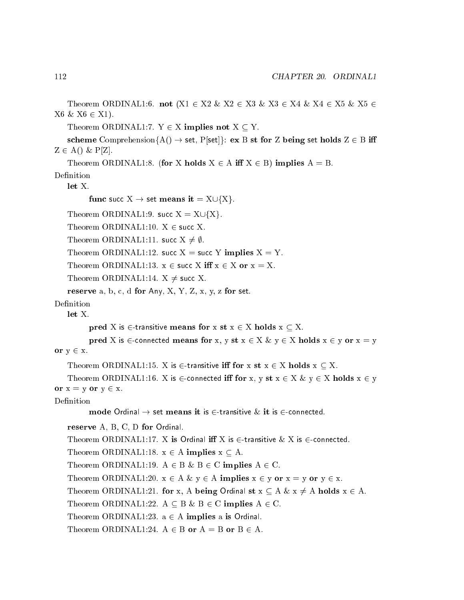Theorem ORDINAL1:6. not  $(X1 \in X2 \& X2 \in X3 \& X3 \in X4 \& X4 \in X5 \& X5 \in X4$  $X6 \& X6 \in X1$ ).

Theorem ORDINAL1:7.  $Y \in X$  implies not  $X \subseteq Y$ .

scheme Comprehension ${A() \rightarrow set, P[set]}$ : ex B st for Z being set holds  $Z \in B$  iff  $Z \in A() \& P[Z].$ 

Theorem ORDINAL1:8. (for X holds  $X \in A$  iff  $X \in B$ ) implies  $A = B$ .

let X.

```
func succ X \rightarrow set means it = X \cup \{X\}.
```
Theorem ORDINAL1:9. succ  $X = X \cup \{X\}$ .

Theorem ORDINAL1:10.  $X \in$  succ X.

Theorem ORDINAL1:11. succ  $X \neq \emptyset$ .

Theorem ORDINAL1:12. succ  $X =$  succ Y implies  $X = Y$ .

Theorem ORDINAL1:13.  $x \in \text{succ } X$  iff  $x \in X$  or  $x = X$ .

Theorem ORDINAL1:14.  $X \neq$  succ X.

reserve a, b, c, d for Any, X, Y, Z, x, y, z for set.

Definition

 $let X.$ 

pred X is  $\in$ -transitive means for x st  $x \in X$  holds  $x \subset X$ .

```
pred X is \in-connected means for x, y st x \in X & y \in X holds x \in y or x = yor y \in x.
```

```
Theorem ORDINAL1:15. X is \in transitive iff for x st x \in X holds x \subseteq X.
```

```
Theorem ORDINAL1:16. X is \in-connected iff for x, y st x \in X \& y \in X holds x \in yor x = y or y \in x.
```

```
Definition
```

```
mode Ordinal \rightarrow set means it is \in-transitive \& it is \in-connected.
```
reserve A, B, C, D for Ordinal.

Theorem ORDINAL1:17. X is Ordinal iff X is  $\in$ -transitive  $\&$  X is  $\in$ -connected.

Theorem ORDINAL1:18.  $x \in A$  implies  $x \subseteq A$ .

Theorem ORDINAL1:19.  $A \in B \& B \in C$  implies  $A \in C$ .

Theorem ORDINAL1:20.  $x \in A \& y \in A$  implies  $x \in y$  or  $x = y$  or  $y \in x$ .

Theorem ORDINAL1:21. for x, A being Ordinal st  $x \subseteq A$  &  $x \neq A$  holds  $x \in A$ .

Theorem ORDINAL1:22.  $A \subseteq B \& B \in C$  implies  $A \in C$ .

Theorem ORDINAL1:23.  $a \in A$  implies a is Ordinal.

Theorem ORDINAL1:24.  $A \in B$  or  $A = B$  or  $B \in A$ .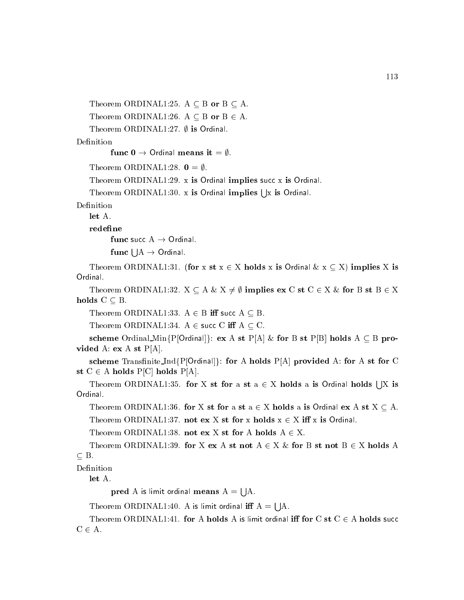Theorem ORDINAL1:25.  $A \subseteq B$  or  $B \subseteq A$ . Theorem ORDINAL1:26.  $A \subseteq B$  or  $B \in A$ .

Theorem ORDINAL1:27.  $\emptyset$  is Ordinal.

Definition

func  $0 \to$  Ordinal means it =  $\emptyset$ .

Theorem ORDINAL1:28.  $\mathbf{0} = \emptyset$ .

Theorem ORDINAL1:29.  $x$  is Ordinal implies succ  $x$  is Ordinal.

Theorem ORDINAL1:30. x is Ordinal implies  $\vert x \rangle$  is Ordinal.

Definition

let A.

redefine

func succ  $A \rightarrow$  Ordinal.

func  $\mathsf{I} \mathsf{I} A \to \mathsf{Ord}$ inal.

Theorem ORDINAL1:31. (for x st  $x \in X$  holds x is Ordinal  $\& x \subseteq X$ ) implies X is Ordinal.

Theorem ORDINAL1:32.  $X \subseteq A \& X \neq \emptyset$  implies ex C st  $C \in X \&$  for B st  $B \in X$ holds  $C \subseteq B$ .

Theorem ORDINAL1:33.  $A \in B$  iff succ  $A \subseteq B$ .

Theorem ORDINAL1:34. A  $\in$  succ C iff A  $\subset$  C.

scheme Ordinal Min $\{P[Ordin] \}$ : ex A st  $P[A] \&$  for B st  $P[B]$  holds A  $\subseteq$  B provided A: ex A st  $P[A]$ .

scheme Transfinite\_Ind{P[Ordinal]}: for A holds P[A] provided A: for A st for C st  $C \in A$  holds P[C] holds P[A].

Theorem ORDINAL1:35. for X st for a st a  $\in$  X holds a is Ordinal holds  $\vert$  X is Ordinal.

Theorem ORDINAL1:36. for X st for a st  $a \in X$  holds a is Ordinal ex A st  $X \subseteq A$ .

Theorem ORDINAL1:37. not ex X st for x holds  $x \in X$  iff x is Ordinal.

Theorem ORDINAL1:38. not ex X st for A holds  $A \in X$ .

Theorem ORDINAL1:39. for X ex A st not  $A \in X \&$  for B st not  $B \in X$  holds A B.

let A.

pred A is limit of a finite means A  $=$ s a

s a

Theorem ORDINAL1:41. for A holds A is limit ordinal iff for C st  $C \in A$  holds succ  $C \in A$ .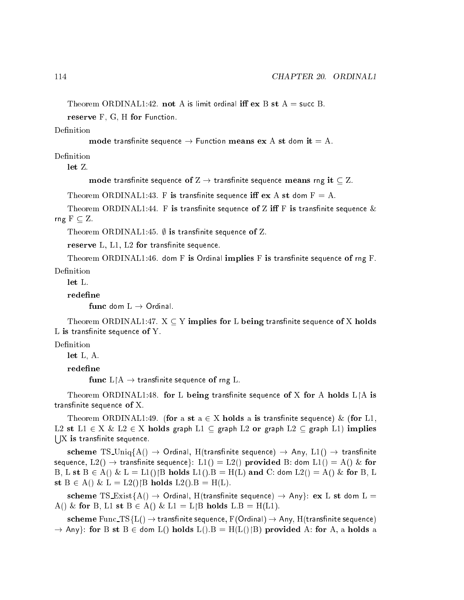reserve F, G, H for Function.

#### Definition

```
mode transfinite sequence \rightarrow Function means ex A st dom it = A.
```
Definition

let Z.

mode transfinite sequence of  $Z \rightarrow$  transfinite sequence means rng it  $\subset Z$ .

Theorem ORDINAL1:43. F is transfinite sequence iff  $ex A st dom F = A$ .

Theorem ORDINAL1:44. F is transfinite sequence of Z iff F is transfinite sequence  $\&$ rng  $F \subseteq Z$ .

Theorem ORDINAL1:45.  $\emptyset$  is transfinite sequence of Z.

reserve L, L1, L2 for transfinite sequence.

Theorem ORDINAL1:46. dom F is Ordinal implies F is transfinite sequence of rng F. Definition

 $let L$ 

#### redefine

func dom  $L \rightarrow$  Ordinal.

Theorem ORDINAL1:47.  $X \subseteq Y$  implies for L being transfinite sequence of X holds  $L$  is transfinite sequence of  $Y$ .

### Definition

let L, A.

redefine

func  $L \upharpoonright A \to$  transfinite sequence of rng L.

Theorem ORDINAL1:48. for L being transfinite sequence of X for A holds  $L \upharpoonright A$  is transfinite sequence of  $X$ .

Theorem ORDINAL1:49. (for a st  $a \in X$  holds a is transfinite sequence) & (for L1, L2 st L1  $\in$  X & L2  $\in$  X holds graph L1  $\subseteq$  graph L2 or graph L2  $\subseteq$  graph L1) implies s such an an X is transnite sequen
e.

scheme TS\_Uniq{A()  $\rightarrow$  Ordinal, H(transfinite sequence)  $\rightarrow$  Any, L1()  $\rightarrow$  transfinite sequence,  $L_2() \rightarrow$  transfinite sequence}:  $L_1() = L_2()$  provided B: dom  $L_1() = A() \&$  for B, L st  $B \in A() \& L = L1()$  B holds  $L1() \cdot B = H(L)$  and C: dom  $L2() = A() \&$  for B, L st  $B \in A() \& L = L2() \, |B \text{ holds } L2() \cdot B = H(L).$ 

scheme TS\_Exist{A()  $\rightarrow$  Ordinal, H(transfinite sequence)  $\rightarrow$  Any}: ex L st dom L = A() & for B, L1 st  $B \in A$ () & L1 = L|B holds L.B = H(L1).

scheme Func\_TS{L()  $\rightarrow$  transfinite sequence, F(Ordinal)  $\rightarrow$  Any, H(transfinite sequence) ! Anyg: for B st B <sup>2</sup> dom L() holds L():B = H(L()B) provided A: for A, a holds a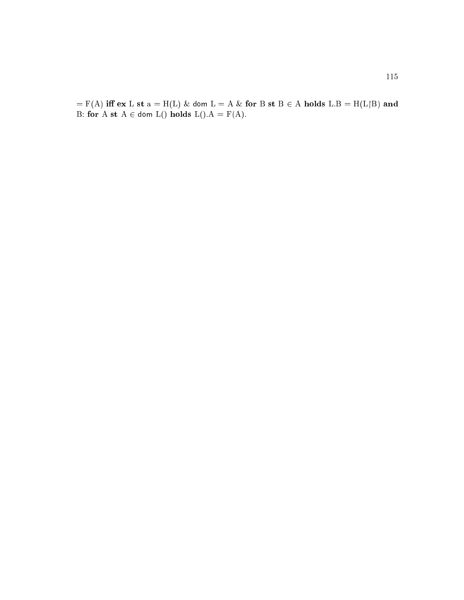$F = F(A)$  iff  $ex L st a = H(L) \& dom L = A \& for B st B \in A$  holds  $L.B = H(L \upharpoonright B)$  and B: for  $A \text{ st } A \in \text{dom } L()$  holds  $L().A = F(A).$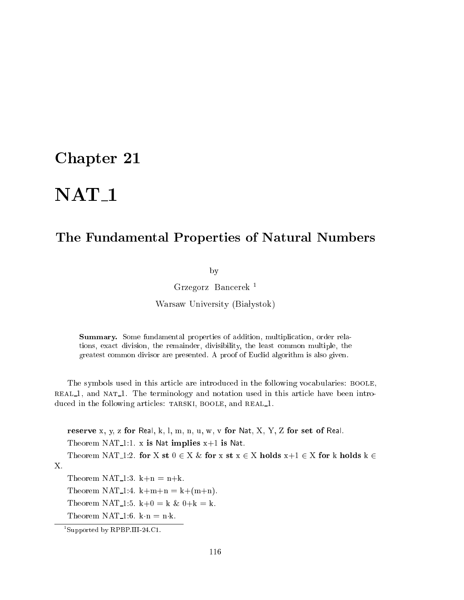# NAT<sub>1</sub>

### The Fundamental Properties of Natural Numbers

by

Grzegorz Ban
erek <sup>1</sup>

Warsaw University (Białystok)

Summary. Some fundamental properties of addition, multiplication, order relations, exa
t division, the remainder, divisibility, the least ommon multiple, the greatest ommon divisor are presented. A proof of Eu
lid algorithm is also given.

The symbols used in this article are introduced in the following vocabularies: BOOLE, real 1, and nat 1. The terminology and notation used in this arti
le have been introduced in the following articles: TARSKI, BOOLE, and REAL\_1.

reserve x, y, z for Real, k, l, m, n, u, w, v for Nat, X, Y, Z for set of Real. Theorem NAT<sub>1</sub>:1. x is Nat implies  $x+1$  is Nat. Theorem NAT<sub>1</sub>1:2. for X st  $0 \in X \&$  for x st  $x \in X$  holds  $x+1 \in X$  for k holds  $k \in X$ X. Theorem NAT<sub>-1</sub>:3.  $k+n = n+k$ . Theorem NAT<sub>1</sub>:4. k+m+n = k+(m+n).

Theorem NAT<sub>-1</sub>:5.  $k+0 = k$  &  $0+k = k$ .

Theorem NAT<sub>-1:6</sub>. k $\cdot$ n = n $\cdot$ k.

<sup>1</sup> Supported by RPBP.III-24.C1.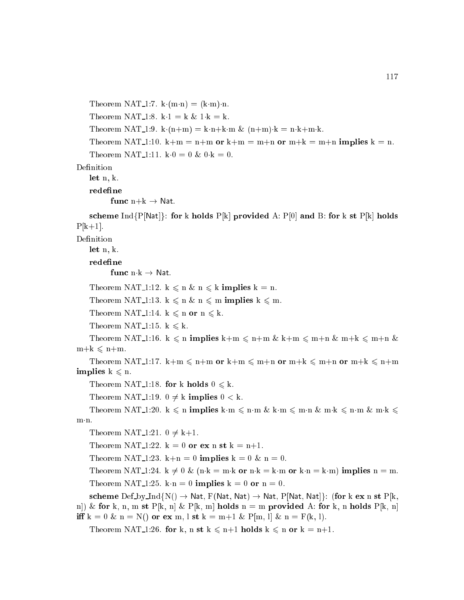Theorem NAT<sub>-1</sub>:7. k $(m \cdot n) = (k \cdot m) \cdot n$ . Theorem NAT<sub>-1</sub>:8. k $\cdot$ 1 = k & 1 $\cdot$ k = k. Theorem NAT<sub>1:9</sub>. k $(n+m) = k \cdot n + k \cdot m$  &  $(n+m) \cdot k = n \cdot k + m \cdot k$ . Theorem NAT<sub>1</sub>:10.  $k+m = n+m$  or  $k+m = m+n$  or  $m+k = m+n$  implies  $k = n$ . Theorem NAT<sub>-1</sub>:11. k $\cdot$ 0 = 0 & 0 k = 0. Definition let n, k. redefine func  $n+k \rightarrow$  Nat. scheme Ind{P[Nat]}: for k holds P[k] provided A: P[0] and B: for k st P[k] holds  $P[k+1]$ . Definition let n, k. redefine func  $n \cdot k \rightarrow N$ at. Theorem NAT<sub>-1</sub>:12.  $k \le n \& n \le k$  implies  $k = n$ . Theorem NAT<sub>-1</sub>:13.  $k \le n \& n \le m$  implies  $k \le m$ . Theorem NAT<sub>-1</sub>:14.  $k \le n$  or  $n \le k$ . Theorem NAT<sub>-1:15</sub>. k  $\leq k$ . Theorem NAT<sub>-1</sub>:16. k  $\leq$  n implies k+m  $\leq$  n+m & k+m  $\leq$  m+n & m+k  $\leq$  m+n &  $m+k \leq n+m$ . Theorem NAT<sub>-1</sub>:17. k+m  $\leq$  n+m or k+m  $\leq$  m+n or m+k  $\leq$  m+n or m+k  $\leq$  n+m implies  $k \leq n$ . Theorem NAT<sub>-1</sub>:18. for k holds  $0 \le k$ . Theorem NAT 1:19.  $0 \neq k$  implies  $0 < k$ . Theorem NAT 1:20.  $k \leq n$  implies km  $\leq n$  m & km  $\leq m \cdot n$  km  $k \leq n$  m & m  $k \leq$  $m \cdot n$ . Theorem NAT<sub>1:21.</sub>  $0 \neq k+1$ . Theorem NAT<sub>1</sub>:22.  $k = 0$  or ex n st  $k = n+1$ . Theorem NAT<sub>-1</sub>:23. k+n = 0 implies k = 0 & n = 0. Theorem NAT 1:24.  $k \neq 0$  & (n·k = m·k or n·k = k·m or k·n = k·m) implies n = m. Theorem NAT<sub>1</sub>:25. kn = 0 implies k = 0 or n = 0. scheme  $\mathrm{Def}_v\mathrm{L}p \to \mathrm{Mat}$ ,  $F(\mathrm{Nat}, \mathrm{Nat}) \to \mathrm{Nat}$ ,  $P[\mathrm{Nat}, \mathrm{Nat}]$ : (for k ex n st  $P[k]$ , n|) & for k, n, m st P[k, n] & P[k, m] holds n = m provided A: for k, n holds P[k, n] iff  $k = 0 \& n = N()$  or ex m, l st  $k = m+1 \& P[m, l] \& n = F(k, l).$ Theorem NAT 1:26. for k, n st  $k \le n+1$  holds  $k \le n$  or  $k = n+1$ .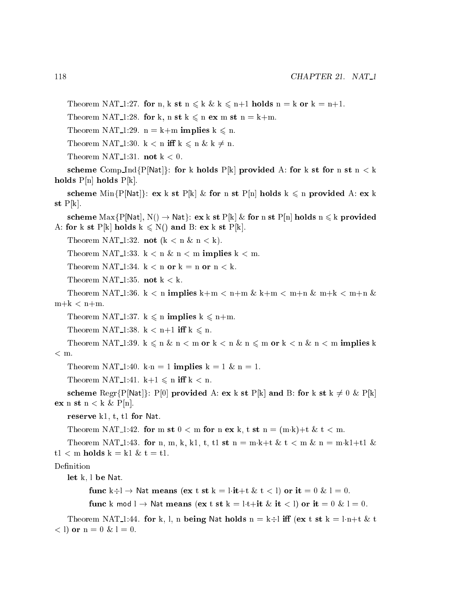Theorem NAT 1:27. for n, k st  $n \leq k \& k \leq n+1$  holds  $n = k$  or  $k = n+1$ .

Theorem NAT<sub>1</sub>:28. for k, n st  $k \le n$  ex m st  $n = k+m$ .

Theorem NAT<sub>-1</sub>:29.  $n = k+m$  implies  $k \le n$ .

Theorem NAT<sub>-1</sub>:30. k < n iff  $k \le n \& k \ne n$ .

Theorem NAT<sub>1</sub>:31. **not**  $k < 0$ .

scheme Comp Ind{P[Nat]}: for k holds P[k] provided A: for k st for n st n < k holds  $P[n]$  holds  $P[k]$ .

scheme Min $\{P[Nat]\}\colon$  ex k st  $P[k] \&$  for n st  $P[n]$  holds  $k \leq n$  provided A: ex k st  $P[k]$ .

scheme  $\text{Max}\{P[Nat], N() \rightarrow \text{Nat}\}\colon \textbf{ex} \text{ k st } P[k] \& \textbf{ for n st } P[n] \textbf{ holds } n \leq k \textbf{ provided}$ A: for k st  $P[k]$  holds  $k \le N()$  and B: ex k st  $P[k]$ .

Theorem NAT<sub>-1</sub>:32. **not**  $(k < n \& n < k)$ .

Theorem NAT<sub>1</sub>:33. k  $\lt$  n & n  $\lt$  m **implies** k  $\lt$  m.

Theorem NAT<sub>1</sub>:34.  $k < n$  or  $k = n$  or  $n < k$ .

Theorem NAT<sub>-1</sub>:35. not  $k < k$ .

Theorem NAT<sub>1</sub>:36. k < n implies k+m < n+m & k+m < m+n & m+k < m+n &  $m+k < n+m$ .

Theorem NAT<sub>-1</sub>:37.  $k \le n$  implies  $k \le n+m$ .

Theorem NAT<sub>-1</sub>:38. k < n+1 iff k  $\leq$  n.

Theorem NAT\_1:39.  $k \leq n \& n < m$  or  $k < n \& n \leq m$  or  $k < n \& n < m$  implies k  $<$  m.

Theorem NAT<sub>-1</sub>:40. k<sub>n</sub> = 1 implies k = 1 & n = 1.

Theorem NAT<sub>-1</sub>:41. k+1  $\leq$  n iff k  $<$  n.

scheme Regr{P[Nat]}: P[0] provided A: ex k st P[k] and B: for k st k  $\neq 0 \& P[k]$ ex n st  $n < k \& P[n].$ 

reserve k1, t, t1 for Nat.

Theorem NAT<sub>1</sub>:42. for m st  $0 <$  m for n ex k, t st n = (m·k)+t & t < m.

Theorem NAT<sub>1</sub>:43. for n, m, k, k1, t, t1 st n = m·k+t & t < m & n = m·k1+t1 &  $t1 < m$  holds  $k = k1$  &  $t = t1$ .

Definition

let k, l be Nat.

func  $k+l \to$  Nat means (ex t st  $k = l \cdot it + t \& t < l$ ) or it  $= 0 \& l = 0$ .

func k mod  $l \to$  Nat means (ex t st k = l·t+it & it < l) or it = 0 & l = 0.

Theorem NAT<sub>1</sub>:44. for k, l, n being Nat holds  $n = k+1$  iff (ex t st  $k = l \cdot n+t \& t$  $(1)$  or  $n = 0$  &  $1 = 0$ .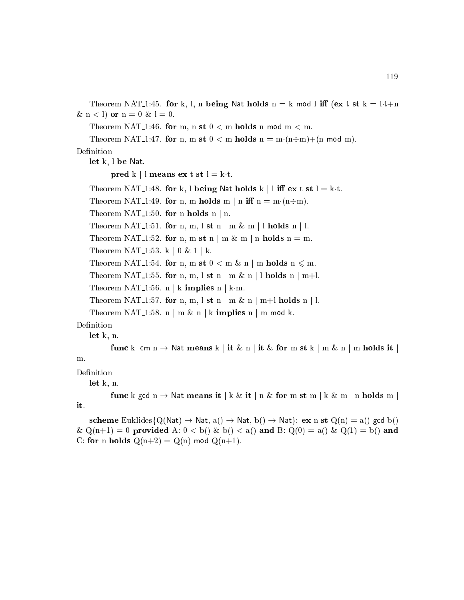Theorem NAT<sub>1</sub>:45. for k, l, n being Nat holds n = k mod l iff (ex t st k = l·t+n  $\&$  n  $<$  l) or n = 0  $\&$  l = 0.

Theorem NAT 1:46. for m, n st  $0 < m$  holds n mod m  $< m$ .

Theorem NAT 1:47. for n, m st  $0 < m$  holds  $n = m \cdot (n \div m) + (n \mod m)$ .

Definition

let k, l be Nat.

pred k | l means ex t st  $l = k \cdot t$ .

Theorem NAT<sub>1</sub>:48. for k, l being Nat holds k | l iff ex t st  $l = k \cdot t$ .

Theorem NAT 1:49. for n, m holds m | n iff  $n = m(n+m)$ .

Theorem NAT<sub>-1:50</sub>. for n holds n | n.

Theorem NAT<sub>1</sub>:51. for n, m, l st n | m & m | l holds n | l.

Theorem NAT<sub>1</sub>:52. for n, m st n | m & m | n holds n = m.

Theorem NAT<sub>-1:53</sub>. k | 0 & 1 | k.

Theorem NAT 1:54. for n, m st  $0 < m \& n \mid m$  holds  $n \leq m$ .

Theorem NAT<sub>-1</sub>:55. for n, m, l st n | m & n | l holds n | m+l.

Theorem NAT 1:56. n | k implies n | k·m.

Theorem NAT<sub>1</sub>:57. for n, m, l st n | m & n | m+l holds n | l.

Theorem NAT<sub>1</sub>:58. n | m & n | k implies n | m mod k.

Definition

let k, n.

func k lcm  $n \to$  Nat means k | it & n | it & for m st k | m & n | m holds it m.

Definition

let k, n.

func k gcd  $n \to$  Nat means it | k & it | n & for m st m | k & m | n holds m it.

scheme Euklides{Q(Nat)  $\rightarrow$  Nat, a()  $\rightarrow$  Nat, b()  $\rightarrow$  Nat}: ex n st Q(n) = a() gcd b()  $\& \mathbb{Q}(n+1) = 0$  provided A:  $0 < b$   $\& b$   $\& c$   $\& d$  and B:  $\mathbb{Q}(0) = a$   $\& c$   $\mathbb{Q}(1) = b$  and C: for n holds  $Q(n+2) = Q(n)$  mod  $Q(n+1)$ .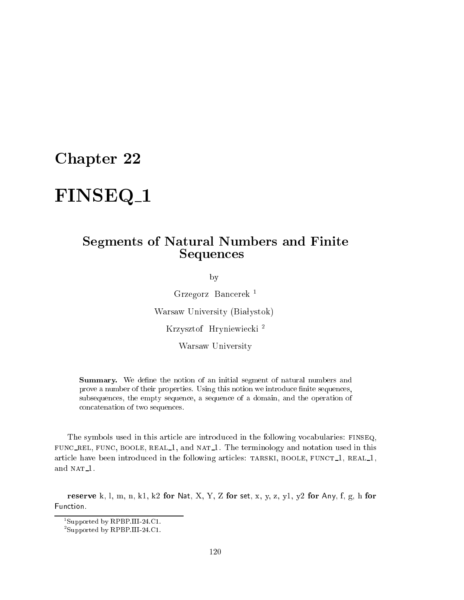# FINSEQ<sub>\_1</sub>

### Segments of Natural Numbers and Finite **Sequences**

by

Grzegorz Ban
erek <sup>1</sup> Warsaw University (Białystok) Krzysztof Hryniewie
ki <sup>2</sup> Warsaw University

**Summary.** We define the notion of an initial segment of natural numbers and prove a number of their properties. Using this notion we introduce finite sequences, subsequen
es, the empty sequen
e, a sequen
e of a domain, and the operation of on
atenation of two sequen
es.

The symbols used in this arti
le are introdu
ed in the following vo
abularies: finseq, , rel, function is a real the terminology and natural  $\alpha$  is an international contract in the terminology article have been introduced in the following articles: TARSKI, BOOLE, FUNCT<sub>1</sub>, REAL<sub>1</sub>, and NAT<sub>1</sub>.

reserve k, l, m, n, k1, k2 for Nat, X, Y, Z for set, x, y, z, y1, y2 for Any, f, g, h for Function.

<sup>1</sup> Supported by RPBP.III-24.C1.

<sup>2</sup> Supported by RPBP.III-24.C1.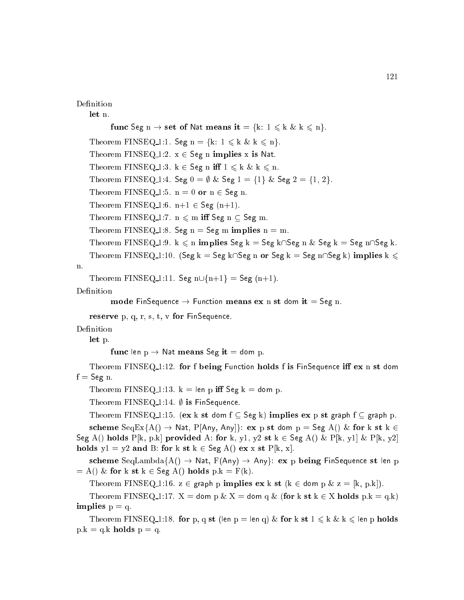### Definition

let n.

func Seg  $n \to$  set of Nat means it = {k:  $1 \le k \& k \le n$  }. Theorem FINSEQ 1:1. Seg n = {k:  $1 \le k \& k \le n$ }. Theorem FINSEQ 1:2.  $x \in \text{Seg n}$  implies x is Nat. Theorem FINSEQ 1:3.  $k \in \text{Seg n iff } 1 \leq k \& k \leq n$ . Theorem FINSEQ 1:4. Seg  $0 = \emptyset$  & Seg  $1 = \{1\}$  & Seg  $2 = \{1, 2\}$ . Theorem FINSEQ 1:5.  $n = 0$  or  $n \in$  Seg n. Theorem FINSEQ 1:6.  $n+1 \in \text{Seg } (n+1)$ . Theorem FINSEQ 1:7.  $n \le m$  iff Seg  $n \subset$  Seg m. Theorem FINSEQ 1:8. Seg  $n =$  Seg m implies  $n = m$ . Theorem FINSEQ 1:9.  $k \leq n$  implies Seg  $k = \text{Seg } k \cap \text{Seg } k = \text{Seg } k = \text{Seg } n \cap \text{Seg } k$ . Theorem FINSEQ 1:10. (Seg k = Seg k $\bigcap$ Seg n or Seg k = Seg n $\bigcap$ Seg k) implies k  $\leq$ 

# n.

Theorem FINSEQ 1:11. Seg  $n \cup \{n+1\}$  = Seg (n+1).

Definition

```
mode FinSequence \rightarrow Function means ex n st dom it = Seg n.
```
reserve p, q, r, s, t, v for FinSequence.

Definition

let p.

func len  $p \rightarrow$  Nat means Seg it = dom p.

Theorem FINSEQ<sub>1</sub>1:12. for f being Function holds f is FinSequence iff  $ex$  n st dom  $f = \text{Seg } n$ .

Theorem FINSEQ 1:13.  $k = len p$  iff Seg  $k = dom p$ .

Theorem FINSEQ 1:14.  $\emptyset$  is FinSequence.

Theorem FINSEQ 1:15. (ex k st dom  $f \subseteq \text{Seg } k$ ) implies ex p st graph  $f \subseteq$  graph p.

scheme  $SeqEx{A() \rightarrow Nat, P[Any, Any]}$ : ex p st dom p = Seg A() & for k st k  $\in$ Seg A() holds P[k, p.k] provided A: for k, y1, y2 st k  $\in$  Seg A() & P[k, y1] & P[k, y2] holds  $y1 = y2$  and B: for k st  $k \in \text{Seg A}()$  ex x st  $P[k, x]$ .

scheme SeqLambda $\{A() \rightarrow Nat, F(Any) \rightarrow Any\}$ : ex p being FinSequence st len p  $= A() \&$  for k st  $k \in \text{Seg } A()$  holds  $p.k = F(k).$ 

Theorem FINSEQ 1:16.  $z \in \text{graph } p$  implies  $\mathbf{ex} \cdot k$  st  $(k \in \text{dom } p \& z = [k, p:k])$ .

Theorem FINSEQ 1:17.  $X =$  dom p &  $X =$  dom q & (for k st  $k \in X$  holds p.k = q.k) implies  $p = q$ .

Theorem FINSEQ 1:18. for p, q st (len p = len q) & for k st  $1 \leq k \& k \leq$  len p holds  $p.k = q.k$  holds  $p = q$ .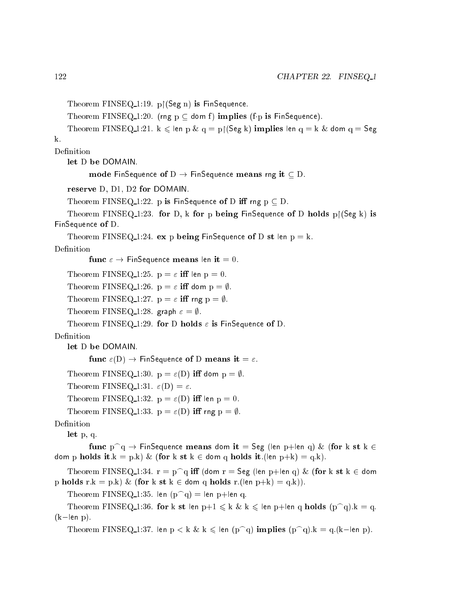```
Theorem FINSEQ<sub>1:19</sub>. p [(Seg n) is FinSequence.
   Theorem FINSEQ 1:20. (rng p \subseteq dom f) implies (f p is FinSequence).
   Theorem FINSEQ_1:21. k \leqslant len p \& q = p|(Seg k) implies len q = k \& dom q = Seg
k.
Definition
   let D be DOMAIN.
          mode FinSequence of D \to FinSequence means rng it \subseteq D.
   reserve D, D1, D2 for DOMAIN.
   Theorem FINSEQ 1:22. p is FinSequence of D iff rng p \subset D.
   Theorem FINSEQ-1:23. for D, k for p being FinSequence of D holds p(Ggg k) is
FinSequence of D.
   Theorem FINSEQ 1:24. ex p being FinSequence of D st len p = k.
Definition
          func \varepsilon \to FinSequence means len it = 0.
   Theorem FINSEQ 1:25. p = \varepsilon iff len p = 0.
   Theorem FINSEQ 1:26. p = \varepsilon iff dom p = \emptyset.
   Theorem FINSEQ 1:27. p = \varepsilon iff rng p = \emptyset.
   Theorem FINSEQ 1:28. graph \varepsilon = \emptyset.
   Theorem FINSEQ 1:29. for D holds \varepsilon is FinSequence of D.
    let D be DOMAIN.
          func \varepsilon(D) \to FinSequence of D means it = \varepsilon.
   Theorem FINSEQ 1:30. p = \varepsilon(D) iff dom p = \emptyset.
   Theorem FINSEQ 1:31. \varepsilon(D) = \varepsilon.
   Theorem FINSEQ 1:32. p = \varepsilon(D) iff len p = 0.
   Theorem FINSEQ 1:33. p = \varepsilon(D) iff rng p = \emptyset.
Definition
    let p, q.
          func p \cap q \to FinSequence means dom it = Seg (len p+len q) & (for k st k \indom p holds it.k = p.k) & (for k st k \in dom q holds it.(len p+k) = q.k).
    Theorem FINSEQ_1:34. r = p^q iff (dom r = Seg (len p+len q) & (for k st k \in dom
p holds r.k = p.k) & (for k st k \in dom q holds r.(len p+k) = q.k)).
   Theorem FINSEQ 1:35. len (p \cap q) = len p+len q.
    Theorem FINSEQ 1:36. for k st len p+1 \leq k \& k \leq len p+len q holds (p^q).k = q.
(k-len p).
   Theorem FINSEQ 1:37. len p < k \& k \leq 1en (p \cap q) implies (p \cap q).k = q.(k - len p).
```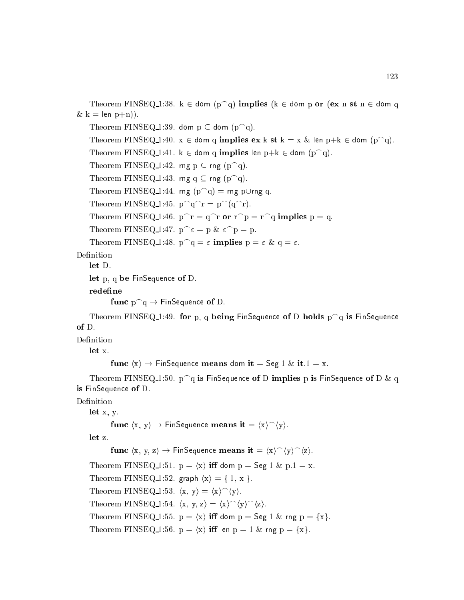Theorem FINSEQ\_1:38.  $k \in$  dom  $(p \cap q)$  implies ( $k \in$  dom p or (ex n st n  $\in$  dom q  $\& \, k = \text{len } p+n)$ ).

Theorem FINSEQ 1:39. dom  $p \subset$  dom  $(p \cap q)$ . Theorem FINSEQ 1:40.  $x \in$  dom q implies ex k st  $k = x \&$  len  $p+k \in$  dom  $(p \cap q)$ . Theorem FINSEQ 1:41.  $k \in$  dom q implies len  $p+k \in$  dom  $(p \cap q)$ . Theorem FINSEQ 1:42. rng  $p \subseteq rng (p \cap q)$ . Theorem FINSEQ 1:43. rng q  $\subset$  rng (p<sup> $\cap$ </sup>q). Theorem FINSEQ 1:44. rng  $(p^q) =$ rng p $\cup$ rng q. Theorem FINSEQ 1:45.  $p^q r = p^q (q^r)$ . Theorem FINSEQ 1:46.  $p^r = q^r$  or  $r^p = r^q$  implies  $p = q$ . Theorem FINSEQ 1:47.  $p^{\frown} \varepsilon = p \& \varepsilon^p = p$ . Theorem FINSEQ 1:48.  $p \cap q = \varepsilon$  implies  $p = \varepsilon \& q = \varepsilon$ .

Definition

let D.

let p, q be FinSequence of D.

redefine

```
func p^q \to FinSequence of D.
```
Theorem FINSEQ 1:49. for p, q being FinSequence of D holds  $p^q$  is FinSequence  $of D.$ 

Definition

let x.

```
func \langle x \rangle \rightarrow FinSequence means dom it = Seg 1 & it.1 = x.
```
Theorem FINSEQ 1:50.  $p^q$  is FinSequence of D implies p is FinSequence of D & q is FinSequence of D.

Definition

let x, y.

```
func \langle x, y \rangle \rightarrow FinSequence means it = \langle x \rangle \hat{\ } \langle y \rangle.
```
let z.

func  $\langle x, y, z \rangle \rightarrow$  FinSequence means it =  $\langle x \rangle^{\frown} \langle y \rangle^{\frown} \langle z \rangle$ . Theorem FINSEQ 1:51.  $p = \langle x \rangle$  iff dom  $p = \text{Seg 1 \& p.1 = x.}$ Theorem FINSEQ 1:52. graph  $\langle x \rangle = \{ [1, x] \}.$ Theorem FINSEQ 1:53.  $\langle x, y \rangle = \langle x \rangle^{\hat{}} \langle y \rangle$ . Theorem FINSEQ 1:54.  $\langle x, y, z \rangle = \langle x \rangle^{\hat{ }} \langle y \rangle^{\hat{ }} \langle z \rangle.$ Theorem FINSEQ 1:55.  $p = \langle x \rangle$  iff dom  $p = \text{Seg 1 \& rng } p = \{x\}.$ Theorem FINSEQ 1:56.  $p = \langle x \rangle$  iff len  $p = 1$  & rng  $p = \{x\}.$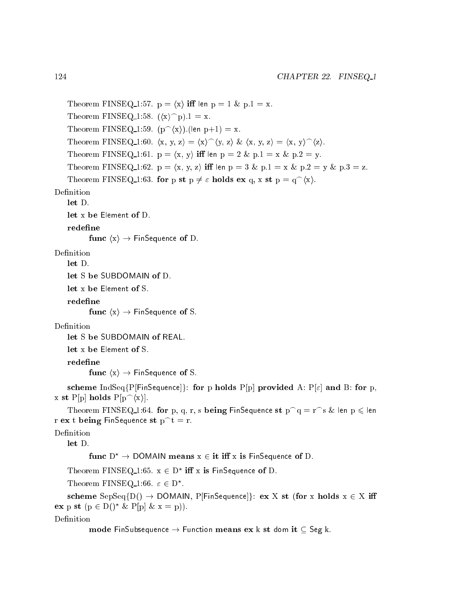```
Theorem FINSEQ 1:57. p = \langle x \rangle iff len p = 1 & p.1 = x.
    Theorem FINSEQ 1:58. (\langle x \rangle^p).1 = x.
    Theorem FINSEQ 1:59. (p^{\frown}\langle x\rangle). (len p+1) = x.
    Theorem FINSEQ 1:60. \langle x, y, z \rangle = \langle x \rangle^{\hat{ }} \langle y, z \rangle \& \langle x, y, z \rangle = \langle x, y \rangle^{\hat{ }} \langle z \rangle.Theorem FINSEQ 1:61. p = \langle x, y \rangle iff len p = 2 \& p.1 = x \& p.2 = y.
    Theorem FINSEQ 1:62. p = \langle x, y, z \rangle iff len p = 3 & p.1 = x & p.2 = y & p.3 = z.
    Theorem FINSEQ 1:63. for p st p \neq \varepsilon holds ex q, x st p = q^{\wedge}(x).
    let Dlet x be Element of D.
    redefine
           func \langle x \rangle \rightarrow FinSequence of D.
Definition
    let D.let S be SUBDOMAIN of D.
    let x be Element of S.
    redefine
           func \langle x \rangle \rightarrow FinSequence of S.
Definition
    let S be SUBDOMAIN of REAL.
    let x be Element of S.
    redefine
           func \langle x \rangle \rightarrow FinSequence of S.
    scheme IndSeq{P[FinSequence]}: for p holds P[p] provided A: P[\varepsilon] and B: for p,
x st P[p] holds P[p^{\frown}\langle x\rangle].
    Theorem FINSEQ 1:64. for p, q, r, s being FinSequence st p^q = r^s \& len p \leq 1en
r ex t being FinSequence st p^t = r.
Definition
    let D.func D^* \to DOMAIN means x \in \text{it iff } x is FinSequence of D.
    I neorem FINSEQ 1:05. X \in D^{\circ} in X is FinSequence of D.
    Theorem LIDDLY 1:00. \varepsilon \in D.
    scheme SepSeq{D() \rightarrow DOMAIN, P[FinSequence]}: ex X st (for x holds x \in X iff
```
ex p st  $(p \in D()^* \& P[p] \& x = p)$ .

Definition

mode FinSubsequence  $\rightarrow$  Function means ex k st dom it  $\subset$  Seg k.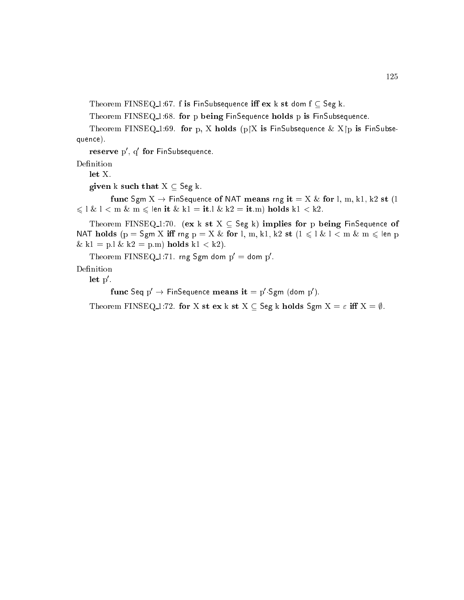Theorem FINSEQ 1:67. f is FinSubsequence iff  $ex$  k st dom  $f \subseteq Seg$  k.

Theorem FINSEQ<sub>-1:68</sub>. for p being FinSequence holds p is FinSubsequence.

Theorem FINSEQ 1:69. for p, X holds  $(p|X|)$  is FinSubsequence  $\&$  X $[p]$  is FinSubsequence).

 ${\bf r}$ ese ${\bf r}$ ve  ${\bf p}$ , q ${\bf r}$ tor  ${\bf r}$ msubsequence.

Definition

let X.

given k such that  $X \subseteq \mathsf{Seg} \; k$ .

func Sgm  $X \to F$ inSequence of NAT means rng it = X & for l, m, k1, k2 st (1)  $\leqslant$  l  $\&$  l  $<$  m  $\&$  m  $\leqslant$  len it  $\&$  k1 = it.l  $\&$  k2 = it.m) holds k1  $<$  k2.

Theorem FINSEQ-1:70. (ex k st  $X \subseteq \mathsf{Seg}$  k) implies for p being FinSequence of NAT holds (p = Sgm X iff rng p = X & for l, m, k1, k2 st ( $1 \leq l$  &  $l$   $<$  m & m  $\leq$  len p  $\& k1 = p.l \& k2 = p.m)$  holds  $k1 < k2$ .

I neorem  $\text{FINSEQ}_1$ :71. rng Sgm dom  $p =$  dom p.

Definition

let p0 .

 $\lim_{\varepsilon \to 0}$   $\lim_{\varepsilon \to 0}$  Finsequence means  $\iota \iota = \rho \cdot \iota$ gm (dom p).

Theorem FINSEQ 1:72. for X st ex k st  $X \subseteq$  Seg k holds Sgm  $X = \varepsilon$  iff  $X = \emptyset$ .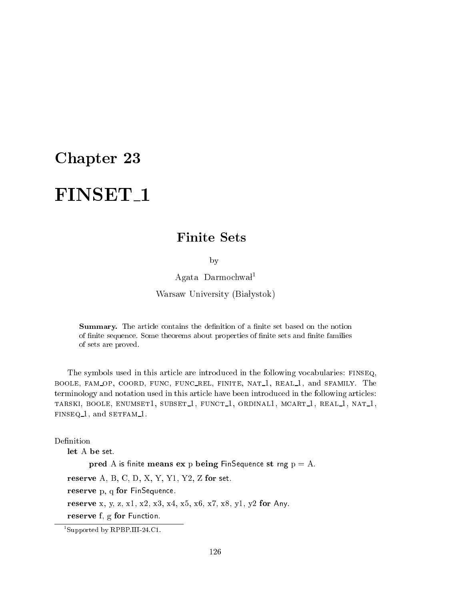## **Finite Sets**

by

 $A$ gata Darmochwał<sup>1</sup>

Warsaw University (Białystok)

Summary. The article contains the definition of a finite set based on the notion of finite sequence. Some theorems about properties of finite sets and finite families of sets are proved.

The symbols used in this article are introduced in the following vocabularies: FINSEQ, BOOLE, FAM\_OP, COORD, FUNC, FUNC\_REL, FINITE, NAT\_1, REAL\_1, and SFAMILY. The terminology and notation used in this article have been introduced in the following articles: TARSKI, BOOLE, ENUMSET1, SUBSET<sub>1</sub>, FUNCT<sub>1</sub>, ORDINAL1, MCART<sub>1</sub>, REAL<sub>1</sub>, NAT<sub>1</sub>, finseq 1, and setfam 1.

Definition

let A be set.

pred A is finite means  $ex$  p being FinSequence st rng  $p = A$ .

reserve  $A, B, C, D, X, Y, Y1, Y2, Z$  for set.

reserve p, q for FinSequence.

reserve x, y, z, x1, x2, x3, x4, x5, x6, x7, x8, y1, y2 for Any.

reserve f, g for Function.

<sup>1</sup> Supported by RPBP.III-24.C1.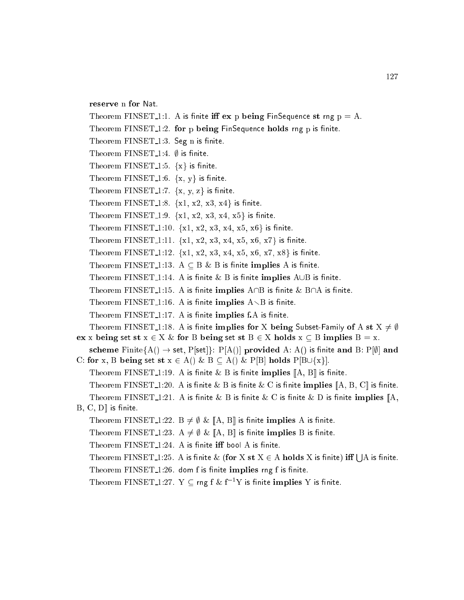```
reserve n for Nat.
```
Theorem FINSET<sub>1</sub>:1. A is finite iff  $ex$  p being FinSequence st rng  $p = A$ . Theorem FINSET<sub>1</sub>:2. for p being FinSequence holds rng p is finite. Theorem FINSET<sub>-1:3</sub>. Seg n is finite. Theorem FINSET<sub>-1:4</sub>.  $\emptyset$  is finite. Theorem FINSET<sub>-1:5</sub>.  $\{x\}$  is finite. Theorem FINSET<sub>1:6</sub>.  $\{x, y\}$  is finite. Theorem FINSET 1:7.  $\{x, y, z\}$  is finite. Theorem FINSET<sub>-1:8</sub>.  $\{x1, x2, x3, x4\}$  is finite. Theorem FINSET 1:9.  $\{x1, x2, x3, x4, x5\}$  is finite. Theorem FINSET 1:10.  $\{x1, x2, x3, x4, x5, x6\}$  is finite. Theorem FINSET 1:11.  $\{x1, x2, x3, x4, x5, x6, x7\}$  is finite. Theorem FINSET 1:12.  $\{x1, x2, x3, x4, x5, x6, x7, x8\}$  is finite. Theorem FINSET 1:13.  $A \subseteq B \& B$  is finite implies A is finite. Theorem FINSET 1:14. A is finite  $\&$  B is finite implies  $A \cup B$  is finite. Theorem FINSET 1:15. A is finite implies  $A \cap B$  is finite  $\&$  B $\cap A$  is finite. Theorem FINSET 1:16. A is finite implies  $A \setminus B$  is finite. Theorem  $\text{FINSET}\_1:17$ . A is finite implies f.A is finite. Theorem FINSET<sub>-1</sub>:18. A is finite implies for X being Subset-Family of A st  $X \neq \emptyset$ ex x being set st  $x \in X \&$  for B being set st  $B \in X$  holds  $x \subseteq B$  implies  $B = x$ . scheme Finite $\{A() \rightarrow set, P[set]\}\colon P[A()]$  provided A: A() is finite and B:  $P[\emptyset]$  and C: for x, B being set st  $x \in A()$  &  $B \subseteq A()$  & P[B] holds P[B $\cup$ {x}]. Theorem FINSET 1:19. A is finite  $\&$  B is finite implies  $[[A, B]]$  is finite. Theorem FINSET\_1:20. A is finite & B is finite & C is finite implies  $\mathbb{A}, B, C \mathbb{I}$  is finite. Theorem FINSET<sub>-1</sub>:21. A is finite & B is finite & C is finite & D is finite implies  $[A, A]$  $B, C, D$  is finite. Theorem FINSET 1:22. B  $\neq \emptyset$  &  $[A, B]$  is finite implies A is finite. Theorem FINSET 1:23. A  $\neq \emptyset$  & [A, B] is finite implies B is finite. Theorem  $\text{FINSET 1:24. A}$  is finite iff bool A is finite. Theorem FINSET\_1:25. A is finite  $\&$  (for X st  $X \in A$  holds X is finite) iff (  $|A|$  is finite. Theorem FINSET 1:26. dom f is finite implies rng f is finite. Theorem FINSET<sub>1</sub>:27. Y  $\subset$  rng f & f<sup>-1</sup>Y is finite implies Y is finite.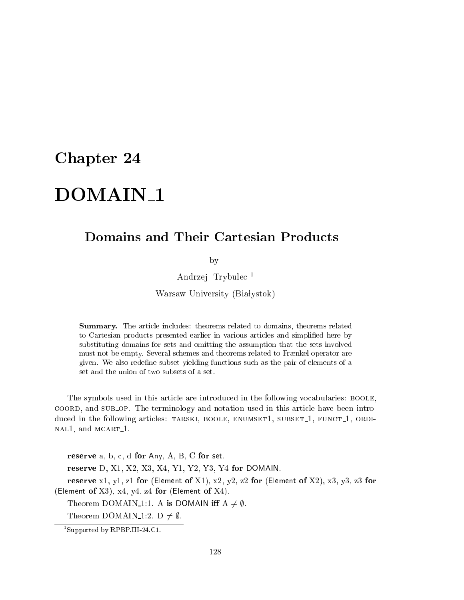# DOMAIN<sub>-1</sub>

## **Domains and Their Cartesian Products**

by

Andrzej Trybule <sup>1</sup>

Warsaw University (Białystok)

Summary. The arti
le in
ludes: theorems related to domains, theorems related to Cartesian produ
ts presented earlier in various arti
les and simplied here by substituting domains for sets and omitting the assumption that the sets involved must not be empty. Several schemes and theorems related to Frænkel operator are given. We also redene subset yielding fun
tions su
h as the pair of elements of a set and the union of two subsets of a set.

The symbols used in this article are introduced in the following vocabularies: BOOLE, coord, and sub op. The terminology and notation used in this article have been introduced in the following articles: TARSKI, BOOLE, ENUMSET1, SUBSET<sub>1</sub>, FUNCT<sub>1</sub>, ORDI-NAL1, and MCART<sub>1</sub>.

reserve  $a, b, c, d$  for Any,  $A, B, C$  for set. reserve D, X1, X2, X3, X4, Y1, Y2, Y3, Y4 for DOMAIN. reserve x1, y1, z1 for (Element of X1), x2, y2, z2 for (Element of X2), x3, y3, z3 for (Element of  $X3$ ),  $x4$ ,  $y4$ ,  $z4$  for (Element of  $X4$ ). Theorem DOMAIN 1:1. A is DOMAIN iff  $A \neq \emptyset$ . Theorem DOMAIN<sub>-1</sub>:2. D  $\neq \emptyset$ .

<sup>1</sup> Supported by RPBP.III-24.C1.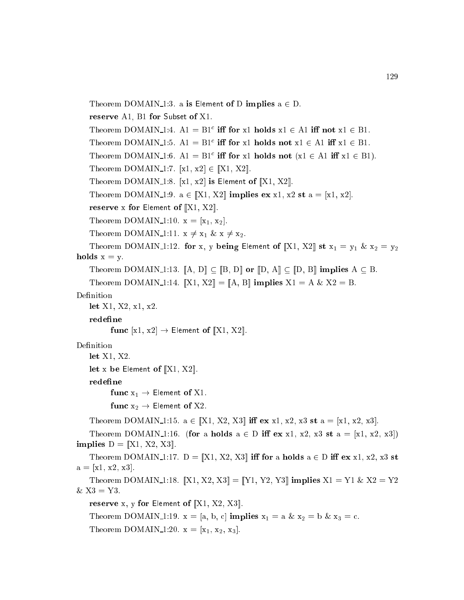```
Theorem DOMAIN 1:3. a is Element of D implies a \in D.
   reserve A1, B1 for Subset of X1.
   I neorem DOMAIN 1:4. AI = BI in for x1 holds XI \in AI in not XI \in BI.
   I heorem DOMAIN 1:5. AI = DI in for x1 holds not XI \in AI in XI \in DI.
   I heorem DOMAIN 1:0. AI = BI in for x1 holds not (X1 \in AI \text{ in } X1 \in BI).
   Theorem DOMAIN 1:7. [x1, x2] \in [X1, X2].
   Theorem DOMAIN 1:8. [x1, x2] is Element of [X1, X2].
   Theorem DOMAIN 1:9. a \in [X1, X2] implies ex x1, x2 st a = [x1, x2].
   reserve x for Element of [X1, X2].
   Theorem DOMAIN 1:10. x = [x_1, x_2].
   Theorem DOMAIN 1:11. x \neq x_1 \& x \neq x_2.
   Theorem DOMAIN 1:12. for x, y being Element of [[X1, X2]] st x_1 = y_1 \& x_2 = y_2holds x = y.
   Theorem DOMAIN 1:13. [A, D] \subseteq [B, D] or [D, A] \subseteq [D, B] implies A \subseteq B.
   Theorem DOMAIN 1:14. [X1, X2] = [A, B] implies X1 = A \& X2 = B.
Definition
   let X1, X2, x1, x2.
   redefine
         func [x1, x2] \rightarrow Element of [X1, X2].
Definition
   let X1, X2.
   let x be Element of \llbracket X1, X2 \rrbracket.
   redefine
         func x_1 \rightarrow Element of X1.
         func x_2 \rightarrow Element of X2.
   Theorem DOMAIN 1:15. a \in [X1, X2, X3] iff ex x1, x2, x3 st a = [x1, x2, x3].
   Theorem DOMAIN 1:16. (for a holds a \in D iff ex x1, x2, x3 st a = [x1, x2, x3])
implies D = [X1, X2, X3].
   Theorem DOMAIN 1:17. D = [X1, X2, X3] iff for a holds a \in D iff ex x1, x2, x3 st
a = [x1, x2, x3].Theorem DOMAIN 1:18. \|X1, X2, X3\| = \|Y1, Y2, Y3\| implies X1 = Y1 & X2 = Y2& X3 = Y3.
   reserve x, y for Element of [X1, X2, X3].
   Theorem DOMAIN 1:19. x = [a, b, c] implies x_1 = a \& x_2 = b \& x_3 = c.
```

```
Theorem DOMAIN 1:20. x = [x_1, x_2, x_3].
```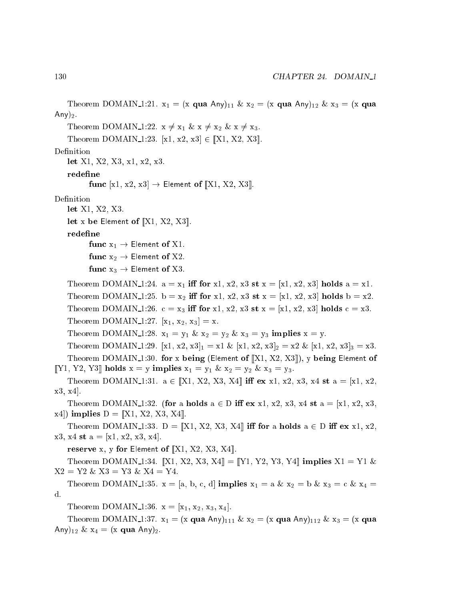```
Theorem DOMAIN 1:21. x_1 = (x \text{ qua Any})_{11} \& x_2 = (x \text{ qua Any})_{12} \& x_3 = (x \text{ qua } x)_{12}Any)_{2}.
   Theorem DOMAIN 1:22. x \neq x_1 \& x \neq x_2 \& x \neq x_3.
   Theorem DOMAIN 1:23. [x1, x2, x3] \in [X1, X2, X3].
Definition
   let X1, X2, X3, x1, x2, x3.
   redefine
          func [x1, x2, x3] \rightarrow Element of [X1, X2, X3].
Definition
   let X1, X2, X3.
   let x be Element of [X1, X2, X3].
   redefine
          func x_1 \rightarrow Element of X1.
          func x_2 \rightarrow Element of X2.
          func x_3 \rightarrow Element of X3.
   Theorem DOMAIN 1:24. a = x_1 iff for x1, x2, x3 st x = [x_1, x_2, x_3] holds a = x_1.
   Theorem DOMAIN 1:25. b = x<sub>2</sub> iff for x1, x2, x3 st x = [x1, x2, x3] holds b = x2.
   Theorem DOMAIN 1:26. c = x_3 iff for x1, x2, x3 st x = [x_1, x_2, x_3] holds c = x_3.
   Theorem DOMAIN 1:27. [x_1, x_2, x_3] = x.
   Theorem DOMAIN 1:28. x_1 = y_1 \& x_2 = y_2 \& x_3 = y_3 implies x = y.
   Theorem DOMAIN 1:29. [x1, x2, x3]_1 = x1 \& [x1, x2, x3]_2 = x2 \& [x1, x2, x3]_3 = x3.Theorem DOMAIN 1:30. for x being (Element of [X1, X2, X3]), y being Element of
[Y1, Y2, Y3] holds x = y implies x_1 = y_1 \& x_2 = y_2 \& x_3 = y_3.
   Theorem DOMAIN 1:31. a \in [\![X1, X2, X3, X4]\!] iff ex x1, x2, x3, x4 st a = [x1, x2, x3, x4]x3, x4.
   Theorem DOMAIN 1:32. (for a holds a \in D iff ex x1, x2, x3, x4 st a = [x1, x2, x3,[x4] implies D = [X1, X2, X3, X4].Theorem DOMAIN 1:33. D = [X1, X2, X3, X4] iff for a holds a \in D iff ex x1, x2,
x3, x4 st a = [x1, x2, x3, x4].reserve x, y for Element of [X1, X2, X3, X4].
   Theorem DOMAIN 1:34. [X1, X2, X3, X4] = [Y1, Y2, Y3, Y4] implies X1 = Y1 \&X2 = Y2 \& X3 = Y3 \& X4 = Y4.Theorem DOMAIN 1:35. x = [a, b, c, d] implies x_1 = a \& x_2 = b \& x_3 = c \& x_4 =d.
   Theorem DOMAIN 1:36. x = [x_1, x_2, x_3, x_4].Theorem DOMAIN 1:37. x_1 = (x \text{ qua Any})_{111} \& x_2 = (x \text{ qua Any})_{112} \& x_3 = (x \text{ qua any})_{12}Any)<sub>12</sub> & x_4 = (x \text{ qua Any})_2.
```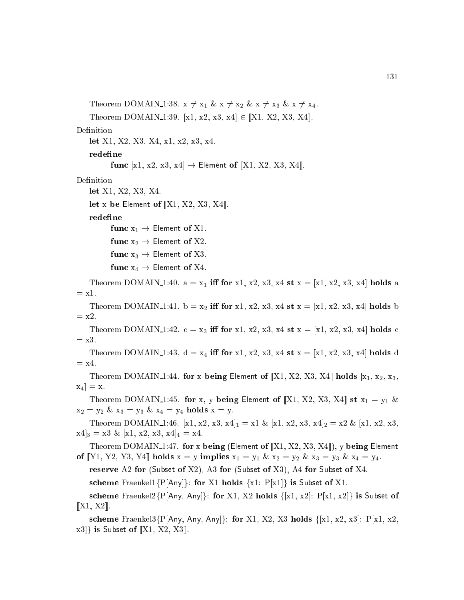```
Theorem DOMAIN 1:38. x \neq x_1 \& x \neq x_2 \& x \neq x_3 \& x \neq x_4.
   Theorem DOMAIN 1:39. [x1, x2, x3, x4] \in [X1, X2, X3, X4].
Definition
   let X1, X2, X3, X4, x1, x2, x3, x4.
   redefine
          func [x1, x2, x3, x4] \rightarrow Element of [X1, X2, X3, X4].
Definition
   let X1, X2, X3, X4.
   let x be Element of [[X1, X2, X3, X4]].redefine
          func x_1 \rightarrow Element of X1.
          func x_2 \rightarrow Element of X2.
          func x_3 \rightarrow Element of X3.
          func x_4 \rightarrow Element of X4.
   Theorem DOMAIN 1:40. a = x_1 iff for x1, x2, x3, x4 st x = [x_1, x_2, x_3, x_4] holds a
= x1.
   Theorem DOMAIN 1:41. b = x_2 iff for x1, x2, x3, x4 st x = [x1, x2, x3, x4] holds b
= x2.
   Theorem DOMAIN 1:42. c = x_3 iff for x1, x2, x3, x4 st x = [x_1, x_2, x_3, x_4] holds c
= x3.
   Theorem DOMAIN 1:43. d = x_4 iff for x1, x2, x3, x4 st x = [x_1, x_2, x_3, x_4] holds d
= x4.
   Theorem DOMAIN 1:44. for x being Element of [X1, X2, X3, X4] holds [x_1, x_2, x_3, x_4]\mathbf{x}_4 \equiv \mathbf{x}.Theorem DOMAIN 1:45. for x, y being Element of [X1, X2, X3, X4] st x_1 = y_1 \&x_2 = y_2 \& x_3 = y_3 \& x_4 = y_4 holds x = y.
   Theorem DOMAIN 1:46. [x1, x2, x3, x4]<sub>1</sub> = x1 & [x1, x2, x3, x4]<sub>2</sub> = x2 & [x1, x2, x3,
[x4]_3 = x3 \& [x1, x2, x3, x4]_4 = x4.Theorem DOMAIN 1:47. for x being (Element of [X1, X2, X3, X4]), y being Element
of [Y1, Y2, Y3, Y4] holds x = y implies x_1 = y_1 \& x_2 = y_2 \& x_3 = y_3 \& x_4 = y_4.
   reserve A2 for (Subset of X2), A3 for (Subset of X3), A4 for Subset of X4.
   scheme Fraenkel1\{P[Any]\}: for X1 holds \{x1: P[x1]\} is Subset of X1.
   scheme Fraenkel2{P[Any, Any]}: for X1, X2 holds \{[x1, x2] : P[x1, x2]\} is Subset of
[[X1, X2]].scheme Fraenkel3{P[Any, Any, Any]}: for X1, X2, X3 holds {[x1, x2, x3]: P[x1, x2,
```
 $\{x3\}$  is Subset of [X1, X2, X3].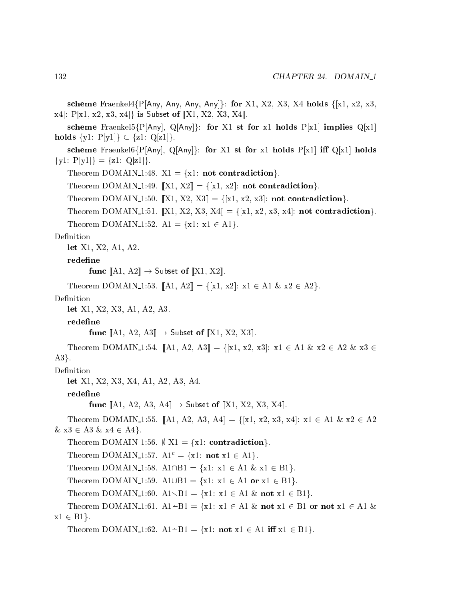scheme Fraenkel4 $\{P[Any, Any, Any, Any\}$ : for X1, X2, X3, X4 holds  $\{[x1, x2, x3,$  $x4$ : P[x1, x2, x3, x4]} is Subset of [X1, X2, X3, X4]. scheme Fraenkel5{P[Any], Q[Any]: for X1 st for x1 holds P[x1] implies Q[x1] holds  $\{y1: P[y1]\} \subseteq \{z1: Q[z1]\}.$ 

scheme Fraenkel6{P[Any], Q[Any]: for X1 st for x1 holds P[x1] iff Q[x1] holds  $\{y1: P[y1]\} = \{z1: Q[z1]\}.$ 

Theorem DOMAIN 1:48.  $X1 = \{x1: \text{not contradiction}\}.$ 

Theorem DOMAIN<sub>-1</sub>:49. [X1, X2] = {[x1, x2]: **not contradiction**}.

Theorem DOMAIN 1:50.  $\llbracket \text{X1}, \text{X2}, \text{X3} \rrbracket = \{ \llbracket \text{x1}, \text{x2}, \text{x3} \rrbracket : \text{not contradiction} \}.$ 

Theorem DOMAIN 1:51. [X1, X2, X3, X4] =  $\{[x1, x2, x3, x4] : \text{not contradiction}\}.$ Theorem DOMAIN 1:52.  $A1 = \{x1: x1 \in A1\}.$ 

#### Definition

let X1, X2, A1, A2.

redefine

func  $\llbracket$ A1, A2 $\rrbracket \rightarrow$  Subset of  $\llbracket$ X1, X2 $\rrbracket$ .

Theorem DOMAIN 1:53.  $[A1, A2] = \{ [x1, x2] : x1 \in A1 \& x2 \in A2 \}.$ 

#### Definition

let X1, X2, X3, A1, A2, A3.

redefine

func  $\llbracket$ A1, A2, A3 $\rrbracket \rightarrow$  Subset of  $\llbracket$ X1, X2, X3 $\rrbracket$ .

Theorem DOMAIN 1:54. [A1, A2, A3] = {[x1, x2, x3]: x1  $\in$  A1 & x2  $\in$  A2 & x3  $\in$  $A3$ .

Definition

let X1, X2, X3, X4, A1, A2, A3, A4.

redefine

func [A1, A2, A3, A4]  $\rightarrow$  Subset of [X1, X2, X3, X4].

Theorem DOMAIN 1:55. [A1, A2, A3, A4] =  $\{[x1, x2, x3, x4] : x1 \in A1 \& x2 \in A2$  $\&$  x3  $\in$  A3  $\&$  x4  $\in$  A4 $\}.$ 

Theorem DOMAIN 1:56.  $\emptyset$  X1 = {x1: contradiction}.

Theorem DOMAIN 1:57.  $\mathbf{A1}^c = \{x1: \text{not } x1 \in \mathbf{A1}\}.$ 

Theorem DOMAIN 1:58.  $A1 \cap B1 = \{x1: x1 \in A1 \& x1 \in B1\}.$ 

Theorem DOMAIN 1:59. A1 $\cup$ B1 = {x1: x1  $\in$  A1 or x1  $\in$  B1}.

Theorem DOMAIN 1:60.  $A1\setminus B1 = \{x1: x1 \in A1 \& \text{not } x1 \in B1\}.$ 

Theorem DOMAIN 1:61.  $A1 - B1 = \{x1: x1 \in A1 \& \text{not } x1 \in B1 \text{ or not } x1 \in A1 \& \text{ } x1 \in A1 \}$  $x1 \in B1$ .

Theorem DOMAIN 1:62.  $A1 \div B1 = \{x1: \text{not } x1 \in A1 \text{ iff } x1 \in B1\}.$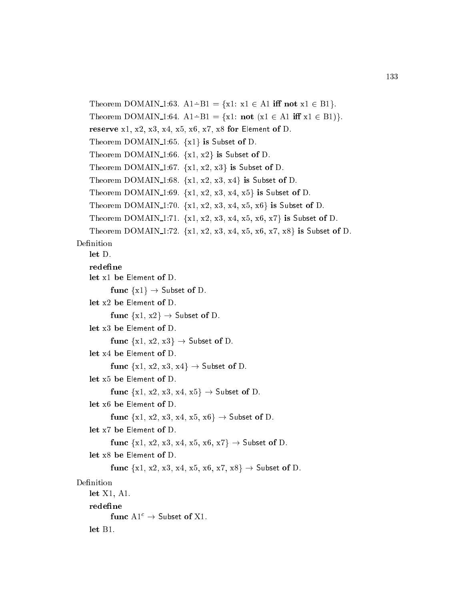```
Theorem DOMAIN 1:63. A1 \div B1 = \{x1: x1 \in A1 \text{ iff not } x1 \in B1\}.Theorem DOMAIN 1:64. A1 - B1 = {x1: not (x1 \in A1 iff x1 \in B1)}.
   reserve x1, x2, x3, x4, x5, x6, x7, x8 for Element of D.
   Theorem DOMAIN 1:65. \{x1\} is Subset of D.
   Theorem DOMAIN 1:66. \{x1, x2\} is Subset of D.
   Theorem DOMAIN 1:67. \{x1, x2, x3\} is Subset of D.
   Theorem DOMAIN 1:68. \{x1, x2, x3, x4\} is Subset of D.
   Theorem DOMAIN 1:69. \{x1, x2, x3, x4, x5\} is Subset of D.
   Theorem DOMAIN 1:70. \{x1, x2, x3, x4, x5, x6\} is Subset of D.
   Theorem DOMAIN 1:71. \{x1, x2, x3, x4, x5, x6, x7\} is Subset of D.
   Theorem DOMAIN 1:72. \{x1, x2, x3, x4, x5, x6, x7, x8\} is Subset of D.
Definition
   let D.
   redefine
   let x1 be Element of D.
          func \{x1\} \rightarrow Subset of D.
   let x2 be Element of D.
          func \{x1, x2\} \rightarrow Subset of D.
   let x3 be Element of D.
          func \{x1, x2, x3\} \rightarrow Subset of D.
   let x4 be Element of D.
          func \{x1, x2, x3, x4\} \rightarrow Subset of D.
   let x5 be Element of D.
          func \{x1, x2, x3, x4, x5\} \rightarrow Subset of D.
   let x6 be Element of D.
          func \{x1, x2, x3, x4, x5, x6\} \rightarrow Subset of D.
   let x7 be Element of D.
          func \{x1, x2, x3, x4, x5, x6, x7\} \rightarrow Subset of D.
   let x8 be Element of D.
          func \{x1, x2, x3, x4, x5, x6, x7, x8\} \rightarrow Subset of D.
Definition
   let X1, A1.
   redefine
          func \mathbf{A}1^c \rightarrow \mathsf{Subset} of X1.
   let B1.
```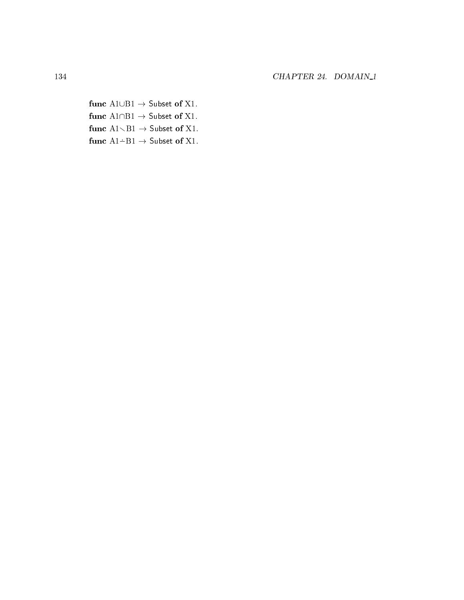func $\mathrm{A1} \cup \mathrm{B1} \rightarrow \mathrm{Subset}$  of X1. func  $A1 \cap B1 \rightarrow$  Subset of X1. func  $A1\diagdown B1 \rightarrow$  Subset of X1. func $\mathrm{A1}\dot{-}\mathrm{B1}\to$  Subset of X1.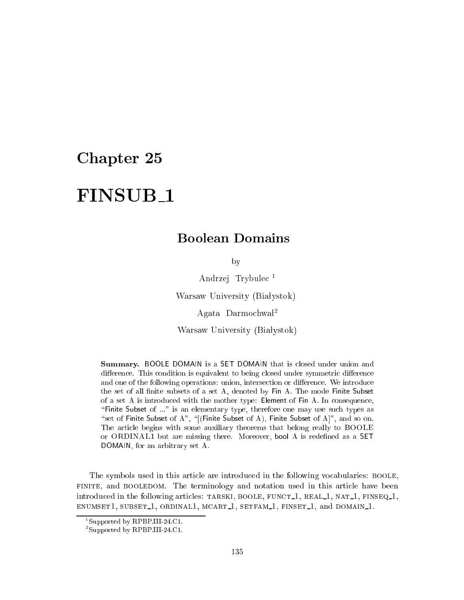# FINSUB<sub>1</sub>

### Boolean Domains

by

Andrzej Trybule <sup>1</sup>

Warsaw University (Białystok)

Agata Darmochwał<sup>2</sup>

Warsaw University (Białystok)

**Summary.** BOOLE DOMAIN is a SET DOMAIN that is closed under union and difference. This condition is equivalent to being closed under symmetric difference and one of the following operations: union, intersection or difference. We introduce the set of all finite subsets of a set A, denoted by Fin A. The mode Finite Subset of a set A is introdu
ed with the mother type: Element of Fin A. In onsequen
e, "Finite Subset of ..." is an elementary type, therefore one may use such types as "set of Finite Subset of A", "[(Finite Subset of A), Finite Subset of A]", and so on. The arti
le begins with some auxiliary theorems that belong really to BOOLE or ORDINAL1 but are missing there. Moreover, bool A is redened as a SET DOMAIN, for an arbitrary set A.

The symbols used in this article are introduced in the following vocabularies: BOOLE, FINITE, and BOOLEDOM. The terminology and notation used in this article have been introduced in the following articles: TARSKI, BOOLE, FUNCT<sub>1</sub>, REAL<sub>1</sub>, NAT<sub>1</sub>, FINSEQ<sub>1</sub>, ENUMSET1, SUBSET<sub>1</sub>, ORDINAL1, MCART<sub>1</sub>, SETFAM<sub>1</sub>, FINSET<sub>1</sub>, and DOMAIN<sub>1</sub>.

<sup>1</sup> Supported by RPBP.III-24.C1.

<sup>2</sup> Supported by RPBP.III-24.C1.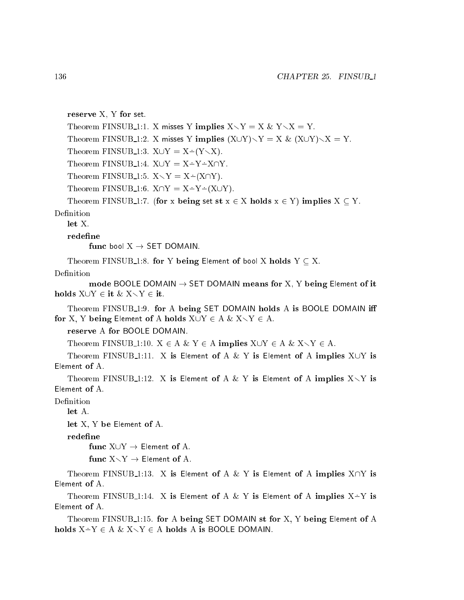reserve X, Y for set.

Theorem FINSUB 1:1. X misses Y implies  $X \setminus Y = X \& Y \setminus X = Y$ . Theorem FINSUB 1:2. X misses Y implies  $(X \cup Y) \setminus Y = X \& (X \cup Y) \setminus X = Y$ . THEOREM FIND OD 1.3.  $X \cup I = X \cup I \setminus X$ ). Theorem FINSUB<sub>-1</sub>:4.  $X \cup Y = X \div Y \div X \cap Y$ . THEOREM FIND OD 1:5.  $X \setminus T = X \setminus \{X\}$  if j. Theorem FINSUB 1:6.  $X \cap Y = X \div Y \div (X \cup Y)$ .

Theorem FINSUB 1:7. (for x being set st  $x \in X$  holds  $x \in Y$ ) implies  $X \subseteq Y$ .

Definition

let X.

redefine

func bool  $X \rightarrow$  SET DOMAIN.

Theorem FINSUB<sub>1</sub>:8. for Y being Element of bool X holds  $Y \subseteq X$ .

Definition

mode BOOLE DOMAIN  $\rightarrow$  SET DOMAIN means for X, Y being Element of it holds  $X \cup Y \in \text{it } \& X \setminus Y \in \text{it.}$ 

Theorem FINSUB<sub>-1:9</sub>. for A being SET DOMAIN holds A is BOOLE DOMAIN iff for X, Y being Element of A holds  $X \cup Y \in A \& X \setminus Y \in A$ .

reserve A for BOOLE DOMAIN.

Theorem FINSUB 1:10.  $X \in A \& Y \in A$  implies  $X \cup Y \in A \& X \setminus Y \in A$ .

Theorem FINSUB<sub>-1</sub>:11. X is Element of A & Y is Element of A implies  $X \cup Y$  is Element of A.

Theorem FINSUB<sub>1</sub>1:12. X is Element of A & Y is Element of A implies  $X\setminus Y$  is Element of A.

Definition

let A.

let X, Y be Element of A.

redefine

func  $X \cup Y \rightarrow$  Element of A.

func  $X \setminus Y \rightarrow$  Element of A.

Theorem FINSUB<sub>1</sub>:13. X is Element of A & Y is Element of A implies  $X \cap Y$  is Element of A.

Theorem FINSUB\_1:14. X is Element of A  $\&$  Y is Element of A implies X-Y is Element of A.

Theorem FINSUB<sub>1</sub>:15. for A being SET DOMAIN st for X, Y being Element of A holds  $X-Y \in A \& X\diagdown Y \in A$  holds A is BOOLE DOMAIN.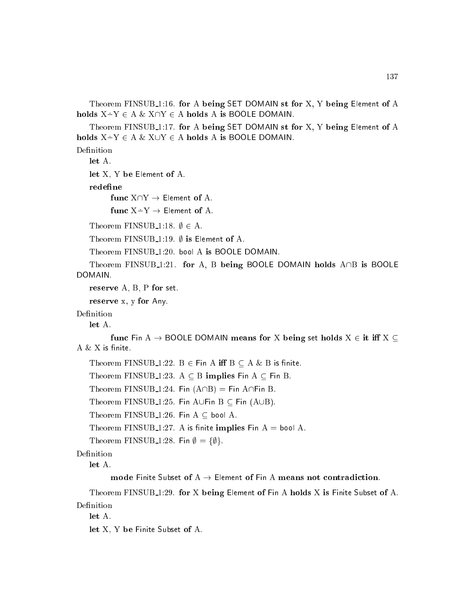Theorem FINSUB<sub>1</sub>:16. for A being SET DOMAIN st for X, Y being Element of A holds  $X \dot{=} Y \in A \& X \cap Y \in A$  holds A is BOOLE DOMAIN.

Theorem FINSUB<sub>1</sub>:17. for A being SET DOMAIN st for X, Y being Element of A holds  $X-Y \in A \& X\cup Y \in A$  holds A is BOOLE DOMAIN.

Definition

let A.

let X, Y be Element of A.

redefine

func  $X \dot{=} Y \rightarrow$  Element of A.

Theorem FINSUB<sub>-1:18</sub>.  $\emptyset \in A$ .

Theorem FINSUB<sub>-1:19</sub>.  $\emptyset$  is Element of A.

Theorem FINSUB<sub>-1:20</sub>. bool A is BOOLE DOMAIN.

Theorem FINSUB 1:21. for A, B being BOOLE DOMAIN holds  $A \cap B$  is BOOLE DOMAIN.

reserve A, B, P for set.

reserve x, y for Any.

Definition

let A.

func Fin A  $\rightarrow$  BOOLE DOMAIN means for X being set holds  $X \in \text{it iff } X \subseteq$ A  $\& X$  is finite.

Theorem FINSUB 1:22.  $B \in Fin A$  iff  $B \subseteq A \& B$  is finite.

Theorem FINSUB 1:23. A  $\subseteq$  B implies Fin A  $\subseteq$  Fin B.

Theorem FINSUB 1:24. Fin  $(A \cap B) =$  Fin  $A \cap F$ in B.

Theorem FINSUB 1:25. Fin AUFin  $B \subseteq$  Fin (AUB).

Theorem FINSUB 1:26. Fin  $A \subseteq$  bool A.

Theorem FINSUB 1:27. A is finite implies  $Fin A = bool A$ .

Theorem FINSUB 1:28. Fin  $\emptyset = {\emptyset}.$ 

Definition

let A.

mode Finite Subset of A  $\rightarrow$  Element of Fin A means not contradiction.

Theorem FINSUB 1:29. for X being Element of Fin A holds X is Finite Subset of A. Definition

let A.

let X, Y be Finite Subset of A.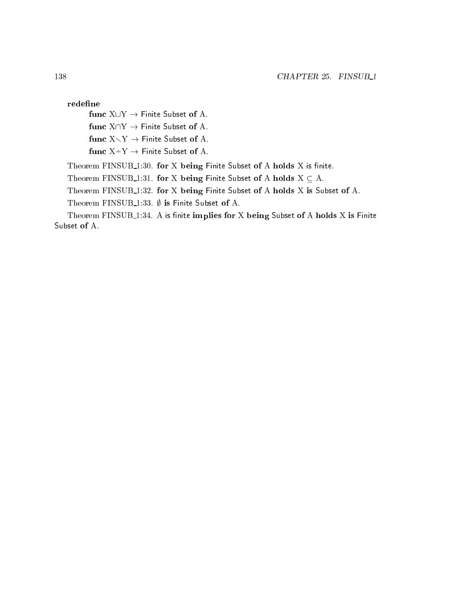redefine

func  $X \cup Y \rightarrow$  Finite Subset of A.

func  $X \cap Y \to$  Finite Subset of A.

func  $X \setminus Y \rightarrow$  Finite Subset of A.

func  $X-Y \rightarrow$  Finite Subset of A.

Theorem FINSUB $1:30$ . for X being Finite Subset of A holds X is finite.

Theorem FINSUB<sub>1</sub>:31. for X being Finite Subset of A holds  $X \subseteq A$ .

Theorem FINSUB 1:32. for <sup>X</sup> being Finite Subset of <sup>A</sup> holds <sup>X</sup> is Subset of A.

Theorem FINSUB<sub>-1</sub>:33.  $\emptyset$  is Finite Subset of A.

Theorem FINSUB<sub>1:34</sub>. A is finite implies for X being Subset of A holds X is Finite Subset of A.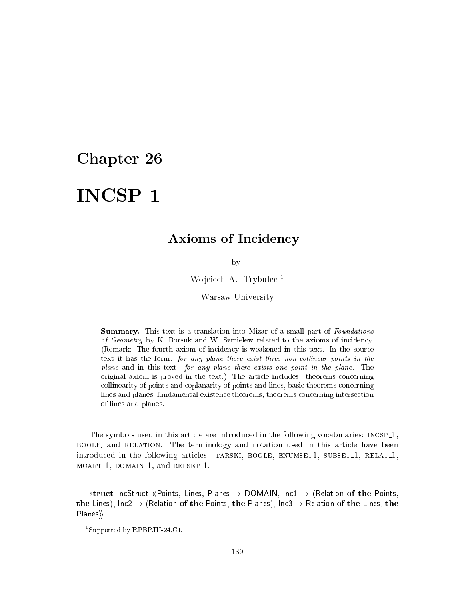# INCSP<sub>-1</sub>

## Axioms of Incidency

by

Wojciech A. Trybulec<sup>1</sup>

Warsaw University

Summary. This text is a translation into Mizar of a small part of Foundations of Geometry by K. Borsuk and W. Szmielew related to the axioms of incidency. (Remark: The fourth axiom of incidency is weakened in this text. In the source text it has the form: for any plane there exist three non-collinear points in the plane and in this text: for any plane there exists one point in the plane. The original axiom is proved in the text.) The arti
le in
ludes: theorems on
erning collinearity of points and coplanarity of points and lines, basic theorems concerning lines and planes, fundamental existen
e theorems, theorems on
erning interse
tion of lines and planes.

The symbols used in this article are introduced in the following vocabularies:  $INCSP_1$ , boole, and relation. The terminology and notation used in this arti
le have been introduced in the following articles: TARSKI, BOOLE, ENUMSET1, SUBSET<sub>1</sub>, RELAT<sub>1</sub>, m 1, domain 1, and relationship 1, and relationship 1, and 1, and 1, and 1, and 1, and 1, and 1, and 1, and 1,

struct IncStruct (Points, Lines, Planes  $\rightarrow$  DOMAIN, Inc1  $\rightarrow$  (Relation of the Points, the Lines), Inc2  $\rightarrow$  (Relation of the Points, the Planes), Inc3  $\rightarrow$  Relation of the Lines, the Planes).

<sup>1</sup> Supported by RPBP.III-24.C1.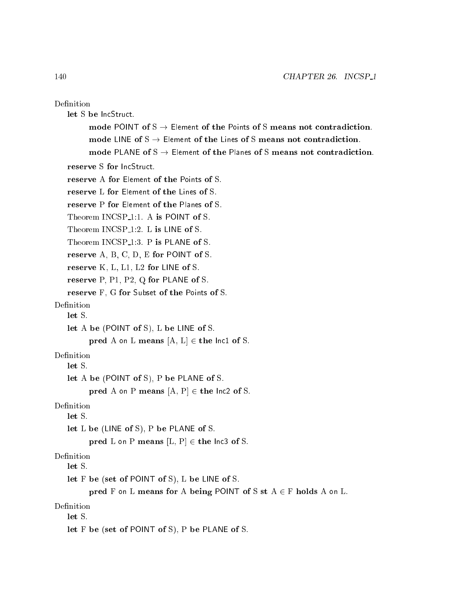| Definition                                                                        |
|-----------------------------------------------------------------------------------|
| let S be IncStruct.                                                               |
| mode POINT of $S \rightarrow$ Element of the Points of S means not contradiction. |
| mode LINE of $S \rightarrow$ Element of the Lines of S means not contradiction.   |
| mode PLANE of $S \rightarrow$ Element of the Planes of S means not contradiction  |
| reserve S for IncStruct.                                                          |
| reserve A for Element of the Points of S.                                         |
| reserve L for Element of the Lines of S.                                          |
| reserve P for Element of the Planes of S.                                         |
| Theorem INCSP <sub>-1</sub> :1. A is POINT of S.                                  |
| Theorem INCSP <sub>1</sub> :2. L is LINE of S.                                    |
| Theorem INCSP <sub>1</sub> :3. P is PLANE of S.                                   |
| reserve $A, B, C, D, E$ for POINT of S.                                           |
| reserve $K, L, L1, L2$ for LINE of S.                                             |
| reserve P, P1, P2, Q for PLANE of S.                                              |
| reserve F, G for Subset of the Points of S.                                       |
| Definition                                                                        |
| let S.                                                                            |
| let A be (POINT of S), L be LINE of S.                                            |
| pred A on L means $[A, L] \in$ the lnc1 of S.                                     |
| Definition                                                                        |
| let S.                                                                            |
| let A be (POINT of S), P be PLANE of S.                                           |
| pred A on P means $[A, P] \in$ the lnc2 of S.                                     |
| Definition<br>let S.                                                              |
| let $L$ be (LINE of $S$ ), $P$ be PLANE of $S$ .                                  |
| pred L on P means $[L, P] \in$ the lnc3 of S.                                     |
| Definition                                                                        |
| let S.                                                                            |
| let F be (set of POINT of S), L be LINE of S.                                     |
| pred F on L means for A being POINT of S st $A \in F$ holds A on L.               |
| Definition<br>let S.                                                              |
| let $F$ be (set of POINT of S), $P$ be PLANE of S.                                |
|                                                                                   |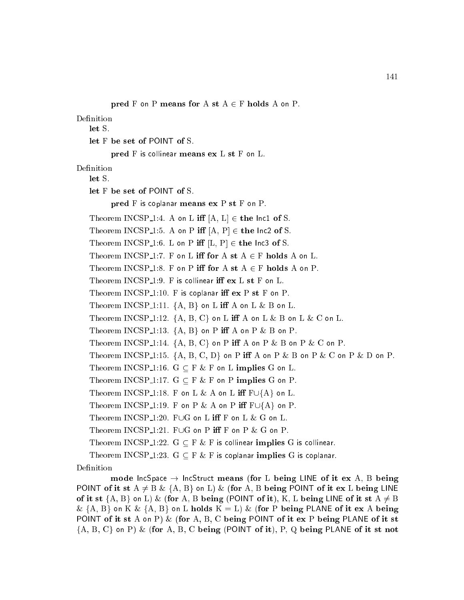```
pred F on P means for A st A \in F holds A on P.
```
Definition

let S.

let F be set of POINT of S.

pred F is collinear means ex L st F on L.

#### Definition

let S.

let F be set of POINT of S.

pred F is coplanar means  $ex P st F$  on P.

Theorem INCSP<sub>-1</sub>:4. A on L iff  $[A, L] \in$  the lnc1 of S.

Theorem INCSP<sub>-1</sub>:5. A on P iff  $[A, P] \in$  the lnc2 of S.

Theorem INCSP<sub>-1</sub>:6. L on P iff  $[L, P] \in$  the lnc3 of S.

Theorem INCSP<sub>-1</sub>:7. F on L iff for  $A$  st  $A \in F$  holds  $A$  on L.

Theorem INCSP<sub>-1:8</sub>. F on P iff for A st  $A \in F$  holds A on P.

Theorem  $INCSP_1:9$ . F is collinear iff  $ex L st F$  on  $L$ .

Theorem INCSP  $1:10$ . F is coplanar iff  $ex P st F$  on P.

Theorem INCSP<sub>1</sub>:11.  $\{A, B\}$  on L iff A on L & B on L.

Theorem INCSP<sub>-1</sub>:12.  $\{A, B, C\}$  on L iff A on L & B on L & C on L.

Theorem INCSP<sub>-1:13</sub>.  ${A, B}$  on P iff A on P & B on P.

Theorem INCSP<sub>-1</sub>:14.  $\{A, B, C\}$  on P iff A on P & B on P & C on P.

Theorem INCSP 1:15.  $\{A, B, C, D\}$  on P iff A on P & B on P & C on P & D on P.

Theorem INCSP<sub>-1:16</sub>.  $G \subseteq F \& F$  on L implies G on L.

Theorem INCSP<sub>-1:17</sub>.  $G \subseteq F \& F$  on P implies G on P.

Theorem INCSP<sub>-1:18</sub>. F on L & A on L iff  $F \cup \{A\}$  on L.

```
Theorem INCSP 1:19. F on P & A on P iff F \cup \{A\} on P.
```
Theorem INCSP<sub>-1</sub>:20. FUG on L iff F on L & G on L.

Theorem INCSP<sub>1</sub>:21. FUG on P iff F on P  $\&$  G on P.

Theorem INCSP<sub>1</sub>1:22.  $G \subseteq F \& F$  is collinear implies G is collinear.

Theorem INCSP 1:23.  $G \subseteq F \& F$  is coplanar implies G is coplanar.

#### Definition

mode IncSpace  $\rightarrow$  IncStruct means (for L being LINE of it ex A, B being POINT of it st  $A \neq B$  & {A, B} on L) & (for A, B being POINT of it ex L being LINE of it st  $\{A, B\}$  on L) & (for A, B being (POINT of it), K, L being LINE of it st  $A \neq B$ &  $\{A, B\}$  on K &  $\{A, B\}$  on L holds  $K = L$ ) & (for P being PLANE of it ex A being POINT of it st A on P) & (for A, B, C being POINT of it ex P being PLANE of it st  ${A, B, C}$  on P) & (for A, B, C being (POINT of it), P, Q being PLANE of it st not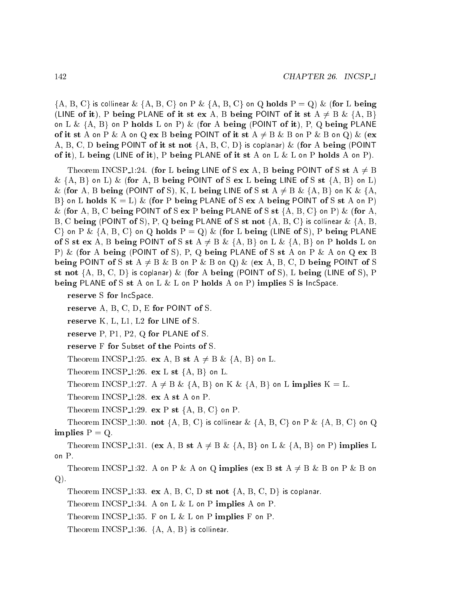$\{A, B, C\}$  is collinear  $\& \{A, B, C\}$  on P  $\& \{A, B, C\}$  on Q holds P = Q)  $\&$  (for L being (LINE of it), P being PLANE of it st ex A, B being POINT of it st  $A \neq B \& \{A, B\}$ on L &  ${A, B}$  on P holds L on P) & (for A being (POINT of it), P, Q being PLANE of it st A on P & A on Q ex B being POINT of it st  $A \neq B$  & B on P & B on Q) & (ex A, B, C, D being POINT of it st not  $\{A, B, C, D\}$  is coplanar) & (for A being (POINT of it), L being (LINE of it), P being PLANE of it st A on L  $\&$  L on P holds A on P).

Theorem INCSP 1:24. (for L being LINE of S ex A, B being POINT of S st  $A \neq B$  $\&$  {A, B} on L)  $\&$  (for A, B being POINT of S ex L being LINE of S st {A, B} on L) & (for A, B being (POINT of S), K, L being LINE of S st  $A \neq B$  &  $\{A, B\}$  on K &  $\{A, A\}$ B on L holds  $K = L$ ) & (for P being PLANE of S ex A being POINT of S st A on P) & (for A, B, C being POINT of S ex P being PLANE of S st  $\{A, B, C\}$  on P) & (for A, B, C being (POINT of S), P, Q being PLANE of S st not  $\{A, B, C\}$  is collinear  $\& \{A, B, C\}$  $C$  on P & {A, B, C} on Q holds P = Q) & (for L being (LINE of S), P being PLANE of S st ex A, B being POINT of S st A  $\neq$  B & {A, B} on L & {A, B} on P holds L on P) & (for A being (POINT of S), P, Q being PLANE of S st A on P & A on Q ex B being POINT of S st A  $\neq$  B & B on P & B on Q) & (ex A, B, C, D being POINT of S st not  $\{A, B, C, D\}$  is coplanar) & (for A being (POINT of S), L being (LINE of S), P being PLANE of S st A on L  $& L$  on P holds A on P) implies S is IncSpace.

reserve S for IncSpace.

reserve A, B, C, D, E for POINT of S.

reserve K, L, L1, L2 for LINE of S.

reserve P, P1, P2, Q for PLANE of S.

reserve F for Subset of the Points of S.

Theorem INCSP 1:25. ex A, B st A  $\neq$  B & {A, B} on L.

Theorem INCSP 1:26.  $ex L st \{A, B\}$  on L.

Theorem INCSP 1:27.  $A \neq B$  & {A, B} on K & {A, B} on L implies  $K = L$ .

Theorem INCSP<sub>1</sub>:28. ex A st A on P.

Theorem INCSP<sub>-1</sub>:29. ex P st  $\{A, B, C\}$  on P.

Theorem INCSP<sub>-1:30</sub>. not {A, B, C} is collinear  $\&$  {A, B, C} on P  $\&$  {A, B, C} on Q implies  $P = Q$ .

Theorem INCSP 1:31. (ex A, B st A  $\neq$  B & {A, B} on L & {A, B} on P) implies L on P.

Theorem INCSP 1:32. A on P & A on Q implies (ex B st A  $\neq$  B & B on P & B on Q).

Theorem INCSP 1:33. ex A, B, C, D st not  $\{A, B, C, D\}$  is coplanar.

Theorem INCSP<sub>-1:34</sub>. A on L  $\&$  L on P implies A on P.

Theorem INCSP<sub>1</sub>:35. F on L  $\&$  L on P implies F on P.

Theorem INCSP<sub>1</sub>:36.  ${A, A, B}$  is collinear.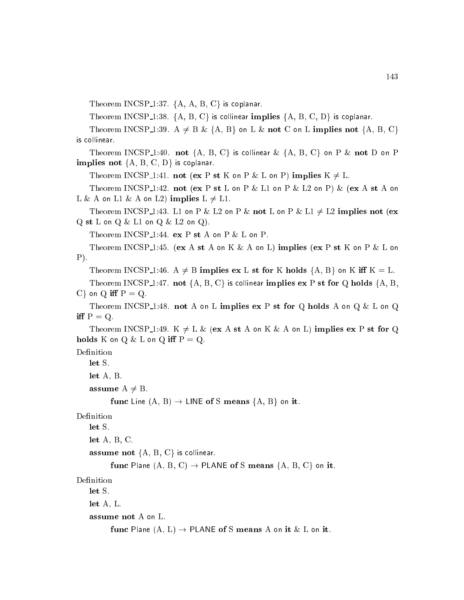Theorem INCSP<sub>1</sub>:37.  $\{A, A, B, C\}$  is coplanar.

Theorem INCSP<sub>1</sub>:38. {A, B, C} is collinear implies  $\{A, B, C, D\}$  is coplanar.

Theorem INCSP 1:39. A  $\neq$  B & {A, B} on L & not C on L implies not {A, B, C} is ollinear.

Theorem INCSP<sub>-1</sub>:40. not  $\{A, B, C\}$  is collinear  $\& \{A, B, C\}$  on P  $\&$  not D on P implies not  ${A, B, C, D}$  is coplanar.

Theorem INCSP 1:41. not (ex P st K on P & L on P) implies  $K \neq L$ .

Theorem INCSP<sub>-1</sub>:42. not (ex P st L on P  $\&$  L1 on P  $\&$  L2 on P)  $\&$  (ex A st A on L & A on L1 & A on L2) implies  $L \neq L1$ .

Theorem INCSP 1:43. L1 on P & L2 on P & not L on P & L1  $\neq$  L2 implies not (ex  $Q$  st  $L$  on  $Q$   $\&$   $L1$  on  $Q$   $\&$   $L2$  on  $Q$ ).

Theorem INCSP 1:44.  $ex P st A on P & L on P$ .

Theorem INCSP<sub>1</sub>:45. (ex A st A on K & A on L) implies (ex P st K on P & L on P).

Theorem INCSP 1:46.  $A \neq B$  implies ex L st for K holds  $\{A, B\}$  on K iff K = L.

Theorem INCSP 1:47. not  $\{A, B, C\}$  is collinear implies ex P st for Q holds  $\{A, B, C\}$  $C$  on Q iff  $P = Q$ .

Theorem INCSP<sub>-1</sub>:48. not A on L implies  $ex P$  st for Q holds A on Q & L on Q iff  $P = Q$ .

Theorem INCSP 1:49. K  $\neq L$  & (ex A st A on K & A on L) implies ex P st for Q holds K on  $Q \& L$  on  $Q$  iff  $P = Q$ .

Definition let S.

let A, B.

assume  $A \neq B$ .

func Line  $(A, B) \rightarrow$  LINE of S means  $\{A, B\}$  on it.

### Definition

let S.

let  $A, B, C$ .

**assume not**  $\{A, B, C\}$  is collinear.

func Plane  $(A, B, C) \rightarrow$  PLANE of S means  $\{A, B, C\}$  on it.

#### Definition

let S.

let A, L.

assume not A on L.

func Plane  $(A, L) \rightarrow$  PLANE of S means A on it & L on it.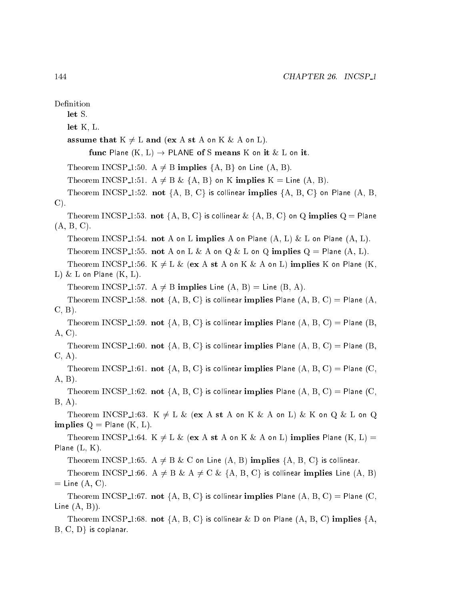Definition let S. let K, L. assume that  $K \neq L$  and (ex A st A on K & A on L). func Plane  $(K, L) \rightarrow$  PLANE of S means K on it & L on it. Theorem INCSP 1:50.  $A \neq B$  implies  $\{A, B\}$  on Line  $(A, B)$ . Theorem INCSP 1:51.  $A \neq B \& \{A, B\}$  on K implies  $K =$  Line  $(A, B)$ . Theorem INCSP<sub>-1</sub>:52. not  $\{A, B, C\}$  is collinear implies  $\{A, B, C\}$  on Plane  $(A, B, C)$ C). Theorem INCSP<sub>-1</sub>:53. not {A, B, C} is collinear  $\&$  {A, B, C} on Q implies Q = Plane (A, B, C). Theorem INCSP<sub>-1</sub>:54. not A on L implies A on Plane  $(A, L)$  & L on Plane  $(A, L)$ . Theorem INCSP 1:55. not A on L & A on Q & L on Q implies  $Q =$  Plane  $(A, L)$ . Theorem INCSP 1:56. K  $\neq L$  & (ex A st A on K & A on L) implies K on Plane (K, L)  $\&$  L on Plane  $(K, L)$ . Theorem INCSP 1:57. A  $\neq$  B implies Line (A, B) = Line (B, A). Theorem INCSP<sub>-1</sub>:58. not  $\{A, B, C\}$  is collinear implies Plane  $(A, B, C)$  = Plane  $(A, A)$ C, B). Theorem INCSP<sub>-1</sub>:59. not {A, B, C} is collinear implies Plane  $(A, B, C)$  = Plane  $(B, B, C)$ A, C). Theorem INCSP<sub>-1</sub>:60. not {A, B, C} is collinear implies Plane  $(A, B, C) =$  Plane  $(B,$ C, A). Theorem INCSP<sub>-1</sub>:61. not  $\{A, B, C\}$  is collinear implies Plane  $(A, B, C)$  = Plane  $(C,$ A, B). Theorem INCSP<sub>-1</sub>:62. not {A, B, C} is collinear implies Plane (A, B, C) = Plane (C, B, A). Theorem INCSP 1:63.  $K \neq L \&$  (ex A st A on K  $\&$  A on L)  $\&$  K on Q  $\&$  L on Q implies  $Q =$  Plane  $(K, L)$ . Theorem INCSP 1:64. K  $\neq$  L & (ex A st A on K & A on L) implies Plane (K, L) = Plane  $(L, K)$ . Theorem INCSP 1:65. A  $\neq$  B & C on Line (A, B) implies {A, B, C} is collinear. Theorem INCSP<sub>-1</sub>:66. A  $\neq$  B & A  $\neq$  C & {A, B, C} is collinear implies Line (A, B)  $=$  Line  $(A, C)$ . Theorem INCSP<sub>-1</sub>:67. not {A, B, C} is collinear implies Plane  $(A, B, C) =$  Plane  $(C,$ Line  $(A, B)$ ). Theorem INCSP<sub>-1:68</sub>. not  $\{A, B, C\}$  is collinear & D on Plane  $(A, B, C)$  implies  $\{A,$  $B, C, D$  is coplanar.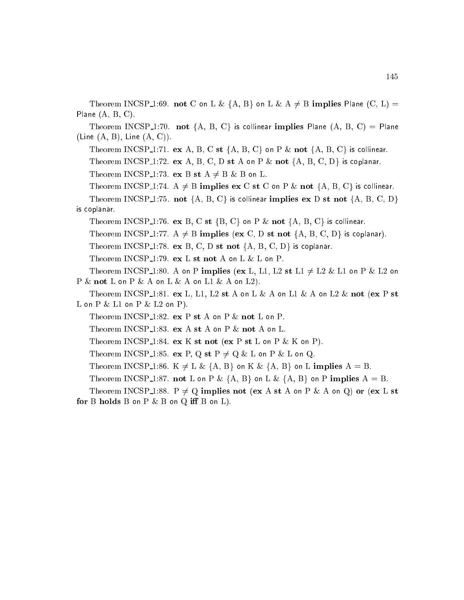Theorem INCSP 1:69. not C on L &  $\{A, B\}$  on L & A  $\neq$  B implies Plane (C, L) = Plane (A, B, C).

Theorem INCSP<sub>1</sub>:70. not {A, B, C} is collinear implies Plane (A, B, C) = Plane (Line  $(A, B)$ , Line  $(A, C)$ ).

Theorem INCSP<sub>-1</sub>:71. ex A, B, C st  $\{A, B, C\}$  on P & not  $\{A, B, C\}$  is collinear.

Theorem INCSP<sub>1</sub>1:72. ex A, B, C, D st A on P & not  $\{A, B, C, D\}$  is coplanar.

Theorem INCSP 1:73. ex B st  $A \neq B \& B$  on L.

Theorem INCSP<sub>-1</sub>:74.  $A \neq B$  implies ex C st C on P & not  $\{A, B, C\}$  is collinear. Theorem INCSP<sub>-1</sub>:75. not  $\{A, B, C\}$  is collinear implies ex D st not  $\{A, B, C, D\}$ is oplanar.

Theorem INCSP<sub>-1</sub>:76. ex B, C st {B, C} on P & not {A, B, C} is collinear.

Theorem INCSP 1:77.  $A \neq B$  implies (ex C, D st not {A, B, C, D} is coplanar).

Theorem INCSP<sub>-1</sub>:78. ex B, C, D st not  $\{A, B, C, D\}$  is coplanar.

Theorem INCSP<sub>-1</sub>:79. ex L st not A on L  $\&$  L on P.

Theorem INCSP<sub>-1</sub>:80. A on P implies (ex L, L1, L2 st L1  $\neq$  L2 & L1 on P & L2 on  $P \& \textbf{not } L$  on  $P \& \textbf{A}$  on  $L \& \textbf{A}$  on  $L1 \& \textbf{A}$  on  $L2$ ).

Theorem INCSP 1:81. ex L, L1, L2 st A on L & A on L1 & A on L2 & not (ex P st L on  $P \& L1$  on  $P \& L2$  on  $P$ ).

Theorem INCSP<sub>-1:82</sub>. ex P st A on P  $\&$  not L on P.

Theorem INCSP<sub>-1:83</sub>. ex A st A on P  $\&$  not A on L.

Theorem INCSP 1:84. ex K st not (ex P st L on P  $\&$  K on P).

Theorem INCSP 1:85. ex P, Q st P  $\neq$  Q & L on P & L on Q.

Theorem INCSP 1:86.  $K \neq L \& \{A, B\}$  on K  $\& \{A, B\}$  on L implies  $A = B$ .

Theorem INCSP 1:87. not L on P &  ${A, B}$  on L &  ${A, B}$  on P implies A = B.

Theorem INCSP 1:88. P  $\neq Q$  implies not (ex A st A on P & A on Q) or (ex L st for B holds B on P  $\&$  B on Q iff B on L).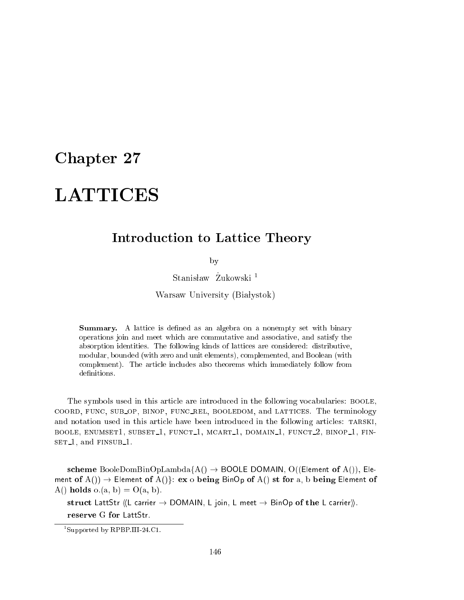## Chapter 27

# **LATTICES**

## Introduction to Lattice Theory

by

Stanisław Zukowski<sup>1</sup>

Warsaw University (Białystok)

Summary. A lattice is defined as an algebra on a nonempty set with binary operations join and meet whi
h are ommutative and asso
iative, and satisfy the absorption identities. The following kinds of latti
es are onsidered: distributive, modular, bounded (with zero and unit elements), omplemented, and Boolean (with complement). The article includes also theorems which immediately follow from definitions.

The symbols used in this article are introduced in the following vocabularies: BOOLE, coord, FUNC, SUB OP, BINOP, FUNC REL, BOOLEDOM, and LATTICES. The terminology and notation used in this article have been introduced in the following articles: TARSKI, BOOLE, ENUMSET1, SUBSET<sub>1</sub>, FUNCT<sub>1</sub>, MCART<sub>1</sub>, DOMAIN<sub>1</sub>, FUNCT<sub>2</sub>, BINOP<sub>1</sub>, FINset 1, and finally 1. and finally 1. and finally 1. and finally 1. and finally 1. and finally 1. and finally 1

scheme BooleDomBinOpLambda $\{A() \rightarrow BOOLE$  DOMAIN, O((Element of  $A()$ ), Element of  $A() \rightarrow$  Element of  $A()$ : ex o being BinOp of  $A()$  st for a, b being Element of A() holds  $o.(a, b) = O(a, b)$ .

struct LattStr  $\langle L \rangle$  carrier  $\rightarrow$  DOMAIN, L join, L meet  $\rightarrow$  BinOp of the L carrier).

reserve G for LattStr.

<sup>1</sup> Supported by RPBP.III-24.C1.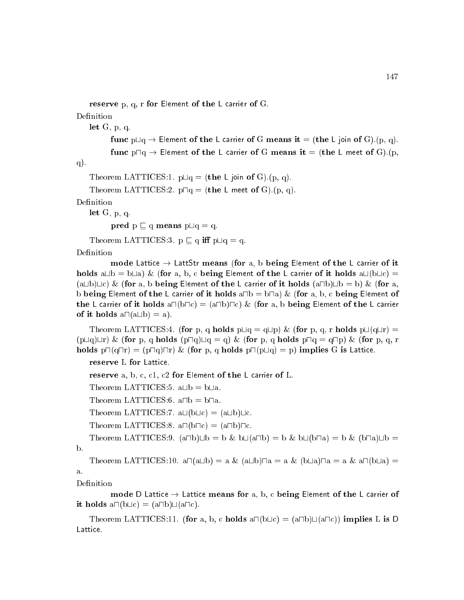```
reserve p, q, r for Element of the L carrier of G.
Definition
   let G, p, q.
```

```
func p \Box q \rightarrow Element of the L carrier of G means it = (the L join of G). (p, q).
func p \Box q \rightarrow Element of the L carrier of G means it = (the L meet of G).(p,
```
q).

```
Theorem LATTICES:1. p \sqcup q = (the L join of G). (p, q).
```
Theorem LATTICES:2.  $p \Box q =$  (the L meet of G).(p, q).

Definition

let G, p, q.

pred  $p \sqsubset q$  means  $p \sqcup q = q$ .

Theorem LATTICES:3.  $p \sqsubset q$  iff  $p \sqcup q = q$ .

Definition

mode Lattice  $\rightarrow$  LattStr means (for a, b being Element of the L carrier of it holds a $\Box b = b \Box a$ ) & (for a, b, c being Element of the L carrier of it holds a $\Box(b \Box c)$ (a $\Box$ b) $\Box$ c) & (for a, b being Element of the L carrier of it holds (a $\Box$ b) $\Box$ b = b) & (for a, b being Element of the L carrier of it holds  $a \Box b = b \Box a$ ) & (for a, b, c being Element of the L carrier of it holds  $a \Box(b \Box c) = (a \Box b) \Box c$ ) & (for a, b being Element of the L carrier of it holds  $a \square (a \square b) = a$ .

Theorem LATTICES:4. (for p, q holds  $p \sqcup q = q \sqcup p$ ) & (for p, q, r holds  $p \sqcup (q \sqcup r) =$  $(p\Box q)\Box r$ ) & (for p, q holds  $(p\Box q)\Box q = q$ ) & (for p, q holds  $p\Box q = q\Box p$ ) & (for p, q, r holds  $p\Box(q\Box r) = (p\Box q)\Box r)$  & (for p, q holds  $p\Box(p\Box q) = p$ ) implies G is Lattice.

```
reserve L for Latti
e.
```

```
reserve a, b, c, c1, c2 for Element of the L carrier of L.
```
Theorem LATTICES:5. a $\Box b = b \Box a$ .

Theorem LATTICES:6.  $a \Box b = b \Box a$ .

Theorem LATTICES: 7. a $\Box$ (b $\Box$ c) = (a $\Box$ b) $\Box$ c.

Theorem LATTICES:8.  $a \Box (b \Box c) = (a \Box b) \Box c$ .

Theorem LATTICES:9.  $(a \Box b) \Box b = b \& b \Box (a \Box b) = b \& b \Box (b \Box a) = b \& (b \Box a) \Box b =$ b.

Theorem LATTICES:10.  $a\Box(a\Box b) = a \& (a\Box b)\Box a = a \& (b\Box a)\Box a = a \& a\Box(b\Box a) =$ a.

Definition

mode D Lattice  $\rightarrow$  Lattice means for a, b, c being Element of the L carrier of it holds  $a \Box (b \Box c) = (a \Box b) \Box (a \Box c)$ .

Theorem LATTICES:11. (for a, b, c holds  $a \Box (b \Box c) = (a \Box b) \Box (a \Box c)$ ) implies L is D Lattice.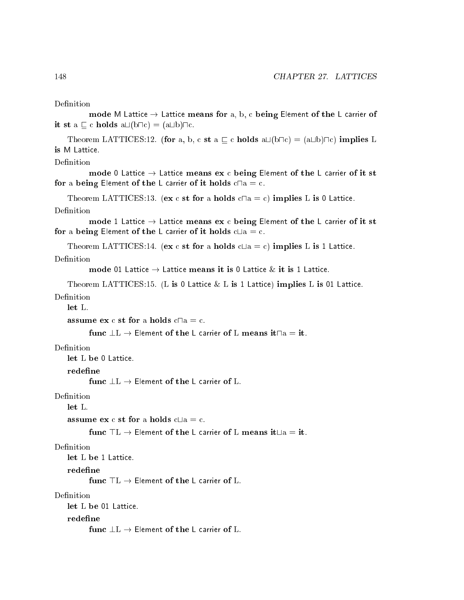```
Definition
```
mode M Lattice  $\rightarrow$  Lattice means for a, b, c being Element of the L carrier of it st a  $\Box$  c holds a $\Box$ (b $\Box$ c) = (a $\Box$ b) $\Box$ c.

Theorem LATTICES:12. (for a, b, c st a  $\Box$  c holds a $\Box$ (b $\Box$ c) = (a $\Box$ b) $\Box$ c) implies L is M Lattice.

#### Definition

```
mode 0 Lattice \rightarrow Lattice means ex c being Element of the L carrier of it st
for a being Element of the L carrier of it holds c \Box a = c.
```
Theorem LATTICES:13. (ex c st for a holds  $c \Box a = c$ ) implies L is 0 Lattice.

#### Definition

mode 1 Lattice  $\rightarrow$  Lattice means ex c being Element of the L carrier of it st for a being Element of the L carrier of it holds  $c\text{Lla} = c$ .

Theorem LATTICES:14. (ex c st for a holds  $c \sqcup a = c$ ) implies L is 1 Lattice.

#### Definition

mode 01 Lattice  $\rightarrow$  Lattice means it is 0 Lattice  $\&$  it is 1 Lattice.

Theorem LATTICES:15. (L is 0 Lattice  $\&$  L is 1 Lattice) implies L is 01 Lattice. Definition

let L.

```
assume ex c st for a holds c \Box a = c.
```

```
func \perp L \to Element of the L carrier of L means it \Box a = i t.
```
let L be 0 Lattice.

redefine

func  $\perp L \rightarrow$  Element of the L carrier of L.

Definition

assume  $ex c st for a holds c<sub>La</sub> = c.$ 

func  $TL \rightarrow$  Element of the L carrier of L means it  $\Box a = it$ .

#### Definition

let L be 1 Lattice.

redefine

#### Definition

let L be 01 Lattice.

func  $\bot L \to$  Element of the L carrier of L.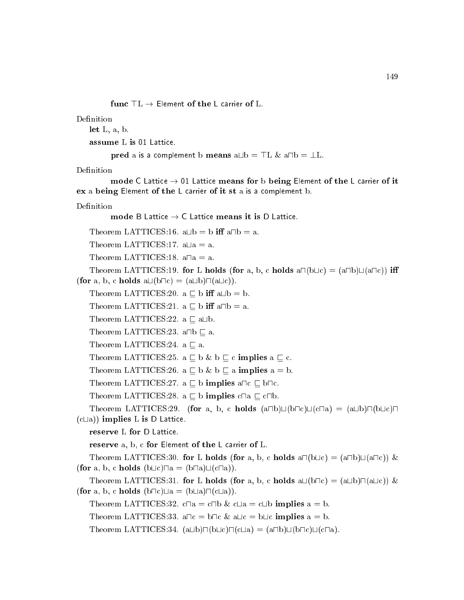func  $TL \rightarrow$  Element of the L carrier of L.

Definition

let L, a, b.

assume L is 01 Latti
e.

pred a is a complement b means  $a \Box b = \top L \& a \Box b = \bot L$ .

Definition

mode C Lattice  $\rightarrow$  01 Lattice means for b being Element of the L carrier of it ex a being Element of the L carrier of it st a is a complement b.

Definition

mode B Lattice  $\rightarrow$  C Lattice means it is D Lattice.

Theorem LATTICES:16.  $a \Box b = b$  iff  $a \Box b = a$ .

Theorem LATTICES:17.  $a\Box a = a$ .

Theorem LATTICES:18.  $a\Box a = a$ .

Theorem LATTICES:19. for L holds (for a, b, c holds  $a \sqcap (b \sqcup c) = (a \sqcap b) \sqcup (a \sqcap c)$ ) iff (for a, b, c holds  $a \sqcup (b \sqcap c) = (a \sqcup b) \sqcap (a \sqcup c)$ ).

Theorem LATTICES:20.  $a \subseteq b$  iff  $a \sqcup b = b$ .

Theorem LATTICES:21.  $a \sqsubseteq b$  iff  $a \sqcap b = a$ .

Theorem LATTICES:22. a  $\sqsubseteq$  a $\sqcup$ b.

```
Theorem LATTICES:23. a\Boxb \Box a.
```
Theorem LATTICES:24.  $a \subseteq a$ .

```
Theorem LATTICES:25. a \sqsubseteq b \& b \sqsubseteq c implies a \sqsubseteq c.
```

```
Theorem LATTICES:26. a \sqsubset b \& b \sqsubset a implies a = b.
```

```
Theorem LATTICES:27. a \sqsubseteq b implies a\sqcapc \sqsubseteq b\sqcapc.
```
Theorem LATTICES:28. a  $\sqsubseteq$  b implies c $\sqcap$ a  $\sqsubseteq$  c $\sqcap$ b.

```
Theorem LATTICES:29. (for a, b, c holds (a \Box b) \Box (b \Box c) \Box (c \Box a) = (a \Box b) \Box (b \Box c) \Box(c \sqcup a)) implies L is D Lattice.
```
reserve a, b, c for Element of the L carrier of L.

Theorem LATTICES:30. for L holds (for a, b, c holds  $a \Box (b \Box c) = (a \Box b) \Box (a \Box c)$ ) & (for a, b, c holds  $(b \sqcup c) \sqcap a = (b \sqcap a) \sqcup (c \sqcap a)$ ).

Theorem LATTICES:31. for L holds (for a, b, c holds  $a\Box(b\Box c) = (a\Box b)\Box(a\Box c))$  & (for a, b, c holds  $(b \sqcap c) \sqcup a = (b \sqcup a) \sqcap (c \sqcup a)$ ).

Theorem LATTICES:32.  $c \Box a = c \Box b$   $\& c \Box a = c \Box b$  implies  $a = b$ .

Theorem LATTICES:33. a $\Box c = b \Box c \& \Box \Box c = b \Box c$  implies a = b.

Theorem LATTICES:34.  $(a \Box b) \Box (b \Box c) \Box (c \Box a) = (a \Box b) \Box (b \Box c) \Box (c \Box a)$ .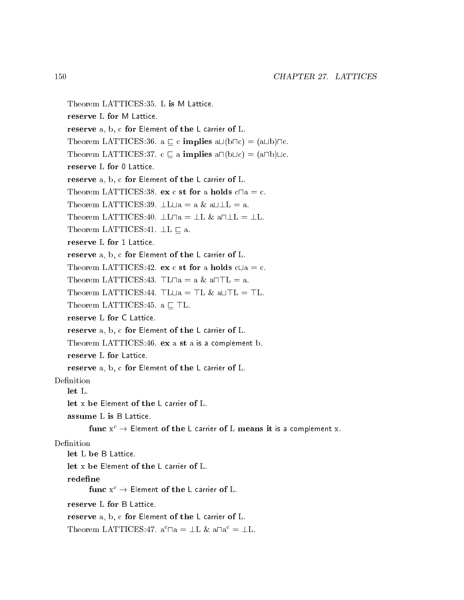```
Theorem LATTICES:35. L is M Latti
e.
   reserve L for M Latti
e.
   reserve a, b, c for Element of the L carrier of L.
   Theorem LATTICES:36. a \sqsubseteq c implies a\sqcup(b\sqcapc) = (a\sqcupb)\sqcapc.
   Theorem LATTICES:37. c \sqsubseteq a implies a\sqcap(b\sqcupc) = (a\sqcapb)\sqcupc.
   reserve L for 0 Lattice.
   reserve a, b, c for Element of the L carrier of L.
   Theorem LATTICES:38. ex c st for a holds c \Box a = c.
   Theorem LATTICES:39. \bot L \bot a = a \& a \bot \bot L = a.
   Theorem LATTICES:40. \botL\topa = \botL & a\top\botL = \botL.
   Theorem LATTICES:41. \perp L \sqsubset a.
   reserve L for 1 Lattice.
   reserve a, b, c for Element of the L carrier of L.
   Theorem LATTICES:42. ex c st for a holds c\Box a = c.
   Theorem LATTICES:43. TL\Box a = a \& a \Box TL = a.
   Theorem LATTICES:44. \top L \sqcup a = \top L \& a \sqcup \top L = \top L.
   Theorem LATTICES: 45. a \sqsubset TL.
   reserve L for C Lattice.
   reserve a, b, c for Element of the L carrier of L.
   Theorem LATTICES: 46. ex a st a is a complement b.
   reserve L for Lattice.
   reserve a, b, c for Element of the L carrier of L.
Definition
   let x be Element of the L carrier of L.
   assume L is B Latti
e.
          func x^c \to Element of the L carrier of L means it is a complement x.
Definition
   let L be B Lattice.
   let x be Element of the L carrier of L.
   redefine
          func x^c \rightarrow Element of the L carrier of L.
   reserve L for B Lattice.
   reserve a, b, c for Element of the L carrier of L.
    1 \text{ meorem LATIUE}5:47. a 1 \text{ a} = \pm 1 \text{ a} and = \pm 1.
```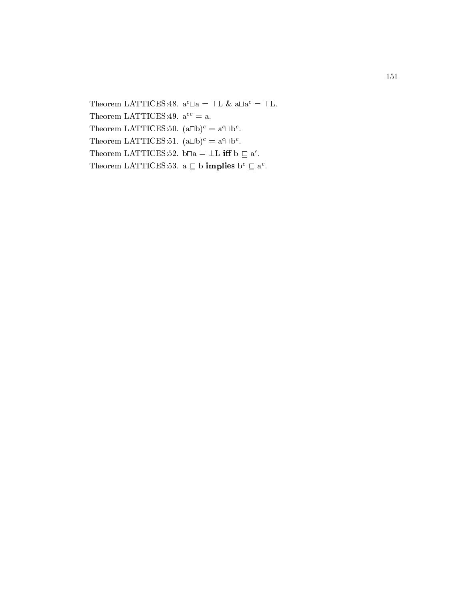$1 \text{ meorem LATIUCD.48.}$  a  $\Box a = \Box b$   $\alpha$  a $\Box a = \Box b$ . Theorem LATTICES:49.  $a^{cc} = a$ . I neorem LATTICES:  $50$ . (at  $10^{\circ}$  = a  $\Box 0^{\circ}$ . Theorem LATTICES: 31.  $(a \Box b)^2 \equiv a^2 \Box b^2$ . I neorem LATTICES:52. bua  $\equiv \pm L$  III  $\upsilon \sqsubset a$ . I neorem LATTICES:33.  $a \sqcup b$  implies  $b \sqcup a$ .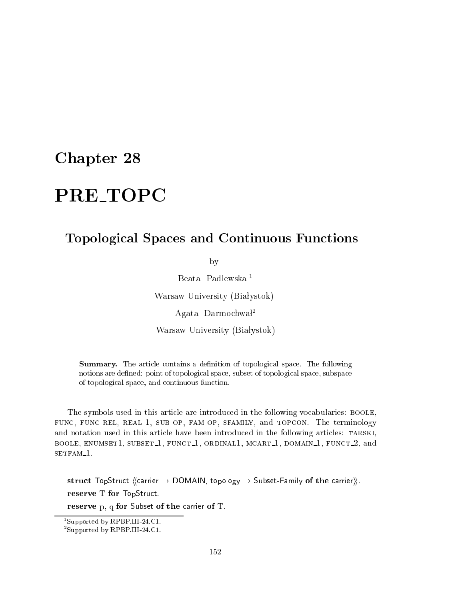## Chapter 28

## Topologi
al Spa
es and Continuous Fun
tions

by

Beata Padlewska <sup>1</sup>

Warsaw University (Białystok)

Agata Darmochwał<sup>2</sup>

Warsaw University (Białystok)

**Summary.** The article contains a definition of topological space. The following notions are defined: point of topological space, subset of topological space, subspace of topologi
al spa
e, and ontinuous fun
tion.

The symbols used in this article are introduced in the following vocabularies: BOOLE, FUNC, FUNC\_REL, REAL\_1, SUB\_OP, FAM\_OP, SFAMILY, and TOPCON. The terminology and notation used in this article have been introduced in the following articles: TARSKI, BOOLE, ENUMSET1, SUBSET<sub>1</sub>, FUNCT<sub>1</sub>, ORDINAL1, MCART<sub>1</sub>, DOMAIN<sub>1</sub>, FUNCT<sub>2</sub>, and setfam 1.

struct TopStruct  $\langle$  (carrier  $\rightarrow$  DOMAIN, topology  $\rightarrow$  Subset-Family of the carrier)). reserve T for TopStru
t.

reserve p, q for Subset of the carrier of T.

<sup>1</sup> Supported by RPBP.III-24.C1.

<sup>2</sup> Supported by RPBP.III-24.C1.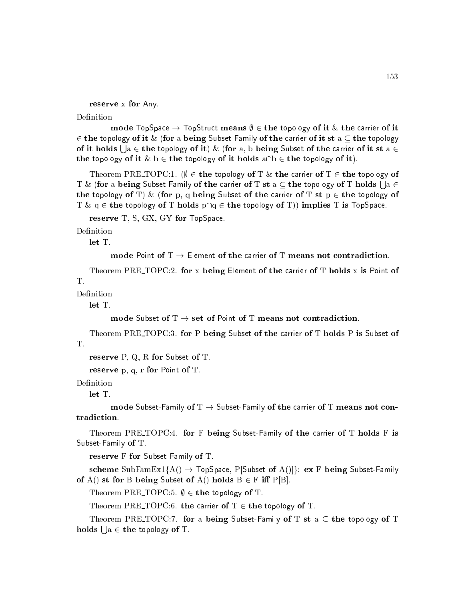reserve x for Any.

Definition

mode TopSpace  $\rightarrow$  TopStruct means  $\emptyset \in$  the topology of it  $\&$  the carrier of it 2 the topology of it & (for a being Subset-Family of the arrier of it st a the topology of it holds | |a  $\in$  the topology of it)  $\&$  (for a, b being Subset of the carrier of it st a  $\in$ the topology of it  $\& b \in$  the topology of it holds a $\cap b \in$  the topology of it).

Theorem PRE\_TOPC:1. ( $\emptyset \in$  the topology of T & the carrier of T  $\in$  the topology of T  $\&$  (for a being Subset-Family of the carrier of T st  $\mathrm{a}\in\mathrm{the}$  topology of T holds  $\mid$   $\mathrm{a}\in$ the topology of T) & (for p, q being Subset of the carrier of T st  $p \in$  the topology of T &  $q \in$  the topology of T holds  $p \cap q \in$  the topology of T)) implies T is TopSpace.

reserve T, S, GX, GY for TopSpace.

Definition

let T.

mode Point of  $T \rightarrow$  Element of the carrier of T means not contradiction.

Theorem PRE\_TOPC:2. for x being Element of the carrier of T holds x is Point of  $T_{\perp}$ 

Definition

let T.

mode Subset of  $T \rightarrow$  set of Point of T means not contradiction.

Theorem PRE\_TOPC:3. for P being Subset of the carrier of T holds P is Subset of T.

reserve P, Q, R for Subset of T.

reserve p, q, r for Point of T.

Definition

let T.

mode Subset-Family of  $T \rightarrow$  Subset-Family of the carrier of T means not contradiction.

Theorem PRE\_TOPC:4. for F being Subset-Family of the carrier of T holds F is Subset-Family of T.

reserve F for Subset-Family of T.

scheme SubFamEx1{A()  $\rightarrow$  TopSpace, P[Subset of A()]}: ex F being Subset-Family of A() st for B being Subset of A() holds  $B \in F$  iff P[B].

Theorem PRE TOPC:5.  $\emptyset \in$  the topology of T.

Theorem PRE TOPC:6. the carrier of  $T \in$  the topology of T.

Theorem PRE TOPC:7. for a being Subset-Family of T st a  $\subset$  the topology of T holds  $| \; |$ a $\in$  the topology of T.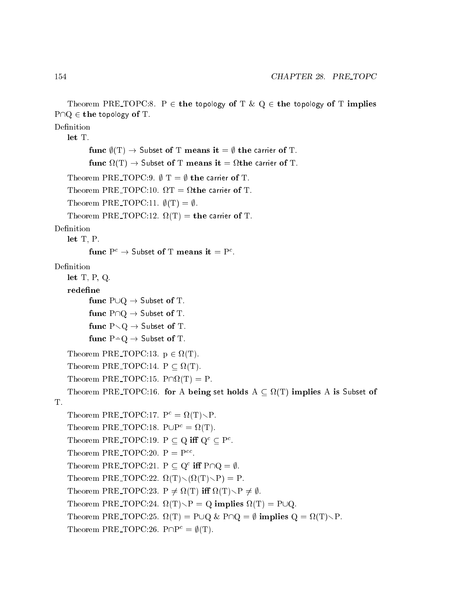```
Theorem PRE TOPC:8. P \in the topology of T & Q \in the topology of T implies
P \cap Q \in the topology of T.
Definition
    let T.
           func \ell(T) \to Subset of T means it = \ell the carrier of T.
           fun

(T) ! Subset of T means it = 
the 
arrier of T.
    Theorem PRE TOPC:9. \emptyset T = \emptyset the carrier of T.
    Theorem Press, the Press, the Press, the Press, the Press, the Press, the Press, the Press, the Press, the Press, the Press, the Press, the Press, the Press, the Press, the Press, the Press, the Press, the Press, the Press
    Theorem PRE TOPC:11. \phi(T) = \emptyset.
    Theorem PRE TOPC:12. 
(T) = the 
arrier of T.
Definition
    let T, P.
           Funct P^+ \rightarrow subset of T means it = P^-.Definition
    let T, P, Q.
    redefine
           func P \cup Q \rightarrow Subset of T.
          func P \cap Q \rightarrow Subset of T.
          func P\setminus Q \to Subset of T.
          func P - Q \rightarrow Subset of T.
    Theorem PRE TOPC:13. p 2 
(T).
    Theorem PRE TOPC:14. P  
(T).
    Theorem PRE TOPC:15. P\
(T) = P.
    Theorem PRE TOPC:16. for A being set holds A  
(T) implies A is Subset of
T.
    Theorem F \cap E = I \cup F \cup I \cup I.
    I neorem PKE_I OPC:18. P \cup P^* = M(1).
    Theorem FRL-TOPC:19. P \subseteq Q in Q \subseteq P.
    Theorem PRE TOPC:20. P = P

.
    I neorem P \Delta E = I \cup P \cup Z in P\cup Q = \emptyset.
    Theorem PRE TOPC:22. 
(T)r(
(T)rP) = P.
    Theorem PRE TOPC:23. P 6= 
(T) i 
(T)rP 6= ;.
    T , and T is presented by T . The presented by T is presented by T , T is presented by TTheorem PRE TOPC:25. 
(T) = P[Q & P\Q = ; implies Q = 
(T)rP.
    Theorem PRE TOPC:26. P \cap P^c = \emptyset(T).
```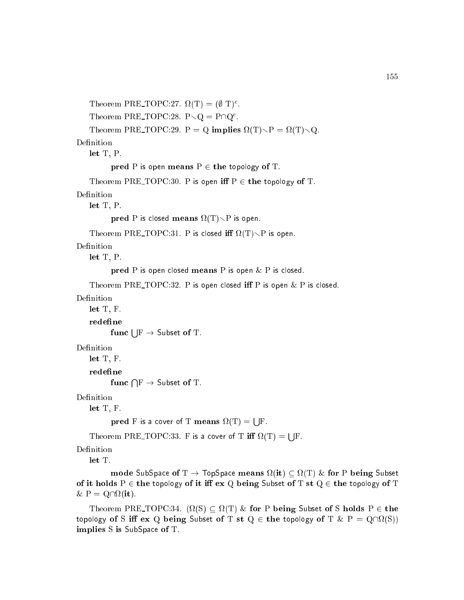```
I heorem P RE I OP C:27. \Omega(1) = (\emptyset 1)^T.
    Theorem PRE TOPC:28. P \setminus Q = P \cup Q.
    Theorem PRE TOPC:29. P = Q implies 
(T)rP = 
(T)rQ.
    let T, P.
           pred P is open means P \in the topology of T.
    Theorem PRE TOPC:30. P is open iff P \in the topology of T.
Definition
    let T, P.
           pred means and the issue of \mathcal{P} is open.
    theorem Press, theorem Press, theorem Press, the internal press, the internal press, the internal press, the in
Definition
    let T, P.
           pred P is open closed means P is open \& P is closed.
    Theorem PRE TOPC:32. P is open closed iff P is open \& P is closed.
Definition
    let T, F.
    redefine
           func \mathsf{I} \mathrel{|\mathcal{F}} \to \mathsf{Subset} of T.
Definition
    let T, F.
    redefine
           func \bigcap \mathrm{F} \to \textsf{Subset of T}.Definition
    let T, F.
                                                         s a
           pred F is a cover of T means in the \sims a
    Theorem PRE TOPC:33. F is a 
over of T i 
(T) =
Definition
```
mode subspace of the production of the form of the second subset of the subset of the subset of the subset of of it holds  $P \in$  the topology of it iff ex Q being Subset of T st  $Q \in$  the topology of T  $\sim$  -  $\sim$   $\sim$   $\sim$   $\sim$   $\sim$   $\sim$   $\sim$ 

Theorem PRE TOPC:34. ( (S) (T) & for P being Subset of S holds P <sup>2</sup> the to pology of S in the quantum subset of T st  $\alpha$  . Considering the  $\alpha$  state  $\alpha$ implies S is SubSpa
e of T.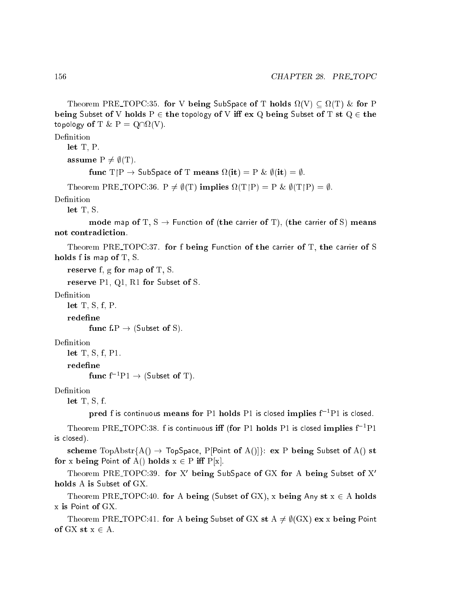$\blacksquare$  . For  $\blacksquare$  is the subspace of  $\blacksquare$  . In the form  $\blacksquare$ being Subset of V holds  $P \in$  the topology of V iff ex Q being Subset of T st  $Q \in$  the  $\mathcal{L} \cdot \mathcal{L} \cdot \mathcal{L} \cdot \mathcal{L} \cdot \mathcal{L} \cdot \mathcal{L} \cdot \mathcal{L} \cdot \mathcal{L} \cdot \mathcal{L} \cdot \mathcal{L} \cdot \mathcal{L} \cdot \mathcal{L} \cdot \mathcal{L} \cdot \mathcal{L} \cdot \mathcal{L} \cdot \mathcal{L} \cdot \mathcal{L} \cdot \mathcal{L} \cdot \mathcal{L} \cdot \mathcal{L} \cdot \mathcal{L} \cdot \mathcal{L} \cdot \mathcal{L} \cdot \mathcal{L} \cdot \mathcal{L} \cdot \mathcal{L} \cdot \mathcal{L} \cdot \mathcal{$ 

Definition

```
let T, P.
```
assume  $P \neq \emptyset(T)$ .

```
function to the subspace of the subspace of \mathcal{C} , \mathcal{C} , \mathcal{C} , \mathcal{C} , \mathcal{C} , \mathcal{C} , \mathcal{C} , \mathcal{C} , \mathcal{C} , \mathcal{C} , \mathcal{C} , \mathcal{C} , \mathcal{C} , \mathcal{C} , \mathcal{C} , \mathcal{C} , \
```
Theorem PRE TOPC:36. P 6= ;(T) implies (TP) = P & ;(TP) = ;.

Definition

let T, S.

mode map of T,  $S \rightarrow$  Function of (the carrier of T), (the carrier of S) means not ontradi
tion.

Theorem PRE\_TOPC:37. for f being Function of the carrier of T, the carrier of S holds f is map of T, S.

reserve f, g for map of T, S.

reserve P1, Q1, R1 for Subset of S.

Definition

let T, S, f, P.

func  $f \colon P \to (\text{Subset of } S)$ .

let T, S, f, P1.

redefine

func  $f^{-1}P1 \rightarrow$  (Subset of T).

Definition

let T, S, f.

pred f is continuous means for P1 holds P1 is closed implies  $f^{-1}P1$  is closed.

Theorem PRE\_TOPC:38.  $\rm f$  is continuous  $\rm iff$  (for P1 holds P1 is closed implies  $\rm f^{-1}P1$ is losed).

scheme TopAbstr{A()  $\rightarrow$  TopSpace, P[Point of A()]}: ex P being Subset of A() st for x being Point of A() holds  $x \in P$  iff  $P[x]$ .

Theorem PRE-TOPU:39. for A being SubSpace of GA for A being Subset of A holds A is Subset of GX.

Theorem PRE TOPC:40. for A being (Subset of GX), x being Any st  $x \in A$  holds x is Point of GX.

Theorem PRE TOPC:41. for A being Subset of GX st  $A \neq \emptyset$  GX) ex x being Point of  $GX$  st  $x \in A$ .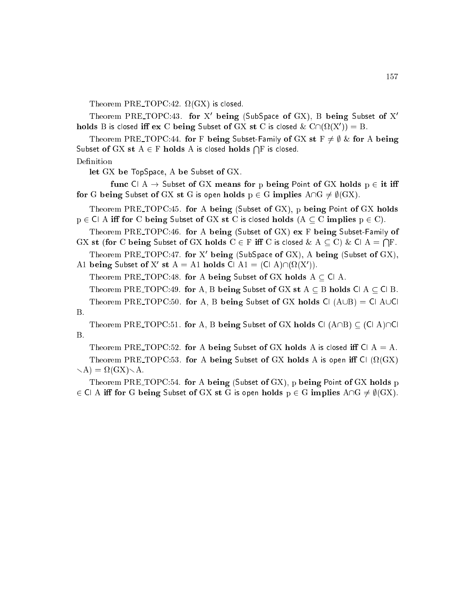Theorem Press, the contract of the contract of  $\mathcal{A}$  is a set of the contract of the contract of the contract of the contract of the contract of the contract of the contract of the contract of the contract of the contr

Theorem PRE-TOPC:43. for  $\Lambda$  being (SubSpace of GA), B being Subset of  $\Lambda$ holds B is closed in ex C being Subset of GA st C is closed  $\alpha$  C(((X)(A )) = B.

Theorem PRE TOPC:44. for F being Subset-Family of GX st  $F \neq \emptyset$  & for A being Subset of GX st  $\mathrm{A} \in \mathrm{F}$  holds  $\mathrm{A}$  is closed holds  $\bigcap \mathrm{F}$  is closed.

Definition

let GX be TopSpa
e, A be Subset of GX.

func  $\mathsf{C} \mathsf{I} \mathsf{A} \to \mathsf{Subset}$  of GX means for p being Point of GX holds  $p \in \mathsf{it}$  iff for G being Subset of GX st G is open holds  $p \in G$  implies  $A \cap G \neq \emptyset(GX)$ .

Theorem PRE TOPC:45. for A being (Subset of GX), p being Point of GX holds  $p \in \text{Cl}$  A iff for C being Subset of GX st C is closed holds  $(A \subseteq C$  implies  $p \in C$ .

Theorem PRE TOPC:46. for <sup>A</sup> being (Subset of GX) ex <sup>F</sup> being Subset-Family of gas st (for C being Subset of Girls and C 2 F in C is the C 2 f is  $\sim$  C  $\mu$  or an  $\sim$  $\sim$ 

Theorem PRE TOPU:47. for A being (SubSpace of GA), A being (Subset of GA), A1 being Subset of X<sup>0</sup> st A = A1 holds Cl A1 = (Cl A)\( (X0 )).

Theorem PRE TOPC:48. for A being Subset of GX holds  $A \subseteq C1$  A.

Theorem PRE TOPC:49. for A, B being Subset of GX st  $A \subseteq B$  holds Cl A  $\subseteq$  Cl B.

Theorem PRE TOPC:50. for A, B being Subset of GX holds Cl  $(A \cup B) = C1$  AUCL B.

Theorem PRE TOPC:51. for A, B being Subset of GX holds Cl  $(A \cap B) \subset (C \cap A) \cap C$  $B.$ 

Theorem PRE TOPC:52. for A being Subset of GX holds A is closed iff Cl  $A = A$ . The orientation  $P$  is a being subset of  $G$  is open in  $G$  is open in  $C$  is open in  $C$ range in the set of the set of the set of the set of the set of the set of the set of the set of the set of th

Theorem PRE TOPC:54. for A being (Subset of GX), p being Point of GX holds p 2 Cl A i for G being Subset of GX st G is open holds p <sup>2</sup> G implies A\G 6= ;(GX).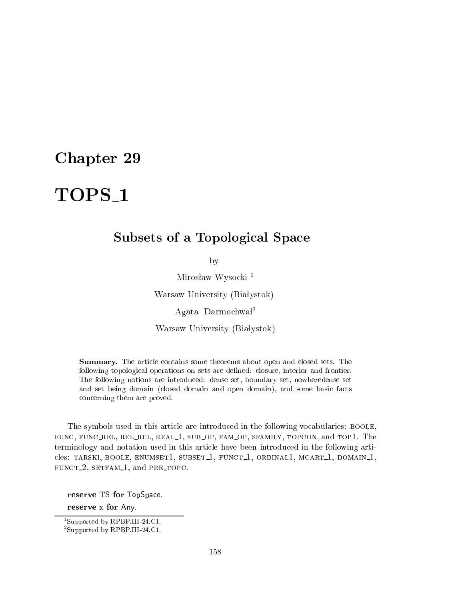# Chapter 29

# TOPS <sup>1</sup>

## Subsets of a Topologi
al Spa
e

by

Mirosław Wysocki<sup>1</sup>

Warsaw University (Białystok)

Agata Darmochwal<sup>2</sup>

Warsaw University (Białystok)

**Summary.** The article contains some theorems about open and closed sets. The following topological operations on sets are defined: closure, interior and frontier. The following notions are introdu
ed: dense set, boundary set, nowheredense set and set being domain (closed domain and open domain), and some basic facts on
erning them are proved.

The symbols used in this article are introduced in the following vocabularies: BOOLE, FUNC, FUNC\_REL, REL\_REL, REAL\_1, SUB\_OP, FAM\_OP, SFAMILY, TOPCON, and TOP1. The terminology and notation used in this arti
le have been introdu
ed in the following arti cles: TARSKI, BOOLE, ENUMSET1, SUBSET<sub>1</sub>, FUNCT<sub>1</sub>, ORDINAL1, MCART<sub>1</sub>, DOMAIN<sub>1</sub>, fun
t 2, setfam 1, and pre top
.

reserve TS for TopSpa
e. reserve x for Any.

<sup>1</sup> Supported by RPBP.III-24.C1.

<sup>2</sup> Supported by RPBP.III-24.C1.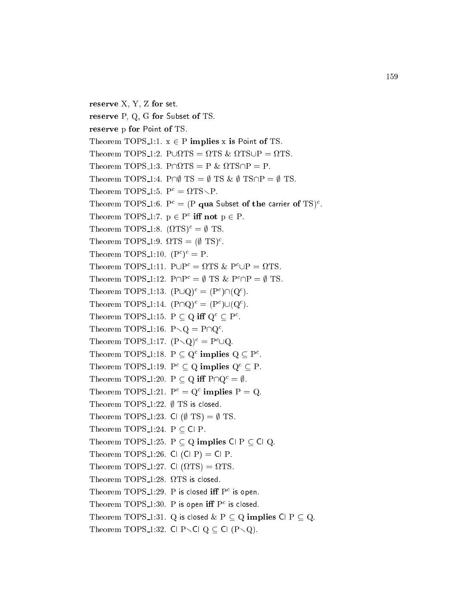```
reserve X, Y, Z for set.
reserve P, Q, G for Subset of TS.
reserve p for Point of TS.
Theorem TOPS 1:1. x \in P implies x is Point of TS.
Theorem TOPS 1:4. P\cap\emptyset TS = \emptyset TS & \emptyset TS\cap P = \emptyset TS.
1 \text{ neorem 1UPS}_1:5. P^* = M I S \setminus P.
I neorem I \cup P = 1:0. P^* = (P \text{ and } \text{ subset of the carrier or } I S)^*.
I neorem I \cup P 5-1:7. p \in P in not p \in P.
T Heorem TOPS 1:8. (1715). \equiv \psi TS.
T Heorem T and T and T and T and T and T and T and T and T and T and T and T and T and T and T and T and T and T and T and T and T and T and T and T and T and T and TTheorem TOPS 1:10. (F) = F.
Theorem TOPS-1:11. P\cup P = 115 \& P\cup P = 115.
Theorem TOPS 1:12. PHP = \psi TS & PHP = \psi TS.
Theorem TOP 5-1:13. (POQ)^{2} = (P^{2}||\mathbb{Q}^{2}).
Theorem TOPS 1:14. |P||Q| = |P| |Q|.
Theorem TOPS 1:15. P \subseteq Q in Q \subseteq P.
Theorem TOPS 1:10. P \setminus Q = P \cup Q.
Theorem TOPS 1:17. (P \setminus Q)^2 = P \cup Q.
I neorem I \cup F 5-1:18. F \subseteq Q implies Q \subseteq F.
Theorem TOPS_1:19. P^c \subseteq Q implies Q^c \subseteq P.
Theorem TOPS 1:20. P \subseteq Q iff P \cap Q^c = \emptyset.
Theorem TOP 5_{1:21}. P = Q miplies P = Q.
Theorem TOPS_1:22. \emptyset TS is closed.
Theorem TOPS 1:23. Cl (\emptyset TS) = \emptyset TS.
Theorem TOPS 1:24. P \subset \text{Cl} P.
Theorem TOPS 1:25. P \subset Q implies C P \subset C Q.
Theorem TOPS 1:26. Cl (Cl P) = Cl P.
Theorem TOPS 1:27. Cl (
TS) = 
TS.
Theorem TOPS 1:28. 
TS is 
losed.
\Gamma is closed in \Gamma is not in \Gamma is open.
\Gamma incorem \Gamma OP \sigma = 1:30. P is open in P is closed.
Theorem TOPS 1:31. Q is closed \& P \subseteq Q implies Cl P \subseteq Q.
Theorem TOPS 1:32. Cl P \setminus Cl Q \subset Cl (P \setminus Q).
```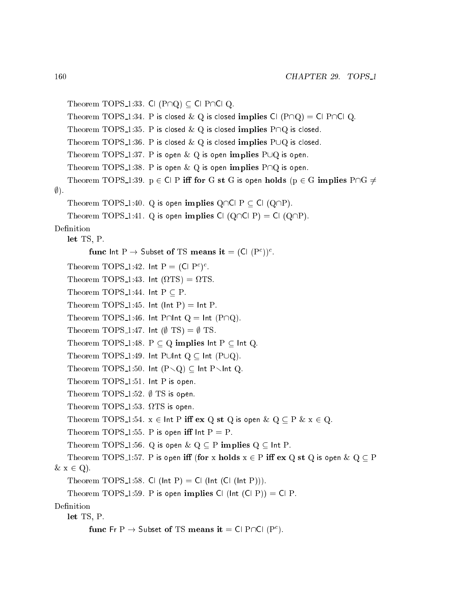```
Theorem TOPS 1:33. Cl ( P \cap Q ) \subseteq Cl P\cap Cl Q.
    Theorem TOPS 1:34. P is closed & Q is closed implies Cl (1P\cap Q) = C1 P\capCl Q.
    Theorem TOPS 1:35. P is closed & Q is closed implies P \cap Q is closed.
    Theorem TOPS 1:36. P is closed \& Q is closed implies PUQ is closed.
    Theorem TOPS 1:37. P is open \& Q is open implies PUQ is open.
    Theorem TOPS 1:38. P is open \& Q is open implies P\capQ is open.
    Theorem TOPS 1:39. p \in C P iff for G st G is open holds (p \in G implies P\cap G \neq\emptyset).
    Theorem TOPS 1:40. Q is open implies Q\cap C P \subset C (Q\cap P).
    Theorem TOPS 1:41. Q is open implies Cl (Q\cap C|P) = C| (Q\cap P).
Definition
    let TS, P.
           \lim_{n \to \infty} if n \to \infty subset of TS means it \equiv (Cl (F^*)^T.
    I neorem 1 \cup P 5.1:42. Int P = \cup P;
    Theorem TOPS 1:43. Int (
TS) = 
TS.
    Theorem TOPS_1:44. Int P \subset P.
    Theorem TOPS 1:45. Int (Int P) = Int P.
    Theorem TOPS 1:46. Int P\capInt Q = Int (P\capQ).
    Theorem TOPS 1:47. Int (\emptyset TS) = \emptyset TS.
    Theorem TOPS 1:48. P \subset Q implies \text{Int } P \subset \text{Int } Q.
    Theorem TOPS 1:49. Int PUInt Q \subset Int (PUQ).
    Theorem TOPS 1:50. Int (P\setminus Q) \subset Int P\setminusInt Q.
    Theorem TOPS_1:51. Int P is open.
    Theorem TOPS 1:52. \emptyset TS is open.
    Theorem Tops 1:53. In the contract of the contract of the contract of the contract of the contract of the contract of the contract of the contract of the contract of the contract of the contract of the contract of the cont
    Theorem TOPS 1:54. x \in \text{Int } P iff ex Q st Q is open \& Q \subseteq P \& x \in Q.
    Theorem TOPS 1:55. P is open iff \ln P = P.
    Theorem TOPS 1:56. Q is open & Q \subseteq P implies Q \subseteq Int P.
    Theorem TOPS 1:57. P is open iff (for x holds x \in P iff ex Q st Q is open \& Q \subseteq P\& x \in Q).
    Theorem TOPS 1:58. Cl (lnt P) = Cl (lnt (Cl (lnt P))).
    Theorem TOPS 1:59. P is open implies Cl (lnt (Cl P)) = Cl P.
Definition
    let TS, P.
           Funct \Gamma \colon \Gamma \to 3ubset of TS means it \Xi Cl P\Box (P \Box).
```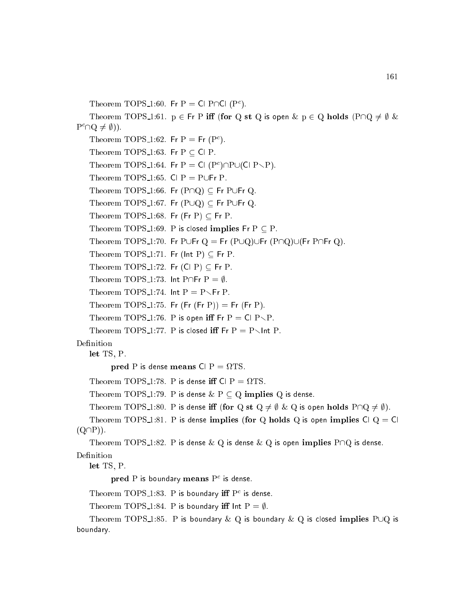Theorem TOP  $\delta$ -1:00. Fr P = CLPTICL(P<sup>-</sup>).

Theorem TOPS 1:61.  $p \in Fr$  P iff (for Q st Q is open  $\& p \in Q$  holds  $( P \cap Q \neq \emptyset \&$  $\Gamma$  in  $\cup \tau \neq \emptyset$  ).

```
Theorem TOPS 1:02. FIT P = F(Y | Y).
Theorem TOPS 1:63. Fr P \subseteq Cl P.
I neorem TOPS 1:04. Fr P = C (P ) PO(CLP \P).
Theorem TOPS 1:65. Cl P = P \cup Fr P.
Theorem TOPS 1:66. Fr ( P \cap Q ) \subseteq Fr PUFr Q.
Theorem TOPS 1:67. Fr (PUQ) \subseteq Fr PUFr Q.
Theorem TOPS 1:68. Fr (Fr P) \subseteq Fr P.
Theorem TOPS_1:69. P is closed implies Fr P \subset P.
Theorem TOPS 1:70. Fr PUFr Q = Fr (P\cup Q)\cup Fr (P\cap Q)\cup (Fr P\cap Fr Q).
Theorem TOPS_1:71. Fr (lnt P) \subseteq Fr P.
Theorem TOPS 1:72. Fr (Cl P) \subset Fr P.
Theorem TOPS 1:73. Int P\capFr P = \emptyset.
Theorem TOPS 1:74. Int P = P \setminus Fr P.
Theorem TOPS 1:75. Fr (Fr(P)) = Fr(FP).
Theorem TOPS 1:76. P is open iff Fr P = Cl P \ P.
```

```
Theorem TOPS_1:77. P is closed iff Fr P = P \setminus Int P.
```
### Definition

let TS, P.

pred P is dense means Cl P is dense means Cl P is dense means Cl P is dense means Cl P is dense means Cl P is d

Theorem TOPS 1:78. P is dense i Cl P = TS.

```
Theorem TOPS 1:79. P is dense & P \subseteq Q implies Q is dense.
```

```
Theorem TOPS 1:80. P is dense iff (for Q st Q \neq \emptyset \& Q is open holds P \cap Q \neq \emptyset).
```
Theorem TOPS 1:81. P is dense implies (for Q holds Q is open implies Cl  $Q = Cl$  $(Q\cap P)$ ).

Theorem TOPS 1:82. P is dense  $\& Q$  is dense  $\& Q$  is open implies P $\cap Q$  is dense.

Definition

let TS, P.

pred P is boundary means P is dense.

 $\Gamma$  incorem  $\Gamma$  OP  $\infty$  1:83. P is boundary in P  $\Gamma$  is dense.

Theorem TOPS 1:84. P is boundary iff lnt  $P = \emptyset$ .

Theorem TOPS 1:85. P is boundary  $\& Q$  is boundary  $\& Q$  is closed implies PUQ is boundary.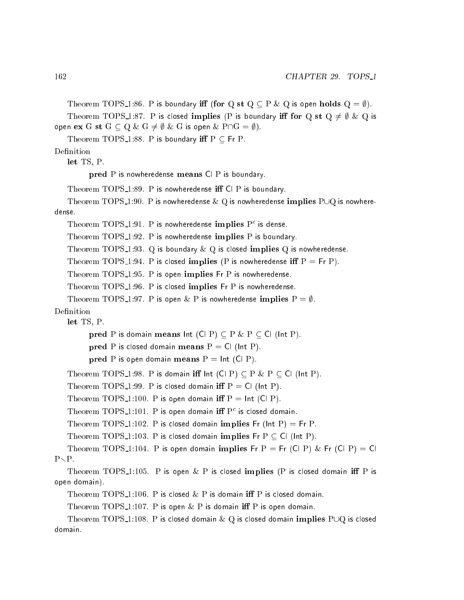Theorem TOPS 1:86. P is boundary iff (for Q st Q  $\subseteq$  P & Q is open holds Q =  $\emptyset$ ).

Theorem TOPS\_1:87. P is closed implies (P is boundary iff for Q st  $Q \neq \emptyset$  & Q is open  $ex G$  st  $G \subseteq Q \& G \neq \emptyset \& G$  is open  $\& P \cap G = \emptyset$ .

Theorem TOPS 1:88. P is boundary iff  $P \subset Fr P$ .

### Definition

let TS, P.

pred P is nowheredense means CIP is boundary.

Theorem  $TOPS_1:89.$  P is nowheredense iff Cl P is boundary.

```
Theorem TOPS 1:90. P is nowheredense & Q is nowheredense implies PUQ is nowhere-
dense.
```
I neorem TOPS 1:91. P is nowheredense implies P is dense.

Theorem TOPS\_1:92. P is nowheredense implies P is boundary.

Theorem TOPS 1:93. Q is boundary  $\&$  Q is closed implies Q is nowheredense.

Theorem TOPS 1:94. P is closed implies (P is nowheredense iff  $P = Fr P$ ).

Theorem TOPS 1:95. P is open implies Fr P is nowheredense.

Theorem TOPS\_1:96. P is closed implies Fr P is nowheredense.

Theorem TOPS 1:97. P is open & P is nowheredense implies  $P = \emptyset$ .

Definition

let TS. P. let TS, P.

pred P is domain means  $Int$  (Cl P)  $\subseteq$  P  $\&$  P  $\subseteq$  Cl (lnt P).

pred P is closed domain means  $P = Cl$  (lnt P).

pred P is open domain means  $P = Int (CI P)$ .

Theorem TOPS 1:98. P is domain iff  $Int$  (Cl P)  $\subseteq$  P  $\&$  P  $\subseteq$  Cl ( $Int$  P).

Theorem TOPS 1:99. P is closed domain iff  $P = Cl$  (lnt P).

Theorem TOPS 1:100. P is open domain iff  $P = Int (CI P)$ .

I neorem TOPS 1:101. P is open domain in P is closed domain.

Theorem TOPS 1:102. P is closed domain implies Fr (lnt P) = Fr P.

```
Theorem TOPS 1:103. P is closed domain implies Fr P \subset Cl (lnt P).
```

```
Theorem TOPS 1:104. P is open domain implies Fr P = Fr (Cl P) & Fr (Cl P) = Cl
P\setminus P.
```
Theorem TOPS<sub>-1</sub>:105. P is open & P is closed implies (P is closed domain iff P is open domain).

Theorem TOPS 1:106. P is closed  $\&$  P is domain iff P is closed domain.

Theorem TOPS 1:107. P is open  $\&$  P is domain iff P is open domain.

Theorem TOPS\_1:108. P is closed domain  $\&\ Q$  is closed domain implies PUQ is closed domain.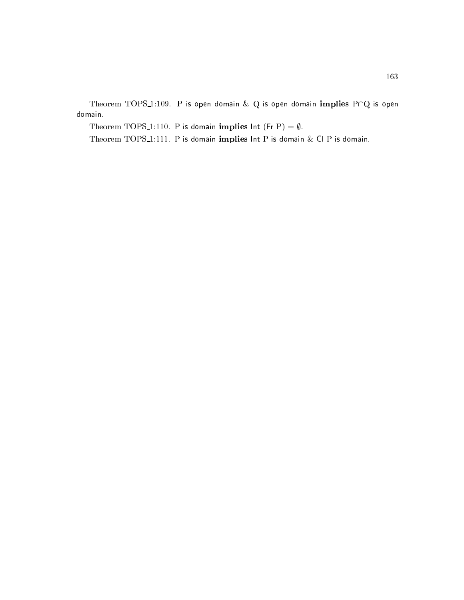Theorem TOPS 1:109. P is open domain  $\&$  Q is open domain implies P $\cap$ Q is open domain.

Theorem TOPS\_1:110. P is domain implies Int (Fr P) =  $\emptyset$ .

Theorem TOPS 1:111. P is domain implies  $Int P$  is domain  $\&$  Cl P is domain.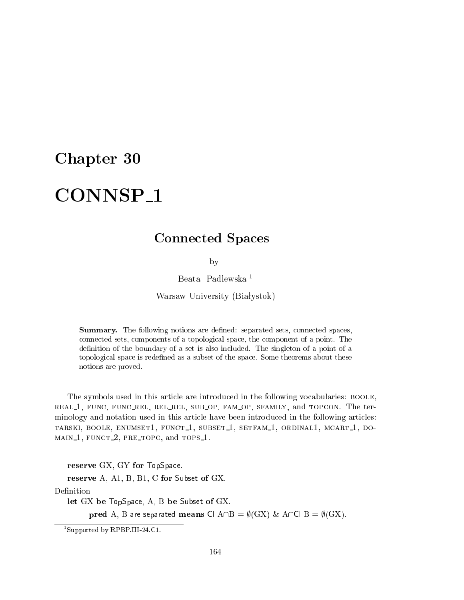## Chapter 30

### CONNSP<sub>1</sub> connected the connected property of the connected property of the connected property of the connected property of the connected property of the connected property of the connected property of the connected property of the

## Conne
ted Spa
es

by

Beata Padlewska <sup>1</sup>

Warsaw University (Białystok)

**Summary.** The following notions are defined: separated sets, connected spaces, onne
ted sets, omponents of a topologi
al spa
e, the omponent of a point. The definition of the boundary of a set is also included. The singleton of a point of a topological space is redefined as a subset of the space. Some theorems about these notions are proved.

The symbols used in this article are introduced in the following vocabularies: BOOLE, real 1, fun
, fun rel, rel rel, sub op, fam op, sfamily, and top
on. The terminology and notation used in this article have been introduced in the following articles: TARSKI, BOOLE, ENUMSET1, FUNCT<sub>1</sub>, SUBSET<sub>1</sub>, SETFAM<sub>1</sub>, ORDINAL1, MCART<sub>1</sub>, DO-, and the 1, function  $\mathcal{L}$  and tops 1, the state  $\mathcal{L}$ 

reserve GX, GY for TopSpace.

reserve A, A1, B, B1, C for Subset of GX.

Definition

let GX be TopSpa
e, A, B be Subset of GX.

pred A, B are separated means Cl  $A \cap B = \emptyset(GX) \& A \cap C \cap B = \emptyset(GX)$ .

<sup>1</sup> Supported by RPBP.III-24.C1.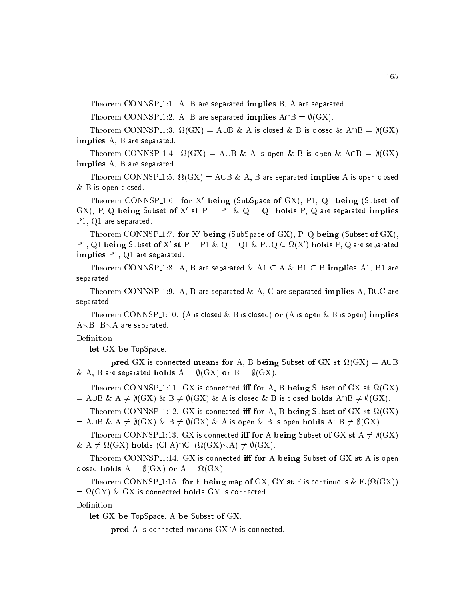Theorem CONNSP<sub>1</sub>:1. A, B are separated implies B, A are separated.

Theorem CONNSP<sub>1</sub>:2. A, B are separated implies  $A \cap B = \emptyset(GX)$ .

Theorem CONNSP 1:3. (GX) = A[B & A is losed & B is losed & A\B = ;(GX) implies A, B are separated.

Theorem CONNSP 1:4. (GX) = A[B & A is open & B is open & A\B = ;(GX) implies A, B are separated.

Theorem CONNSP 1:5. (GX) = A[B & A, B are separated implies A is open losed  $\&$   $\rm B$  is open closed.

Theorem CONNSP 1:0. for  $\Lambda$  being (Subspace of GA), P1, Q1 being (Subset of GA), P, Q being Subset of A st  $P = P1$  & Q = Q1 holds P, Q are separated implies P1, Q1 are separated.

Theorem CONNSP 1:7. for  $\Lambda$  being (Subspace of GA), P, Q being (Subset of GA), P 1, Q1 being Subset of  $X$  st  $P = P1 \otimes Q = Q1 \otimes P \cup Q \subseteq M(X)$  holds P, Q are separated implies P1, Q1 are separated.

Theorem CONNSP<sub>-1</sub>:8. A, B are separated  $\&$  A1  $\subseteq$  A  $\&$  B1  $\subseteq$  B implies A1, B1 are separated.

Theorem CONNSP<sub>-1</sub>:9. A, B are separated & A, C are separated implies A, BUC are separated.

Theorem CONNSP<sub>-1</sub>:10. (A is closed & B is closed) or (A is open & B is open) implies  $A \setminus B$ ,  $B \setminus A$  are separated.

#### Definition

let GX be TopSpa
e.

pred GX is a connected means for A, B being Subset of GX st and GX st and GX st and GX st and GX st and GX st & A, B are separated holds  $A = \emptyset(GX)$  or  $B = \emptyset(GX)$ .

Theorem Connecticut is the Connecticut of GX is a state of GX state of GX state of GX state of GX state of GX s  $A=\text{A}\cup B$  &  $A\neq \emptyset$  (GX) & B  $\neq \emptyset$  (GX) & A is closed & B is closed **holds**  $A\cap B\neq \emptyset$  (GX).

ted is a formulated in the connected in the set of  $\alpha$  is a formulated in the connected in the connected in the connected in the connected in the connected in the connected in the connected in the connected in the connect  $\mathcal{A} = \mathcal{A} \cup \mathcal{B} \ \& \ \mathcal{A} \neq \emptyset(\mathcal{G}X) \ \& \ \mathcal{B} \neq \emptyset(\mathcal{G}X) \ \& \ \mathcal{A}$  is open  $\& \ \mathcal{B}$  is open holds  $\mathcal{A} \cap \mathcal{B} \neq \emptyset(\mathcal{G}X).$ 

Theorem CONNSP<sub>1</sub>:13. GX is connected iff for A being Subset of GX st  $A \neq \emptyset$  (GX) & A 6= (GX) holds (Cl A)\Cl ( (GX)rA) 6= ;(GX).

Theorem CONNSP<sub>1</sub>:14. GX is connected iff for A being Subset of GX st A is open losed holds A = ;(GX) or A = (GX).

Theorem CONNSP 1:15. for <sup>F</sup> being map of GX, GY st <sup>F</sup> is ontinuous & <sup>F</sup>( (GX)) = (GY) & GX is onne
ted holds GY is onne
ted.

let GX be TopSpa
e, A be Subset of GX.

pred A is connected means  $GX \upharpoonright A$  is connected.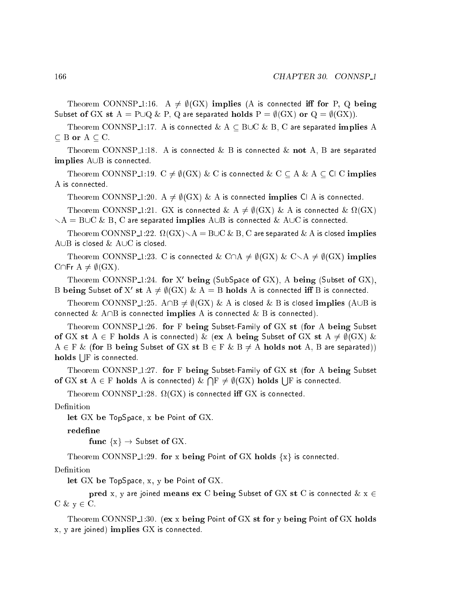Theorem CONNSP<sub>1</sub>:16. A  $\neq \emptyset$ (GX) implies (A is connected iff for P, Q being Subset of GX st A = P $\bigcup Q \& P$ , Q are separated holds P =  $\emptyset$ (GX) or Q =  $\emptyset$ (GX)).

Theorem CONNSP\_1:17. A is connected  $\&$  A  $\subseteq$  BUC  $\&$  B, C are separated implies A

Theorem CONNSP<sub>1</sub>:18. A is connected & B is connected & not A, B are separated  $\mathbf{implies} \mathbf{A} \cup \mathbf{B}$  is connected.

Theorem CONNSP<sub>1</sub>:19.  $C \neq \emptyset$ (GX) & C is connected & C  $\subseteq$  A & A  $\subseteq$  Cl C implies A is connected.

Theorem CONNSP<sub>1</sub>:20. A  $\neq \emptyset$ (GX) & A is connected implies Cl A is connected.

ted as a connected with the connected  $\alpha$  is  $\beta$  is the connected  $\alpha$  is the connected  $\alpha$  $r\lambda = BUC \& B$ , C are separated implies  $A \cup B$  is connected  $\& A \cup C$  is connected.

Theorem CONNSP 1:22. (GX)rA = B[C & B, C are separated & A is losed implies A $\cup$ B is closed & A $\cup$ C is closed.

Theorem CONNSP<sub>1</sub>:23. C is connected & C $\cap$ A  $\neq \emptyset$ (GX) & C $\setminus$ A  $\neq \emptyset$ (GX) implies C $\cap$ Fr A  $\neq \emptyset$ (GX).

Theorem CONNSP 1:24. for  $\Lambda$  being (SubSpace of GA), A being (Subset of GA), B being Subset of A st  $A \neq \emptyset(\mathbf{G}\Lambda) \otimes A = \mathbf{D}$  holds A is connected in B is connected.

Theorem CONNSP<sub>1</sub>:25. A  $\Box$ B  $\neq \emptyset$  (GX) & A is closed & B is closed **implies** (A  $\Box$ B is connected & A $\cap$ B is connected implies A is connected & B is connected).

Theorem CONNSP<sub>1</sub>:26. for F being Subset-Family of GX st (for A being Subset of GX st A  $\in$  F holds A is connected) & (ex A being Subset of GX st A  $\neq \emptyset$ (GX) &  $A \in F \&$  (for B being Subset of GX st  $B \in F \& B \neq A$  holds not A, B are separated))  $\bold{ holds}$   $\boldsymbol{\}$   $\boldsymbol{\}$  is connected.

Theorem CONNSP<sub>1</sub>:27. for F being Subset-Family of GX st (for A being Subset of GX st A <sup>2</sup> F holds A is onne
ted) &  $\bigcap \mathrm{F} \neq \emptyset(\mathrm{GX})$  holds  $\bigcup \mathrm{F}$  is connected.

ted. It is a connected in the interest of the connected in the second second in the second second in the second second in the second second in the second second in the second second second second second second second secon

Definition

let GX be TopSpa
e, x be Point of GX.

redefine

func  $\{x\} \rightarrow$  Subset of GX.

Theorem CONNSP 1:29. for x being Point of GX holds  $\{x\}$  is connected.

#### Definition

let GX be TopSpace, x, y be Point of GX.

pred x, y are joined means ex C being Subset of GX st C is connected  $\&$  x  $\in$  $C \& y \in C.$ 

Theorem CONNSP  $\perp$ :30. (ex x being Point of GX st for y being Point of GX holds  $x, y$  are joined) implies  $GX$  is connected.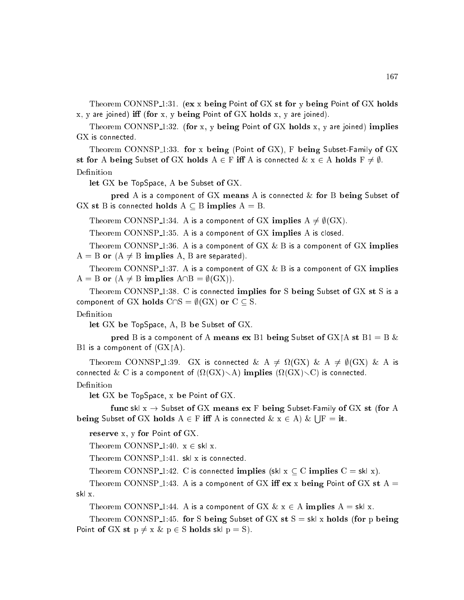Theorem CONNSP<sub>1</sub>:31. (ex x being Point of GX st for y being Point of GX holds  $x, y$  are joined) iff (for  $x, y$  being Point of  $GX$  holds  $x, y$  are joined).

Theorem CONNSP<sub>-1</sub>:32. (for x, y being Point of GX holds x, y are joined) implies GX is connected.

Theorem CONNSP<sub>1</sub>:33. for x being (Point of GX), F being Subset-Family of GX st for A being Subset of GX holds  $A \in F$  iff A is connected  $\& x \in A$  holds  $F \neq \emptyset$ . Definition

let GX be TopSpa
e, A be Subset of GX.

pred A is a component of GX means A is connected  $\&$  for B being Subset of GX st B is connected holds  $A \subseteq B$  implies  $A = B$ .

Theorem CONNSP 1:34. A is a component of GX implies  $A \neq \emptyset$ (GX).

Theorem CONNSP<sub>1</sub>:35. A is a component of GX implies A is closed.

Theorem CONNSP<sub>-1</sub>:36. A is a component of  $GX & B$  is a component of  $GX$  implies  $A = B$  or  $(A \neq B$  implies A, B are separated).

Theorem CONNSP<sub>-1</sub>:37. A is a component of  $GX & B$  is a component of  $GX$  implies  $A = B$  or  $(A \neq B$  implies  $A \cap B = \emptyset(GX)$ .

Theorem CONNSP<sub>-1:38</sub>. C is connected implies for S being Subset of GX st S is a component of GX holds  $C \cap S = \emptyset(GX)$  or  $C \subseteq S$ .

let GX be TopSpace, A, B be Subset of GX.

pred B is a component of A means ex B1 being Subset of  $GX|A$  st B1 = B & B1 is a component of  $(GX|A)$ .

ted a connected with the connected  $\alpha$  is  $\beta$  is  $\alpha$  is  $\beta$  and  $\alpha$  is  $\alpha$ ted the connected  $\alpha$  is a component of (i.e.  $\alpha$ ) is  $\alpha$  is a connected.

#### Definition

let GX be TopSpa
e, x be Point of GX.

func skl  $x \rightarrow$  Subset of GX means ex F being Subset-Family of GX st (for A being Subset of GX holds A <sup>2</sup> F i A is onne
ted & x <sup>2</sup> A) & s a

reserve x, y for Point of GX.

Theorem CONNSP<sub>-1</sub>:40.  $x \in skl$  x.

Theorem CONNSP<sub>1</sub>:41. skl x is connected.

Theorem CONNSP<sub>1</sub>:42. C is connected implies (skl  $x \subseteq C$  implies  $C = skl x$ ).

Theorem CONNSP<sub>1</sub>:43. A is a component of GX iff  $ex$  x being Point of GX st A = skl x.

Theorem CONNSP<sub>-1</sub>:44. A is a component of GX  $\& x \in A$  implies  $A = sk$  x.

Theorem CONNSP<sub>1</sub>:45. for S being Subset of GX st  $S = sk \times h$  holds (for p being Point of GX st  $p \neq x \& p \in S$  holds skl  $p = S$ ).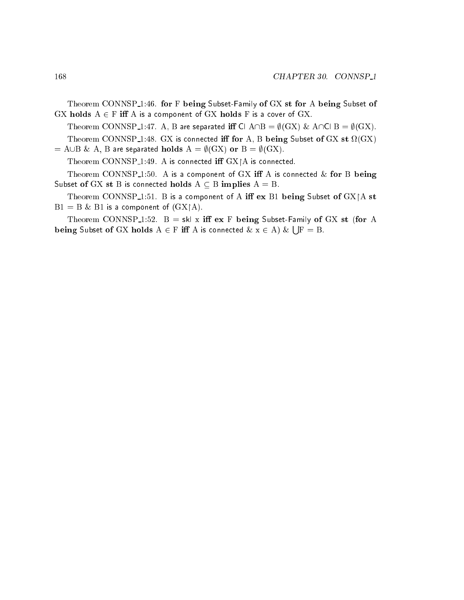Theorem CONNSP<sub>1</sub>:46. for F being Subset-Family of GX st for A being Subset of  $GX$  holds  $A \in F$  iff A is a component of  $GX$  holds F is a cover of  $GX$ .

Theorem CONNSP\_1:47. A, B are separated iff Cl A $\cap$ B =  $\emptyset$ (GX) & A $\cap$ Cl B =  $\emptyset$ (GX). ted is the connected in the connected in the set of the subset of GM starts  $\sim$  (  $\sim$   $\sim$ 

 $= A \cup B \& A$ , B are separated holds  $A = \emptyset(GX)$  or  $B = \emptyset(GX)$ .

Theorem CONNSP<sub>1</sub>:49. A is connected iff  $GX|A$  is connected.

Theorem CONNSP<sub>1</sub>:50. A is a component of GX iff A is connected  $\&$  for B being Subset of GX st B is connected holds  $A \subseteq B$  implies  $A = B$ .

Theorem CONNSP<sub>1</sub>1:51. B is a component of A iff  $ex$  B1 being Subset of GX $\vert$ A st  $B1 = B \& B1$  is a component of  $(GX \upharpoonright A)$ .

Theorem CONNSP<sub>1</sub>:52. B = skl x iff ex F being Subset-Family of GX st (for A being Subset of GX holds A <sup>2</sup> F i A is onne
ted & x <sup>2</sup> A) & s a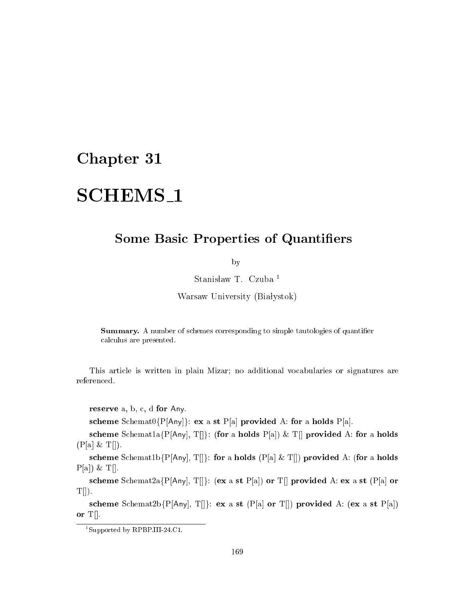## Chapter 31

# SCHEMS<sub>-1</sub>

## Some Basi Properties of Quantiers

by

Stanisław T. Czuba<sup>1</sup>

Warsaw University (Białystok)

**Summary.** A number of schemes corresponding to simple tautologies of quantifier al
ulus are presented.

This arti
le is written in plain Mizar; no additional vo
abularies or signatures are referen
ed.

reserve  $a, b, c, d$  for Any.

scheme Schemat0{P[Any]}: ex a st P[a] provided A: for a holds P[a].

scheme Schemat1a{P[Any], T[]}: (for a holds P[a]) & T[] provided A: for a holds  $(P[a] & T[]).$ 

scheme Schemat1b{P[Any], T[]}: for a holds (P[a] & T[]) provided A: (for a holds  $P[a]$ ) & T[].

scheme Schemat2a{P[Any], T[]}: (ex a st P[a]) or T[] provided A: ex a st (P[a] or  $T[]$ ).

scheme Schemat2b{P[Any], T[]}: ex a st (P[a] or T[]) provided A: (ex a st P[a]) or  $T$ .

<sup>1</sup> Supported by RPBP.III-24.C1.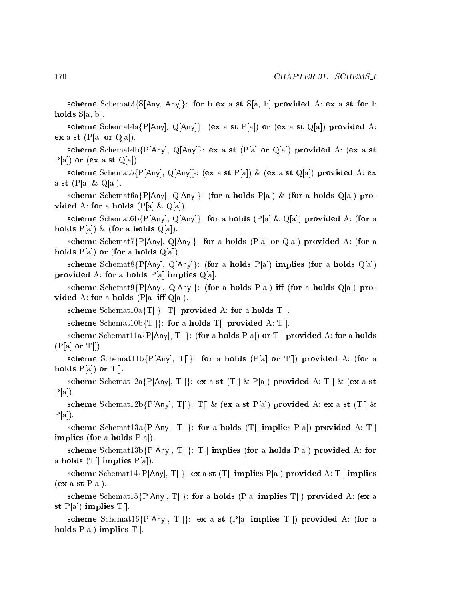scheme Schemat3{S[Any, Any]}: for b ex a st S[a, b] provided A: ex a st for b holds  $S[a, b]$ .

scheme Schemat4a{P[Any], Q[Any]}: (ex a st P[a]) or (ex a st Q[a]) provided A: ex a st  $(P[a]$  or  $Q[a]$ ).

scheme Schemat4b{P[Any], Q[Any]}: ex a st (P[a] or Q[a]) provided A: (ex a st  $P[a]$  or (ex a st  $Q[a]$ ).

scheme Schemat5{P[Any], Q[Any]}: (ex a st P[a]) & (ex a st Q[a]) provided A: ex a st  $(P[a] \& Q[a])$ .

scheme Schemat6a{P[Any], Q[Any]}: (for a holds P[a]) & (for a holds Q[a]) provided A: for a holds  $(P[a] \& Q[a])$ .

scheme Schemat6b{P[Any], Q[Any]}: for a holds (P[a] & Q[a]) provided A: (for a holds  $P[a]$ ) & (for a holds  $Q[a]$ ).

scheme Schemat7{P[Any], Q[Any]}: for a holds (P[a] or Q[a]) provided A: (for a holds  $P[a]$  or (for a holds  $Q[a]$ ).

scheme Schemat8{P[Any], Q[Any]}: (for a holds P[a]) implies (for a holds Q[a]) provided A: for a holds  $P[a]$  implies  $Q[a]$ .

scheme Schemat9{P[Any], Q[Any]: (for a holds P[a]) iff (for a holds Q[a]) provided A: for a holds  $(P[a]$  iff  $Q[a]$ .

scheme Schemat $10a\{T[]\}$ : T[ provided A: for a holds T[].

scheme Schemat $10\mathbf{b}\{T\}$ : for a holds T $\parallel$  provided A: T $\parallel$ .

scheme Schemat11a $\{P[Any], T[\}$ : (for a holds  $P[a]$ ) or T[c] provided A: for a holds  $(P[a]$  or  $T||)$ .

scheme Schemat11b{P[Any], T[]}: for a holds (P[a] or T[]) provided A: (for a holds  $P[a]$  or  $T[]$ .

scheme Schemat12a{P[Any], T[]: ex a st (T[] & P[a]) provided A: T[] & (ex a st  $P[a]$ ).

scheme Schemat12b{P[Any], T[]: T[] & (ex a st P[a]) provided A: ex a st (T[] &  $P[a]$ ).

 ${\rm \bf scheme\,\, Schemat13a\{P[Any],\,T[]}\}$ : for a holds  $({\rm T}[]$  implies  $P[a])$  provided A:  ${\rm T}[]$ implies (for a holds  $P[a]$ ).

scheme Schemat13b{P[Any], T[]: T[| implies (for a holds P[a]) provided A: for a holds (T $\parallel$  implies P[a]).

scheme Schemat14 $\{P[A\text{ny}], T\}$ : ex a st  $(T||$  implies  $P[a]$  provided A: T $||$  implies  $(ex a st P[a]).$ 

scheme Schemat15{P[Any], T[]: for a holds (P[a] implies T[]) provided A: (ex a st  $P[a]$  implies  $T[]$ .

scheme Schemat16{P[Any], T[]: ex a st (P[a] implies T[]) provided A: (for a holds  $P[a]$  implies  $T[]$ .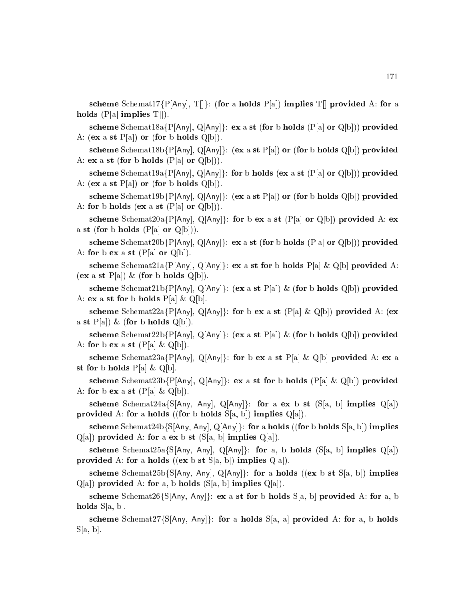scheme Schemat17{P[Any], T[]: (for a holds P[a]) implies T[ provided A: for a holds  $(P[a] \text{ implies } T[]$ .

scheme Schemat18a $\{P[Any], Q[Any]\}$ : ex a st (for b holds  $(P[a]$  or  $Q[b])$ ) provided A:  $(ex a st P[a])$  or  $(for b holds Q[b]).$ 

scheme Schemat18b{P[Any], Q[Any]}: (ex a st P[a]) or (for b holds Q[b]) provided A: ex a st (for b holds  $(P[a]$  or  $Q[b])$ ).

scheme Schemat19a{P[Any], Q[Any]. for b holds (ex a st (P[a] or Q[b])) provided A: (ex a st  $P[a]$ ) or (for b holds  $Q[b]$ ).

scheme Schemat19b{P[Any], Q[Any]}: (ex a st P[a]) or (for b holds Q[b]) provided A: for b holds (ex a st  $(P[a]$  or  $Q[b])$ ).

scheme Schemat20a{P|Any|, Q|Any|}: for b ex a st (P|a| or Q|b|) provided A: ex a st (for b holds  $(P[a]$  or  $Q[b])$ ).

scheme Schemat20b{P[Any], Q[Any]}: ex a st (for b holds (P[a] or Q[b])) provided A: for b ex a st  $(P[a]$  or  $Q[b]$ .

scheme Schemat21a{P[Any], Q[Any]}: ex a st for b holds P[a] & Q[b] provided A:  $(\mathbf{ex} \text{ a st } P[\text{a}]) \& (\text{for} \text{ b holds } Q[\text{b}]).$ 

scheme Schemat21b{P[Any], Q[Any]}: (ex a st P[a]) & (for b holds Q[b]) provided A: ex a st for b holds  $P[a] \& Q[b]$ .

scheme Schemat22a{P[Any], Q[Any]}: for b ex a st (P[a] & Q[b]) provided A: (ex a st  $P[a]$ ) & (for b holds  $Q[b]$ ).

scheme Schemat22b{P[Any], Q[Any]}: (ex a st P[a]) & (for b holds Q[b]) provided A: for b ex a st  $(P[a] \& Q[b])$ .

scheme Schemat23a{P[Any], Q[Any]}: for b ex a st P[a] & Q[b] provided A: ex a st for b holds  $P[a] \& Q[b]$ .

scheme Schemat23b{P[Any], Q[Any]}: ex a st for b holds (P[a] & Q[b]) provided A: for b ex a st  $(P[a] \& Q[b])$ .

scheme Schemat24a{S[Any, Any], Q[Any]: for a ex b st (S[a, b] implies  $Q[a]$ ) provided A: for a holds ((for b holds  $S[a, b]$ ) implies  $Q[a]$ ).

scheme Schemat24b{S[Any, Any], Q[Any]}: for a holds ((for b holds S[a, b]) implies  $Q[a]$  provided A: for a ex b st  $(S[a, b]$  implies  $Q[a]$ .

scheme Schemat25a{S[Any, Any], Q[Any]}: for a, b holds (S[a, b] implies Q[a]) provided A: for a holds ((ex b st  $S[a, b]$ ) implies  $Q[a]$ ).

scheme Schemat25b{S[Any, Any], Q[Any]}: for a holds ((ex b st S[a, b]) implies  $Q[a]$ ) provided A: for a, b holds (S[a, b] implies  $Q[a]$ ).

scheme Schemat26{S[Any, Any]}: ex a st for b holds  $S[a, b]$  provided A: for a, b holds  $S[a, b]$ .

scheme Schemat27{S[Any, Any]}: for a holds S[a, a] provided A: for a, b holds  $S[a, b]$ .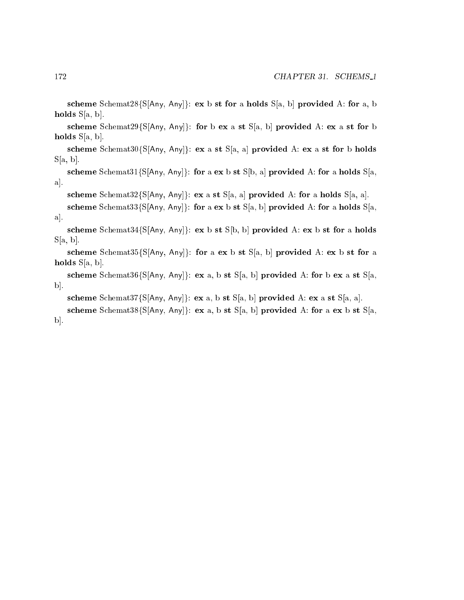scheme Schemat28{S[Any, Any]}: ex b st for a holds  $S[a, b]$  provided A: for a, b holds  $S[a, b]$ .

scheme Schemat29{S[Any, Any]}: for b ex a st S[a, b] provided A: ex a st for b holds  $S[a, b]$ .

scheme Schemat30{S[Any, Any]}: ex a st S[a, a] provided A: ex a st for b holds  $S[a, b]$ .

scheme Schemat31{S[Any, Any]: for a ex b st S[b, a] provided A: for a holds S[a,  $a$ .

scheme Schemat32{S[Any, Any]}: ex a st S[a, a] provided A: for a holds S[a, a].

```
scheme Schemat33{S[Any, Any]}: for a ex b st S[a, b] provided A: for a holds S[a,
a.
```
scheme Schemat34{S[Any, Any]}: ex b st S[b, b] provided A: ex b st for a holds  $S[a, b]$ .

scheme Schemat35{S[Any, Any]}: for a ex b st S[a, b] provided A: ex b st for a holds  $S[a, b]$ .

scheme Schemat36{S[Any, Any]}: ex a, b st S[a, b] provided A: for b ex a st S[a,  $\mathbf{b}$ .

```
scheme Schemat37{S[Any, Any]}: ex a, b st S[a, b] provided A: ex a st S[a, a].
scheme Schemat38{S[Any, Any]}: ex a, b st S[a, b] provided A: for a ex b st S[a,
```
 $\bold{b}$ .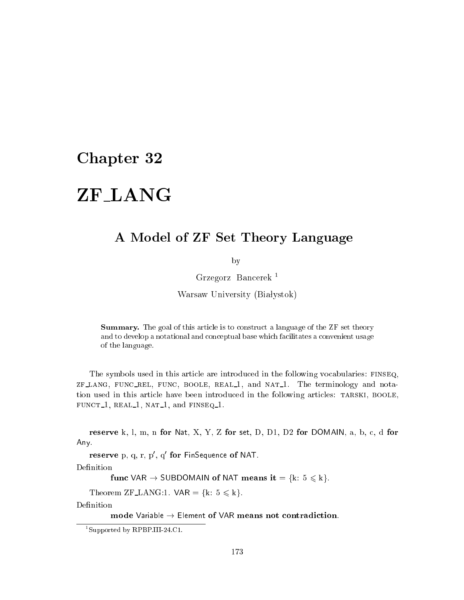## Chapter 32

### ZF\_LANG ZF LANG CHARGE COMPANY OF THE COMPANY OF THE COMPANY OF THE COMPANY OF THE COMPANY OF THE COMPANY OF THE COMPANY

## A Model of ZF Set Theory Language

by

Grzegorz Ban
erek <sup>1</sup>

Warsaw University (Białystok)

**Summary.** The goal of this article is to construct a language of the ZF set theory and to develop a notational and on
eptual base whi
h fa
ilitates a onvenient usage of the language.

The symbols used in this article are introduced in the following vocabularies: FINSEQ, zf lang, fun rel, fun
, boole, real 1, and nat 1. The terminology and notation used in this article have been introduced in the following articles: TARSKI, BOOLE, fun
t 1, real 1, nat 1, and finseq 1.

reserve k, l, m, n for Nat, X, Y, Z for set, D, D1, D2 for DOMAIN, a, b, c, d for Any.

 $r$ eserve p, q,  $r$ ,  $p$ , q  $r$  for FinSequence of NAT.

Definition

func VAR  $\rightarrow$  SUBDOMAIN of NAT means it = {k:  $5 \le k$ }.

Theorem ZF\_LANG:1.  $VAR = \{k: 5 \le k\}.$ 

Definition

mode Variable  $\rightarrow$  Element of VAR means not contradiction.

<sup>1</sup> Supported by RPBP.III-24.C1.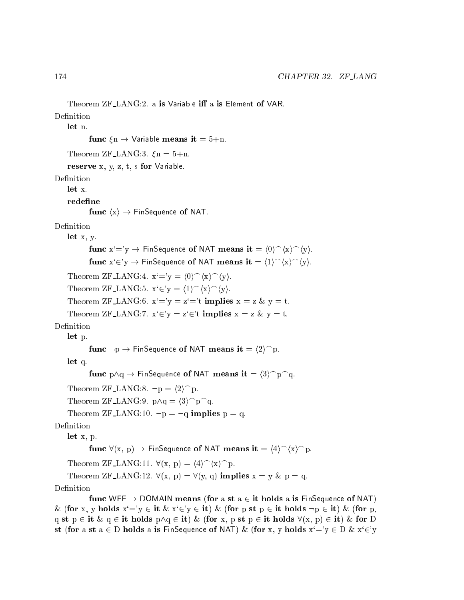```
Theorem ZF_LANG:2. a is Variable iff a is Element of VAR.
Definition
    let n.
            func \zetan \rightarrow Variable means it = 5+n.
    Theorem ZF-LANG:3. \xin = 5+n.
    reserve x, y, z, t, s for Variable.
Definition
    let x.redefine
            func \langle x \rangle \rightarrow FinSequence of NAT.
Definition
    let x, y.
            func x'=y \rightarrow FinSequence of NAT means it = \langle 0 \rangle^{\frown} \langle x \rangle^{\frown} \langle y \rangle.
            func x \in y \to FinSequence of NAT means it = \langle 1 \rangle \hat{ } \langle x \rangle \hat{ } \langle y \rangle.
    Theorem ZF_LANG:4. x'=y = \langle 0 \rangle \hat{ } \langle x \rangle \hat{ } \langle y \rangle.Theorem ZF LANG:5. x \in y = (1) \cap (x) \cap (y).
    Theorem ZF_LANG:6. x'=y = z'=t implies x = z \& y = t.
    Theorem ZF LANG:7. x \in y = z \in t implies x = z \& y = t.
    let p.
            func \neg p \rightarrow \text{FinSequence of NAT means it} = \langle 2 \rangle^{\frown} p.
    let q.
            func p \wedge q \rightarrow FinSequence of NAT means it = \langle 3 \rangle^{\frown} p \cap q.
    Theorem ZF_LANG:8. \neg p = \langle 2 \rangle^p.
    Theorem ZF_LANG:9. p \wedge q = \langle 3 \rangle^p q.
    Theorem ZF_LANG:10. \neg p = \neg q implies p = q.
Definition
    let x, p.
            func \forall(x, p) \rightarrow FinSequence of NAT means it = \langle 4 \rangle \hat{} (x) \cap p.
    Theorem ZF LANG:11. \forall (x, p) = \langle 4 \rangle^{\frown} \langle x \rangle^{\frown} p.
    Theorem ZF LANG:12. \forall (x, p) = \forall (y, q) implies x = y \& p = q.
Definition
            func WFF \rightarrow DOMAIN means (for a st a \in it holds a is FinSequence of NAT)
& (for x, y holds x'=y \in it \& x'\in y \in it) & (for p st p \in it holds \neg p \in it) & (for p,
q st p \in it \& q \in it holds p\wedgeq \in it) \& (for x, p st p \in it holds \forall(x, p) \in it) \& for D
```
st (for a st  $a \in D$  holds a is FinSequence of NAT) & (for x, y holds  $x'=y \in D$  &  $x \in y$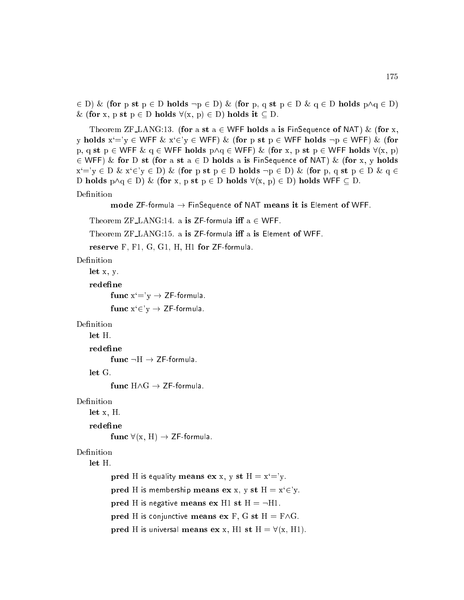2 D) & (for p st p <sup>2</sup> D holds :p <sup>2</sup> D) & (for p, q st p <sup>2</sup> D & q <sup>2</sup> D holds p^q <sup>2</sup> D) & (for x, p st  $p \in D$  holds  $\forall (x, p) \in D$ ) holds it  $\subseteq D$ .

Theorem ZF\_LANG:13. (for a st  $a \in W$ FF holds a is FinSequence of NAT) & (for x, y holds  $x'=y \in WFF \& x'\in y \in WFF) \& (for p st p \in WFF holds \neg p \in WFF) \& (for$ p, q st p  $\in$  WFF  $\&$  q  $\in$  WFF holds  $p \wedge q \in W$ FF)  $\&$  (for x, p st p  $\in$  WFF holds  $\forall$ (x, p) 2 WFF) & for D st (for a st a <sup>2</sup> D holds a is FinSequen
e of NAT) & (for x, y holds  $x'=y \in D \& x' \in y \in D) \&$  (for p st  $p \in D$  holds  $\neg p \in D$ ) & (for p, q st  $p \in D \& q \in D$ D holds  $p \land q \in D$ ) & (for x, p st  $p \in D$  holds  $\forall (x, p) \in D$ ) holds WFF  $\subseteq D$ . Definition

```
mode ZF-formula \rightarrow FinSequence of NAT means it is Element of WFF.
```

```
Theorem ZF\botANG:14. a is ZF-formula iff a \in WFF.
```

```
Theorem ZF_LANG:15. a is ZF-formula iff a is Element of WFF.
```

```
reserve F, F1, G, G1, H, H1 for ZF-formula.
```

```
Definition
```

```
let x, y.
```
redefine

```
func x'=y \rightarrow ZF-formula.
```
func  $x \in Y$   $\rightarrow$  ZF-formula.

#### Definition

redefine

func  $\neg H \rightarrow ZF$ -formula.

func  $H \wedge G \rightarrow ZF$ -formula.

#### Definition

let x, H.

#### redefine

func  $\forall$ (x, H)  $\rightarrow$  ZF-formula.

## Definition

let H.

```
pred H is equality means ex x, y st H = x' = y.
pred H is membership means ex x, y st H = x^2 \in Y.
pred H is negative means ex H1 st H = -H1.
pred H is conjunctive means ex F, G st H = F \wedge G.
pred H is universal means ex x, H1 st H = \forall(x, H1).
```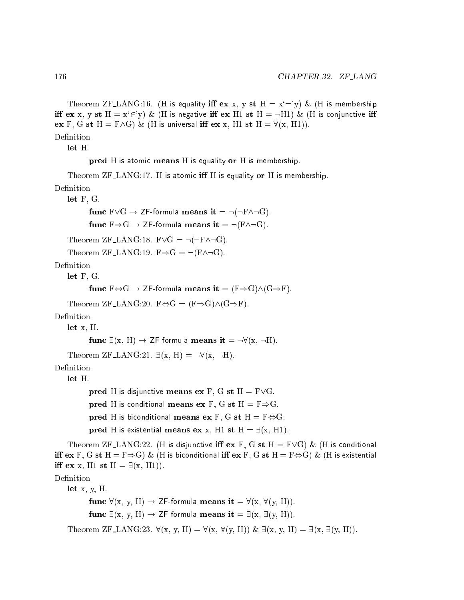Theorem ZF\_LANG:16. (H is equality iff ex x, y st  $H = x^2 = y$ ) & (H is membership iff ex x, y st  $H = x \in y$ ) & (H is negative iff ex H1 st  $H = -H1$ ) & (H is conjunctive iff ex F, G st H = F $\wedge$ G) & (H is universal iff ex x, H1 st H =  $\forall$ (x, H1)). Definition

let H.

pred H is atomic means H is equality or H is membership.

Theorem ZF\_LANG:17. H is atomic iff H is equality or H is membership.

Definition

let F, G.

fun F\_G ! ZF-formula means it = :(:F^:G). fun F)G ! ZF-formula means it = :(F^:G).

Theorem ZF\_LANG:18.  $F\vee G = \neg(\neg F\wedge\neg G)$ .

```
Theorem ZF_LANG:19. F \Rightarrow G = \neg(F \land \neg G).
```
Definition

let F, G.

```
func F \Leftrightarrow G \to ZF-formula means it = (F \Rightarrow G) \wedge (G \Rightarrow F).
```
Theorem ZF LANG:20.  $F \Leftrightarrow G = (F \Rightarrow G) \wedge (G \Rightarrow F)$ .

Definition

let x, H.

```
func \exists (x, H) \rightarrow ZF-formula means it = \neg \forall (x, \neg H).
```

```
Theorem ZF LANG:21. \exists (x, H) = \neg \forall (x, \neg H).
```
Definition

let H.

pred H is disjunctive means ex F, G st  $H = F\vee G$ . pred H is conditional means ex F, G st  $H = F \Rightarrow G$ . pred H is biconditional means ex F, G st H =  $F \Leftrightarrow G$ . pred H is existential means ex x, H1 st H =  $\exists$ (x, H1).

Theorem ZF\_LANG:22. (H is disjunctive iff ex F, G st H = F $\vee$ G) & (H is conditional iff  $ex F$ , G st  $H = F \Rightarrow G$ ) & (H is biconditional iff  $ex F$ , G st  $H = F \Leftrightarrow G$ ) & (H is existential iff ex x, H1 st H =  $\exists$ (x, H1)).

Definition

let  $x, y, H$ . func  $\forall$ (x, y, H)  $\rightarrow$  ZF-formula means it =  $\forall$ (x,  $\forall$ (y, H)). func  $\exists$ (x, y, H)  $\rightarrow$  ZF-formula means it =  $\exists$ (x,  $\exists$ (y, H)).

Theorem ZF LANG:23.  $\forall (x, y, H) = \forall (x, \forall (y, H)) \& \exists (x, y, H) = \exists (x, \exists (y, H)).$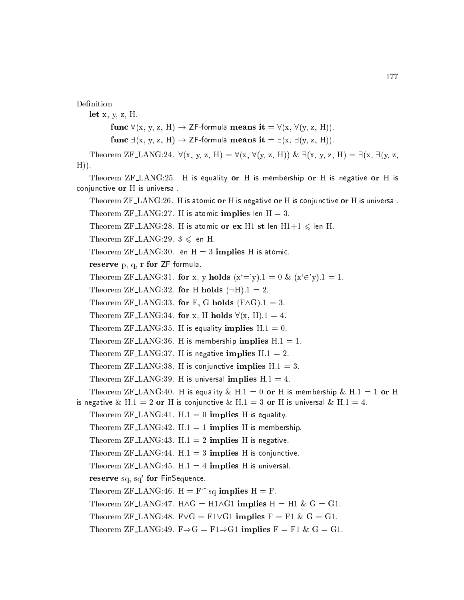Definition let  $x, y, z, H$ . func  $\forall$ (x, y, z, H)  $\rightarrow$  ZF-formula means it =  $\forall$ (x,  $\forall$ (y, z, H)). func  $\exists (x, y, z, H) \rightarrow ZF$ -formula means it =  $\exists (x, \exists (y, z, H))$ . Theorem ZF LANG:24.  $\forall (x, y, z, H) = \forall (x, \forall (y, z, H)) \& \exists (x, y, z, H) = \exists (x, \exists (y, z,$  $H$ )). Theorem ZF LANG:25. H is equality or H is membership or H is negative or H is conjunctive or H is universal. Theorem ZF\_LANG:26. H is atomic or H is negative or H is conjunctive or H is universal. Theorem ZF LANG:27. H is atomic implies len  $H = 3$ . Theorem ZF LANG:28. H is atomic or ex H1 st len H1+1  $\leq$  len H. Theorem ZF\_LANG:29.  $3 \leq \text{len H}$ . Theorem ZF $\text{LANG:30}$ . len H = 3 implies H is atomic. reserve p, q, r for ZF-formula. Theorem ZF LANG:31. for x, y holds  $(x'=y)$ .1 = 0 &  $(x'\in y)$ .1 = 1. Theorem ZF\_LANG:32. for H holds  $(-H).1 = 2$ . Theorem ZF LANG:33. for F, G holds  $(F \wedge G).1 = 3$ . Theorem ZF LANG:34. for x, H holds  $\forall$ (x, H).1 = 4. Theorem ZF LANG:35. H is equality implies  $H.1 = 0$ . Theorem ZF\_LANG:36. H is membership implies  $H.1 = 1$ . Theorem ZF LANG:37. H is negative implies  $H.1 = 2$ . Theorem ZF LANG:38. H is conjunctive implies  $H.1 = 3$ . Theorem ZF LANG:39. H is universal implies  $H.1 = 4$ . Theorem ZF\_LANG:40. H is equality & H.1 = 0 or H is membership & H.1 = 1 or H is negative & H.1 = 2 or H is conjunctive & H.1 = 3 or H is universal & H.1 = 4. Theorem ZF LANG:41.  $H.1 = 0$  implies H is equality. Theorem ZF LANG:42.  $H.1 = 1$  implies H is membership. Theorem ZF LANG:43.  $H.1 = 2$  implies H is negative. Theorem ZF\_LANG:44.  $H.1 = 3$  implies H is conjunctive. Theorem ZF LANG: 45.  $H.1 = 4$  implies H is universal. reserve sq. sq\_tor rinSequence. Theorem ZF\_LANG:46.  $H = F^{\frown}$ sq implies  $H = F$ . Theorem ZF LANG:47.  $H \wedge G = H1 \wedge G1$  implies  $H = H1 \& G = G1$ . Theorem ZF\_LANG:48. F $\forall G = F1 \forall G1$  implies  $F = F1 \& G = G1$ . Theorem ZF LANG:49.  $F \Rightarrow G = F1 \Rightarrow G1$  implies  $F = F1 \& G = G1$ .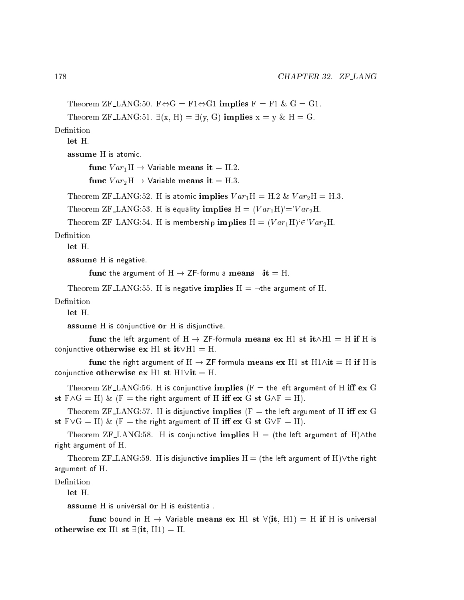```
Theorem ZF_LANG:50. F \Leftrightarrow G = F1 \Leftrightarrow G1 implies F = F1 \& G = G1.
```

```
Theorem ZF_LANG:51. \exists (x, H) = \exists (y, G) implies x = y \& H = G.
```
Definition

 $let H$ 

assume H is atomi
.

func  $Var_1H \rightarrow$  Variable means it = H.2.

func  $Var_2H \rightarrow$  Variable means it = H.3.

Theorem ZF LANG:52. H is atomic implies  $Var_1H = H.2 \& Var_2H = H.3$ .

Theorem ZF LANG:53. H is equality implies  $H = (Var<sub>1</sub>H)<sup>2</sup>=Var<sub>2</sub>H$ .

Theorem ZF LANG:54. H is membership implies  $H = (Var<sub>1</sub>H)<sup>2</sup> \in Var<sub>2</sub>H$ .

Definition

let H.

assume H is negative.

```
func the argument of H \rightarrow ZF-formula means \negit = H.
```
Theorem ZF LANG:55. H is negative implies  $H = \neg$ the argument of H.

Definition

assume H is conjunctive or H is disjunctive.

func the left argument of  $H \to ZF$ -formula means ex H1 st it $\wedge H1 = H$  if H is conjunctive otherwise ex H1 st it  $VH1 = H$ .

func the right argument of H  $\rightarrow$  ZF-formula means ex H1 st H1 $\wedge$ it = H if H is conjunctive otherwise ex H1 st  $H1$  vit = H.

Theorem ZF\_LANG:56. H is conjunctive implies (F = the left argument of H iff ex G st  $F \wedge G = H$ ) & (F = the right argument of H iff  $ex G$  st  $G \wedge F = H$ ).

Theorem ZF\_LANG:57. H is disjunctive implies ( $F =$  the left argument of H iff ex G st  $F \vee G = H$ ) & (F = the right argument of H iff  $ex G$  st  $G \vee F = H$ ).

Theorem ZF\_LANG:58. H is conjunctive implies  $H = (the left argument of H)/the$ right argument of H.

Theorem ZF\_LANG:59. H is disjunctive implies  $H =$  (the left argument of H) $\vee$ the right argument of H.

Definition

 $let H.$ 

assume H is universal or H is existential.

func bound in H  $\rightarrow$  Variable means ex H1 st  $\forall$ (it, H1) = H if H is universal otherwise ex H1 st  $\exists$ (it, H1) = H.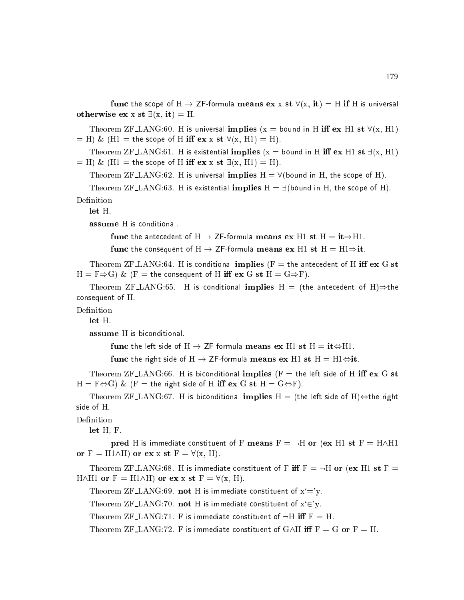func the scope of H  $\rightarrow$  ZF-formula means ex x st  $\forall$ (x, it) = H if H is universal otherwise ex x st  $\exists (x, it) = H$ .

Theorem ZF LANG:60. H is universal implies (x = bound in H iff ex H1 st  $\forall$ (x, H1)  $=$  H) & (H1 = the scope of H iff ex x st  $\forall$ (x, H1) = H).

Theorem ZF LANG:61. H is existential implies (x = bound in H iff ex H1 st  $\exists$ (x, H1)  $=$  H) & (H1 = the scope of H iff  $ex x st J(x, H1) = H$ ).

Theorem ZF LANG:62. H is universal implies  $H = \forall$  (bound in H, the scope of H).

Theorem ZF LANG:63. H is existential implies  $H = \exists$  (bound in H, the scope of H). Definition

let H.

assume H is conditional.

func the antecedent of  $H \to ZF$ -formula means ex H1 st  $H = it \Rightarrow H1$ .

func the consequent of  $H \to ZF$ -formula means ex H1 st  $H = H1 \Rightarrow it$ .

Theorem ZF\_LANG:64. H is conditional implies ( $F =$  the antecedent of H iff ex G st  $H = F \Rightarrow G$ ) & (F = the consequent of H iff ex G st  $H = G \Rightarrow F$ ).

Theorem ZF\_LANG:65. H is conditional implies H = (the antecedent of H) $\Rightarrow$ the onsequent of H.

Definition

let H.

assume H is biconditional.

func the left side of H  $\rightarrow$  ZF-formula means ex H1 st H = it $\Leftrightarrow$ H1.

func the right side of  $H \to ZF$ -formula means ex H1 st  $H = H1 \Leftrightarrow it$ .

Theorem ZF\_LANG:66. H is biconditional implies ( $F =$  the left side of H iff ex G st  $H = F \Leftrightarrow G$ ) & (F = the right side of H iff ex G st  $H = G \Leftrightarrow F$ ).

Theorem ZF\_LANG:67. H is biconditional implies  $H =$  (the left side of H) $\Leftrightarrow$ the right side of H.

Definition

let H, F.

pred H is immediate constituent of F means  $F = \neg H$  or (ex H1 st  $F = H \wedge H1$ or  $F = H1\wedge H$ ) or ex x st  $F = \forall (x, H)$ .

Theorem ZF LANG:68. H is immediate constituent of F iff  $F = -H$  or (ex H1 st  $F =$ H $\wedge$ H1 or F = H1 $\wedge$ H) or ex x st F =  $\forall$ (x, H).

Theorem ZF LANG:69. not H is immediate constituent of  $x'=y$ .

Theorem ZF LANG:70. not H is immediate constituent of  $x \in y$ .

Theorem ZF\_LANG:71. F is immediate constituent of  $\neg H$  iff  $F = H$ .

Theorem ZF LANG:72. F is immediate constituent of  $G\wedge H$  iff  $F = G$  or  $F = H$ .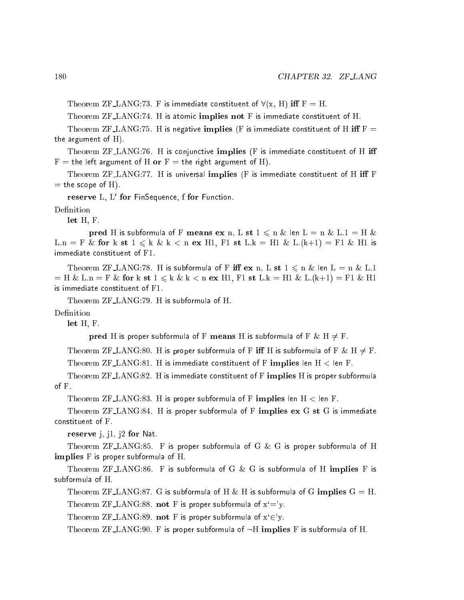Theorem ZF LANG:73. F is immediate constituent of  $\forall (x, H)$  iff  $F = H$ .

Theorem ZF\_LANG:74. H is atomic implies not F is immediate constituent of H.

Theorem ZF\_LANG:75. H is negative implies (F is immediate constituent of H iff  $F =$ the argument of  $H$ ).

Theorem  $ZF\_\_\_\_\_\$ Theorem  $ZF\_\_\_\_\_\$ Theorem  $SF$  is immediate constituent of H iff  $F =$  the left argument of H or  $F =$  the right argument of H).

Theorem ZF\_LANG:77. H is universal implies ( $F$  is immediate constituent of H iff  $F$  $=$  the scope of H).

 ${\bf r}$ ese ${\bf r}$ ve  ${\bf L},\ {\bf L}$  for FinSequence, i for Function.

let H, F.

pred H is subformula of F means ex n, L st  $1 \leq n \&$  len  $L = n \& L.1 = H \&$ L.n = F & for k st  $1 \leq k$  & k  $\leq n$  ex H1, F1 st L.k = H1 & L.(k+1) = F1 & H1 is immediate onstituent of F1.

Theorem ZF LANG:78. H is subformula of F iff  $ex$  n, L  $st$  1  $\leqslant$  n  $\&$  len L = n  $\&$  L.1  $=$  H & L.n  $=$  F & for k st 1  $\leqslant$  k & k  $\lt$  n ex H1, F1 st L.k  $=$  H1 & L.(k+1)  $=$  F1 & H1 is immediate onstituent of F1.

Theorem ZF LANG:79. <sup>H</sup> is subformula of H.

Definition

let H, F.

pred H is proper subformula of F means H is subformula of F & H  $\neq$  F.

Theorem ZF LANG:80. H is proper subformula of F iff H is subformula of F & H  $\neq$  F. Theorem  ${\rm ZF\_LANG:81.}$  H is immediate constituent of F implies len H  $<$  len F.

Theorem ZF\_LANG:82. H is immediate constituent of F implies H is proper subformula of F.

Theorem  $ZFLANG:83$ . H is proper subformula of F implies len  $H <$  len F.

Theorem ZF LANG:84. H is proper subformula of F implies ex G st G is immediate constituent of F.

reserve j, j1, j2 for Nat.

Theorem ZF LANG:85. F is proper subformula of G & G is proper subformula of H implies F is proper subformula of H.

Theorem ZF $\text{LANG:86.}$  F is subformula of G & G is subformula of H implies F is subformula of H.

Theorem ZF\_LANG:87. G is subformula of H & H is subformula of G implies  $G = H$ . Theorem ZF LANG:88. not F is proper subformula of  $x'=y$ .

Theorem ZF\_LANG:89. not F is proper subformula of  $x \in Y$ .

Theorem ZF LANG: 90. F is proper subformula of  $\neg H$  implies F is subformula of H.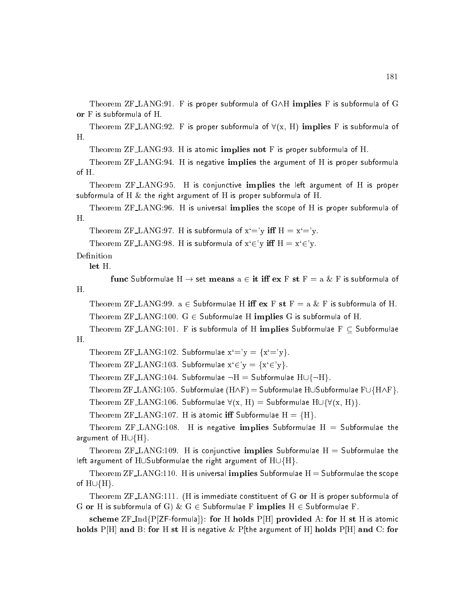Theorem  $ZF\_LANG:91$ . F is proper subformula of  $G\wedge H$  implies F is subformula of G or F is subformula of H.

Theorem ZF LANG:92. F is proper subformula of  $\forall (x, H)$  implies F is subformula of H.

Theorem ZF LANG:93. H is atomic implies not F is proper subformula of H.

Theorem ZF LANG:94. <sup>H</sup> is negative implies the argument of <sup>H</sup> is proper subformula of H.

Theorem ZF\_LANG:95. H is conjunctive implies the left argument of H is proper subformula of H  $\&$  the right argument of H is proper subformula of H.

Theorem ZF LANG:96. H is universal implies the s
ope of H is proper subformula of H.

Theorem ZF LANG:97. H is subformula of  $x'=y$  iff  $H = x'=y$ .

Theorem ZF LANG:98. H is subformula of  $x \in y$  iff  $H = x \in y$ .

Definition

let H.

func Subformulae  $H \rightarrow$  set means  $a \in \text{it iff } \text{ex } F \text{ st } F = a \& F$  is subformula of

Theorem ZF LANG: 99.  $a \in$  Subformulae H iff  $ex F st F = a \& F$  is subformula of H. Theorem  $ZF\_LANG:100.$  G  $\in$  Subformulae H implies G is subformula of H.

Theorem ZF\_LANG:101. F is subformula of H implies Subformulae  $F \subset$  Subformulae Η.

Theorem ZF\_LANG:102. Subformulae  $x'=y = {x'=y}$ .

Theorem ZF LANG:103. Subformulae  $x \in y = \{x \in y\}$ .

Theorem ZF\_LANG:104. Subformulae  $\neg H =$  Subformulae  $H \cup \{\neg H\}.$ 

Theorem ZF\_LANG:105. Subformulae ( $H\wedge F$ ) = Subformulae HUSubformulae FU{H $\wedge$ F}.

Theorem ZF LANG:106. Subformulae  $\forall$ (x, H) = Subformulae H $\cup$ { $\forall$ (x, H)}.

Theorem ZF LANG:107. H is atomic iff Subformulae  $H = {H}$ .

Theorem  $ZF\_\_\_\_\_\$  IS negative implies Subformulae H = Subformulae the argument of  $H \cup \{H\}$ .

Theorem  $ZF\_\_\_\_\_\$ :109. H is conjunctive implies Subformulae H = Subformulae the left argument of HUSubformulae the right argument of  $H \cup \{H\}$ .

Theorem  $ZF\_LANG:110$ . H is universal implies Subformulae  $H =$  Subformulae the scope of  $H \cup \{H\}$ .

Theorem ZF LANG:111. (H is immediate onstituent of <sup>G</sup> or <sup>H</sup> is proper subformula of G or H is subformula of G)  $\&$  G  $\in$  Subformulae F implies H  $\in$  Subformulae F.

scheme  $\text{ZF}\_$ Ind $\{P[\text{ZF}\_$ formula $]$ : for H holds  $P[H]$  provided A: for H st H is atomic holds P[H] and B: for H st H is negative  $\&$  P[the argument of H] holds P[H] and C: for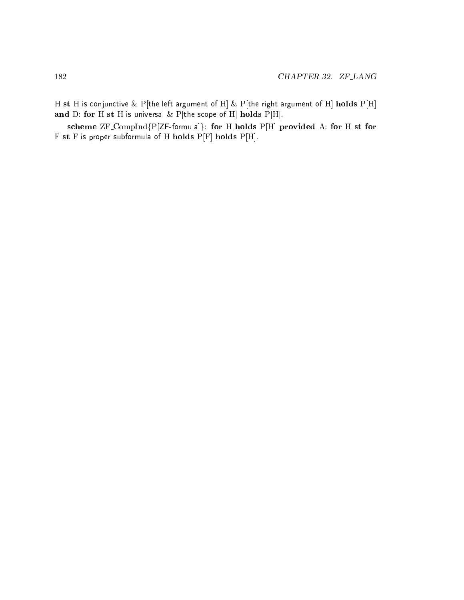H st H is conjunctive  $\&$  P[the left argument of H]  $\&$  P[the right argument of H] holds P[H] and D: for H st H is universal  $\&$  P[the scope of H] holds P[H].

scheme ZF\_CompInd{P[ZF-formula]}: for H holds P[H] provided A: for H st for  $F$  st  $F$  is proper subformula of  $H$  holds  $P[F]$  holds  $P[H]$ .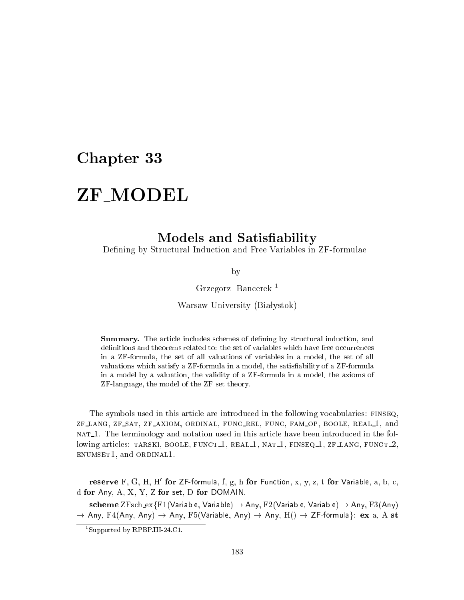## Chapter 33

## ZF MODEL

## Models and Satisfiability

Defining by Structural Induction and Free Variables in ZF-formulae

by

Grzegorz Ban
erek <sup>1</sup>

Warsaw University (Białystok)

**Summary.** The article includes schemes of defining by structural induction, and definitions and theorems related to: the set of variables which have free occurrences in a ZF-formula, the set of all valuations of variables in a model, the set of all valuations which satisfy a ZF-formula in a model, the satisfiability of a ZF-formula in a model by a valuation, the validity of a ZF-formula in a model, the axioms of ZF-language, the model of the ZF set theory.

The symbols used in this article are introduced in the following vocabularies: FINSEQ, zf lang, zf sat, zf axiom, ordinal, fun rel, fun
, fam op, boole, real 1, and nat 1. The terminology and notation used in this arti
le have been introdu
ed in the following articles: TARSKI, BOOLE, FUNCT<sub>1</sub>, REAL<sub>1</sub>, NAT<sub>1</sub>, FINSEQ<sub>1</sub>, ZF<sub>LANG</sub>, FUNCT<sub>1</sub>, enumset1, and ordinal1.

 ${\bf r}$ ese ${\bf r}$ ve  ${\bf r}$ , G, H, H $\,$  for  $\,$ z $\,$ -formula, I, g, n fo ${\bf r}$  Function, x, y, z, t fo ${\bf r}$  variable, a, b, c,  $\,$ d for Any, A, X, Y, Z for set, D for DOMAIN.

scheme  $ZFsch\_ex\{F1(Variable, Variable) \rightarrow Any, F2(Variable, Variable) \rightarrow Any, F3(Any)$ ! Any, F4(Any, Any) ! Any, F5(Variable, Any) ! Any, H() ! ZF-formulag: ex a, A st

<sup>1</sup> Supported by RPBP.III-24.C1.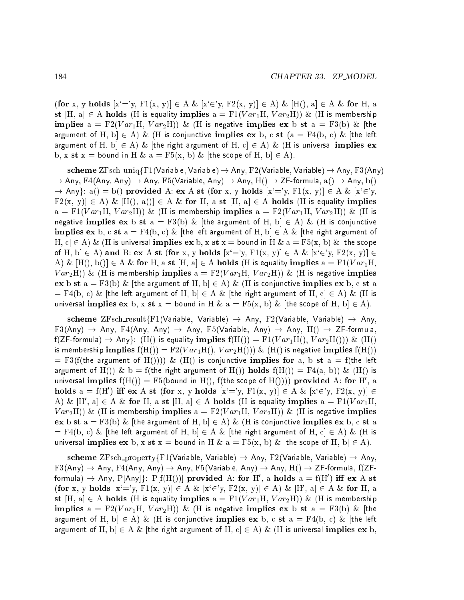(for x, y holds  $[x'=y, F1(x, y)] \in A \& [x'\in y, F2(x, y)] \in A$ )  $\& [H()$ , a $] \in A \&$  for H, a st [H, a]  $\in$  A holds (H is equality implies  $a = F1(Var_1H, Var_2H)$ ) & (H is membership implies  $a = F2(Var_1H, Var_2H)$  & (H is negative implies ex b st  $a = F3(b)$  & [the argument of H, b $\in$  A) & (H is conjunctive implies ex b, c st (a = F4(b, c) & [the left argument of H,  $b \in A$ ) & [the right argument of H,  $c \in A$ ) & (H is universal implies ex b, x st x = bound in H & a = F5(x, b) & [the scope of H, b]  $\in$  A).

scheme ZFsch\_uniq{F1(Variable, Variable)  $\rightarrow$  Any, F2(Variable, Variable)  $\rightarrow$  Any, F3(Any) ! Any, F4(Any, Any) ! Any, F5(Variable, Any) ! Any, H() ! ZF-formula, a() ! Any, b()  $\rightarrow$  Any}: a() = b() provided A: ex A st (for x, y holds  $[x' = 'y, F1(x, y)] \in A \& [x' \in 'y,$  $F2(x, y) \in A$ ) &  $[H(1), a(1)] \in A$  & for H, a st  $[H, a] \in A$  holds (H is equality implies  $a = F1(Var<sub>1</sub>H, Var<sub>2</sub>H))$  & (H is membership implies  $a = F2(Var<sub>1</sub>H, Var<sub>2</sub>H))$  & (H is negative implies ex b st  $a = F3(b) \&$  [the argument of H, b]  $\in$  A)  $\&$  (H is conjunctive implies ex b, c st  $a = F4(b, c)$  & [the left argument of H, b]  $\in A$  & [the right argument of H, c $\in A$ ) & (H is universal implies  ${\bf ex}$  b, x st x = bound in H & a = F5(x, b) & [the scope of H, b $\in A$ ) and B: ex A st (for x, y holds  $[x'=y, F1(x, y)] \in A \& [x'\in y, F2(x, y)] \in A$ A) &  $[H(), b()] \in A \&$  for H, a st  $[H, a] \in A$  holds (H is equality implies  $a = F1(Var_1H, a)$  $Var_2H)$ ) & (H is membership implies  $a = F2(Var_1H, Var_2H)$ ) & (H is negative implies ex b st  $a = F3(b) \&$  [the argument of H, b]  $\in A$ )  $\&$  (H is conjunctive implies ex b, c st a  $=$  F4(b, c) & [the left argument of H, b]  $\in$  A & [the right argument of H, c]  $\in$  A) & (H is universal implies  $extbf{ex}$  b,  $extbf{x}$  = bound in H &  $a = F5(\textbf{x}, b)$  & [the scope of H, b]  $\in$  A).

scheme ZFsch\_result{F1(Variable, Variable)  $\rightarrow$  Any, F2(Variable, Variable)  $\rightarrow$  Any,  $F3(Any) \rightarrow Any$ ,  $F4(Any)$ , Any)  $\rightarrow Any$ ,  $F5(Variable, Any)$   $\rightarrow Any$ ,  $H()$   $\rightarrow ZF-formula$ ,  $f(ZF-formula) \rightarrow Any$ : (H() is equality implies  $f(H()) = F1(Var<sub>1</sub>H(), Var<sub>2</sub>H())$ ) & (H() is membership implies  $f(H()) = F2(Var_1H(), Var_2H())$  &  $(H()$  is negative implies  $f(H())$  $=$  F3(f(the argument of H()))) & (H() is conjunctive implies for a, b st a = f(the left argument of H()) & b = f(the right argument of H()) holds  $f(H()) = F4(a, b)$ ) & (H() is universal implies  $\rm H(H)) = F\vartheta($ pound in H(), I(the scope of H()))) provided A: for H ,  $\rm a$ holds  $a = f(H')$  iff ex A st (for x, y holds  $[x' = y, F1(x, y)] \in A \& [x' \in y, F2(x, y)] \in A$ A) &  $[n, a] \in A$  & for  $n, a$  st  $[n, a] \in A$  holds (h is equality implies  $a = r_1(r a r_1 n, a)$  $Var_2H)$ ) & (H is membership implies  $a = F2(Var_1H, Var_2H)$ ) & (H is negative implies ex b st  $a = F3(b)$  & [the argument of H, b]  $\in$  A) & (H is conjunctive implies ex b, c st a  $\mathcal{L} = \mathrm{F4(b, c)}$  & [the left argument of H, b]  $\in$  A & [the right argument of H, c]  $\in$  A) & (H is universal implies  $ex$  b, x st  $x =$  bound in H &  $a = F5(x, b)$  & [the scope of H, b]  $\in$  A).

scheme ZFsch\_property{F1(Variable, Variable)  $\rightarrow$  Any, F2(Variable, Variable)  $\rightarrow$  Any,  $F3(Any) \rightarrow Any, F4(Any, Any) \rightarrow Any, F5(Variable, Any) \rightarrow Any, H() \rightarrow ZF-formula, f(ZF-I)$ formula)  $\rightarrow$  Any, P[Any]): P[I(H())] provided A: for H , a holds a =  $\lfloor$ [H ) in ex A st (for x, y holds  $[x' = y, F1(x, y)] \in A \& [x' \in y, F2(x, y)] \in A$ )  $\& [H', a] \in A \&$  for H, a st  $[H, a] \in A$  holds (H is equality implies  $a = F1(Var_1H, Var_2H))$  & (H is membership implies  $a = F2(Var_1H, Var_2H)$  & (H is negative implies ex b st  $a = F3(b)$  & [the argument of H, b $\in$  A) & (H is conjunctive implies ex b, c st a = F4(b, c) & [the left argument of H,  $b \in A \&$  [the right argument of H,  $c \in A$ )  $\&$  (H is universal implies ex b,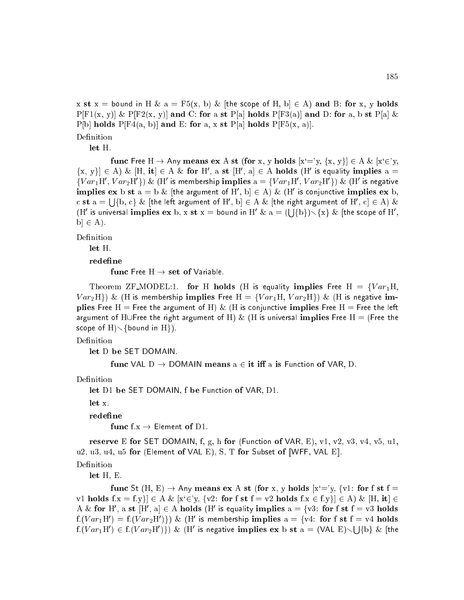x st x = bound in H & a = F5(x, b) & [the scope of H, b]  $\in$  A) and B: for x, y holds  $P[F1(x, y)]$  &  $P[F2(x, y)]$  and C: for a st P[a] holds  $P[F3(a)]$  and D: for a, b st P[a] & P[b] holds P[F4(a, b)] and E: for a, x st P[a] holds P[F5(x, a)]. Definition

let H.

func Free H  $\rightarrow$  Any means ex A st (for x, y holds  $[x'=y, \{x, y\}] \in A \& [x'\in y,$  $\{X, Y\} \in A$ ) &  $\Pi$ , it  $\in A$  & for  $\Pi$  , a st  $\Pi$  , a  $\in A$  holds  $\Pi$  is equality implies a  $\equiv$  $\{V \, ar_1 \, \text{in} \, , \, V \, ar_2 \, \text{in} \}$  (K)  $\propto$  (H) is membership implies  $a = \{V \, ar_1 \, \text{in} \, , \, V \, ar_2 \, \text{in} \, \}$  (K) is negative implies ex b st  $a = b \propto$  [the argument of H , b]  $\in$  A)  $\propto$  (H  $\,$  is conjunctive implies ex b, <sup>S</sup> fb, <sup>g</sup> & [the left argument of H<sup>0</sup> , b℄ <sup>2</sup> A & [the right argument of H<sup>0</sup> , ℄ <sup>2</sup> A) & (H' is universal implies  ${\bf ex}$  b,  ${\bf x}$  st  ${\bf x} =$  bound in H'  $\&$   ${\bf a} = (\lfloor \ {\bf \{\bf b} \ \!\} \ \rangle \diagdown \ {\bf x} \,$  (the scope of H',  $b \in A$ ).

Definition

let H.

redefine

func Free  $H \rightarrow$  set of Variable.

Theorem ZF\_MODEL:1. for H holds (H is equality implies Free H =  $\{Var_1H,$  $Var_2H\})$  & (H is membership implies Free  $H = \{Var_1H, Var_2H\})$  & (H is negative implies Free H = Free the argument of H) & (H is conjunctive implies Free H = Free the left argument of HUFree the right argument of H) & (H is universal implies Free H = (Free the scope of  $H$ ) $\setminus$ {bound in  $H$ }).

Definition

let D be SET DOMAIN.

func VAL  $D \rightarrow$  DOMAIN means  $a \in \text{it iff } a$  is Function of VAR, D.

Definition

let D1 be SET DOMAIN, f be Function of VAR, D1.

let x.

redefine

func f.x  $\rightarrow$  Element of D1.

reserve E for SET DOMAIN, f, g, h for (Function of VAR, E), v1, v2, v3, v4, v5, u1, u2, u3, u4, u5 for (Element of VAL E), S, T for Subset of  $[WFF, VAL E]$ .

Definition

let H, E.

func St (H, E)  $\rightarrow$  Any means ex A st (for x, y holds  $x^2 = y$ ,  $\{y\}$ : for f st f v1 holds  $f:x = f:y$ }  $\in A \& [x \in y, \{v_2\colon \text{for } f \text{ st } f = v_2 \text{ holds } f.x \in f.y\}] \in A) \& [H, it] \in A$ A  $\alpha$  for  $\pi$  , a st  $\pi$  , at  $\in$  A noids (H is equality implies a  $=$   $\gamma$ v3: for f st f  $=$  v3 noids I. (V  $ar_1$  H ) = I. (V  $ar_2$  H )  $\uparrow$  ) & (H ) is membership implies a = {v4: for f st f = v4 holds  $f:V \text{ or } T_1\Box \rightarrow E:V \text{ or } T_2\Box \rightarrow V \text{ or } T_3\Box$  is negative implies ex b st a = (VAL  $\Box/\Diamond$ s a  $f \circ f$  is  $f \circ f$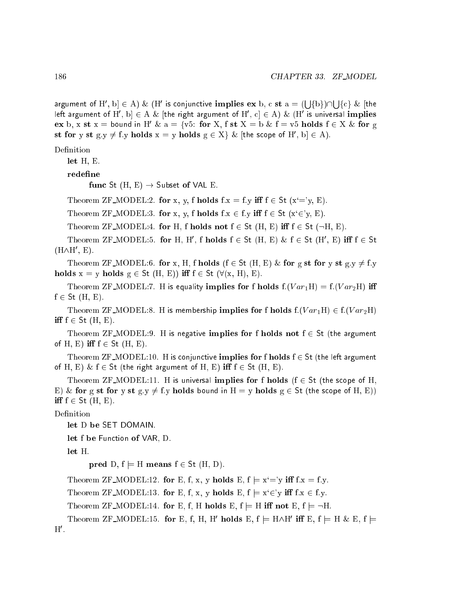argument of  $\Pi$  ,  $b \mid \in A$ )  $\&$  ( $\Pi$  is conjunctive implies ex b, c st  $a = 0$ s and the second state of the second state of the second state of the second state of the second state of the second state in the second state in the second state in the second state in the second state in the second state  $\blacksquare$ s and the second state of the second state of the second state of the second state of the second state of the second state in the second state in the second state in the second state in the second state in the second state  $\blacksquare$  .  $\blacksquare$  .  $\blacksquare$ left argument of H , D|  $\in$  A  $\alpha$  [the right argument of H , C|  $\in$  A )  $\alpha$  (H  $\,$  is universal implies ex b, x st x = bound in H' & a = {v5: for X, f st X = b & f = v5 holds  $f \in X$  & for g St for y st  $g, y \neq 1$ , y no lots  $x = y$  no lots  $g \in X \setminus \mathcal{X}$  [the scope of  $H$  ,  $D \mid \in A$ ].

### Definition

let H, E.

redefine

func St  $(H, E) \rightarrow$  Subset of VAL E.

Theorem ZF\_MODEL:2. for x, y, f holds  $f.x = f.y$  iff  $f \in St$   $(x'=y, E)$ .

Theorem ZF\_MODEL:3. for x, y, f holds  $f:x \in f:y$  iff  $f \in St$   $(x \in y, E)$ .

Theorem ZF\_MODEL:4. for H, f holds not  $f \in St$  (H, E) iff  $f \in St$  ( $\neg H$ , E).

I neorem  $\Delta$ F  $\sqcup$ MODEL:5. for H, H, I holds  $I \in \mathcal{S}$ t (H, E) &  $I \in \mathcal{S}$ t (H, E) in  $I \in \mathcal{S}$ t  $\left(\left.\Pi\right/\right)\Pi$  ,  $\left.\Pi\right\rangle$ .

Theorem ZF\_MODEL:6. for x, H, f holds (f  $\in$  St (H, E) & for g st for y st g:y  $\neq$  f:y holds  $x = y$  holds  $g \in St (H, E)$  iff  $f \in St (\forall (x, H), E)$ .

Theorem ZF\_MODEL:7. H is equality implies for f holds  $f.(Var<sub>1</sub>H) = f.(Var<sub>2</sub>H)$  iff  $f \in St$  (H, E).

Theorem ZF\_MODEL:8. H is membership implies for f holds  $f:(Var<sub>1</sub>H) \in f:(Var<sub>2</sub>H)$ iff  $f \in$  St  $(H, E)$ .

Theorem ZF\_MODEL:9. H is negative implies for f holds not  $f \in St$  (the argument of H, E) iff  $f \in$  St (H, E).

Theorem ZF\_MODEL:10. H is conjunctive implies for f holds  $f \in$  St (the left argument of H, E)  $\&$  f  $\in$  St (the right argument of H, E) iff  $f \in$  St (H, E).

Theorem ZF\_MODEL:11. H is universal implies for f holds ( $f \in St$  (the scope of H, E) & for g st for y st  $g.y \neq f.y$  holds bound in  $H = y$  holds  $g \in St$  (the scope of H, E)) iff  $f \in$  St  $(H, E)$ .

Definition

let D be SET DOMAIN.

let f be Function of VAR, D.

let H.

pred D,  $f \models H$  means  $f \in St$  (H, D).

Theorem ZF\_MODEL:12. for E, f, x, y holds E,  $f \models x' = y$  iff  $f.x = f.y$ .

Theorem ZF\_MODEL:13. for E, f, x, y holds E,  $f \models x \in Y$  iff  $f.x \in f.y$ .

Theorem ZF\_MODEL:14. for E, f, H holds E,  $f \models H$  iff not E,  $f \models \neg H$ .

I neorem LF  $\text{MODEL:13.}$  for E, I, H, H noigs E,  $\text{I} \models \text{H}\wedge\text{H}$  in E,  $\text{I} \models \text{H} \otimes \text{E}$ ,  $\text{I} \models$ п.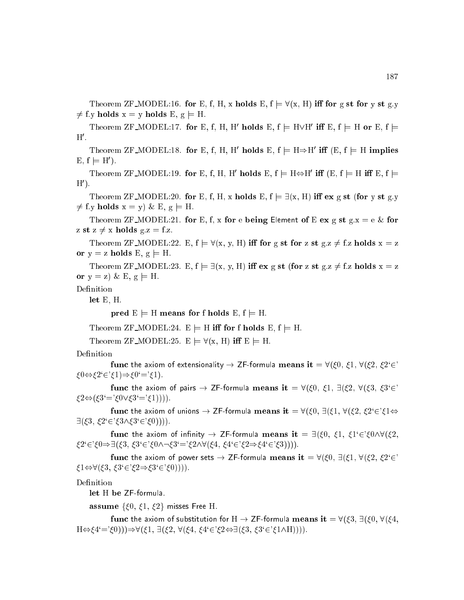Theorem ZF\_MODEL:16. for E, f, H, x holds E,  $f = \forall (x, H)$  iff for g st for y st g.y  $\neq$  f.y holds  $x = y$  holds E,  $g \models H$ .

I Heorem  $\Delta$ F IMODEL:17. for E, I, H, H, H HORGS E,  $i \models H \vee H$  in E,  $i \models H$  or E,  $i \models$ п.

I neorem  $\Delta$ F MODEL:18. for E, I, H, H noigs E,  $\mathbf{I} \models \mathbf{H} \Rightarrow \mathbf{H}$  in  $\mathbf{E}$ ,  $\mathbf{I} \models \mathbf{H}$  implies  $E, I \models H$  ).

I neorem LF  $M$ ODEL:19. for E, I, H, H not as E,  $I \models H \Leftrightarrow H$  in  $E, I \models H$  in E,  $I \models$ п ,.

Theorem ZF\_MODEL:20. for E, f, H, x holds E,  $f = \exists (x, H)$  iff ex g st (for y st g.y  $\neq$  f.y holds  $x = y$ ) & E,  $g \models H$ .

Theorem ZF\_MODEL:21. for E, f, x for e being Element of E ex g st g.x = e & for z st  $z \neq x$  holds g.z = f.z.

Theorem ZF\_MODEL:22. E,  $f \models \forall (x, y, H)$  iff for g st for z st g.z  $\neq f$ .z holds  $x = z$ or  $y = z$  holds E,  $g \models H$ .

Theorem ZF\_MODEL:23. E,  $f \models \exists (x, y, H)$  iff ex g st (for z st g.z  $\neq$  f.z holds  $x = z$ or  $y = z$ ) & E,  $g \models H$ .

Definition

let E, H.

pred  $E \models H$  means for f holds  $E, f \models H$ .

Theorem ZF\_MODEL:24.  $E \models H$  iff for f holds E, f  $\models H$ .

Theorem ZF\_MODEL:25.  $E \models \forall (x, H)$  iff  $E \models H$ .

Definition

func the axiom of extensionality  $\rightarrow$  ZF-formula means it =  $\forall (\xi 0, \xi 1, \forall (\xi 2, \xi 2 \in \xi)$  $\xi 0 \Leftrightarrow \xi 2 \in \xi 1$ ) $\Rightarrow \xi 0 = \xi 1$ .

func the axiom of pairs  $\rightarrow$  ZF-formula means it =  $\forall (\xi 0, \xi 1, \exists (\xi 2, \forall (\xi 3, \xi 3 \in \xi 3)))$  $\xi_2 \Leftrightarrow (\xi_3' = \xi_0 \vee \xi_3' = \xi_1))).$ 

func the axiom of unions  $\to ZF$ -formula means it  $= \forall (\xi 0, \exists (\xi 1, \forall (\xi 2, \xi 2 \in \xi 1 \Leftrightarrow \xi 2 \leftrightarrow \xi 2 \leftrightarrow \xi 2 \leftrightarrow \xi 2 \leftrightarrow \xi 2 \leftrightarrow \xi 2 \leftrightarrow \xi 2 \leftrightarrow \xi 2 \leftrightarrow \xi 2 \leftrightarrow \xi 2 \leftrightarrow \xi 2 \leftrightarrow \xi 2 \leftrightarrow \xi 2 \leftrightarrow \xi 2 \leftrightarrow \xi 2 \leftrightarrow \xi 2 \leftrightarrow \xi 2 \leftrightarrow \xi 2 \leftrightarrow \xi 2 \leftrightarrow \xi 2 \leftrightarrow \xi 2 \leftrightarrow \xi 2 \leftrightarrow \xi$  $\exists (\xi 3, \xi 2 \in \xi 3 \land \xi 3 \in \xi 0))).$ 

func the axiom of infinity  $\rightarrow$  ZF-formula means it =  $\exists (\xi_0, \xi_1, \xi_1) \in \xi_0 \land \forall (\xi_2, \xi_3)$  $\zeta_2^2 \in \zeta_0 \Rightarrow \exists (\zeta_3, \zeta_3 \in \zeta_0 \wedge \neg \zeta_3) = \zeta_2 \wedge \forall (\zeta_4, \zeta_4 \in \zeta_2 \Rightarrow \zeta_4 \in \zeta_3))).$ 

func the axiom of power sets  $\to Z$ F-formula means it  $= \forall (\xi 0, \exists (\xi 1, \forall (\xi 2, \xi 2 \in \xi))$  $\xi_1 \Leftrightarrow \forall (\xi_3, \xi_3 \in \xi_2 \Rightarrow \xi_3 \in \xi_0))).$ 

Definition

let H be ZF-formula.

assume  $\{\xi 0, \xi 1, \xi 2\}$  misses Free H.

func the axiom of substitution for H  $\rightarrow$  ZF-formula means it =  $\forall (\xi 3, \exists (\xi 0, \forall (\xi 4,$  $H \Leftrightarrow (4' = '0)) \Rightarrow \forall (\xi 1, \exists (\xi 2, \forall (\xi 4, \xi 4' \in ' \xi 2 \Leftrightarrow \exists (\xi 3, \xi 3' \in ' \xi 1 \wedge H))).$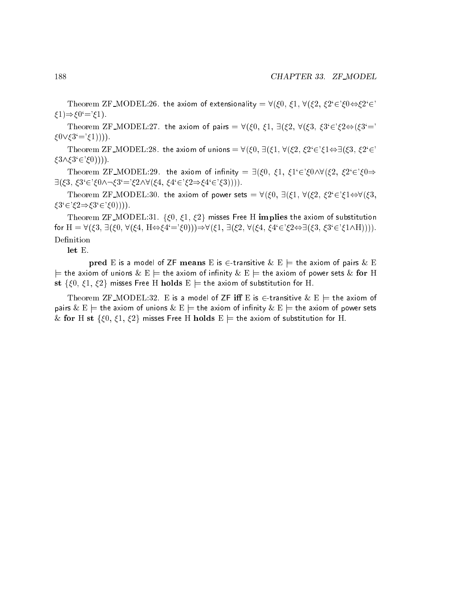Theorem ZF\_MODEL:26. the axiom of extensionality =  $\forall (\xi 0, \xi 1, \forall (\xi 2, \xi 2 \in \xi 0 \Leftrightarrow \xi 2 \in \xi)$  $\xi1) \Rightarrow \xi0' = \xi1$ .

Theorem ZF\_MODEL:27. the axiom of pairs =  $\forall (\xi 0, \xi 1, \exists (\xi 2, \forall (\xi 3, \xi 3 \in \xi 2 \Leftrightarrow (\xi 3 \in \xi 3 \rightarrow \xi 3))$  $\xi 0 \vee \xi 3' = \xi 1))$ ).

Theorem ZF\_MODEL:28. the axiom of unions =  $\forall (\xi 0, \exists (\xi 1, \forall (\xi 2, \xi 2 \in \xi 1 \Leftrightarrow \exists (\xi 3, \xi 2 \in \xi 1 \Leftrightarrow \exists \xi 3, \xi 2 \in \xi 1 \Leftrightarrow \exists \xi 3, \xi 2 \in \xi 1 \Leftrightarrow \exists \xi 3, \xi 2 \in \xi 1 \Leftrightarrow \exists (\xi 3, \xi 2 \in \xi 1 \Leftrightarrow \xi 2 \in \xi 1 \Leftrightarrow \exists (\xi 3, \xi 2 \in \xi$  $\zeta 3\wedge \zeta 3 \in \zeta(0))$ ).

Theorem ZF\_MODEL:29. the axiom of infinity  $= \exists (\xi 0, \xi 1, \xi 1 \in \xi 0 \land \forall (\xi 2, \xi 2 \in \xi 0 \Rightarrow \xi 2 \in \xi 0)$  $\exists (\xi3, \xi3 \in \xi0 \wedge \neg \xi3 = \xi2 \wedge \forall (\xi4, \xi4 \in \xi2 \Rightarrow \xi4 \in \xi3))).$ 

Theorem ZF\_MODEL:30. the axiom of power sets =  $\forall (\xi 0, \exists (\xi 1, \forall (\xi 2, \xi 2 \in \xi 1 \Leftrightarrow \forall (\xi 3,$  $\xi3' \in \xi2 \Rightarrow \xi3' \in \xi0$ ))).

Theorem ZF\_MODEL:31. { $\xi$ 0,  $\xi$ 1,  $\xi$ 2} misses Free H implies the axiom of substitution for  $H = \forall (\xi 3, \exists (\xi 0, \forall (\xi 4, H \Leftrightarrow \xi 4' = \xi 0))) \Rightarrow \forall (\xi 1, \exists (\xi 2, \forall (\xi 4, \xi 4' \in \xi 2 \Leftrightarrow \exists (\xi 3, \xi 3' \in \xi 1 \wedge H))))$ . Definition

let E.

pred E is a model of ZF means E is  $\in$  transitive  $\&$  E  $\models$  the axiom of pairs  $\&$  E  $j=$  the axiom of unions  $\&\to$   $\models$  the axiom of infinity  $\&\to$   $\models$  the axiom of power sets  $\&$  for H st  $\{\xi 0, \xi 1, \xi 2\}$  misses Free H holds  $E \models$  the axiom of substitution for H.

Theorem ZF\_MODEL:32. E is a model of ZF  ${\bf iff} \ {\bf E}$  is  $\in$ -transitive  $\& \ {\bf E} \models$  the axiom of pairs  $\&$   $\mathrm{E}\models$  the axiom of unions  $\&$   $\mathrm{E}\models$  the axiom of infinity  $\&$   $\mathrm{E}\models$  the axiom of power sets & for H st { $\xi$ 0,  $\xi$ 1,  $\xi$ 2} misses Free H holds E  $\models$  the axiom of substitution for H.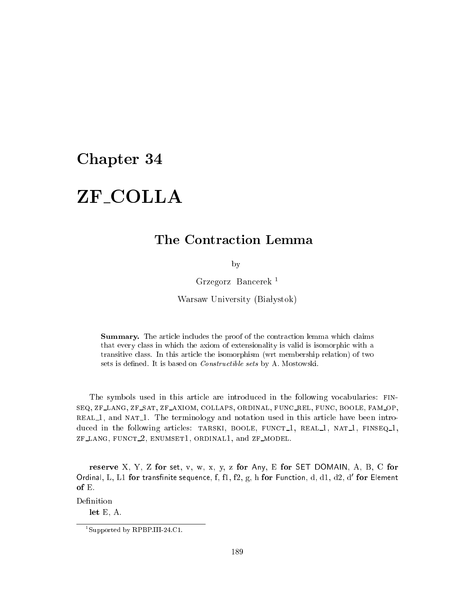## Chapter 34

### ZF\_COLLA ZF COLLA

## The Contraction Lemma

by

Grzegorz Ban
erek <sup>1</sup>

Warsaw University (Białystok)

Summary. The article includes the proof of the contraction lemma which claims that every lass in whi
h the axiom of extensionality is valid is isomorphi with a transitive lass. In this arti
le the isomorphism (wrt membership relation) of two sets is defined. It is based on *Constructible sets* by A. Mostowski.

The symbols used in this arti
le are introdu
ed in the following vo
abularies: fin-SEQ, ZF\_LANG, ZF\_SAT, ZF\_AXIOM, COLLAPS, ORDINAL, FUNC\_REL, FUNC, BOOLE, FAM\_OP, real 1, and nat 1. The terminology and notation used in this arti
le have been introduced in the following articles: TARSKI, BOOLE, FUNCT<sub>1</sub>, REAL<sub>1</sub>, NAT<sub>1</sub>, FINSEQ<sub>1</sub>, t lang, function and and zent model. The computation of the state of the computation of the computation of the

reserve X, Y, Z for set, v, w, x, y, z for Any, E for SET DOMAIN, A, B, C for Ordinal,  $L$ ,  $L1$  for transfinite sequence,  $I,$  f1,  $IZ,$   $g,$   $\bar{n}$  for Function,  $\bar{a},$   $\bar{a}1,$   $\bar{a}2,$   $\bar{a}$  for Element of E.

Definition

let E, A.

<sup>1</sup> Supported by RPBP.III-24.C1.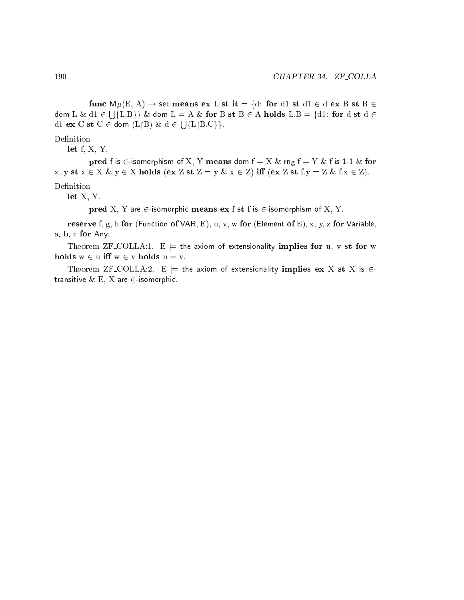func  $M\mu(E, A) \rightarrow$  set means ex L st it = {d: for d1 st d1  $\in$  d ex B st B  $\in$ dom L & dividends and the discussion of the discussion of the discussion of the discussion of the discussion o s a function and dominant  $\mathcal{L}$  are formed states  $\mathcal{L}$  . For determining  $\mathcal{L}$  and  $\mathcal{L}$  are for determining  $\mathcal{L}$ d1 ex C st C <sup>2</sup> dom (LB) & d <sup>2</sup> s and the second state of the second state of the second state of the second state of the second state of the second state in the second state in the second state in the second state in the second state in the second state  $\epsilon$ 

### Definition

let f, X, Y.

pred f is  $\in$ -isomorphism of X, Y means dom  $f = X \&$  rng  $f = Y \&$  f is 1-1  $\&$  for x, y st  $x \in X \& y \in X$  holds (ex Z st Z = y  $\& x \in Z$ ) iff (ex Z st f:  $y = Z \& f: x \in Z$ ). Definition

let X, Y.

pred X, Y are  $\in$ -isomorphic means ex f st f is  $\in$ -isomorphism of X, Y.

reserve f, g, h for (Function of VAR, E), u, v, w for (Element of E), x, y, z for Variable, a, b, for Any.

Theorem ZF\_COLLA:1.  $E \models$  the axiom of extensionality implies for u, v st for w holds  $w \in u$  iff  $w \in v$  holds  $u = v$ .

Theorem ZF\_COLLA:2. E  $\models$  the axiom of extensionality implies ex X st X is  $\in$ transitive  $\&$  E, X are  $\in$ -isomorphic.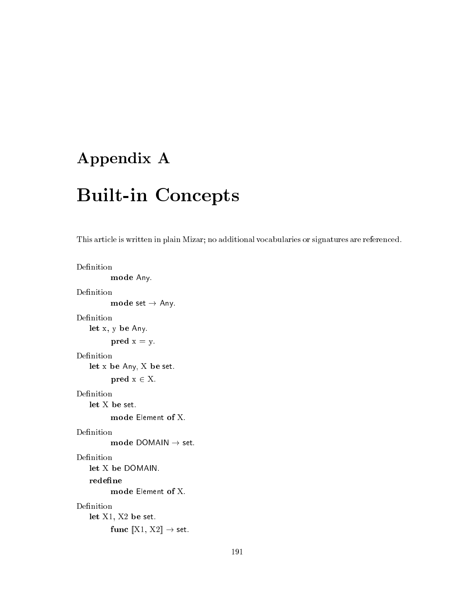## Appendix A

## **Built-in Concepts**

This article is written in plain Mizar; no additional vocabularies or signatures are referenced.

```
Definition
           mode Any.
Definition
           mode set \rightarrow Any.
Definition
    let x, y be Any.
          pred x = y.Definition
    let x be Any, X be set.
          pred x \in X.Definition
    let X be set.
          mode Element of X.
Definition
           mode DOMAIN \rightarrow set.
Definition
    let X be DOMAIN.
   redefine
           mode Element of X.
Definition
    let X1, X2 be set.
          func \llbracket \text{X1}, \text{X2} \rrbracket \rightarrow set.
```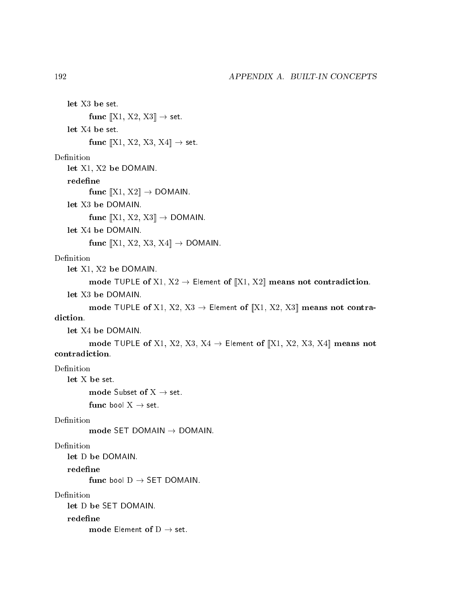let X3 be set. func  $\llbracket$ X1, X2, X3 $\rrbracket \rightarrow$  set. let X4 be set. func  $\llbracket$ X1, X2, X3, X4 $\rrbracket \rightarrow$  set. let X1, X2 be DOMAIN. redefine func  $[[X1, X2]] \rightarrow$  DOMAIN. let X3 be DOMAIN. func  $[[X1, X2, X3]] \rightarrow$  DOMAIN. let X4 be DOMAIN. func  $\llbracket$ X1, X2, X3, X4 $\rrbracket \rightarrow$  DOMAIN. Definition let X1, X2 be DOMAIN. mode TUPLE of X1,  $X2 \rightarrow$  Element of [X1, X2] means not contradiction. let X3 be DOMAIN. mode TUPLE of X1, X2, X3  $\rightarrow$  Element of [X1, X2, X3] means not contralet X4 be DOMAIN. mode TUPLE of X1, X2, X3, X4  $\rightarrow$  Element of [X1, X2, X3, X4] means not contradiction. Definition let X be set. mode Subset of  $X \rightarrow$  set. func bool  $X \rightarrow$  set. Definition mode SET DOMAIN  $\rightarrow$  DOMAIN. Definition let D be DOMAIN. func bool  $D \rightarrow$  SET DOMAIN. Definition let D be SET DOMAIN. redefine mode Element of  $D \rightarrow$  set.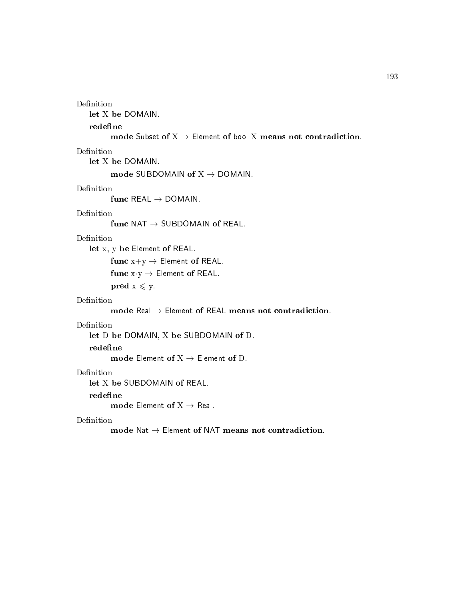```
Definition
```
let X be DOMAIN.

#### redefine

mode Subset of  $X \rightarrow$  Element of bool X means not contradiction.

### Definition

let X be DOMAIN.

mode SUBDOMAIN of  $X \rightarrow$  DOMAIN.

### Definition

func REAL  $\rightarrow$  DOMAIN.

### Definition

func NAT  $\rightarrow$  SUBDOMAIN of REAL.

### Definition

let x, y be Element of REAL.

func  $x+y \rightarrow$  Element of REAL.

func  $x \cdot y \rightarrow$  Element of REAL.

pred  $x \leq y$ .

### Definition

mode Real  $\rightarrow$  Element of REAL means not contradiction.

### Definition

let D be DOMAIN, X be SUBDOMAIN of D.

mode Element of  $X \rightarrow$  Element of D.

### Definition

let X be SUBDOMAIN of REAL.

#### redefine

mode Element of  $X \rightarrow$  Real.

#### Definition

mode Nat  $\rightarrow$  Element of NAT means not contradiction.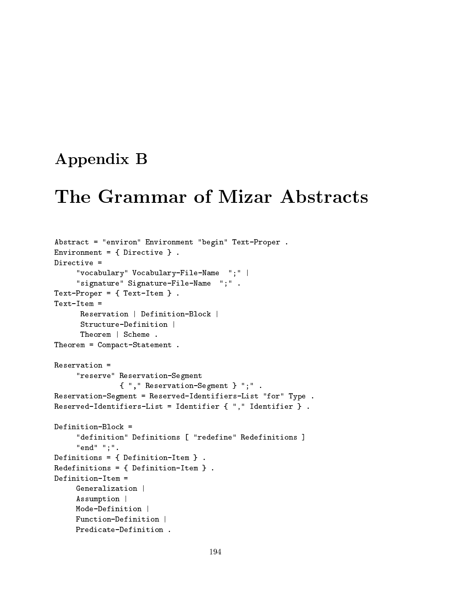## Appendix B

## The Grammar of Mizar Abstracts

```
Abstra
t = "environ" Environment "begin" Text-Proper .
Environment = { Directive }.
     "vo
abulary" Vo
abulary-File-Name ";" |
     "signature" Signature-File-Name ";" .
Text-Proper = { Text-Item}.
Text-Item =Reservation | Definition-Block |
      Reservation | Definition-Blo
k |
      Structure-Definition |
      Stru
ture-Definition |
     Theorem | S
heme .
Theorem = Compa
t-Statement .
Reservation =
     "reserve" Reservation-Segment
               { "," Reservation-Segment } ";" .
Reservation-Segment = Reserved-Identifiers-List "for" Type .
Reserved-Identifiers-List = Identifier { "," Identifier } .
Definition-Blo
k =
     "definition" Definitions [ "redefine" Redefinitions ]
     "end" ";".
Definitions = { Definition-Item } .
Redefinitions = \{ Definition-Item \}.
Redefinitions = { Definition-Item } .
Definition-Item =Generalization |
     Assumption |
     Mode-Definition |
     Fun
tion-Definition |
     Predi
ate-Definition .
```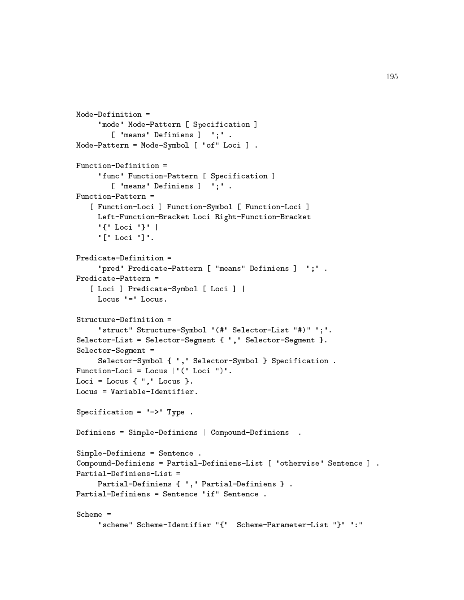```
Mode-Definition =
     "mode" Mode-Pattern [ Specification ]
        [ "means" Definiens ] ";".
Mode-Pattern = Mode-Symbol [ "of" Loci ].
Fun
tion-Definition =
     "func" Function-Pattern [ Specification ]
        [ "means" Definiens ] ";".
Function-Pattern =
   [ Function-Loci ] Function-Symbol [ Function-Loci ] |
     Left-Function-Bracket Loci Right-Function-Bracket |
     "{" Lo
i "}" |
     "[" Loci "]".
Predi
ate-Definition =
     "pred" Predicate-Pattern [ "means" Definiens ] ";".
Predi
ate-Pattern =
   [ Loci ] Predicate-Symbol [ Loci ] |
     Locus "=" Locus.
Stru
ture-Definition =
     "struct" Structure-Symbol "(#" Selector-List "#)" ";".
Selector-List = Selector-Segment { "," Selector-Segment }.
Selector-Segment =
     Selector-Symbol { ", " Selector-Symbol } Specification .
Function-Loci = Locus |"(" Loci ")".
Loci = Locus \{ "," Locus \}.Locus = Variable-Identifier.
Specification = "->" Type .
Definiens = Simple-Definiens | Compound-Definiens .
Simple-Definiens = Senten
e .
Compound-Definiens = Partial-Definiens-List [ "otherwise" Sentence ] .
Partial-Definiens-List =
     Partial-Definiens { "," Partial-Definiens } .
Partial-Definiens = Sentence "if" Sentence.
Scheme ="s
heme" S
heme-Identifier "{" S
heme-Parameter-List "}" ":"
```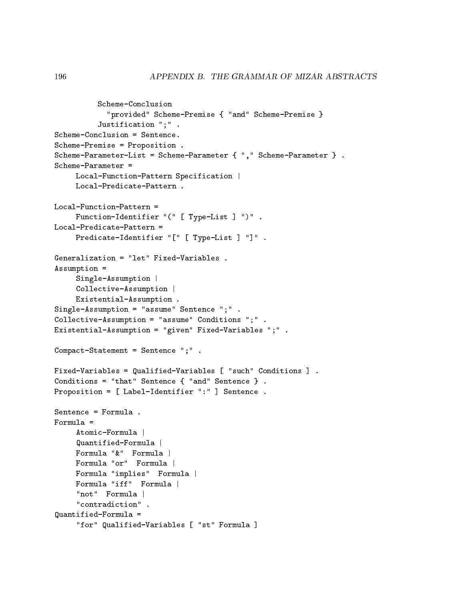```
S
heme-Con
lusion
             "provided" S
heme-Premise { "and" S
heme-Premise }
           Justification ";".
S
heme-Premise = Proposition .
Scheme-Parameter-List = Scheme-Parameter { "," Scheme-Parameter } .
S
heme-Parameter =
     Local-Function-Pattern Specification |
     Local-Predicate-Pattern.
Local-Function-Pattern =Function-Identifier "(" [ Type-List ] ")".
Local-Predicate-Pattern =
     Predicate-Identifier "[" [ Type-List ] "]".
Generalization = "let" Fixed-Variables .
Assumption =
     Single-Assumption |
     Collective-Assumption |
     Existential-Assumption .
Single-Assumption = "assume" Senten
e ";" .
Collective-Assumption = "assume" Conditions ";".
Existential-Assumption = "given" Fixed-Variables ";" .
Compact-Statement = Sentence "; ".
Fixed-Variables = Qualified-Variables [ "such" Conditions ].
Conditions = "that" Sentence \{ "and" Sentence \}.
Proposition = [ Label-Identifier ":" ] Sentence.
Senten
e = Formula .
Formula =
     Atomic-Formula |
     Quantified-Formula |
     Formula "&" Formula |
     Formula "or" Formula |
     Formula "implies" Formula |
     Formula "iff" Formula |
     "not" Formula |
     "not" Formula in the formula \mathcal{F}_n for \mathcal{F}_n for \mathcal{F}_n for \mathcal{F}_n for \mathcal{F}_n for n"contradiction" .
Quantified-Formula =
     "for" Qualified-Variables [ "st" Formula ]
```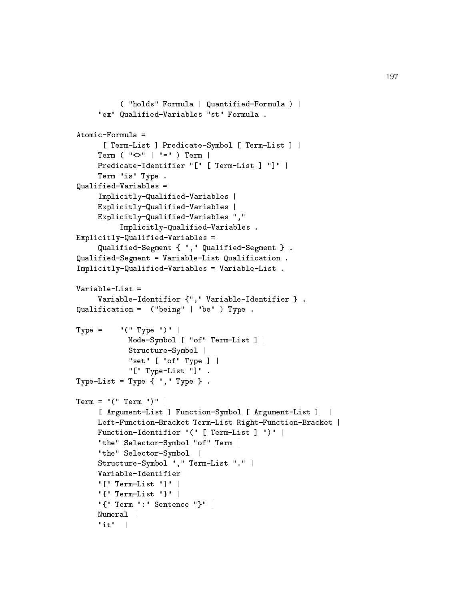```
( "holds" Formula | Quantified-Formula ) |
     "ex" Qualified-Variables "st" Formula .
      [ Term-List ] Predicate-Symbol [ Term-List ] |
     Term ( " <>" | " =" ) Term |
     Predicate-Identifier "[" [ Term-List ] "]" |
     Term "is" Type .
Qualified-Variables =
     Implicitly-Qualified-Variables |
     Explicitly-Qualified-Variables |
     Explicitly-Qualified-Variables ", "
          Implicitly-Qualified-Variables.
Explicitly-Qualified-Variables =
     Qualified-Segment { "," Qualified-Segment } .
Qualified-Segment = Variable-List Qualifi
ation .
Impli
itly-Qualified-Variables = Variable-List .
Variable-List =
     Variable-Identifier {"," Variable-Identifier } .
Qualifi
ation = ("being" | "be" ) Type .
Type = "(" Type ")"Mode-Symbol [ "of" Term-List ] |
            Structure-Symbol |
            "set" [ "of" Type ] |
            "[" Type-List "]".
Type-List = Type \{ "," Type \}.
Term = "(" Term ")"[ Argument-List ] Function-Symbol [ Argument-List ] |
     Left-Function-Bracket Term-List Right-Function-Bracket |
     Function-Identifier "(" [ Term-List ] ")" |
     "the" Selector-Symbol "of" Term |
     "the" Selector-Symbol |
     Stru
ture-Symbol "," Term-List "." |
     Variable-Identifier |
     "[" Term-List "]" |
     "{" Term-List "}" |
     "{" Term ":" Senten
e "}" |
     Numeral |
     Numeral |
     "it" |
```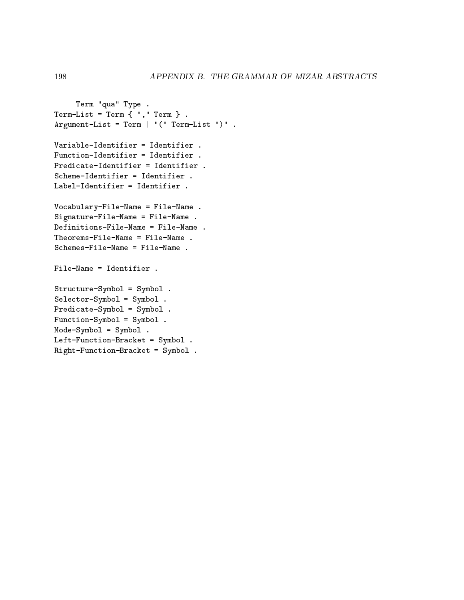```
Term "qua" Type .
Term-List = Term {"," Term }.
Argument-List = Term | "(" Term-List ")" .
Variable-Identifier = Identifier .
Fun
tion-Identifier = Identifier .
Predi
ate-Identifier = Identifier .
S
heme-Identifier = Identifier .
Label-Identifier = Identifier .
Vo
abulary-File-Name = File-Name .
Signature-File-Name = File-Name .
Definitions-File-Name = File-Name .
Theorems-File-Name = File-Name .
S
hemes-File-Name = File-Name .
File-Name = Identifier .
Stru
ture-Symbol = Symbol .
Sele
tor-Symbol = Symbol .
Predi
ate-Symbol = Symbol .
Fun
tion-Symbol = Symbol .
Mode-Symbol = Symbol .
Left-Function-Bracket = Symbol.
Right-Function-Bracket = Symbol.
```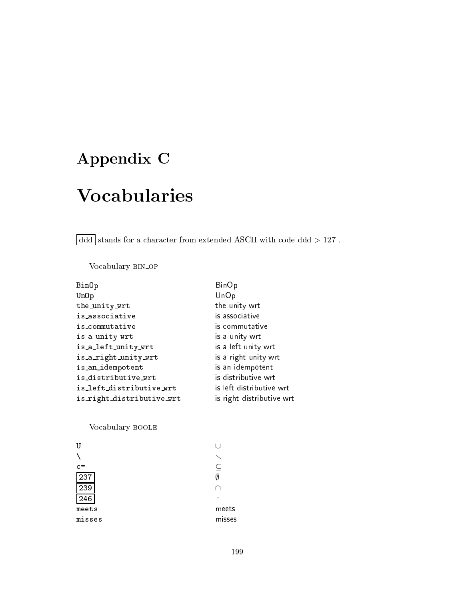# Appendix C

# **Vocabularies**

 $\boxed{\text{ddd}}$  stands for a character from extended ASCII with code ddd  $>127$  .

Vocabulary BIN\_OP

| BinOp                     | <b>BinOp</b>              |
|---------------------------|---------------------------|
| Un0p                      | UnOp                      |
| the_unity_wrt             | the unity wrt             |
| is_associative            | is associative            |
| is_commutative            | is commutative            |
| is_a_unity_wrt            | is a unity wrt            |
| is_a_left_unity_wrt       | is a left unity wrt       |
| is_a_right_unity_wrt      | is a right unity wrt      |
| is_an_idempotent          | is an idempotent          |
| is_distributive_wrt       | is distributive wrt       |
| is_left_distributive_wrt  | is left distributive wrt  |
| is_right_distributive_wrt | is right distributive wrt |

Vo
abulary boole

| U      |             |
|--------|-------------|
|        |             |
| $c =$  | $\subseteq$ |
| 237    | $\emptyset$ |
| 239    |             |
| 246    |             |
| meets  | me          |
| misses | mis         |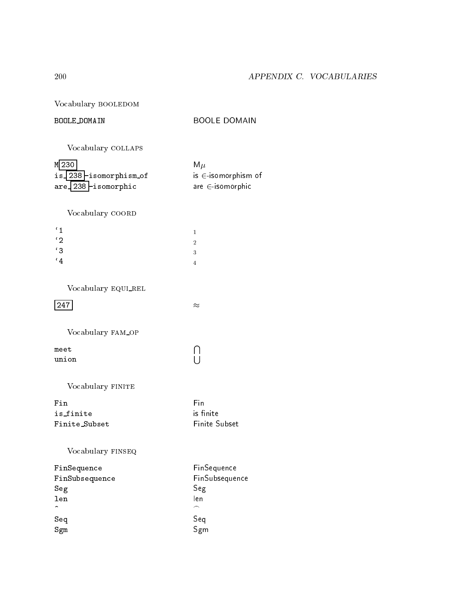Vocabulary BOOLEDOM

### BOOLE DOMAIN

**BOOLE DOMAIN** 

Vocabulary COLLAPS

| M 230                       | $M\mu$                   |
|-----------------------------|--------------------------|
| $is$ 238 $-$ isomorphism of | is $\in$ -isomorphism of |
| $are 238$ -isomorphic       | are $\in$ -isomorphic    |

Vocabulary COORD

| $^{\prime}$ 1        |                |
|----------------------|----------------|
| '2                   | $\overline{2}$ |
| $^{\prime}$ 3        | 3              |
| $\cdot$ <sub>4</sub> |                |

Vocabulary EQUI\_REL

 $\boxed{247}$ 

Vocabulary FAM\_OP

 $meet$ union  $\begin{bmatrix} 1 \\ 1 \end{bmatrix}$ 

 $\approx$ 

Vocabulary FINITE

 $\mathtt{Fin}$ is\_finite Finite\_Subset

Fin is finite Finite Subset

Vocabulary FINSEQ

| FinSequence          | FinSequence    |
|----------------------|----------------|
| FinSubsequence       | FinSubsequence |
| Seg                  | Seg            |
| len                  | len            |
| $\ddot{\phantom{1}}$ | ⌒              |
| Seq                  |                |
| Sgm                  | Seq<br>Sgm     |

200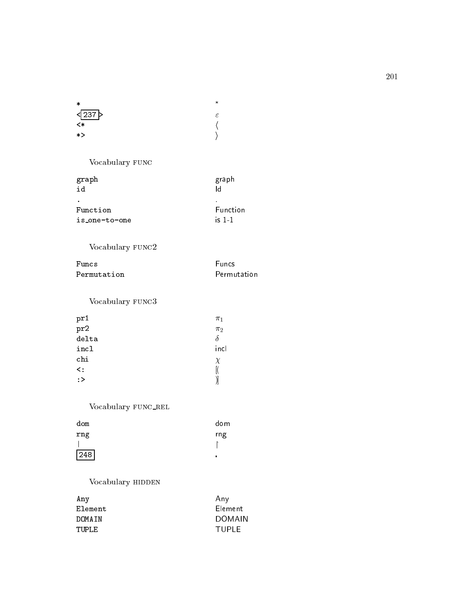| ۶ |
|---|
|   |
|   |
|   |

Vocabulary FUNC

| graph<br>id   | graph<br>I٢           |
|---------------|-----------------------|
| Function      | $\bullet$<br>Function |
| is_one-to-one | is $11$               |

## Vocabulary  $\tt FUNC2$

| Funcs.      | <b>Euncs</b> |
|-------------|--------------|
| Permutation | Permutation  |

Vocabulary FUNC3

| pr1       | $\pi_1$ |
|-----------|---------|
| pr2       | $\pi_2$ |
| delta     |         |
| incl      | inc     |
| chi       | χ       |
| $\prec$ : |         |
| :         |         |

## Vocabulary  ${\tt FUNC\_REL}$

| dom | dom |
|-----|-----|
| rng | rng |
|     |     |
| 248 | п   |

## Vocabulary HIDDEN

| Any     | Any     |
|---------|---------|
| Element | Element |
| DOMATN  | DOMAIN  |
| TUPL F  | TUPI E  |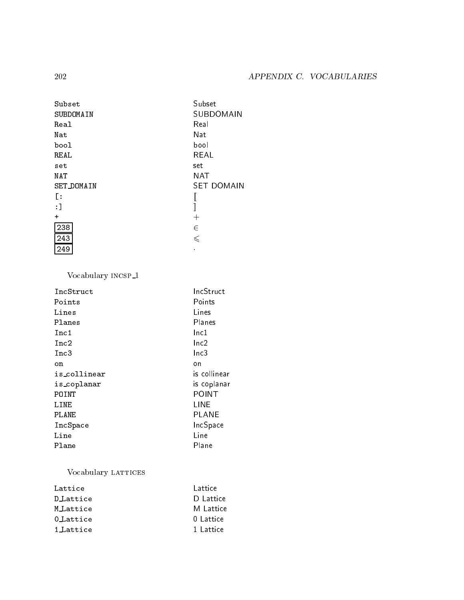| Subset            | Subset            |
|-------------------|-------------------|
| SUBDOMAIN         | SUBDOMAIN         |
| Real              | Real              |
| Nat               | Nat               |
| bool              | bool              |
| REAL              | REAL              |
| set               | set               |
| <b>NAT</b>        | <b>NAT</b>        |
| <b>SET_DOMAIN</b> | <b>SET DOMAIN</b> |
| Ŀ                 |                   |
| :1                |                   |
| $\ddot{}$         | $\pm$             |
| 238               | $\in$             |
| 243               | $\leqslant$       |
| 249               |                   |

Vocabulary  $\text{INCSP}\_\text{1}$ 

| IncStruct    | IncStruct        |
|--------------|------------------|
| Points       | Points           |
| Lines        | Lines            |
| Planes       | Planes           |
| Inc1         | lnc1             |
| Inc2         | lnc2             |
| Inc3         | lnc <sub>3</sub> |
| on           | on               |
| is_collinear | is collinear     |
| is_coplanar  | is coplanar      |
| POINT        | POINT            |
| LINE         | LINE             |
| PLANE        | PLANE            |
| IncSpace     | IncSpace         |
| Line         | Line             |
| Plane        | Plane            |
|              |                  |

## Vocabulary LATTICES

| Lattice   | Lattice   |
|-----------|-----------|
| D Lattice | D Lattice |
| M_Lattice | M Lattice |
| 0 Lattice | 0 Lattice |
| 1 Lattice | 1 Lattice |

202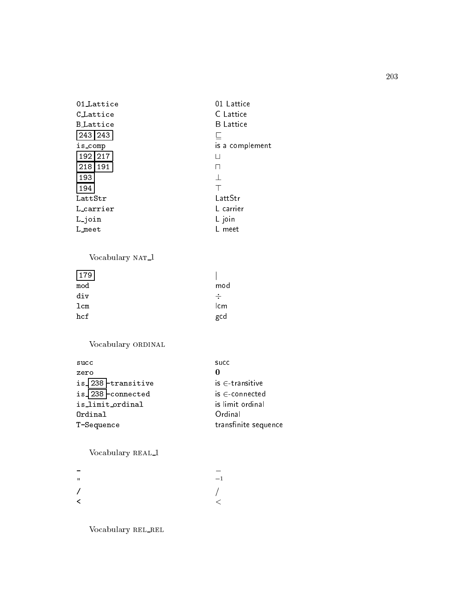| 01 Lattice       | 01 Lattice       |
|------------------|------------------|
| C.Lattice        | C Lattice        |
| <b>B_Lattice</b> | <b>B</b> Lattice |
| 243   243        | ┕                |
| is_comp          | is a complement  |
| 192 217          | $\mathsf{I}$     |
| 191<br>218       | $\mathsf{L}$     |
| 193              | $\perp$          |
| 194              | Т                |
| LattStr          | LattStr          |
| L_carrier        | L carrier        |
| Ljoin            | L join           |
| L_meet           | L meet           |

### Vocabulary  $NAT\_1$

| 179 |              |
|-----|--------------|
| mod | mod          |
| div | ÷            |
| 1cm | lcm          |
| hcf | $_{\rm gcd}$ |

## Vocabulary ORDINAL

| succ                 | succ                 |
|----------------------|----------------------|
| zero                 | 0                    |
| is 238 - transitive  | $is \in$ transitive  |
| $is$ 238 - connected | $is \in connected$   |
| is_limit_ordinal     | is limit ordinal     |
| Ordinal              | Ordinal              |
| T-Sequence           | transfinite sequence |

## Vocabulary REAL<sub>1</sub>

| Ħ | $-1$       |
|---|------------|
| 7 | $\sqrt{ }$ |
| K |            |

Vocabulary REL\_REL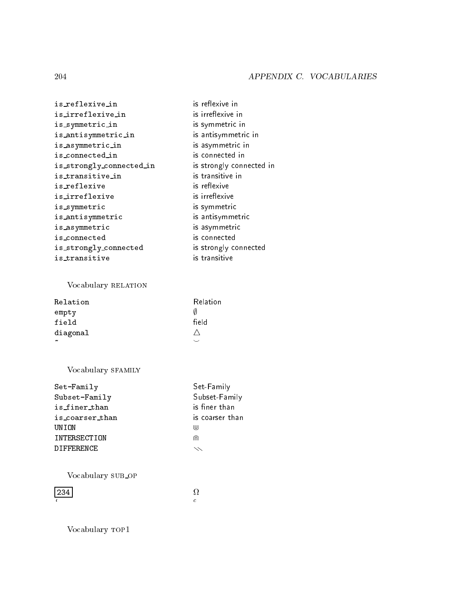- is\_reflexive\_in is\_irreflexive\_in is\_symmetric\_in is\_antisymmetric\_in is\_asymmetric\_in is\_connected\_in is\_strongly\_connected\_in is\_transitive\_in is\_reflexive is\_irreflexive is\_symmetric is\_antisymmetric is\_asymmetric is\_connected is\_strongly\_connected  $i$ s\_transitive
- is reflexive in is irreflexive in is symmetric in is antisymmetric in is asymmetric in is connected in is strongly connected in is transitive in is reflexive is irreflexive is symmetric is antisymmetric is asymmetric is connected is strongly connected is transitive

### Vocabulary RELATION

| Relation              | <b>Relation</b> |
|-----------------------|-----------------|
| empty                 | Ø               |
| field                 | field           |
| diagonal              |                 |
| $\tilde{\phantom{a}}$ |                 |

### Vocabulary SFAMILY

| Set-Family        | Set-Family      |
|-------------------|-----------------|
| Subset-Family     | Subset-Family   |
| is_finer_than     | is finer than   |
| is_coarser_than   | is coarser than |
| UNION             | (UJ             |
| INTERSECTION      | ⋒               |
| <b>DIFFFRENCE</b> | $\diagdown$     |
|                   |                 |

Vocabulary SUB\_OP

234

 $\Omega$  $\overline{c}$ 

Vocabulary TOP1

204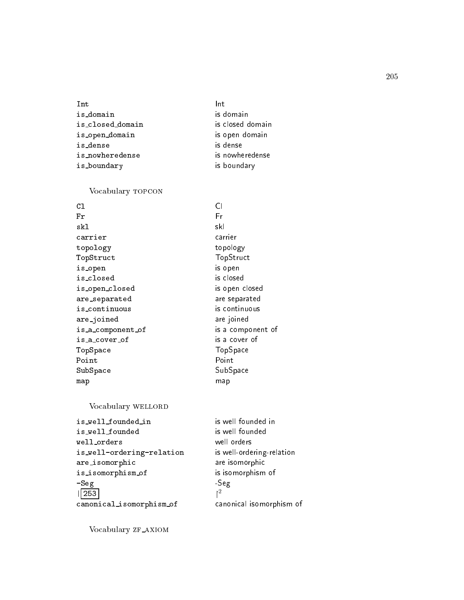## is domain is domain is losed domain is losed domain is open domain is open domain is dense is dense is nowheredense is nowheredense is\_boundary is boundary

#### Vocabulary TOPCON

| C1                | Cl                |
|-------------------|-------------------|
| Fr                | Fr                |
| skl               | skl               |
| carrier           | carrier           |
| topology          | topology          |
| TopStruct         | TopStruct         |
| is_open           | is open           |
| is_closed         | is closed         |
| is_open_closed    | is open closed    |
| are_separated     | are separated     |
| is_continuous     | is continuous     |
| are_joined        | are joined        |
| is_a_component_of | is a component of |
| is_a_cover_of     | is a cover of     |
| TopSpace          | TopSpace          |
| Point             | Point             |
| SubSpace          | SubSpace          |
| map               | map               |

### Vocabulary WELLORD

is\_well\_founded\_in is well founded in is well founded is well founded well orders well orders is\_well-ordering-relation is well-ordering-relation are isomorphi are isomorphi is isomorphism of is isomorphism of -Seg -Seg | 253 canonical\_isomorphism\_of canonical isomorphism of

 $\uparrow^2$ 

Vocabulary ZF\_AXIOM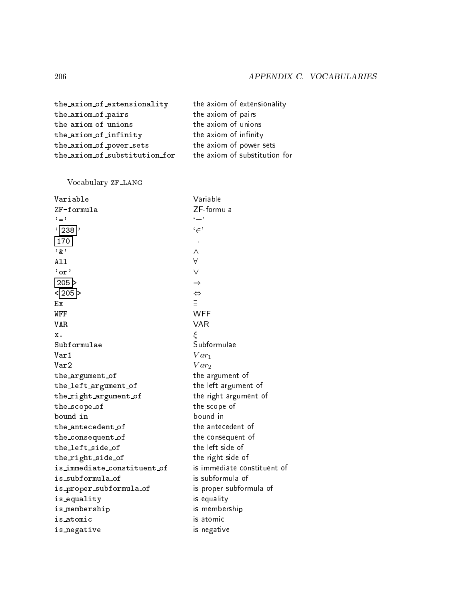| the_axiom_of_extensionality   | the axiom of extensionality   |
|-------------------------------|-------------------------------|
| the_axiom_of_pairs            | the axiom of pairs            |
| the_axiom_of_unions           | the axiom of unions           |
| the_axiom_of_infinity         | the axiom of infinity         |
| the_axiom_of_power_sets       | the axiom of power sets       |
| the_axiom_of_substitution_for | the axiom of substitution for |

## Vocabulary ZF\_LANG

| Variable                    | Variable                    |
|-----------------------------|-----------------------------|
| ZF-formula                  | ZF-formula                  |
| $' = '$                     | '='                         |
| $'$   238                   | $`\in`$                     |
| 170                         | ┑                           |
| י אַ י                      | $\wedge$                    |
| A11                         | A                           |
| $'$ or $'$                  | $\vee$                      |
| $205$ $>$                   | $\Rightarrow$               |
| <  205 >                    | $\Leftrightarrow$           |
| Еx                          | $\overline{a}$              |
| WFF                         | <b>WFF</b>                  |
| <b>VAR</b>                  | <b>VAR</b>                  |
| х.                          | ξ                           |
| Subformulae                 | Subformulae                 |
| Var1                        | $Var_1$                     |
| Var2                        | $Var_2$                     |
| the_argument_of             | the argument of             |
| the_left_argument_of        | the left argument of        |
| the_right_argument_of       | the right argument of       |
| the_scope_of                | the scope of                |
| bound_in                    | bound in                    |
| the_antecedent_of           | the antecedent of           |
| the_consequent_of           | the consequent of           |
| the_left_side_of            | the left side of            |
| the_right_side_of           | the right side of           |
| is_immediate_constituent_of | is immediate constituent of |
| is_subformula_of            | is subformula of            |
| is_proper_subformula_of     | is proper subformula of     |
| is_equality                 | is equality                 |
| is_membership               | is membership               |
| is_atomic                   | is atomic                   |
| is_negative                 | is negative                 |
|                             |                             |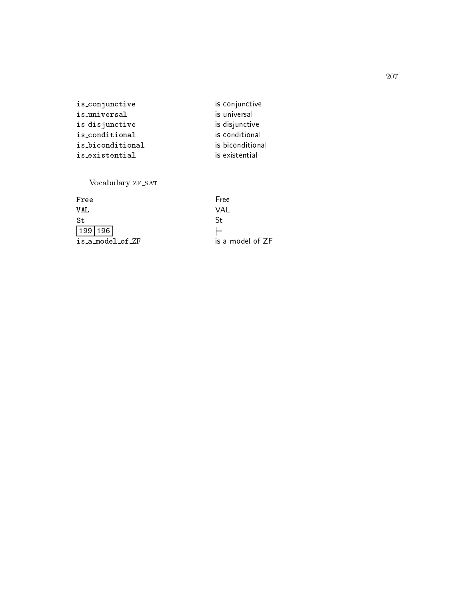| is_conjunctive   | is conjunctive   |
|------------------|------------------|
| is_universal     | is universal     |
| is_disjunctive   | is disjunctive   |
| is_conditional   | is conditional   |
| is_biconditional | is biconditional |
| is_existential   | is existential   |
|                  |                  |

## Vocabulary ZF\_SAT

| Free             |
|------------------|
| VAL              |
| -St              |
| $=$              |
| is a model of ZF |
|                  |

207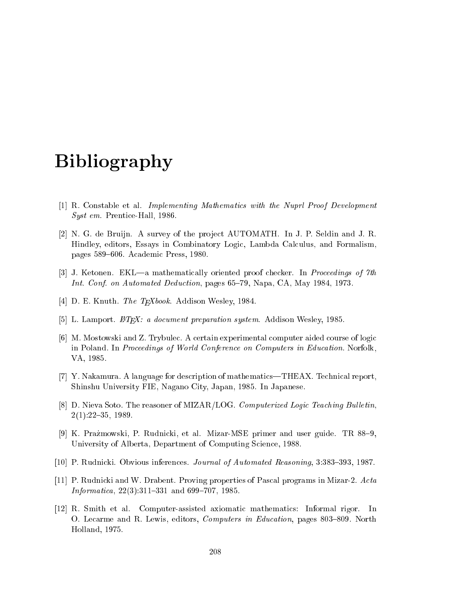## Bibliography

- [1] R. Constable et al. *Implementing Mathematics with the Nuprl Proof Development*  $Syst$  em. Prentice Hall, 1986.
- [2] N. G. de Bruijn. A survey of the project AUTOMATH. In J. P. Seldin and J. R. Hindley, editors, Essays in Combinatory Logic, Lambda Calculus, and Formalism, pages 589–606. Academic Press, 1980.
- [3] J. Ketonen. EKL—a mathematically oriented proof checker. In *Proceedings of 7th* Int. Conf. on Automated Deduction, pages 65-79, Napa, CA, May 1984, 1973.
- [4] D. E. Knuth. The T<sub>F</sub>Xbook. Addison Wesley, 1984.
- [5] L. Lamport.  $\mathbb{Z}T_F X$ : a document preparation system. Addison Wesley, 1985.
- [6] M. Mostowski and Z. Trybulec. A certain experimental computer aided course of logic in Poland. In *Proceedings of World Conference on Computers in Education*. Norfolk. VA, 1985.
- [7] Y. Nakamura. A language for description of mathematics—THEAX. Technical report, Shinshu University FIE, Nagano City, Japan, 1985. In Japanese.
- [8] D. Nieva Soto. The reasoner of MIZAR/LOG. Computerized Logic Teaching Bulletin.  $2(1):22{-}35, 1989.$
- [9] K. Prazmowski, P. Rudnicki, et al. Mizar-MSE primer and user guide. TR  $88-9$ , University of Alberta, Department of Computing Science, 1988.
- [10] P. Rudnicki. Obvious inferences. Journal of Automated Reasoning, 3:383-393, 1987.
- [11] P. Rudnicki and W. Drabent. Proving properties of Pascal programs in Mizar-2.  $Acta$ Informatica,  $22(3):311-331$  and  $699-707$ , 1985.
- [12] R. Smith et al. Computer-assisted axiomatic mathematics: Informal rigor. In O. Lecarme and R. Lewis, editors, *Computers in Education*, pages 803–809. North Holland, 1975.